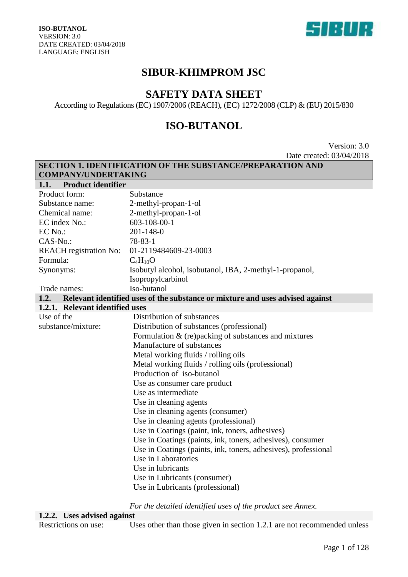

### **SIBUR-KHIMPROM JSC**

### **SAFETY DATA SHEET**

According to Regulations (EC) 1907/2006 (REACH), (EC) 1272/2008 (CLP) & (EU) 2015/830

### **ISO-BUTANOL**

Version: 3.0 Date created: 03/04/2018

|                                   | <b>SECTION 1. IDENTIFICATION OF THE SUBSTANCE/PREPARATION AND</b>             |  |  |
|-----------------------------------|-------------------------------------------------------------------------------|--|--|
| <b>COMPANY/UNDERTAKING</b>        |                                                                               |  |  |
| <b>Product identifier</b><br>1.1. |                                                                               |  |  |
| Product form:                     | Substance                                                                     |  |  |
| Substance name:                   | 2-methyl-propan-1-ol                                                          |  |  |
| Chemical name:                    | 2-methyl-propan-1-ol                                                          |  |  |
| EC index No.:                     | $603 - 108 - 00 - 1$                                                          |  |  |
| EC No.:                           | $201 - 148 - 0$                                                               |  |  |
| CAS-No.:                          | $78 - 83 - 1$                                                                 |  |  |
| <b>REACH</b> registration No:     | 01-2119484609-23-0003                                                         |  |  |
| Formula:                          | $C_4H_{10}O$                                                                  |  |  |
| Synonyms:                         | Isobutyl alcohol, isobutanol, IBA, 2-methyl-1-propanol,                       |  |  |
|                                   | Isopropylcarbinol                                                             |  |  |
| Trade names:                      | Iso-butanol                                                                   |  |  |
| 1.2.                              | Relevant identified uses of the substance or mixture and uses advised against |  |  |
| 1.2.1. Relevant identified uses   |                                                                               |  |  |
| Use of the                        | Distribution of substances                                                    |  |  |
| substance/mixture:                | Distribution of substances (professional)                                     |  |  |
|                                   | Formulation $\&$ (re)packing of substances and mixtures                       |  |  |
|                                   | Manufacture of substances                                                     |  |  |
|                                   | Metal working fluids / rolling oils                                           |  |  |
|                                   | Metal working fluids / rolling oils (professional)                            |  |  |
|                                   | Production of iso-butanol                                                     |  |  |
|                                   | Use as consumer care product                                                  |  |  |
|                                   | Use as intermediate                                                           |  |  |
|                                   | Use in cleaning agents                                                        |  |  |
|                                   | Use in cleaning agents (consumer)                                             |  |  |
|                                   | Use in cleaning agents (professional)                                         |  |  |
|                                   | Use in Coatings (paint, ink, toners, adhesives)                               |  |  |
|                                   | Use in Coatings (paints, ink, toners, adhesives), consumer                    |  |  |
|                                   | Use in Coatings (paints, ink, toners, adhesives), professional                |  |  |
|                                   | Use in Laboratories                                                           |  |  |
|                                   | Use in lubricants                                                             |  |  |
|                                   | Use in Lubricants (consumer)                                                  |  |  |
|                                   | Use in Lubricants (professional)                                              |  |  |

*For the detailed identified uses of the product see Annex.*

# **1.2.2. Uses advised against**

Uses other than those given in section 1.2.1 are not recommended unless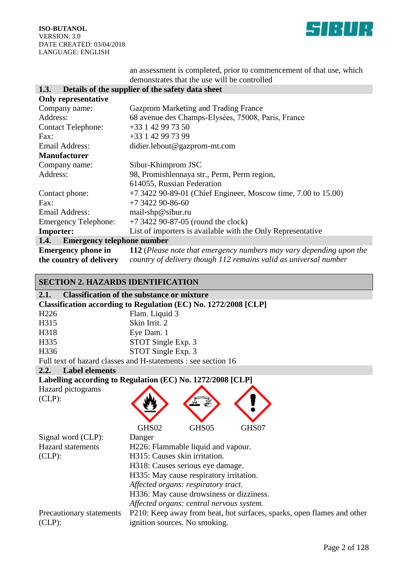

an assessment is completed, prior to commencement of that use, which demonstrates that the use will be controlled

#### **1.3. Details of the supplier of the safety data sheet**

| <b>Only representative</b>                |                                                                     |
|-------------------------------------------|---------------------------------------------------------------------|
| Company name:                             | Gazprom Marketing and Trading France                                |
| Address:                                  | 68 avenue des Champs-Elysées, 75008, Paris, France                  |
| <b>Contact Telephone:</b>                 | $+33$ 1 42 99 73 50                                                 |
| Fax:                                      | +33 1 42 99 73 99                                                   |
| Email Address:                            | didier.lebout@gazprom-mt.com                                        |
| <b>Manufacturer</b>                       |                                                                     |
| Company name:                             | Sibur-Khimprom JSC                                                  |
| Address:                                  | 98, Promishlennaya str., Perm, Perm region,                         |
|                                           | 614055, Russian Federation                                          |
| Contact phone:                            | $+7$ 3422 90-89-01 (Chief Engineer, Moscow time, 7.00 to 15.00)     |
| Fax:                                      | $+7$ 3422 90-86-60                                                  |
| <b>Email Address:</b>                     | mail-shp@sibur.ru                                                   |
| <b>Emergency Telephone:</b>               | $+7$ 3422 90-87-05 (round the clock)                                |
| <b>Importer:</b>                          | List of importers is available with the Only Representative         |
| <b>Emergency telephone number</b><br>1.4. |                                                                     |
| <b>Emergency phone in</b>                 | 112 (Please note that emergency numbers may vary depending upon the |
| the country of delivery                   | country of delivery though 112 remains valid as universal number    |

#### **SECTION 2. HAZARDS IDENTIFICATION**

| 2.1.                | <b>Classification of the substance or mixture</b>               |
|---------------------|-----------------------------------------------------------------|
|                     | Classification according to Regulation (EC) No. 1272/2008 [CLP] |
| H <sub>226</sub>    | Flam. Liquid 3                                                  |
| H315                | Skin Irrit. 2                                                   |
| H318                | Eye Dam. 1                                                      |
| H335                | STOT Single Exp. 3                                              |
| H336                | STOT Single Exp. 3                                              |
|                     | Full text of hazard classes and H-statements : see section 16   |
| 2.2. Label elements |                                                                 |
|                     |                                                                 |

**Labelling according to Regulation (EC) No. 1272/2008 [CLP]** 

| Hazard pictograms |  |
|-------------------|--|
| $CLP)$ :          |  |

|                          | GHS02  | GHS05                                    | GHS07                                                                  |
|--------------------------|--------|------------------------------------------|------------------------------------------------------------------------|
| Signal word (CLP):       | Danger |                                          |                                                                        |
| <b>Hazard</b> statements |        | H226: Flammable liquid and vapour.       |                                                                        |
| $CLP)$ :                 |        | H315: Causes skin irritation.            |                                                                        |
|                          |        | H318: Causes serious eye damage.         |                                                                        |
|                          |        | H335: May cause respiratory irritation.  |                                                                        |
|                          |        | Affected organs: respiratory tract.      |                                                                        |
|                          |        | H336: May cause drowsiness or dizziness. |                                                                        |
|                          |        | Affected organs: central nervous system. |                                                                        |
| Precautionary statements |        |                                          | P210: Keep away from heat, hot surfaces, sparks, open flames and other |
| $CLP)$ :                 |        | ignition sources. No smoking.            |                                                                        |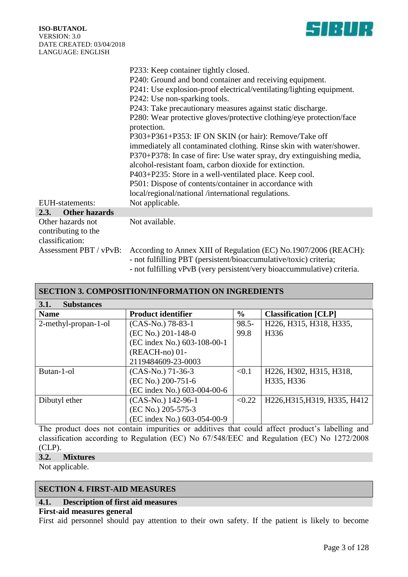

|                                          | P233: Keep container tightly closed.                                                                                                  |
|------------------------------------------|---------------------------------------------------------------------------------------------------------------------------------------|
|                                          | P240: Ground and bond container and receiving equipment.                                                                              |
|                                          | P241: Use explosion-proof electrical/ventilating/lighting equipment.                                                                  |
|                                          | P242: Use non-sparking tools.                                                                                                         |
|                                          | P243: Take precautionary measures against static discharge.                                                                           |
|                                          | P280: Wear protective gloves/protective clothing/eye protection/face<br>protection.                                                   |
|                                          | P303+P361+P353: IF ON SKIN (or hair): Remove/Take off                                                                                 |
|                                          | immediately all contaminated clothing. Rinse skin with water/shower.                                                                  |
|                                          | P370+P378: In case of fire: Use water spray, dry extinguishing media,                                                                 |
|                                          | alcohol-resistant foam, carbon dioxide for extinction.                                                                                |
|                                          | P403+P235: Store in a well-ventilated place. Keep cool.                                                                               |
|                                          | P501: Dispose of contents/container in accordance with                                                                                |
|                                          | local/regional/national /international regulations.                                                                                   |
| EUH-statements:                          | Not applicable.                                                                                                                       |
| <b>Other hazards</b><br>2.3.             |                                                                                                                                       |
| Other hazards not<br>contributing to the | Not available.                                                                                                                        |
| classification:                          |                                                                                                                                       |
| Assessment PBT / vPvB:                   | According to Annex XIII of Regulation (EC) No.1907/2006 (REACH):<br>- not fulfilling PBT (persistent/bioaccumulative/toxic) criteria; |
|                                          | - not fulfilling $vPvR$ (very persistent/very bioaccummulative) criteria                                                              |

| - not fulfilling vPvB (very persistent/very bioaccummulative) criteria. |  |
|-------------------------------------------------------------------------|--|
|-------------------------------------------------------------------------|--|

| <b>SECTION 3. COMPOSITION/INFORMATION ON INGREDIENTS</b> |                             |          |                              |  |
|----------------------------------------------------------|-----------------------------|----------|------------------------------|--|
| <b>Substances</b><br>3.1.                                |                             |          |                              |  |
| <b>Name</b>                                              | <b>Product identifier</b>   | $\%$     | <b>Classification</b> [CLP]  |  |
| 2-methyl-propan-1-ol                                     | $(CAS-No.)$ 78-83-1         | $98.5 -$ | H226, H315, H318, H335,      |  |
|                                                          | (EC No.) 201-148-0          | 99.8     | H336                         |  |
|                                                          | (EC index No.) 603-108-00-1 |          |                              |  |
|                                                          | (REACH-no) 01-              |          |                              |  |
|                                                          | 2119484609-23-0003          |          |                              |  |
| Butan-1-ol                                               | $(CAS-No.)$ 71-36-3         | < 0.1    | H226, H302, H315, H318,      |  |
|                                                          | (EC No.) 200-751-6          |          | H335, H336                   |  |
|                                                          | (EC index No.) 603-004-00-6 |          |                              |  |
| Dibutyl ether                                            | (CAS-No.) 142-96-1          | < 0.22   | H226, H315, H319, H335, H412 |  |
|                                                          | (EC No.) 205-575-3          |          |                              |  |
|                                                          | (EC index No.) 603-054-00-9 |          |                              |  |

The product does not contain impurities or additives that could affect product's labelling and classification according to Regulation (EC) No 67/548/ЕЕС and Regulation (EC) No 1272/2008 (CLP).

#### **3.2. Mixtures**

Not applicable.

### **SECTION 4. FIRST-AID MEASURES**

### **4.1. Description of first aid measures**

#### **First-aid measures general**

First aid personnel should pay attention to their own safety. If the patient is likely to become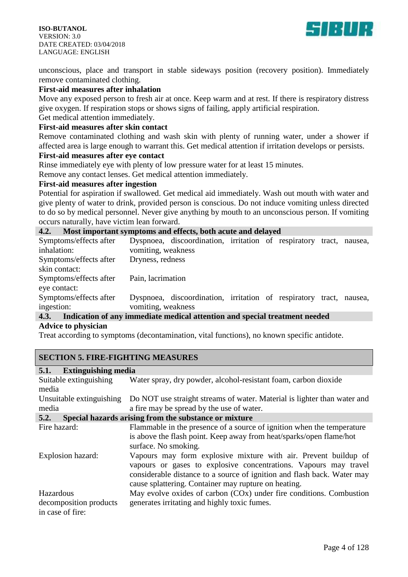

unconscious, place and transport in stable sideways position (recovery position). Immediately remove contaminated clothing.

#### **First-aid measures after inhalation**

Move any exposed person to fresh air at once. Keep warm and at rest. If there is respiratory distress give oxygen. If respiration stops or shows signs of failing, apply artificial respiration.

Get medical attention immediately.

#### **First-aid measures after skin contact**

Remove contaminated clothing and wash skin with plenty of running water, under a shower if affected area is large enough to warrant this. Get medical attention if irritation develops or persists.

#### **First-aid measures after eye contact**

Rinse immediately eye with plenty of low pressure water for at least 15 minutes.

Remove any contact lenses. Get medical attention immediately.

#### **First-aid measures after ingestion**

Potential for aspiration if swallowed. Get medical aid immediately. Wash out mouth with water and give plenty of water to drink, provided person is conscious. Do not induce vomiting unless directed to do so by medical personnel. Never give anything by mouth to an unconscious person. If vomiting occurs naturally, have victim lean forward.

#### **4.2. Most important symptoms and effects, both acute and delayed**

| Symptoms/effects after                                                                       |                    | Dyspnoea, discoordination, irritation of respiratory tract, nausea, |  |  |  |
|----------------------------------------------------------------------------------------------|--------------------|---------------------------------------------------------------------|--|--|--|
| inhalation:                                                                                  | vomiting, weakness |                                                                     |  |  |  |
| Symptoms/effects after                                                                       | Dryness, redness   |                                                                     |  |  |  |
| skin contact:                                                                                |                    |                                                                     |  |  |  |
| Symptoms/effects after                                                                       | Pain, lacrimation  |                                                                     |  |  |  |
| eye contact:                                                                                 |                    |                                                                     |  |  |  |
| Symptoms/effects after                                                                       |                    | Dyspnoea, discoordination, irritation of respiratory tract, nausea, |  |  |  |
| ingestion:                                                                                   | vomiting, weakness |                                                                     |  |  |  |
| $A \, 2$ . In Brother of case in a British and Brother in the column of the change is a dull |                    |                                                                     |  |  |  |

#### **4.3. Indication of any immediate medical attention and special treatment needed Advice to physician**

Treat according to symptoms (decontamination, vital functions), no known specific antidote.

#### **SECTION 5. FIRE-FIGHTING MEASURES**

| 5.1.<br><b>Extinguishing media</b>                      |                                                                                                                                                                                                                                                                        |
|---------------------------------------------------------|------------------------------------------------------------------------------------------------------------------------------------------------------------------------------------------------------------------------------------------------------------------------|
| Suitable extinguishing<br>media                         | Water spray, dry powder, alcohol-resistant foam, carbon dioxide                                                                                                                                                                                                        |
| Unsuitable extinguishing<br>media                       | Do NOT use straight streams of water. Material is lighter than water and<br>a fire may be spread by the use of water.                                                                                                                                                  |
| 5.2.                                                    | Special hazards arising from the substance or mixture                                                                                                                                                                                                                  |
| Fire hazard:                                            | Flammable in the presence of a source of ignition when the temperature<br>is above the flash point. Keep away from heat/sparks/open flame/hot<br>surface. No smoking.                                                                                                  |
| Explosion hazard:                                       | Vapours may form explosive mixture with air. Prevent buildup of<br>vapours or gases to explosive concentrations. Vapours may travel<br>considerable distance to a source of ignition and flash back. Water may<br>cause splattering. Container may rupture on heating. |
| Hazardous<br>decomposition products<br>in case of fire: | May evolve oxides of carbon (COx) under fire conditions. Combustion<br>generates irritating and highly toxic fumes.                                                                                                                                                    |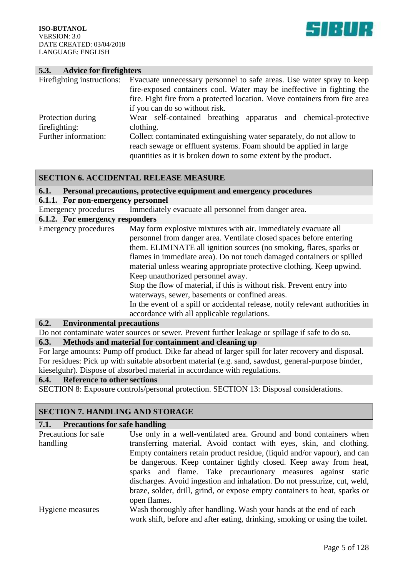

#### **5.3. Advice for firefighters**

| Firefighting instructions: | Evacuate unnecessary personnel to safe areas. Use water spray to keep      |  |  |
|----------------------------|----------------------------------------------------------------------------|--|--|
|                            | fire-exposed containers cool. Water may be ineffective in fighting the     |  |  |
|                            | fire. Fight fire from a protected location. Move containers from fire area |  |  |
|                            | if you can do so without risk.                                             |  |  |
| Protection during          | Wear self-contained breathing apparatus and chemical-protective            |  |  |
| fire fighting:             | clothing.                                                                  |  |  |
| Further information:       | Collect contaminated extinguishing water separately, do not allow to       |  |  |
|                            | reach sewage or effluent systems. Foam should be applied in large          |  |  |
|                            | quantities as it is broken down to some extent by the product.             |  |  |

#### **SECTION 6. ACCIDENTAL RELEASE MEASURE**

#### **6.1. Personal precautions, protective equipment and emergency procedures**

#### **6.1.1. For non-emergency personnel**

Emergency procedures Immediately evacuate all personnel from danger area.

#### **6.1.2. For emergency responders**

Emergency procedures May form explosive mixtures with air. Immediately evacuate all personnel from danger area. Ventilate closed spaces before entering them. ELIMINATE all ignition sources (no smoking, flares, sparks or flames in immediate area). Do not touch damaged containers or spilled material unless wearing appropriate protective clothing. Keep upwind. Keep unauthorized personnel away. Stop the flow of material, if this is without risk. Prevent entry into waterways, sewer, basements or confined areas. In the event of a spill or accidental release, notify relevant authorities in accordance with all applicable regulations.

#### **6.2. Environmental precautions**

Do not contaminate water sources or sewer. Prevent further leakage or spillage if safe to do so.

#### **6.3. Methods and material for containment and cleaning up**

For large amounts: Pump off product. Dike far ahead of larger spill for later recovery and disposal. For residues: Pick up with suitable absorbent material (e.g. sand, sawdust, general-purpose binder, kieselguhr). Dispose of absorbed material in accordance with regulations.

#### **6.4. Reference to other sections**

SECTION 8: Exposure controls/personal protection. SECTION 13: Disposal considerations.

#### **SECTION 7. HANDLING AND STORAGE**

#### **7.1. Precautions for safe handling**

| Precautions for safe | Use only in a well-ventilated area. Ground and bond containers when         |
|----------------------|-----------------------------------------------------------------------------|
| handling             | transferring material. Avoid contact with eyes, skin, and clothing.         |
|                      | Empty containers retain product residue, (liquid and/or vapour), and can    |
|                      | be dangerous. Keep container tightly closed. Keep away from heat,           |
|                      | sparks and flame. Take precautionary measures against static                |
|                      | discharges. Avoid ingestion and inhalation. Do not pressurize, cut, weld,   |
|                      | braze, solder, drill, grind, or expose empty containers to heat, sparks or  |
|                      | open flames.                                                                |
| Hygiene measures     | Wash thoroughly after handling. Wash your hands at the end of each          |
|                      | work shift, before and after eating, drinking, smoking or using the toilet. |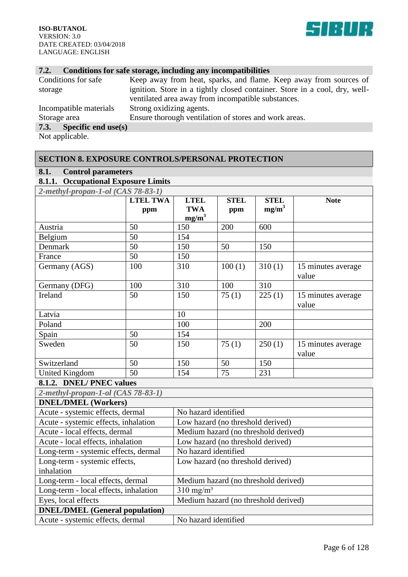

#### **7.2. Conditions for safe storage, including any incompatibilities**

| Conditions for safe            | Keep away from heat, sparks, and flame. Keep away from sources of          |
|--------------------------------|----------------------------------------------------------------------------|
| storage                        | ignition. Store in a tightly closed container. Store in a cool, dry, well- |
|                                | ventilated area away from incompatible substances.                         |
| Incompatible materials         | Strong oxidizing agents.                                                   |
| Storage area                   | Ensure thorough ventilation of stores and work areas.                      |
| 7.3.<br>Specific end use $(s)$ |                                                                            |

Not applicable.

#### **SECTION 8. EXPOSURE CONTROLS/PERSONAL PROTECTION**

#### **8.1. Control parameters**

#### **8.1.1. Occupational Exposure Limits**

*2-methyl-propan-1-ol (CAS 78-83-1)*

| Z-meinyi-propan-1-01 (CAS /0-03-1)                            |                 |             |             |             |                    |
|---------------------------------------------------------------|-----------------|-------------|-------------|-------------|--------------------|
|                                                               | <b>LTEL TWA</b> | <b>LTEL</b> | <b>STEL</b> | <b>STEL</b> | <b>Note</b>        |
|                                                               | ppm             | <b>TWA</b>  | ppm         | $mg/m^3$    |                    |
|                                                               |                 | $mg/m^3$    |             |             |                    |
| Austria                                                       | 50              | 150         | 200         | 600         |                    |
| Belgium                                                       | 50              | 154         |             |             |                    |
| Denmark                                                       | 50              | 150         | 50          | 150         |                    |
| France                                                        | 50              | 150         |             |             |                    |
| Germany (AGS)                                                 | 100             | 310         | 100(1)      | 310(1)      | 15 minutes average |
|                                                               |                 |             |             |             | value              |
| Germany (DFG)                                                 | 100             | 310         | 100         | 310         |                    |
| Ireland                                                       | 50              | 150         | 75(1)       | 225(1)      | 15 minutes average |
|                                                               |                 |             |             |             | value              |
| Latvia                                                        |                 | 10          |             |             |                    |
| Poland                                                        |                 | 100         |             | 200         |                    |
| Spain                                                         | 50              | 154         |             |             |                    |
| Sweden                                                        | 50              | 150         | 75(1)       | 250(1)      | 15 minutes average |
|                                                               |                 |             |             |             | value              |
| Switzerland                                                   | 50              | 150         | 50          | 150         |                    |
| <b>United Kingdom</b>                                         | 50              | 154         | 75          | 231         |                    |
| 8.1.2. DNEL/PNEC values                                       |                 |             |             |             |                    |
| 2-methyl-propan-1-ol (CAS 78-83-1)                            |                 |             |             |             |                    |
| <b>DMEI /DMEI</b> $(\mathbf{W}_{\alpha} \mathbf{w}_{\alpha})$ |                 |             |             |             |                    |

| <b>DNEL/DMEL (Workers)</b>            |                                      |
|---------------------------------------|--------------------------------------|
| Acute - systemic effects, dermal      | No hazard identified                 |
| Acute - systemic effects, inhalation  | Low hazard (no threshold derived)    |
| Acute - local effects, dermal         | Medium hazard (no threshold derived) |
| Acute - local effects, inhalation     | Low hazard (no threshold derived)    |
| Long-term - systemic effects, dermal  | No hazard identified                 |
| Long-term - systemic effects,         | Low hazard (no threshold derived)    |
| inhalation                            |                                      |
| Long-term - local effects, dermal     | Medium hazard (no threshold derived) |
| Long-term - local effects, inhalation | $310 \text{ mg/m}^3$                 |
| Eyes, local effects                   | Medium hazard (no threshold derived) |
| <b>DNEL/DMEL</b> (General population) |                                      |
| Acute - systemic effects, dermal      | No hazard identified                 |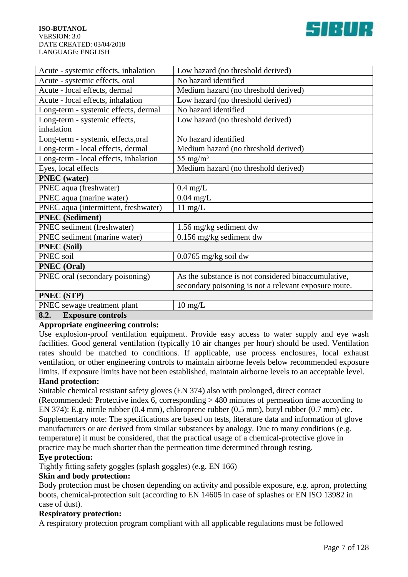

| Low hazard (no threshold derived)                     |
|-------------------------------------------------------|
| No hazard identified                                  |
| Medium hazard (no threshold derived)                  |
| Low hazard (no threshold derived)                     |
| No hazard identified                                  |
| Low hazard (no threshold derived)                     |
|                                                       |
| No hazard identified                                  |
| Medium hazard (no threshold derived)                  |
| 55 mg/m <sup>3</sup>                                  |
| Medium hazard (no threshold derived)                  |
|                                                       |
| $0.4$ mg/L                                            |
| $0.04$ mg/L                                           |
| $11 \text{ mg/L}$                                     |
|                                                       |
| 1.56 mg/kg sediment dw                                |
| 0.156 mg/kg sediment dw                               |
|                                                       |
| $0.0765$ mg/kg soil dw                                |
|                                                       |
| As the substance is not considered bioaccumulative,   |
| secondary poisoning is not a relevant exposure route. |
|                                                       |
| $10 \text{ mg/L}$                                     |
|                                                       |

#### **8.2. Exposure controls**

#### **Appropriate engineering controls:**

Use explosion-proof ventilation equipment. Provide easy access to water supply and eye wash facilities. Good general ventilation (typically 10 air changes per hour) should be used. Ventilation rates should be matched to conditions. If applicable, use process enclosures, local exhaust ventilation, or other engineering controls to maintain airborne levels below recommended exposure limits. If exposure limits have not been established, maintain airborne levels to an acceptable level.

#### **Hand protection:**

Suitable chemical resistant safety gloves (EN 374) also with prolonged, direct contact (Recommended: Protective index 6, corresponding > 480 minutes of permeation time according to EN 374): E.g. nitrile rubber (0.4 mm), chloroprene rubber (0.5 mm), butyl rubber (0.7 mm) etc. Supplementary note: The specifications are based on tests, literature data and information of glove manufacturers or are derived from similar substances by analogy. Due to many conditions (e.g. temperature) it must be considered, that the practical usage of a chemical-protective glove in practice may be much shorter than the permeation time determined through testing.

#### **Eye protection:**

Tightly fitting safety goggles (splash goggles) (e.g. EN 166)

#### **Skin and body protection:**

Body protection must be chosen depending on activity and possible exposure, e.g. apron, protecting boots, chemical-protection suit (according to EN 14605 in case of splashes or EN ISO 13982 in case of dust).

#### **Respiratory protection:**

A respiratory protection program compliant with all applicable regulations must be followed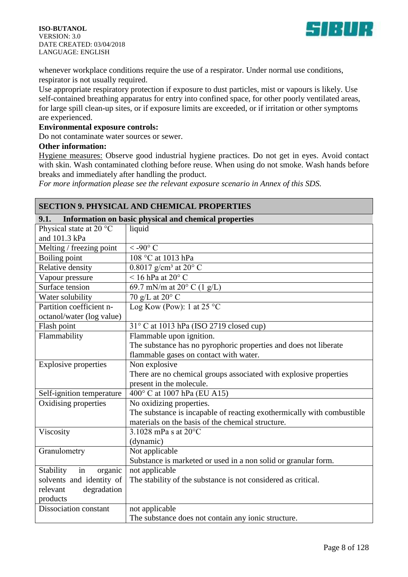

whenever workplace conditions require the use of a respirator. Under normal use conditions, respirator is not usually required.

Use appropriate respiratory protection if exposure to dust particles, mist or vapours is likely. Use self-contained breathing apparatus for entry into confined space, for other poorly ventilated areas, for large spill clean-up sites, or if exposure limits are exceeded, or if irritation or other symptoms are experienced.

#### **Environmental exposure controls:**

Do not contaminate water sources or sewer.

#### **Other information:**

Hygiene measures: Observe good industrial hygiene practices. Do not get in eyes. Avoid contact with skin. Wash contaminated clothing before reuse. When using do not smoke. Wash hands before breaks and immediately after handling the product.

*For more information please see the relevant exposure scenario in Annex of this SDS.*

| <b>SECTION 9. PHYSICAL AND CHEMICAL PROPERTIES</b> |                                                                        |  |
|----------------------------------------------------|------------------------------------------------------------------------|--|
| 9.1.                                               | Information on basic physical and chemical properties                  |  |
| Physical state at 20 °C                            | liquid                                                                 |  |
| and 101.3 kPa                                      |                                                                        |  |
| Melting / freezing point                           | $<$ -90 $^{\circ}$ C                                                   |  |
| Boiling point                                      | 108 °C at 1013 hPa                                                     |  |
| <b>Relative density</b>                            | $0.8017$ g/cm <sup>3</sup> at 20° C                                    |  |
| Vapour pressure                                    | $<$ 16 hPa at 20 $^{\circ}$ C                                          |  |
| Surface tension                                    | $\overline{69.7}$ mN/m at 20 $^{\circ}$ C (1 g/L)                      |  |
| Water solubility                                   | 70 g/L at $20^{\circ}$ C                                               |  |
| Partition coefficient n-                           | Log Kow (Pow): 1 at $25^{\circ}$ C                                     |  |
| octanol/water (log value)                          |                                                                        |  |
| Flash point                                        | $31^{\circ}$ C at 1013 hPa (ISO 2719 closed cup)                       |  |
| Flammability                                       | Flammable upon ignition.                                               |  |
|                                                    | The substance has no pyrophoric properties and does not liberate       |  |
|                                                    | flammable gases on contact with water.                                 |  |
| <b>Explosive properties</b>                        | Non explosive                                                          |  |
|                                                    | There are no chemical groups associated with explosive properties      |  |
|                                                    | present in the molecule.                                               |  |
| Self-ignition temperature                          | 400° C at 1007 hPa (EU A15)                                            |  |
| Oxidising properties                               | No oxidizing properties.                                               |  |
|                                                    | The substance is incapable of reacting exothermically with combustible |  |
|                                                    | materials on the basis of the chemical structure.                      |  |
| Viscosity                                          | 3.1028 mPa s at 20°C                                                   |  |
|                                                    | (dynamic)                                                              |  |
| Granulometry                                       | Not applicable                                                         |  |
|                                                    | Substance is marketed or used in a non solid or granular form.         |  |
| Stability<br>in<br>organic                         | not applicable                                                         |  |
| solvents and identity of                           | The stability of the substance is not considered as critical.          |  |
| degradation<br>relevant                            |                                                                        |  |
| products                                           |                                                                        |  |
| Dissociation constant                              | not applicable                                                         |  |
|                                                    | The substance does not contain any ionic structure.                    |  |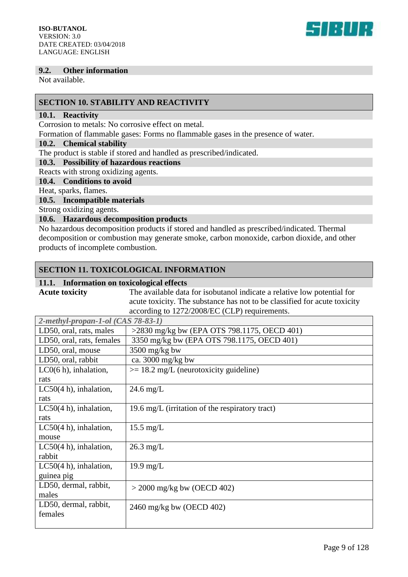

#### **9.2. Other information**

Not available.

#### **SECTION 10. STABILITY AND REACTIVITY**

#### **10.1. Reactivity**

Corrosion to metals: No corrosive effect on metal.

Formation of flammable gases: Forms no flammable gases in the presence of water.

#### **10.2. Chemical stability**

The product is stable if stored and handled as prescribed/indicated.

#### **10.3. Possibility of hazardous reactions**

Reacts with strong oxidizing agents.

#### **10.4. Conditions to avoid**

Heat, sparks, flames.

#### **10.5. Incompatible materials**

Strong oxidizing agents.

#### **10.6. Hazardous decomposition products**

No hazardous decomposition products if stored and handled as prescribed/indicated. Thermal decomposition or combustion may generate smoke, carbon monoxide, carbon dioxide, and other products of incomplete combustion.

#### **SECTION 11. TOXICOLOGICAL INFORMATION**

### **11.1. Information on toxicological effects**

| <b>Acute toxicity</b>              | The available data for isobutanol indicate a relative low potential for   |
|------------------------------------|---------------------------------------------------------------------------|
|                                    | acute toxicity. The substance has not to be classified for acute toxicity |
|                                    | according to 1272/2008/EC (CLP) requirements.                             |
| 2-methyl-propan-1-ol (CAS 78-83-1) |                                                                           |
| LD50, oral, rats, males            | $>2830$ mg/kg bw (EPA OTS 798.1175, OECD 401)                             |
| LD50, oral, rats, females          | 3350 mg/kg bw (EPA OTS 798.1175, OECD 401)                                |
| LD50, oral, mouse                  | $3500$ mg/kg bw                                                           |
| LD50, oral, rabbit                 | ca. 3000 mg/kg bw                                                         |
| $LCO(6 h)$ , inhalation,           | $>= 18.2$ mg/L (neurotoxicity guideline)                                  |
| rats                               |                                                                           |
| $LC50(4 h)$ , inhalation,          | $24.6$ mg/L                                                               |
| rats                               |                                                                           |
| LC50 $(4 h)$ , inhalation,         | 19.6 mg/L (irritation of the respiratory tract)                           |
| rats                               |                                                                           |
| LC50 $(4 h)$ , inhalation,         | $15.5$ mg/L                                                               |
| mouse                              |                                                                           |
| LC50 $(4 h)$ , inhalation,         | $26.3$ mg/L                                                               |
| rabbit                             |                                                                           |
| LC50 $(4 h)$ , inhalation,         | $19.9 \text{ mg/L}$                                                       |
| guinea pig                         |                                                                           |
| LD50, dermal, rabbit,              | $>$ 2000 mg/kg bw (OECD 402)                                              |
| males                              |                                                                           |
| LD50, dermal, rabbit,              | 2460 mg/kg bw (OECD 402)                                                  |
| females                            |                                                                           |
|                                    |                                                                           |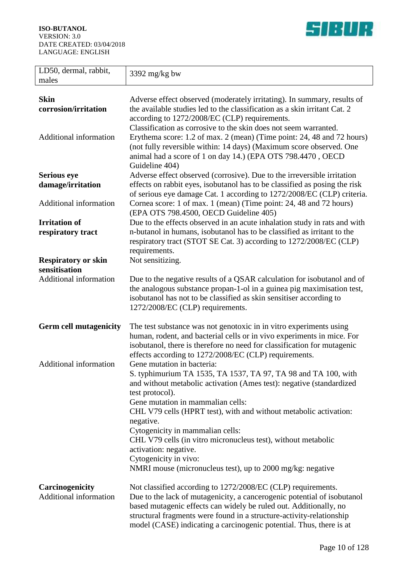

| LD50, dermal, rabbit,<br>males                   | $3392$ mg/kg bw                                                                                                                                                                                                                                                                                                                                             |
|--------------------------------------------------|-------------------------------------------------------------------------------------------------------------------------------------------------------------------------------------------------------------------------------------------------------------------------------------------------------------------------------------------------------------|
|                                                  |                                                                                                                                                                                                                                                                                                                                                             |
| <b>Skin</b><br>corrosion/irritation              | Adverse effect observed (moderately irritating). In summary, results of<br>the available studies led to the classification as a skin irritant Cat. 2<br>according to 1272/2008/EC (CLP) requirements.<br>Classification as corrosive to the skin does not seem warranted.                                                                                   |
| <b>Additional information</b>                    | Erythema score: 1.2 of max. 2 (mean) (Time point: 24, 48 and 72 hours)<br>(not fully reversible within: 14 days) (Maximum score observed. One<br>animal had a score of 1 on day 14.) (EPA OTS 798.4470, OECD<br>Guideline 404)                                                                                                                              |
| <b>Serious eye</b>                               | Adverse effect observed (corrosive). Due to the irreversible irritation                                                                                                                                                                                                                                                                                     |
| damage/irritation                                | effects on rabbit eyes, isobutanol has to be classified as posing the risk<br>of serious eye damage Cat. 1 according to 1272/2008/EC (CLP) criteria.                                                                                                                                                                                                        |
| Additional information                           | Cornea score: 1 of max. 1 (mean) (Time point: 24, 48 and 72 hours)<br>(EPA OTS 798.4500, OECD Guideline 405)                                                                                                                                                                                                                                                |
| <b>Irritation of</b><br>respiratory tract        | Due to the effects observed in an acute inhalation study in rats and with<br>n-butanol in humans, isobutanol has to be classified as irritant to the<br>respiratory tract (STOT SE Cat. 3) according to 1272/2008/EC (CLP)<br>requirements.                                                                                                                 |
| <b>Respiratory or skin</b><br>sensitisation      | Not sensitizing.                                                                                                                                                                                                                                                                                                                                            |
| <b>Additional information</b>                    | Due to the negative results of a QSAR calculation for isobutanol and of<br>the analogous substance propan-1-ol in a guinea pig maximisation test,<br>isobutanol has not to be classified as skin sensitiser according to<br>1272/2008/EC (CLP) requirements.                                                                                                |
| <b>Germ cell mutagenicity</b>                    | The test substance was not genotoxic in in vitro experiments using<br>human, rodent, and bacterial cells or in vivo experiments in mice. For<br>isobutanol, there is therefore no need for classification for mutagenic<br>effects according to 1272/2008/EC (CLP) requirements.                                                                            |
| <b>Additional information</b>                    | Gene mutation in bacteria:<br>S. typhimurium TA 1535, TA 1537, TA 97, TA 98 and TA 100, with<br>and without metabolic activation (Ames test): negative (standardized<br>test protocol).<br>Gene mutation in mammalian cells:                                                                                                                                |
|                                                  | CHL V79 cells (HPRT test), with and without metabolic activation:<br>negative.                                                                                                                                                                                                                                                                              |
|                                                  | Cytogenicity in mammalian cells:<br>CHL V79 cells (in vitro micronucleus test), without metabolic<br>activation: negative.                                                                                                                                                                                                                                  |
|                                                  | Cytogenicity in vivo:<br>NMRI mouse (micronucleus test), up to 2000 mg/kg: negative                                                                                                                                                                                                                                                                         |
| Carcinogenicity<br><b>Additional information</b> | Not classified according to 1272/2008/EC (CLP) requirements.<br>Due to the lack of mutagenicity, a cancerogenic potential of isobutanol<br>based mutagenic effects can widely be ruled out. Additionally, no<br>structural fragments were found in a structure-activity-relationship<br>model (CASE) indicating a carcinogenic potential. Thus, there is at |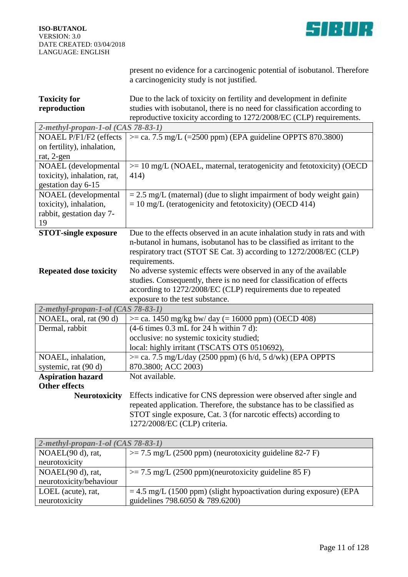

neurotoxicity

present no evidence for a carcinogenic potential of isobutanol. Therefore a carcinogenicity study is not justified.

| <b>Toxicity for</b>                   | Due to the lack of toxicity on fertility and development in definite      |
|---------------------------------------|---------------------------------------------------------------------------|
| reproduction                          | studies with isobutanol, there is no need for classification according to |
|                                       | reproductive toxicity according to 1272/2008/EC (CLP) requirements.       |
| 2-methyl-propan-1-ol (CAS 78-83-1)    |                                                                           |
| NOAEL P/F1/F2 (effects                | $\epsilon$ = ca. 7.5 mg/L (=2500 ppm) (EPA guideline OPPTS 870.3800)      |
| on fertility), inhalation,            |                                                                           |
| rat, 2-gen                            |                                                                           |
| NOAEL (developmental                  | $\ge$ 10 mg/L (NOAEL, maternal, teratogenicity and fetotoxicity) (OECD)   |
| toxicity), inhalation, rat,           | 414)                                                                      |
| gestation day 6-15                    |                                                                           |
| NOAEL (developmental                  | $= 2.5$ mg/L (maternal) (due to slight impairment of body weight gain)    |
| toxicity), inhalation,                | $= 10$ mg/L (teratogenicity and fetotoxicity) (OECD 414)                  |
| rabbit, gestation day 7-              |                                                                           |
| 19                                    |                                                                           |
| <b>STOT-single exposure</b>           | Due to the effects observed in an acute inhalation study in rats and with |
|                                       | n-butanol in humans, isobutanol has to be classified as irritant to the   |
|                                       | respiratory tract (STOT SE Cat. 3) according to 1272/2008/EC (CLP)        |
|                                       | requirements.                                                             |
| <b>Repeated dose toxicity</b>         | No adverse systemic effects were observed in any of the available         |
|                                       | studies. Consequently, there is no need for classification of effects     |
|                                       | according to 1272/2008/EC (CLP) requirements due to repeated              |
|                                       | exposure to the test substance.                                           |
| 2-methyl-propan-1-ol (CAS 78-83-1)    |                                                                           |
| NOAEL, oral, rat (90 d)               | $\epsilon$ = ca. 1450 mg/kg bw/ day (= 16000 ppm) (OECD 408)              |
| Dermal, rabbit                        | $(4-6 \text{ times } 0.3 \text{ mL}$ for 24 h within 7 d):                |
|                                       | occlusive: no systemic toxicity studied;                                  |
|                                       | local: highly irritant (TSCATS OTS 0510692),                              |
| NOAEL, inhalation,                    | $\epsilon$ = ca. 7.5 mg/L/day (2500 ppm) (6 h/d, 5 d/wk) (EPA OPPTS       |
| systemic, rat (90 d)                  | 870.3800; ACC 2003)                                                       |
| <b>Aspiration hazard</b>              | Not available.                                                            |
| <b>Other effects</b>                  |                                                                           |
| <b>Neurotoxicity</b>                  | Effects indicative for CNS depression were observed after single and      |
|                                       | repeated application. Therefore, the substance has to be classified as    |
|                                       | STOT single exposure, Cat. 3 (for narcotic effects) according to          |
|                                       | 1272/2008/EC (CLP) criteria.                                              |
|                                       |                                                                           |
| $2$ -methyl-propan-1-ol (CAS 78-83-1) |                                                                           |
| NOAEL(90 d), rat,                     | $\ge$ 7.5 mg/L (2500 ppm) (neurotoxicity guideline 82-7 F)                |
| neurotoxicity                         |                                                                           |
| NOAEL(90 d), rat,                     | $\ge$ = 7.5 mg/L (2500 ppm)(neurotoxicity guideline 85 F)                 |
| neurotoxicity/behaviour               |                                                                           |
| LOEL (acute), rat,                    | $=$ 4.5 mg/L (1500 ppm) (slight hypoactivation during exposure) (EPA      |

guidelines 798.6050 & 789.6200)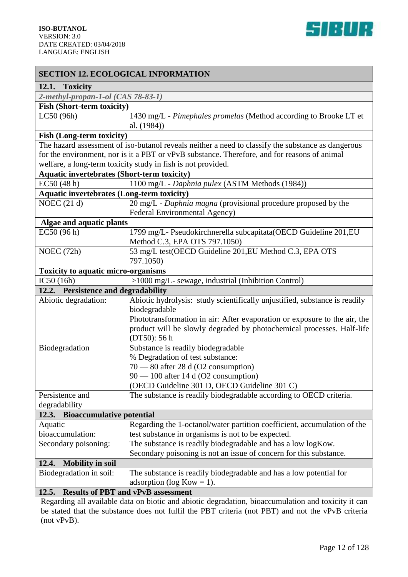| <b>SECTION 12. ECOLOGICAL INFORMATION</b>          |                                                                                                                                                                                                                                                                    |  |
|----------------------------------------------------|--------------------------------------------------------------------------------------------------------------------------------------------------------------------------------------------------------------------------------------------------------------------|--|
| 12.1. Toxicity                                     |                                                                                                                                                                                                                                                                    |  |
| 2-methyl-propan-1-ol (CAS 78-83-1)                 |                                                                                                                                                                                                                                                                    |  |
| <b>Fish (Short-term toxicity)</b>                  |                                                                                                                                                                                                                                                                    |  |
| LC50 (96h)                                         | 1430 mg/L - Pimephales promelas (Method according to Brooke LT et<br>al. (1984))                                                                                                                                                                                   |  |
| <b>Fish (Long-term toxicity)</b>                   |                                                                                                                                                                                                                                                                    |  |
|                                                    | The hazard assessment of iso-butanol reveals neither a need to classify the substance as dangerous<br>for the environment, nor is it a PBT or vPvB substance. Therefore, and for reasons of animal<br>welfare, a long-term toxicity study in fish is not provided. |  |
| <b>Aquatic invertebrates (Short-term toxicity)</b> |                                                                                                                                                                                                                                                                    |  |
| EC50 (48 h)                                        | 1100 mg/L - Daphnia pulex (ASTM Methods (1984))                                                                                                                                                                                                                    |  |
| <b>Aquatic invertebrates (Long-term toxicity)</b>  |                                                                                                                                                                                                                                                                    |  |
| NOEC $(21 d)$                                      | 20 mg/L - Daphnia magna (provisional procedure proposed by the<br>Federal Environmental Agency)                                                                                                                                                                    |  |
| Algae and aquatic plants                           |                                                                                                                                                                                                                                                                    |  |
| EC50 (96 h)                                        | 1799 mg/L- Pseudokirchnerella subcapitata (OECD Guideline 201, EU<br>Method C.3, EPA OTS 797.1050)                                                                                                                                                                 |  |
| NOEC (72h)                                         | 53 mg/L test(OECD Guideline 201, EU Method C.3, EPA OTS<br>797.1050)                                                                                                                                                                                               |  |
| Toxicity to aquatic micro-organisms                |                                                                                                                                                                                                                                                                    |  |
| IC50(16h)                                          | >1000 mg/L- sewage, industrial (Inhibition Control)                                                                                                                                                                                                                |  |
| 12.2. Persistence and degradability                |                                                                                                                                                                                                                                                                    |  |
| Abiotic degradation:                               | Abiotic hydrolysis: study scientifically unjustified, substance is readily                                                                                                                                                                                         |  |
|                                                    | biodegradable                                                                                                                                                                                                                                                      |  |
|                                                    | Phototransformation in air: After evaporation or exposure to the air, the                                                                                                                                                                                          |  |
|                                                    | product will be slowly degraded by photochemical processes. Half-life<br>(DT50): 56 h                                                                                                                                                                              |  |
| Biodegradation                                     | Substance is readily biodegradable                                                                                                                                                                                                                                 |  |
|                                                    | % Degradation of test substance:                                                                                                                                                                                                                                   |  |
|                                                    | $70 - 80$ after 28 d (O2 consumption)                                                                                                                                                                                                                              |  |
|                                                    | 90 - 100 after 14 d (O2 consumption)                                                                                                                                                                                                                               |  |
|                                                    | (OECD Guideline 301 D, OECD Guideline 301 C)                                                                                                                                                                                                                       |  |
| Persistence and                                    | The substance is readily biodegradable according to OECD criteria.                                                                                                                                                                                                 |  |
| degradability                                      |                                                                                                                                                                                                                                                                    |  |
| 12.3. Bioaccumulative potential                    |                                                                                                                                                                                                                                                                    |  |
| Aquatic                                            | Regarding the 1-octanol/water partition coefficient, accumulation of the                                                                                                                                                                                           |  |
| bioaccumulation:                                   | test substance in organisms is not to be expected.                                                                                                                                                                                                                 |  |
| Secondary poisoning:                               | The substance is readily biodegradable and has a low logKow.                                                                                                                                                                                                       |  |
|                                                    | Secondary poisoning is not an issue of concern for this substance.                                                                                                                                                                                                 |  |
| <b>Mobility in soil</b><br>12.4.                   |                                                                                                                                                                                                                                                                    |  |
| Biodegradation in soil:                            | The substance is readily biodegradable and has a low potential for                                                                                                                                                                                                 |  |
|                                                    | adsorption ( $log Kow = 1$ ).                                                                                                                                                                                                                                      |  |
| 12.5.                                              | <b>Results of PBT and vPvB assessment</b><br>Decepting all evolutely date on higher and epictic decredition biogeoupulation and toxicity it cor                                                                                                                    |  |

Regarding all available data on biotic and abiotic degradation, bioaccumulation and toxicity it can be stated that the substance does not fulfil the PBT criteria (not PBT) and not the vPvB criteria (not vPvB).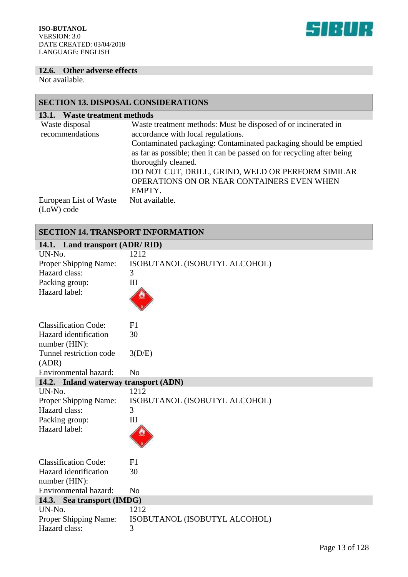

#### **12.6. Other adverse effects**

Not available.

### **SECTION 13. DISPOSAL CONSIDERATIONS**

| Waste treatment methods<br>13.1.     |                                                                                                                                                                                                                                                                                                                                                                                        |
|--------------------------------------|----------------------------------------------------------------------------------------------------------------------------------------------------------------------------------------------------------------------------------------------------------------------------------------------------------------------------------------------------------------------------------------|
| Waste disposal<br>recommendations    | Waste treatment methods: Must be disposed of or incinerated in<br>accordance with local regulations.<br>Contaminated packaging: Contaminated packaging should be emptied<br>as far as possible; then it can be passed on for recycling after being<br>thoroughly cleaned.<br>DO NOT CUT, DRILL, GRIND, WELD OR PERFORM SIMILAR<br>OPERATIONS ON OR NEAR CONTAINERS EVEN WHEN<br>EMPTY. |
| European List of Waste<br>(LoW) code | Not available.                                                                                                                                                                                                                                                                                                                                                                         |

#### **SECTION 14. TRANSPORT INFORMATION**

| 14.1. Land transport (ADR/RID)         |                               |  |
|----------------------------------------|-------------------------------|--|
| UN-No.                                 | 1212                          |  |
| Proper Shipping Name:                  | ISOBUTANOL (ISOBUTYL ALCOHOL) |  |
| Hazard class:                          | 3                             |  |
| Packing group:                         | Ш                             |  |
| Hazard label:                          |                               |  |
| <b>Classification Code:</b>            | F1                            |  |
| Hazard identification<br>number (HIN): | 30                            |  |
| Tunnel restriction code<br>(ADR)       | 3(D/E)                        |  |
| Environmental hazard:                  | No                            |  |
| 14.2. Inland waterway transport (ADN)  |                               |  |
| UN-No.                                 | 1212                          |  |
| Proper Shipping Name:                  | ISOBUTANOL (ISOBUTYL ALCOHOL) |  |
| Hazard class:                          | 3                             |  |
| Packing group:                         | Ш                             |  |
| Hazard label:                          |                               |  |
| <b>Classification Code:</b>            | F1                            |  |
| Hazard identification                  | 30                            |  |
| number (HIN):                          |                               |  |
| Environmental hazard:                  | No                            |  |
| 14.3.<br>Sea transport (IMDG)          |                               |  |
| UN-No.                                 | 1212                          |  |
| Proper Shipping Name:                  | ISOBUTANOL (ISOBUTYL ALCOHOL) |  |
| Hazard class:                          | 3                             |  |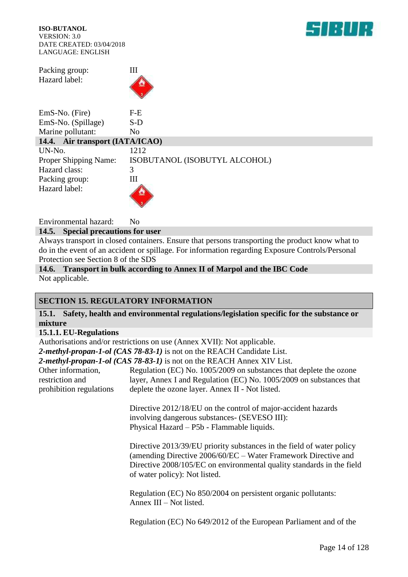

Packing group: III Hazard label:



| EmS-No. (Fire)                  | F-E                           |
|---------------------------------|-------------------------------|
| EmS-No. (Spillage)              | S-D                           |
| Marine pollutant:               | No                            |
| 14.4. Air transport (IATA/ICAO) |                               |
| UN-No.                          | 1212                          |
| <b>Proper Shipping Name:</b>    | ISOBUTANOL (ISOBUTYL ALCOHOL) |
| Hazard class:                   | 3                             |
| Packing group:                  | Ш                             |
| Hazard label:                   |                               |

Environmental hazard: No

#### **14.5. Special precautions for user**

Always transport in closed containers. Ensure that persons transporting the product know what to do in the event of an accident or spillage. For information regarding Exposure Controls/Personal Protection see Section 8 of the SDS

**14.6. Transport in bulk according to Annex II of Marpol and the IBC Code** Not applicable.

#### **SECTION 15. REGULATORY INFORMATION**

**15.1. Safety, health and environmental regulations/legislation specific for the substance or mixture**

#### **15.1.1. EU-Regulations**

Authorisations and/or restrictions on use (Annex XVII): Not applicable.

*2-methyl-propan-1-ol (CAS 78-83-1)* is not on the REACH Candidate List.

*2-methyl-propan-1-ol (CAS 78-83-1)* is not on the REACH Annex XIV List.

| Other information,      | Regulation (EC) No. 1005/2009 on substances that deplete the ozone  |
|-------------------------|---------------------------------------------------------------------|
| restriction and         | layer, Annex I and Regulation (EC) No. 1005/2009 on substances that |
| prohibition regulations | deplete the ozone layer. Annex II - Not listed.                     |

Directive 2012/18/EU on the control of major-accident hazards involving dangerous substances- (SEVESO III): Physical Hazard – P5b - Flammable liquids.

Directive 2013/39/EU priority substances in the field of water policy (amending Directive 2006/60/EC – Water Framework Directive and Directive 2008/105/EC on environmental quality standards in the field of water policy): Not listed.

Regulation (EC) No 850/2004 on persistent organic pollutants: Annex III – Not listed.

Regulation (EC) No 649/2012 of the European Parliament and of the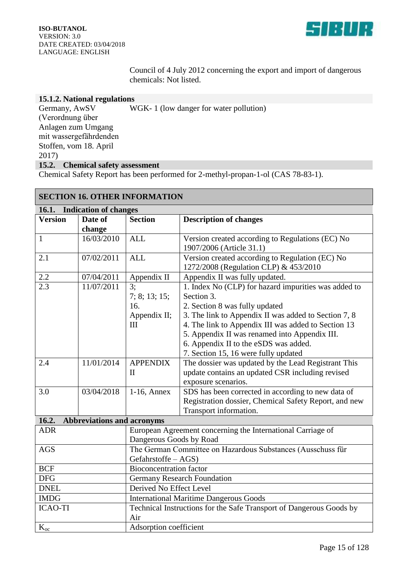

Council of 4 July 2012 concerning the export and import of dangerous chemicals: Not listed.

#### **15.1.2. National regulations**

Germany, AwSV (Verordnung über Anlagen zum Umgang mit wassergefährdenden Stoffen, vom 18. April 2017) WGK- 1 (low danger for water pollution) **15.2. Chemical safety assessment**

Chemical Safety Report has been performed for 2-methyl-propan-1-ol (CAS 78-83-1).

| <b>SECTION 16. OTHER INFORMATION</b>       |                                                               |                                                             |                                                                     |
|--------------------------------------------|---------------------------------------------------------------|-------------------------------------------------------------|---------------------------------------------------------------------|
| 16.1.<br><b>Indication of changes</b>      |                                                               |                                                             |                                                                     |
| <b>Version</b>                             | Date of                                                       | <b>Section</b>                                              | <b>Description of changes</b>                                       |
|                                            | change                                                        |                                                             |                                                                     |
| $\mathbf{1}$                               | 16/03/2010                                                    | <b>ALL</b>                                                  | Version created according to Regulations (EC) No                    |
|                                            |                                                               |                                                             | 1907/2006 (Article 31.1)                                            |
| 2.1                                        | 07/02/2011                                                    | <b>ALL</b>                                                  | Version created according to Regulation (EC) No                     |
|                                            |                                                               |                                                             | 1272/2008 (Regulation CLP) & 453/2010                               |
| 2.2                                        | 07/04/2011                                                    | Appendix II                                                 | Appendix II was fully updated.                                      |
| 2.3                                        | 11/07/2011                                                    | 3:                                                          | 1. Index No (CLP) for hazard impurities was added to                |
|                                            |                                                               | 7; 8; 13; 15;                                               | Section 3.                                                          |
|                                            |                                                               | 16.                                                         | 2. Section 8 was fully updated                                      |
|                                            |                                                               | Appendix II;                                                | 3. The link to Appendix II was added to Section 7, 8                |
|                                            |                                                               | III                                                         | 4. The link to Appendix III was added to Section 13                 |
|                                            |                                                               |                                                             | 5. Appendix II was renamed into Appendix III.                       |
|                                            |                                                               |                                                             | 6. Appendix II to the eSDS was added.                               |
|                                            |                                                               |                                                             | 7. Section 15, 16 were fully updated                                |
| 2.4                                        | 11/01/2014                                                    | <b>APPENDIX</b>                                             | The dossier was updated by the Lead Registrant This                 |
|                                            |                                                               | $\mathbf{I}$                                                | update contains an updated CSR including revised                    |
|                                            |                                                               |                                                             | exposure scenarios.                                                 |
| 3.0                                        | 03/04/2018                                                    | $1-16$ , Annex                                              | SDS has been corrected in according to new data of                  |
|                                            |                                                               |                                                             | Registration dossier, Chemical Safety Report, and new               |
|                                            |                                                               |                                                             | Transport information.                                              |
| 16.2.<br><b>Abbreviations and acronyms</b> |                                                               |                                                             |                                                                     |
| <b>ADR</b>                                 |                                                               | European Agreement concerning the International Carriage of |                                                                     |
|                                            | Dangerous Goods by Road                                       |                                                             |                                                                     |
| <b>AGS</b>                                 |                                                               | The German Committee on Hazardous Substances (Ausschuss für |                                                                     |
| <b>BCF</b>                                 | Gefahrstoffe - AGS)                                           |                                                             |                                                                     |
| <b>DFG</b>                                 |                                                               | <b>Bioconcentration factor</b>                              |                                                                     |
| <b>DNEL</b>                                | <b>Germany Research Foundation</b><br>Derived No Effect Level |                                                             |                                                                     |
| <b>IMDG</b>                                |                                                               |                                                             |                                                                     |
| <b>ICAO-TI</b>                             |                                                               |                                                             | <b>International Maritime Dangerous Goods</b>                       |
|                                            |                                                               | Air                                                         | Technical Instructions for the Safe Transport of Dangerous Goods by |
|                                            |                                                               |                                                             |                                                                     |
| $K_{oc}$                                   | Adsorption coefficient                                        |                                                             |                                                                     |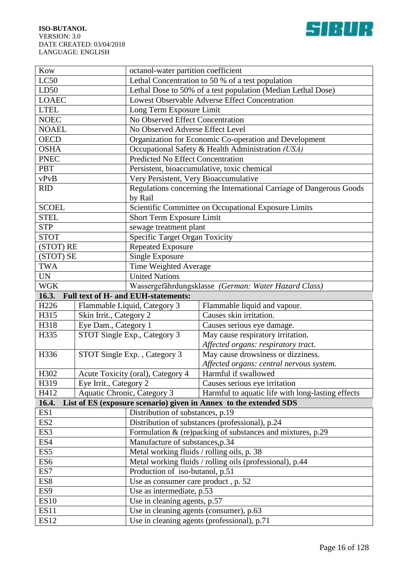



| Kow              | octanol-water partition coefficient |                                            |                                                                      |  |  |
|------------------|-------------------------------------|--------------------------------------------|----------------------------------------------------------------------|--|--|
| LC50             |                                     |                                            | Lethal Concentration to 50 % of a test population                    |  |  |
| LD50             |                                     |                                            | Lethal Dose to 50% of a test population (Median Lethal Dose)         |  |  |
| <b>LOAEC</b>     |                                     |                                            | <b>Lowest Observable Adverse Effect Concentration</b>                |  |  |
| <b>LTEL</b>      |                                     | Long Term Exposure Limit                   |                                                                      |  |  |
| <b>NOEC</b>      |                                     | No Observed Effect Concentration           |                                                                      |  |  |
| <b>NOAEL</b>     |                                     | No Observed Adverse Effect Level           |                                                                      |  |  |
| <b>OECD</b>      |                                     |                                            | Organization for Economic Co-operation and Development               |  |  |
| <b>OSHA</b>      |                                     |                                            | Occupational Safety & Health Administration (USA)                    |  |  |
| <b>PNEC</b>      |                                     | <b>Predicted No Effect Concentration</b>   |                                                                      |  |  |
| <b>PBT</b>       |                                     |                                            | Persistent, bioaccumulative, toxic chemical                          |  |  |
| vPvB             |                                     | Very Persistent, Very Bioaccumulative      |                                                                      |  |  |
| <b>RID</b>       |                                     |                                            | Regulations concerning the International Carriage of Dangerous Goods |  |  |
|                  |                                     | by Rail                                    |                                                                      |  |  |
| <b>SCOEL</b>     |                                     |                                            | Scientific Committee on Occupational Exposure Limits                 |  |  |
| <b>STEL</b>      |                                     | Short Term Exposure Limit                  |                                                                      |  |  |
| <b>STP</b>       |                                     | sewage treatment plant                     |                                                                      |  |  |
| <b>STOT</b>      |                                     | <b>Specific Target Organ Toxicity</b>      |                                                                      |  |  |
| (STOT) RE        |                                     | <b>Repeated Exposure</b>                   |                                                                      |  |  |
| (STOT) SE        |                                     | Single Exposure                            |                                                                      |  |  |
| <b>TWA</b>       |                                     | Time Weighted Average                      |                                                                      |  |  |
| <b>UN</b>        |                                     | <b>United Nations</b>                      |                                                                      |  |  |
| <b>WGK</b>       |                                     |                                            | Wassergefährdungsklasse (German: Water Hazard Class)                 |  |  |
| 16.3.            |                                     |                                            | <b>Full text of H- and EUH-statements:</b>                           |  |  |
|                  | Flammable Liquid, Category 3        |                                            |                                                                      |  |  |
| H <sub>226</sub> |                                     |                                            |                                                                      |  |  |
| H315             | Skin Irrit., Category 2             |                                            | Flammable liquid and vapour.<br>Causes skin irritation.              |  |  |
| H318             | Eye Dam., Category 1                |                                            | Causes serious eye damage.                                           |  |  |
| H335             |                                     | STOT Single Exp., Category 3               | May cause respiratory irritation.                                    |  |  |
|                  |                                     |                                            | Affected organs: respiratory tract.                                  |  |  |
| H336             |                                     | STOT Single Exp., Category 3               | May cause drowsiness or dizziness.                                   |  |  |
|                  |                                     |                                            | Affected organs: central nervous system.                             |  |  |
| H302             |                                     | Acute Toxicity (oral), Category 4          | Harmful if swallowed                                                 |  |  |
| H319             | Eye Irrit., Category 2              |                                            | Causes serious eye irritation                                        |  |  |
| H412             |                                     | Aquatic Chronic, Category 3                | Harmful to aquatic life with long-lasting effects                    |  |  |
| 16.4.            |                                     |                                            | List of ES (exposure scenario) given in Annex to the extended SDS    |  |  |
| ES1              |                                     | Distribution of substances, p.19           |                                                                      |  |  |
| ES <sub>2</sub>  |                                     |                                            | Distribution of substances (professional), $\overline{p.24}$         |  |  |
| ES3              |                                     |                                            | Formulation $&$ (re)packing of substances and mixtures, p.29         |  |  |
| ES4              |                                     | Manufacture of substances, p.34            |                                                                      |  |  |
| ES <sub>5</sub>  |                                     | Metal working fluids / rolling oils, p. 38 |                                                                      |  |  |
| ES <sub>6</sub>  |                                     |                                            | Metal working fluids / rolling oils (professional), p.44             |  |  |
| ES7              |                                     | Production of iso-butanol, p.51            |                                                                      |  |  |
| ES8              |                                     | Use as consumer care product, p. 52        |                                                                      |  |  |
| ES <sub>9</sub>  |                                     | Use as intermediate, p.53                  |                                                                      |  |  |
| <b>ES10</b>      |                                     | Use in cleaning agents, p.57               |                                                                      |  |  |
| <b>ES11</b>      |                                     | Use in cleaning agents (consumer), p.63    |                                                                      |  |  |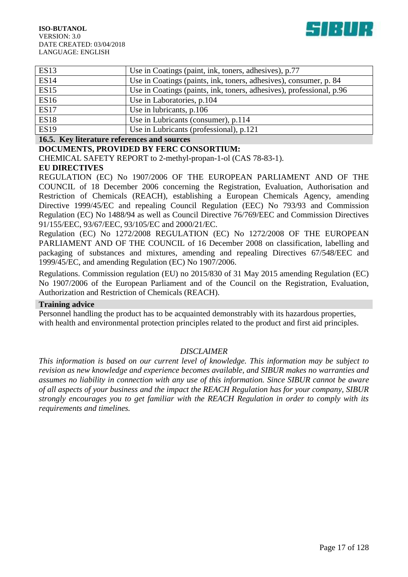

| <b>ES13</b> | Use in Coatings (paint, ink, toners, adhesives), p.77                |
|-------------|----------------------------------------------------------------------|
| <b>ES14</b> | Use in Coatings (paints, ink, toners, adhesives), consumer, p. 84    |
| <b>ES15</b> | Use in Coatings (paints, ink, toners, adhesives), professional, p.96 |
| <b>ES16</b> | Use in Laboratories, p.104                                           |
| <b>ES17</b> | Use in lubricants, p.106                                             |
| <b>ES18</b> | Use in Lubricants (consumer), p.114                                  |
| <b>ES19</b> | Use in Lubricants (professional), p.121                              |

#### **16.5. Key literature references and sources**

#### **DOCUMENTS, PROVIDED BY FERC CONSORTIUM:**

CHEMICAL SAFETY REPORT to 2-methyl-propan-1-ol (CAS 78-83-1).

#### **EU DIRECTIVES**

REGULATION (EC) No 1907/2006 OF THE EUROPEAN PARLIAMENT AND OF THE COUNCIL of 18 December 2006 concerning the Registration, Evaluation, Authorisation and Restriction of Chemicals (REACH), establishing a European Chemicals Agency, amending Directive 1999/45/EC and repealing Council Regulation (EEC) No 793/93 and Commission Regulation (EC) No 1488/94 as well as Council Directive 76/769/EEC and Commission Directives 91/155/EEC, 93/67/EEC, 93/105/EC and 2000/21/EC.

Regulation (EC) No 1272/2008 REGULATION (EC) No 1272/2008 OF THE EUROPEAN PARLIAMENT AND OF THE COUNCIL of 16 December 2008 on classification, labelling and packaging of substances and mixtures, amending and repealing Directives 67/548/EEC and 1999/45/EC, and amending Regulation (EC) No 1907/2006.

Regulations. Commission regulation (EU) no 2015/830 of 31 May 2015 amending Regulation (EC) No 1907/2006 of the European Parliament and of the Council on the Registration, Evaluation, Authorization and Restriction of Chemicals (REACH).

#### **Training advice**

Personnel handling the product has to be acquainted demonstrably with its hazardous properties, with health and environmental protection principles related to the product and first aid principles.

#### *DISCLAIMER*

*This information is based on our current level of knowledge. This information may be subject to revision as new knowledge and experience becomes available, and SIBUR makes no warranties and assumes no liability in connection with any use of this information. Since SIBUR cannot be aware of all aspects of your business and the impact the REACH Regulation has for your company, SIBUR strongly encourages you to get familiar with the REACH Regulation in order to comply with its requirements and timelines.*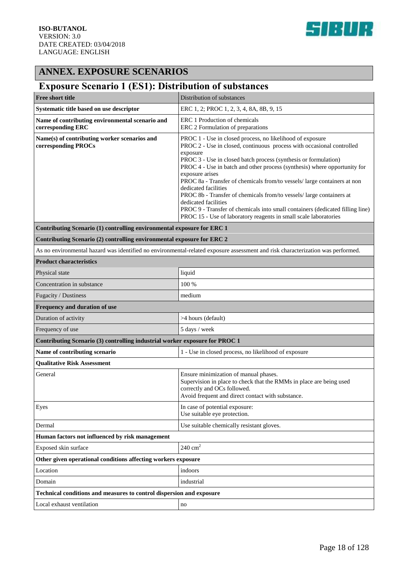

### **ANNEX. EXPOSURE SCENARIOS**

### **Exposure Scenario 1 (ES1): Distribution of substances**

| <b>Free short title</b>                                                     | Distribution of substances                                                                                                                                                                                                                                                                                                                                                                                                                                                                                                                                                                                                                                                 |  |
|-----------------------------------------------------------------------------|----------------------------------------------------------------------------------------------------------------------------------------------------------------------------------------------------------------------------------------------------------------------------------------------------------------------------------------------------------------------------------------------------------------------------------------------------------------------------------------------------------------------------------------------------------------------------------------------------------------------------------------------------------------------------|--|
| Systematic title based on use descriptor                                    | ERC 1, 2; PROC 1, 2, 3, 4, 8A, 8B, 9, 15                                                                                                                                                                                                                                                                                                                                                                                                                                                                                                                                                                                                                                   |  |
| Name of contributing environmental scenario and<br>corresponding ERC        | ERC 1 Production of chemicals<br>ERC 2 Formulation of preparations                                                                                                                                                                                                                                                                                                                                                                                                                                                                                                                                                                                                         |  |
| Name(s) of contributing worker scenarios and<br>corresponding PROCs         | PROC 1 - Use in closed process, no likelihood of exposure<br>PROC 2 - Use in closed, continuous process with occasional controlled<br>exposure<br>PROC 3 - Use in closed batch process (synthesis or formulation)<br>PROC 4 - Use in batch and other process (synthesis) where opportunity for<br>exposure arises<br>PROC 8a - Transfer of chemicals from/to vessels/ large containers at non<br>dedicated facilities<br>PROC 8b - Transfer of chemicals from/to vessels/ large containers at<br>dedicated facilities<br>PROC 9 - Transfer of chemicals into small containers (dedicated filling line)<br>PROC 15 - Use of laboratory reagents in small scale laboratories |  |
| Contributing Scenario (1) controlling environmental exposure for ERC 1      |                                                                                                                                                                                                                                                                                                                                                                                                                                                                                                                                                                                                                                                                            |  |
| Contributing Scenario (2) controlling environmental exposure for ERC 2      |                                                                                                                                                                                                                                                                                                                                                                                                                                                                                                                                                                                                                                                                            |  |
|                                                                             | As no environmental hazard was identified no environmental-related exposure assessment and risk characterization was performed.                                                                                                                                                                                                                                                                                                                                                                                                                                                                                                                                            |  |
| <b>Product characteristics</b>                                              |                                                                                                                                                                                                                                                                                                                                                                                                                                                                                                                                                                                                                                                                            |  |
| Physical state                                                              | liquid                                                                                                                                                                                                                                                                                                                                                                                                                                                                                                                                                                                                                                                                     |  |
| Concentration in substance                                                  | 100 %                                                                                                                                                                                                                                                                                                                                                                                                                                                                                                                                                                                                                                                                      |  |
| Fugacity / Dustiness                                                        | medium                                                                                                                                                                                                                                                                                                                                                                                                                                                                                                                                                                                                                                                                     |  |
| Frequency and duration of use                                               |                                                                                                                                                                                                                                                                                                                                                                                                                                                                                                                                                                                                                                                                            |  |
| Duration of activity                                                        | >4 hours (default)                                                                                                                                                                                                                                                                                                                                                                                                                                                                                                                                                                                                                                                         |  |
| Frequency of use                                                            | 5 days / week                                                                                                                                                                                                                                                                                                                                                                                                                                                                                                                                                                                                                                                              |  |
| Contributing Scenario (3) controlling industrial worker exposure for PROC 1 |                                                                                                                                                                                                                                                                                                                                                                                                                                                                                                                                                                                                                                                                            |  |
| Name of contributing scenario                                               | 1 - Use in closed process, no likelihood of exposure                                                                                                                                                                                                                                                                                                                                                                                                                                                                                                                                                                                                                       |  |
| <b>Qualitative Risk Assessment</b>                                          |                                                                                                                                                                                                                                                                                                                                                                                                                                                                                                                                                                                                                                                                            |  |
| General                                                                     | Ensure minimization of manual phases.<br>Supervision in place to check that the RMMs in place are being used<br>correctly and OCs followed.<br>Avoid frequent and direct contact with substance.                                                                                                                                                                                                                                                                                                                                                                                                                                                                           |  |
| Eyes                                                                        | In case of potential exposure:<br>Use suitable eye protection.                                                                                                                                                                                                                                                                                                                                                                                                                                                                                                                                                                                                             |  |
| Dermal                                                                      | Use suitable chemically resistant gloves.                                                                                                                                                                                                                                                                                                                                                                                                                                                                                                                                                                                                                                  |  |
| Human factors not influenced by risk management                             |                                                                                                                                                                                                                                                                                                                                                                                                                                                                                                                                                                                                                                                                            |  |
| Exposed skin surface                                                        | $240 \text{ cm}^2$                                                                                                                                                                                                                                                                                                                                                                                                                                                                                                                                                                                                                                                         |  |
| Other given operational conditions affecting workers exposure               |                                                                                                                                                                                                                                                                                                                                                                                                                                                                                                                                                                                                                                                                            |  |
| Location                                                                    | indoors                                                                                                                                                                                                                                                                                                                                                                                                                                                                                                                                                                                                                                                                    |  |
| Domain                                                                      | industrial                                                                                                                                                                                                                                                                                                                                                                                                                                                                                                                                                                                                                                                                 |  |
| Technical conditions and measures to control dispersion and exposure        |                                                                                                                                                                                                                                                                                                                                                                                                                                                                                                                                                                                                                                                                            |  |
| Local exhaust ventilation                                                   | no                                                                                                                                                                                                                                                                                                                                                                                                                                                                                                                                                                                                                                                                         |  |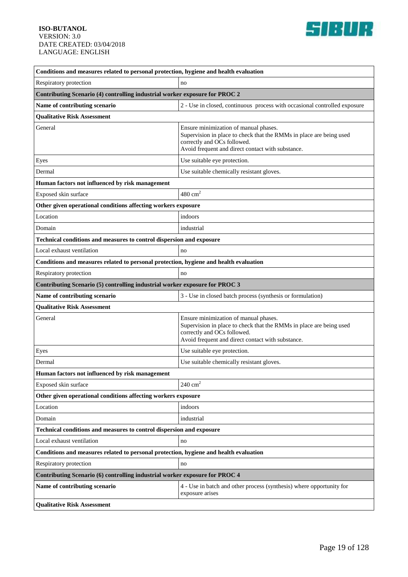

| Conditions and measures related to personal protection, hygiene and health evaluation |                                                                                                                                                                                                  |  |
|---------------------------------------------------------------------------------------|--------------------------------------------------------------------------------------------------------------------------------------------------------------------------------------------------|--|
| Respiratory protection                                                                | no                                                                                                                                                                                               |  |
| Contributing Scenario (4) controlling industrial worker exposure for PROC 2           |                                                                                                                                                                                                  |  |
| Name of contributing scenario                                                         | 2 - Use in closed, continuous process with occasional controlled exposure                                                                                                                        |  |
| <b>Qualitative Risk Assessment</b>                                                    |                                                                                                                                                                                                  |  |
| General                                                                               | Ensure minimization of manual phases.<br>Supervision in place to check that the RMMs in place are being used<br>correctly and OCs followed.<br>Avoid frequent and direct contact with substance. |  |
| Eyes                                                                                  | Use suitable eye protection.                                                                                                                                                                     |  |
| Dermal                                                                                | Use suitable chemically resistant gloves.                                                                                                                                                        |  |
| Human factors not influenced by risk management                                       |                                                                                                                                                                                                  |  |
| Exposed skin surface                                                                  | $480 \text{ cm}^2$                                                                                                                                                                               |  |
| Other given operational conditions affecting workers exposure                         |                                                                                                                                                                                                  |  |
| Location                                                                              | indoors                                                                                                                                                                                          |  |
| Domain                                                                                | industrial                                                                                                                                                                                       |  |
| Technical conditions and measures to control dispersion and exposure                  |                                                                                                                                                                                                  |  |
| Local exhaust ventilation                                                             | no                                                                                                                                                                                               |  |
| Conditions and measures related to personal protection, hygiene and health evaluation |                                                                                                                                                                                                  |  |
| Respiratory protection                                                                | no                                                                                                                                                                                               |  |
| Contributing Scenario (5) controlling industrial worker exposure for PROC 3           |                                                                                                                                                                                                  |  |
| Name of contributing scenario                                                         | 3 - Use in closed batch process (synthesis or formulation)                                                                                                                                       |  |
| <b>Qualitative Risk Assessment</b>                                                    |                                                                                                                                                                                                  |  |
| General                                                                               | Ensure minimization of manual phases.<br>Supervision in place to check that the RMMs in place are being used<br>correctly and OCs followed.<br>Avoid frequent and direct contact with substance. |  |
| Eyes                                                                                  | Use suitable eye protection.                                                                                                                                                                     |  |
| Dermal                                                                                | Use suitable chemically resistant gloves.                                                                                                                                                        |  |
| Human factors not influenced by risk management                                       |                                                                                                                                                                                                  |  |
| Exposed skin surface                                                                  | $240 \text{ cm}^2$                                                                                                                                                                               |  |
| Other given operational conditions affecting workers exposure                         |                                                                                                                                                                                                  |  |
| Location                                                                              | indoors                                                                                                                                                                                          |  |
| Domain                                                                                | industrial                                                                                                                                                                                       |  |
| Technical conditions and measures to control dispersion and exposure                  |                                                                                                                                                                                                  |  |
| Local exhaust ventilation                                                             | no                                                                                                                                                                                               |  |
| Conditions and measures related to personal protection, hygiene and health evaluation |                                                                                                                                                                                                  |  |
| Respiratory protection                                                                | no                                                                                                                                                                                               |  |
| Contributing Scenario (6) controlling industrial worker exposure for PROC 4           |                                                                                                                                                                                                  |  |
| Name of contributing scenario                                                         | 4 - Use in batch and other process (synthesis) where opportunity for<br>exposure arises                                                                                                          |  |
| <b>Qualitative Risk Assessment</b>                                                    |                                                                                                                                                                                                  |  |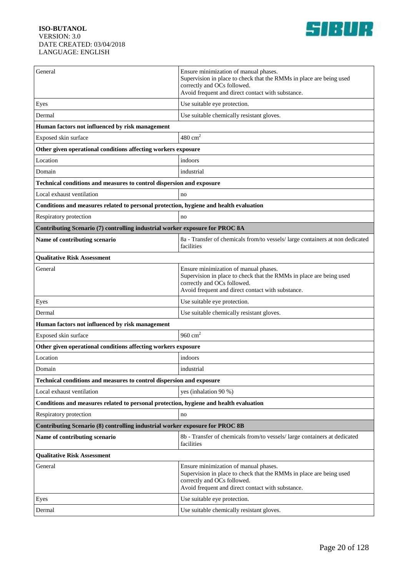

| General                                                                               | Ensure minimization of manual phases.<br>Supervision in place to check that the RMMs in place are being used<br>correctly and OCs followed.<br>Avoid frequent and direct contact with substance. |  |
|---------------------------------------------------------------------------------------|--------------------------------------------------------------------------------------------------------------------------------------------------------------------------------------------------|--|
| Eyes                                                                                  | Use suitable eye protection.                                                                                                                                                                     |  |
| Dermal                                                                                | Use suitable chemically resistant gloves.                                                                                                                                                        |  |
| Human factors not influenced by risk management                                       |                                                                                                                                                                                                  |  |
| Exposed skin surface                                                                  | $480 \text{ cm}^2$                                                                                                                                                                               |  |
| Other given operational conditions affecting workers exposure                         |                                                                                                                                                                                                  |  |
| Location                                                                              | indoors                                                                                                                                                                                          |  |
| Domain                                                                                | industrial                                                                                                                                                                                       |  |
| Technical conditions and measures to control dispersion and exposure                  |                                                                                                                                                                                                  |  |
| Local exhaust ventilation                                                             | no                                                                                                                                                                                               |  |
| Conditions and measures related to personal protection, hygiene and health evaluation |                                                                                                                                                                                                  |  |
| Respiratory protection                                                                | no                                                                                                                                                                                               |  |
| Contributing Scenario (7) controlling industrial worker exposure for PROC 8A          |                                                                                                                                                                                                  |  |
| Name of contributing scenario                                                         | 8a - Transfer of chemicals from/to vessels/ large containers at non dedicated<br>facilities                                                                                                      |  |
| <b>Qualitative Risk Assessment</b>                                                    |                                                                                                                                                                                                  |  |
| General                                                                               | Ensure minimization of manual phases.<br>Supervision in place to check that the RMMs in place are being used<br>correctly and OCs followed.<br>Avoid frequent and direct contact with substance. |  |
| Eyes                                                                                  | Use suitable eye protection.                                                                                                                                                                     |  |
| Dermal                                                                                | Use suitable chemically resistant gloves.                                                                                                                                                        |  |
| Human factors not influenced by risk management                                       |                                                                                                                                                                                                  |  |
| Exposed skin surface                                                                  | $960 \text{ cm}^2$                                                                                                                                                                               |  |
| Other given operational conditions affecting workers exposure                         |                                                                                                                                                                                                  |  |
| Location                                                                              | indoors                                                                                                                                                                                          |  |
| Domain                                                                                | industrial                                                                                                                                                                                       |  |
| <b>Technical conditions and measures to control dispersion and exposure</b>           |                                                                                                                                                                                                  |  |
| Local exhaust ventilation                                                             | yes (inhalation 90 %)                                                                                                                                                                            |  |
| Conditions and measures related to personal protection, hygiene and health evaluation |                                                                                                                                                                                                  |  |
| Respiratory protection                                                                | no                                                                                                                                                                                               |  |
| Contributing Scenario (8) controlling industrial worker exposure for PROC 8B          |                                                                                                                                                                                                  |  |
| Name of contributing scenario                                                         | 8b - Transfer of chemicals from/to vessels/ large containers at dedicated<br>facilities                                                                                                          |  |
| <b>Qualitative Risk Assessment</b>                                                    |                                                                                                                                                                                                  |  |
| General                                                                               | Ensure minimization of manual phases.<br>Supervision in place to check that the RMMs in place are being used<br>correctly and OCs followed.<br>Avoid frequent and direct contact with substance. |  |
| Eyes                                                                                  | Use suitable eye protection.                                                                                                                                                                     |  |
| Dermal                                                                                | Use suitable chemically resistant gloves.                                                                                                                                                        |  |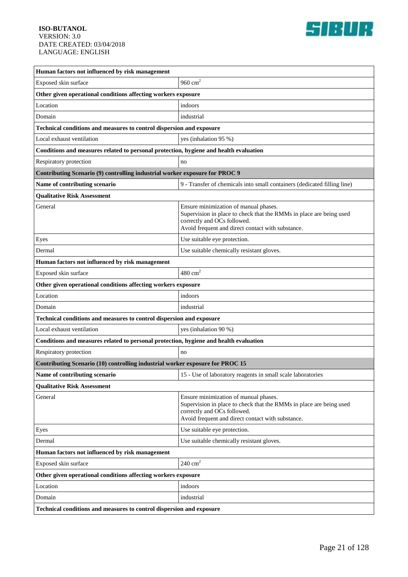

| Human factors not influenced by risk management                                       |                                                                                                                                                                                                  |  |
|---------------------------------------------------------------------------------------|--------------------------------------------------------------------------------------------------------------------------------------------------------------------------------------------------|--|
| Exposed skin surface                                                                  | 960 $cm2$                                                                                                                                                                                        |  |
| Other given operational conditions affecting workers exposure                         |                                                                                                                                                                                                  |  |
| Location                                                                              | indoors                                                                                                                                                                                          |  |
| Domain                                                                                | industrial                                                                                                                                                                                       |  |
| Technical conditions and measures to control dispersion and exposure                  |                                                                                                                                                                                                  |  |
| Local exhaust ventilation                                                             | yes (inhalation 95 %)                                                                                                                                                                            |  |
| Conditions and measures related to personal protection, hygiene and health evaluation |                                                                                                                                                                                                  |  |
| Respiratory protection                                                                | no                                                                                                                                                                                               |  |
| Contributing Scenario (9) controlling industrial worker exposure for PROC 9           |                                                                                                                                                                                                  |  |
| Name of contributing scenario                                                         | 9 - Transfer of chemicals into small containers (dedicated filling line)                                                                                                                         |  |
| <b>Qualitative Risk Assessment</b>                                                    |                                                                                                                                                                                                  |  |
| General                                                                               | Ensure minimization of manual phases.<br>Supervision in place to check that the RMMs in place are being used<br>correctly and OCs followed.<br>Avoid frequent and direct contact with substance. |  |
| Eyes                                                                                  | Use suitable eye protection.                                                                                                                                                                     |  |
| Dermal                                                                                | Use suitable chemically resistant gloves.                                                                                                                                                        |  |
| Human factors not influenced by risk management                                       |                                                                                                                                                                                                  |  |
| Exposed skin surface                                                                  | $480 \text{ cm}^2$                                                                                                                                                                               |  |
| Other given operational conditions affecting workers exposure                         |                                                                                                                                                                                                  |  |
| Location                                                                              | indoors                                                                                                                                                                                          |  |
| Domain                                                                                | industrial                                                                                                                                                                                       |  |
| Technical conditions and measures to control dispersion and exposure                  |                                                                                                                                                                                                  |  |
| Local exhaust ventilation                                                             | yes (inhalation 90 %)                                                                                                                                                                            |  |
| Conditions and measures related to personal protection, hygiene and health evaluation |                                                                                                                                                                                                  |  |
| Respiratory protection                                                                | no                                                                                                                                                                                               |  |
| Contributing Scenario (10) controlling industrial worker exposure for PROC 15         |                                                                                                                                                                                                  |  |
| Name of contributing scenario                                                         | 15 - Use of laboratory reagents in small scale laboratories                                                                                                                                      |  |
| <b>Qualitative Risk Assessment</b>                                                    |                                                                                                                                                                                                  |  |
| General                                                                               | Ensure minimization of manual phases.<br>Supervision in place to check that the RMMs in place are being used<br>correctly and OCs followed.<br>Avoid frequent and direct contact with substance. |  |
| Eyes                                                                                  | Use suitable eye protection.                                                                                                                                                                     |  |
| Dermal                                                                                | Use suitable chemically resistant gloves.                                                                                                                                                        |  |
| Human factors not influenced by risk management                                       |                                                                                                                                                                                                  |  |
| Exposed skin surface                                                                  | $240 \text{ cm}^2$                                                                                                                                                                               |  |
| Other given operational conditions affecting workers exposure                         |                                                                                                                                                                                                  |  |
| Location                                                                              | indoors                                                                                                                                                                                          |  |
| Domain                                                                                | industrial                                                                                                                                                                                       |  |
| Technical conditions and measures to control dispersion and exposure                  |                                                                                                                                                                                                  |  |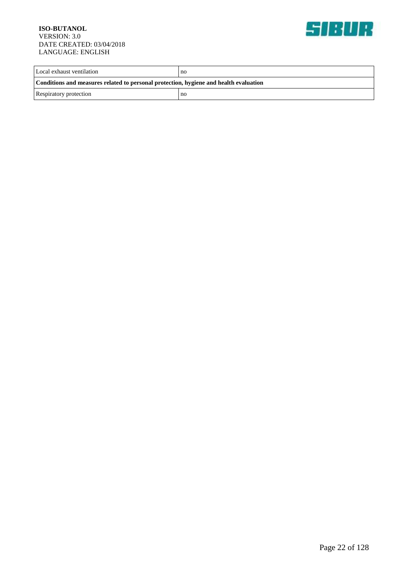

| Local exhaust ventilation                                                             | no |  |
|---------------------------------------------------------------------------------------|----|--|
| Conditions and measures related to personal protection, hygiene and health evaluation |    |  |
| Respiratory protection                                                                | no |  |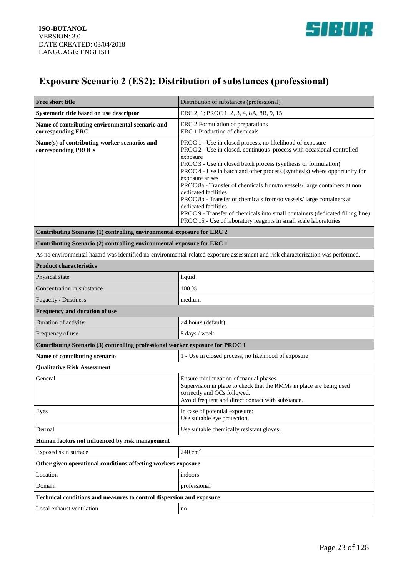

## **Exposure Scenario 2 (ES2): Distribution of substances (professional)**

| <b>Free short title</b>                                                       | Distribution of substances (professional)                                                                                                                                                                                                                                                                                                                                                                                                                                                                                                                                                                                                                                  |  |
|-------------------------------------------------------------------------------|----------------------------------------------------------------------------------------------------------------------------------------------------------------------------------------------------------------------------------------------------------------------------------------------------------------------------------------------------------------------------------------------------------------------------------------------------------------------------------------------------------------------------------------------------------------------------------------------------------------------------------------------------------------------------|--|
| Systematic title based on use descriptor                                      | ERC 2, 1; PROC 1, 2, 3, 4, 8A, 8B, 9, 15                                                                                                                                                                                                                                                                                                                                                                                                                                                                                                                                                                                                                                   |  |
| Name of contributing environmental scenario and<br>corresponding ERC          | ERC 2 Formulation of preparations<br>ERC 1 Production of chemicals                                                                                                                                                                                                                                                                                                                                                                                                                                                                                                                                                                                                         |  |
| Name(s) of contributing worker scenarios and<br>corresponding PROCs           | PROC 1 - Use in closed process, no likelihood of exposure<br>PROC 2 - Use in closed, continuous process with occasional controlled<br>exposure<br>PROC 3 - Use in closed batch process (synthesis or formulation)<br>PROC 4 - Use in batch and other process (synthesis) where opportunity for<br>exposure arises<br>PROC 8a - Transfer of chemicals from/to vessels/ large containers at non<br>dedicated facilities<br>PROC 8b - Transfer of chemicals from/to vessels/ large containers at<br>dedicated facilities<br>PROC 9 - Transfer of chemicals into small containers (dedicated filling line)<br>PROC 15 - Use of laboratory reagents in small scale laboratories |  |
| Contributing Scenario (1) controlling environmental exposure for ERC 2        |                                                                                                                                                                                                                                                                                                                                                                                                                                                                                                                                                                                                                                                                            |  |
| Contributing Scenario (2) controlling environmental exposure for ERC 1        |                                                                                                                                                                                                                                                                                                                                                                                                                                                                                                                                                                                                                                                                            |  |
|                                                                               | As no environmental hazard was identified no environmental-related exposure assessment and risk characterization was performed.                                                                                                                                                                                                                                                                                                                                                                                                                                                                                                                                            |  |
| <b>Product characteristics</b>                                                |                                                                                                                                                                                                                                                                                                                                                                                                                                                                                                                                                                                                                                                                            |  |
| Physical state                                                                | liquid                                                                                                                                                                                                                                                                                                                                                                                                                                                                                                                                                                                                                                                                     |  |
| Concentration in substance                                                    | 100 %                                                                                                                                                                                                                                                                                                                                                                                                                                                                                                                                                                                                                                                                      |  |
| Fugacity / Dustiness                                                          | medium                                                                                                                                                                                                                                                                                                                                                                                                                                                                                                                                                                                                                                                                     |  |
| Frequency and duration of use                                                 |                                                                                                                                                                                                                                                                                                                                                                                                                                                                                                                                                                                                                                                                            |  |
| Duration of activity                                                          | >4 hours (default)                                                                                                                                                                                                                                                                                                                                                                                                                                                                                                                                                                                                                                                         |  |
| Frequency of use                                                              | 5 days / week                                                                                                                                                                                                                                                                                                                                                                                                                                                                                                                                                                                                                                                              |  |
| Contributing Scenario (3) controlling professional worker exposure for PROC 1 |                                                                                                                                                                                                                                                                                                                                                                                                                                                                                                                                                                                                                                                                            |  |
| Name of contributing scenario                                                 | 1 - Use in closed process, no likelihood of exposure                                                                                                                                                                                                                                                                                                                                                                                                                                                                                                                                                                                                                       |  |
| <b>Qualitative Risk Assessment</b>                                            |                                                                                                                                                                                                                                                                                                                                                                                                                                                                                                                                                                                                                                                                            |  |
| General                                                                       | Ensure minimization of manual phases.<br>Supervision in place to check that the RMMs in place are being used<br>correctly and OCs followed.<br>Avoid frequent and direct contact with substance.                                                                                                                                                                                                                                                                                                                                                                                                                                                                           |  |
| Eyes                                                                          | In case of potential exposure:<br>Use suitable eye protection.                                                                                                                                                                                                                                                                                                                                                                                                                                                                                                                                                                                                             |  |
| Dermal                                                                        | Use suitable chemically resistant gloves.                                                                                                                                                                                                                                                                                                                                                                                                                                                                                                                                                                                                                                  |  |
| Human factors not influenced by risk management                               |                                                                                                                                                                                                                                                                                                                                                                                                                                                                                                                                                                                                                                                                            |  |
| Exposed skin surface                                                          | $240 \text{ cm}^2$                                                                                                                                                                                                                                                                                                                                                                                                                                                                                                                                                                                                                                                         |  |
| Other given operational conditions affecting workers exposure                 |                                                                                                                                                                                                                                                                                                                                                                                                                                                                                                                                                                                                                                                                            |  |
| Location                                                                      | indoors                                                                                                                                                                                                                                                                                                                                                                                                                                                                                                                                                                                                                                                                    |  |
| Domain                                                                        | professional                                                                                                                                                                                                                                                                                                                                                                                                                                                                                                                                                                                                                                                               |  |
| Technical conditions and measures to control dispersion and exposure          |                                                                                                                                                                                                                                                                                                                                                                                                                                                                                                                                                                                                                                                                            |  |
| Local exhaust ventilation                                                     | no                                                                                                                                                                                                                                                                                                                                                                                                                                                                                                                                                                                                                                                                         |  |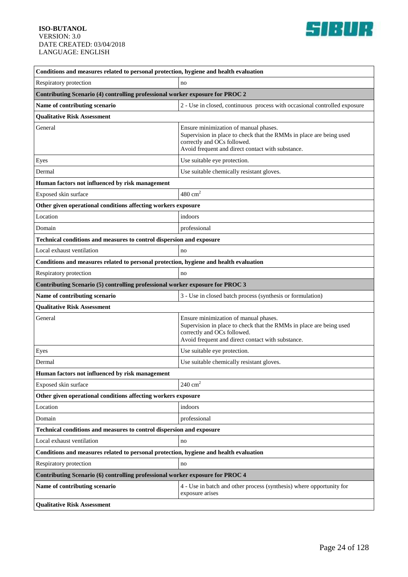

| Conditions and measures related to personal protection, hygiene and health evaluation |                                                                                                                                                                                                  |  |
|---------------------------------------------------------------------------------------|--------------------------------------------------------------------------------------------------------------------------------------------------------------------------------------------------|--|
| Respiratory protection                                                                | no                                                                                                                                                                                               |  |
| Contributing Scenario (4) controlling professional worker exposure for PROC 2         |                                                                                                                                                                                                  |  |
| Name of contributing scenario                                                         | 2 - Use in closed, continuous process with occasional controlled exposure                                                                                                                        |  |
| <b>Qualitative Risk Assessment</b>                                                    |                                                                                                                                                                                                  |  |
| General                                                                               | Ensure minimization of manual phases.<br>Supervision in place to check that the RMMs in place are being used<br>correctly and OCs followed.<br>Avoid frequent and direct contact with substance. |  |
| Eyes                                                                                  | Use suitable eye protection.                                                                                                                                                                     |  |
| Dermal                                                                                | Use suitable chemically resistant gloves.                                                                                                                                                        |  |
| Human factors not influenced by risk management                                       |                                                                                                                                                                                                  |  |
| Exposed skin surface                                                                  | $480 \text{ cm}^2$                                                                                                                                                                               |  |
| Other given operational conditions affecting workers exposure                         |                                                                                                                                                                                                  |  |
| Location                                                                              | indoors                                                                                                                                                                                          |  |
| Domain                                                                                | professional                                                                                                                                                                                     |  |
| Technical conditions and measures to control dispersion and exposure                  |                                                                                                                                                                                                  |  |
| Local exhaust ventilation                                                             | no                                                                                                                                                                                               |  |
| Conditions and measures related to personal protection, hygiene and health evaluation |                                                                                                                                                                                                  |  |
| Respiratory protection                                                                | no                                                                                                                                                                                               |  |
| Contributing Scenario (5) controlling professional worker exposure for PROC 3         |                                                                                                                                                                                                  |  |
| Name of contributing scenario                                                         | 3 - Use in closed batch process (synthesis or formulation)                                                                                                                                       |  |
| <b>Qualitative Risk Assessment</b>                                                    |                                                                                                                                                                                                  |  |
| General                                                                               | Ensure minimization of manual phases.<br>Supervision in place to check that the RMMs in place are being used<br>correctly and OCs followed.<br>Avoid frequent and direct contact with substance. |  |
| Eyes                                                                                  | Use suitable eye protection.                                                                                                                                                                     |  |
| Dermal                                                                                | Use suitable chemically resistant gloves.                                                                                                                                                        |  |
| Human factors not influenced by risk management                                       |                                                                                                                                                                                                  |  |
| Exposed skin surface                                                                  | $240 \text{ cm}^2$                                                                                                                                                                               |  |
| Other given operational conditions affecting workers exposure                         |                                                                                                                                                                                                  |  |
| Location                                                                              | indoors                                                                                                                                                                                          |  |
| Domain                                                                                | professional                                                                                                                                                                                     |  |
| <b>Technical conditions and measures to control dispersion and exposure</b>           |                                                                                                                                                                                                  |  |
| Local exhaust ventilation                                                             | no                                                                                                                                                                                               |  |
| Conditions and measures related to personal protection, hygiene and health evaluation |                                                                                                                                                                                                  |  |
| Respiratory protection                                                                | no                                                                                                                                                                                               |  |
| Contributing Scenario (6) controlling professional worker exposure for PROC 4         |                                                                                                                                                                                                  |  |
| Name of contributing scenario                                                         | 4 - Use in batch and other process (synthesis) where opportunity for<br>exposure arises                                                                                                          |  |
| <b>Qualitative Risk Assessment</b>                                                    |                                                                                                                                                                                                  |  |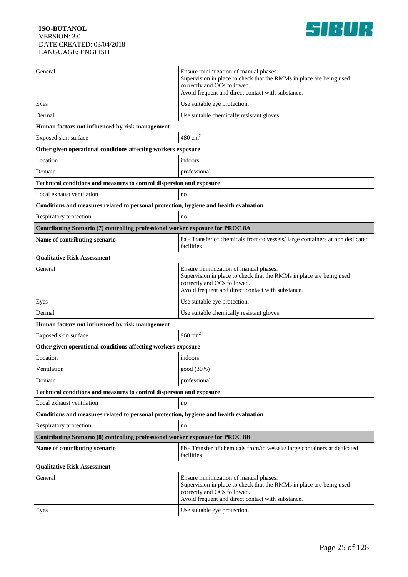

| General                                                                               | Ensure minimization of manual phases.<br>Supervision in place to check that the RMMs in place are being used<br>correctly and OCs followed.<br>Avoid frequent and direct contact with substance. |  |
|---------------------------------------------------------------------------------------|--------------------------------------------------------------------------------------------------------------------------------------------------------------------------------------------------|--|
| Eyes                                                                                  | Use suitable eye protection.                                                                                                                                                                     |  |
| Dermal                                                                                | Use suitable chemically resistant gloves.                                                                                                                                                        |  |
| Human factors not influenced by risk management                                       |                                                                                                                                                                                                  |  |
| Exposed skin surface                                                                  | $480 \text{ cm}^2$                                                                                                                                                                               |  |
| Other given operational conditions affecting workers exposure                         |                                                                                                                                                                                                  |  |
| Location                                                                              | indoors                                                                                                                                                                                          |  |
| Domain                                                                                | professional                                                                                                                                                                                     |  |
| Technical conditions and measures to control dispersion and exposure                  |                                                                                                                                                                                                  |  |
| Local exhaust ventilation                                                             | no                                                                                                                                                                                               |  |
| Conditions and measures related to personal protection, hygiene and health evaluation |                                                                                                                                                                                                  |  |
| Respiratory protection                                                                | no                                                                                                                                                                                               |  |
| Contributing Scenario (7) controlling professional worker exposure for PROC 8A        |                                                                                                                                                                                                  |  |
| Name of contributing scenario                                                         | 8a - Transfer of chemicals from/to vessels/large containers at non dedicated<br>facilities                                                                                                       |  |
| <b>Qualitative Risk Assessment</b>                                                    |                                                                                                                                                                                                  |  |
| General                                                                               | Ensure minimization of manual phases.<br>Supervision in place to check that the RMMs in place are being used<br>correctly and OCs followed.<br>Avoid frequent and direct contact with substance. |  |
| Eyes                                                                                  | Use suitable eye protection.                                                                                                                                                                     |  |
| Dermal                                                                                | Use suitable chemically resistant gloves.                                                                                                                                                        |  |
| Human factors not influenced by risk management                                       |                                                                                                                                                                                                  |  |
| Exposed skin surface                                                                  | $960 \text{ cm}^2$                                                                                                                                                                               |  |
| Other given operational conditions affecting workers exposure                         |                                                                                                                                                                                                  |  |
| Location                                                                              | indoors                                                                                                                                                                                          |  |
| Ventilation                                                                           | good (30%)                                                                                                                                                                                       |  |
| Domain                                                                                | professional                                                                                                                                                                                     |  |
| Technical conditions and measures to control dispersion and exposure                  |                                                                                                                                                                                                  |  |
| Local exhaust ventilation                                                             | no                                                                                                                                                                                               |  |
| Conditions and measures related to personal protection, hygiene and health evaluation |                                                                                                                                                                                                  |  |
| Respiratory protection                                                                | no                                                                                                                                                                                               |  |
| Contributing Scenario (8) controlling professional worker exposure for PROC 8B        |                                                                                                                                                                                                  |  |
| Name of contributing scenario                                                         | 8b - Transfer of chemicals from/to vessels/ large containers at dedicated<br>facilities                                                                                                          |  |
| <b>Qualitative Risk Assessment</b>                                                    |                                                                                                                                                                                                  |  |
| General                                                                               | Ensure minimization of manual phases.<br>Supervision in place to check that the RMMs in place are being used<br>correctly and OCs followed.<br>Avoid frequent and direct contact with substance. |  |
| Eyes                                                                                  | Use suitable eye protection.                                                                                                                                                                     |  |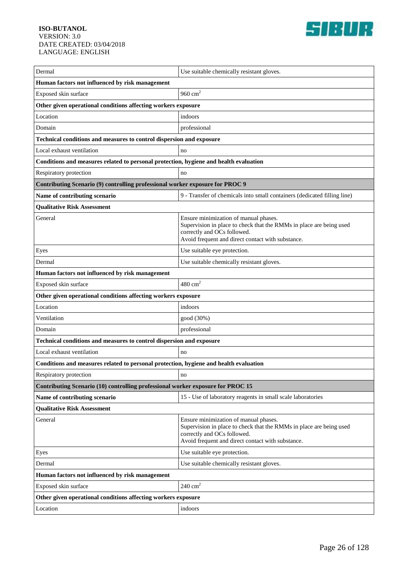

| Dermal                                                                                | Use suitable chemically resistant gloves.                                                                                                                                                        |  |
|---------------------------------------------------------------------------------------|--------------------------------------------------------------------------------------------------------------------------------------------------------------------------------------------------|--|
| Human factors not influenced by risk management                                       |                                                                                                                                                                                                  |  |
| Exposed skin surface                                                                  | 960 $cm2$                                                                                                                                                                                        |  |
| Other given operational conditions affecting workers exposure                         |                                                                                                                                                                                                  |  |
| Location                                                                              | indoors                                                                                                                                                                                          |  |
| Domain                                                                                | professional                                                                                                                                                                                     |  |
| Technical conditions and measures to control dispersion and exposure                  |                                                                                                                                                                                                  |  |
| Local exhaust ventilation                                                             | no                                                                                                                                                                                               |  |
| Conditions and measures related to personal protection, hygiene and health evaluation |                                                                                                                                                                                                  |  |
| Respiratory protection                                                                | no                                                                                                                                                                                               |  |
| Contributing Scenario (9) controlling professional worker exposure for PROC 9         |                                                                                                                                                                                                  |  |
| Name of contributing scenario                                                         | 9 - Transfer of chemicals into small containers (dedicated filling line)                                                                                                                         |  |
| <b>Qualitative Risk Assessment</b>                                                    |                                                                                                                                                                                                  |  |
| General                                                                               | Ensure minimization of manual phases.<br>Supervision in place to check that the RMMs in place are being used<br>correctly and OCs followed.<br>Avoid frequent and direct contact with substance. |  |
| Eyes                                                                                  | Use suitable eye protection.                                                                                                                                                                     |  |
| Dermal                                                                                | Use suitable chemically resistant gloves.                                                                                                                                                        |  |
| Human factors not influenced by risk management                                       |                                                                                                                                                                                                  |  |
| Exposed skin surface                                                                  | $480 \text{ cm}^2$                                                                                                                                                                               |  |
| Other given operational conditions affecting workers exposure                         |                                                                                                                                                                                                  |  |
| Location                                                                              | indoors                                                                                                                                                                                          |  |
| Ventilation                                                                           | good (30%)                                                                                                                                                                                       |  |
| Domain                                                                                | professional                                                                                                                                                                                     |  |
| Technical conditions and measures to control dispersion and exposure                  |                                                                                                                                                                                                  |  |
| Local exhaust ventilation                                                             | no                                                                                                                                                                                               |  |
| Conditions and measures related to personal protection, hygiene and health evaluation |                                                                                                                                                                                                  |  |
| Respiratory protection                                                                | no                                                                                                                                                                                               |  |
| Contributing Scenario (10) controlling professional worker exposure for PROC 15       |                                                                                                                                                                                                  |  |
| Name of contributing scenario                                                         | 15 - Use of laboratory reagents in small scale laboratories                                                                                                                                      |  |
| <b>Qualitative Risk Assessment</b>                                                    |                                                                                                                                                                                                  |  |
| General                                                                               | Ensure minimization of manual phases.<br>Supervision in place to check that the RMMs in place are being used<br>correctly and OCs followed.<br>Avoid frequent and direct contact with substance. |  |
| Eyes                                                                                  | Use suitable eye protection.                                                                                                                                                                     |  |
| Dermal                                                                                | Use suitable chemically resistant gloves.                                                                                                                                                        |  |
| Human factors not influenced by risk management                                       |                                                                                                                                                                                                  |  |
| Exposed skin surface                                                                  | $240 \text{ cm}^2$                                                                                                                                                                               |  |
| Other given operational conditions affecting workers exposure                         |                                                                                                                                                                                                  |  |
| Location                                                                              | indoors                                                                                                                                                                                          |  |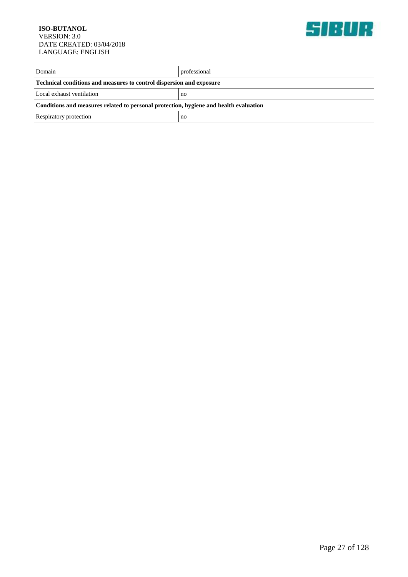

| Domain                                                                                | professional |
|---------------------------------------------------------------------------------------|--------------|
| <b>Technical conditions and measures to control dispersion and exposure</b>           |              |
| Local exhaust ventilation                                                             | no           |
| Conditions and measures related to personal protection, hygiene and health evaluation |              |
| Respiratory protection                                                                | no           |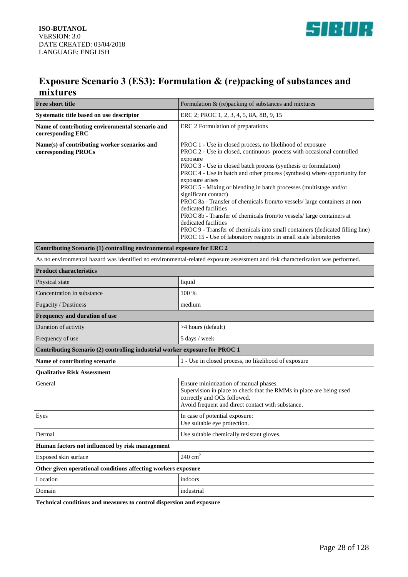



### **Exposure Scenario 3 (ES3): Formulation & (re)packing of substances and mixtures**

| <b>Free short title</b>                                                     | Formulation & (re)packing of substances and mixtures                                                                                                                                                                                                                                                                                                                                                                                                                                                                                                                                                                                                                                                                                                                    |
|-----------------------------------------------------------------------------|-------------------------------------------------------------------------------------------------------------------------------------------------------------------------------------------------------------------------------------------------------------------------------------------------------------------------------------------------------------------------------------------------------------------------------------------------------------------------------------------------------------------------------------------------------------------------------------------------------------------------------------------------------------------------------------------------------------------------------------------------------------------------|
| Systematic title based on use descriptor                                    | ERC 2; PROC 1, 2, 3, 4, 5, 8A, 8B, 9, 15                                                                                                                                                                                                                                                                                                                                                                                                                                                                                                                                                                                                                                                                                                                                |
| Name of contributing environmental scenario and<br>corresponding ERC        | ERC 2 Formulation of preparations                                                                                                                                                                                                                                                                                                                                                                                                                                                                                                                                                                                                                                                                                                                                       |
| Name(s) of contributing worker scenarios and<br>corresponding PROCs         | PROC 1 - Use in closed process, no likelihood of exposure<br>PROC 2 - Use in closed, continuous process with occasional controlled<br>exposure<br>PROC 3 - Use in closed batch process (synthesis or formulation)<br>PROC 4 - Use in batch and other process (synthesis) where opportunity for<br>exposure arises<br>PROC 5 - Mixing or blending in batch processes (multistage and/or<br>significant contact)<br>PROC 8a - Transfer of chemicals from/to vessels/ large containers at non<br>dedicated facilities<br>PROC 8b - Transfer of chemicals from/to vessels/ large containers at<br>dedicated facilities<br>PROC 9 - Transfer of chemicals into small containers (dedicated filling line)<br>PROC 15 - Use of laboratory reagents in small scale laboratories |
| Contributing Scenario (1) controlling environmental exposure for ERC 2      |                                                                                                                                                                                                                                                                                                                                                                                                                                                                                                                                                                                                                                                                                                                                                                         |
|                                                                             | As no environmental hazard was identified no environmental-related exposure assessment and risk characterization was performed.                                                                                                                                                                                                                                                                                                                                                                                                                                                                                                                                                                                                                                         |
| <b>Product characteristics</b>                                              |                                                                                                                                                                                                                                                                                                                                                                                                                                                                                                                                                                                                                                                                                                                                                                         |
| Physical state                                                              | liquid                                                                                                                                                                                                                                                                                                                                                                                                                                                                                                                                                                                                                                                                                                                                                                  |
| Concentration in substance                                                  | 100 %                                                                                                                                                                                                                                                                                                                                                                                                                                                                                                                                                                                                                                                                                                                                                                   |
| Fugacity / Dustiness                                                        | medium                                                                                                                                                                                                                                                                                                                                                                                                                                                                                                                                                                                                                                                                                                                                                                  |
| Frequency and duration of use                                               |                                                                                                                                                                                                                                                                                                                                                                                                                                                                                                                                                                                                                                                                                                                                                                         |
| Duration of activity                                                        | >4 hours (default)                                                                                                                                                                                                                                                                                                                                                                                                                                                                                                                                                                                                                                                                                                                                                      |
| Frequency of use                                                            | 5 days / week                                                                                                                                                                                                                                                                                                                                                                                                                                                                                                                                                                                                                                                                                                                                                           |
| Contributing Scenario (2) controlling industrial worker exposure for PROC 1 |                                                                                                                                                                                                                                                                                                                                                                                                                                                                                                                                                                                                                                                                                                                                                                         |
| Name of contributing scenario                                               | 1 - Use in closed process, no likelihood of exposure                                                                                                                                                                                                                                                                                                                                                                                                                                                                                                                                                                                                                                                                                                                    |
| <b>Qualitative Risk Assessment</b>                                          |                                                                                                                                                                                                                                                                                                                                                                                                                                                                                                                                                                                                                                                                                                                                                                         |
| General                                                                     | Ensure minimization of manual phases.<br>Supervision in place to check that the RMMs in place are being used<br>correctly and OCs followed.<br>Avoid frequent and direct contact with substance.                                                                                                                                                                                                                                                                                                                                                                                                                                                                                                                                                                        |
| Eyes                                                                        | In case of potential exposure:<br>Use suitable eye protection.                                                                                                                                                                                                                                                                                                                                                                                                                                                                                                                                                                                                                                                                                                          |
| Dermal                                                                      | Use suitable chemically resistant gloves.                                                                                                                                                                                                                                                                                                                                                                                                                                                                                                                                                                                                                                                                                                                               |
| Human factors not influenced by risk management                             |                                                                                                                                                                                                                                                                                                                                                                                                                                                                                                                                                                                                                                                                                                                                                                         |
| Exposed skin surface                                                        | $240\ {\rm cm}^2$                                                                                                                                                                                                                                                                                                                                                                                                                                                                                                                                                                                                                                                                                                                                                       |
| Other given operational conditions affecting workers exposure               |                                                                                                                                                                                                                                                                                                                                                                                                                                                                                                                                                                                                                                                                                                                                                                         |
| Location                                                                    | indoors                                                                                                                                                                                                                                                                                                                                                                                                                                                                                                                                                                                                                                                                                                                                                                 |
| Domain                                                                      | industrial                                                                                                                                                                                                                                                                                                                                                                                                                                                                                                                                                                                                                                                                                                                                                              |
| Technical conditions and measures to control dispersion and exposure        |                                                                                                                                                                                                                                                                                                                                                                                                                                                                                                                                                                                                                                                                                                                                                                         |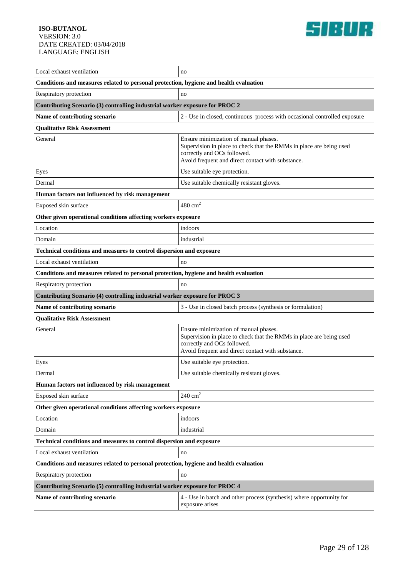

| Local exhaust ventilation                                                             | no                                                                                                                                                                                               |  |
|---------------------------------------------------------------------------------------|--------------------------------------------------------------------------------------------------------------------------------------------------------------------------------------------------|--|
| Conditions and measures related to personal protection, hygiene and health evaluation |                                                                                                                                                                                                  |  |
| Respiratory protection                                                                | no                                                                                                                                                                                               |  |
| Contributing Scenario (3) controlling industrial worker exposure for PROC 2           |                                                                                                                                                                                                  |  |
| Name of contributing scenario                                                         | 2 - Use in closed, continuous process with occasional controlled exposure                                                                                                                        |  |
| <b>Qualitative Risk Assessment</b>                                                    |                                                                                                                                                                                                  |  |
| General                                                                               | Ensure minimization of manual phases.<br>Supervision in place to check that the RMMs in place are being used<br>correctly and OCs followed.<br>Avoid frequent and direct contact with substance. |  |
| Eyes                                                                                  | Use suitable eye protection.                                                                                                                                                                     |  |
| Dermal                                                                                | Use suitable chemically resistant gloves.                                                                                                                                                        |  |
| Human factors not influenced by risk management                                       |                                                                                                                                                                                                  |  |
| Exposed skin surface                                                                  | $480 \text{ cm}^2$                                                                                                                                                                               |  |
| Other given operational conditions affecting workers exposure                         |                                                                                                                                                                                                  |  |
| Location                                                                              | indoors                                                                                                                                                                                          |  |
| Domain                                                                                | industrial                                                                                                                                                                                       |  |
| Technical conditions and measures to control dispersion and exposure                  |                                                                                                                                                                                                  |  |
| Local exhaust ventilation                                                             | no                                                                                                                                                                                               |  |
| Conditions and measures related to personal protection, hygiene and health evaluation |                                                                                                                                                                                                  |  |
| Respiratory protection                                                                | no                                                                                                                                                                                               |  |
| Contributing Scenario (4) controlling industrial worker exposure for PROC 3           |                                                                                                                                                                                                  |  |
| Name of contributing scenario                                                         | 3 - Use in closed batch process (synthesis or formulation)                                                                                                                                       |  |
| <b>Qualitative Risk Assessment</b>                                                    |                                                                                                                                                                                                  |  |
| General                                                                               | Ensure minimization of manual phases.<br>Supervision in place to check that the RMMs in place are being used<br>correctly and OCs followed.<br>Avoid frequent and direct contact with substance. |  |
| Eyes                                                                                  | Use suitable eye protection.                                                                                                                                                                     |  |
| Dermal                                                                                | Use suitable chemically resistant gloves.                                                                                                                                                        |  |
| Human factors not influenced by risk management                                       |                                                                                                                                                                                                  |  |
| Exposed skin surface                                                                  | $240 \text{ cm}^2$                                                                                                                                                                               |  |
| Other given operational conditions affecting workers exposure                         |                                                                                                                                                                                                  |  |
| Location                                                                              | indoors                                                                                                                                                                                          |  |
| Domain                                                                                | industrial                                                                                                                                                                                       |  |
| Technical conditions and measures to control dispersion and exposure                  |                                                                                                                                                                                                  |  |
| Local exhaust ventilation                                                             | no                                                                                                                                                                                               |  |
| Conditions and measures related to personal protection, hygiene and health evaluation |                                                                                                                                                                                                  |  |
| Respiratory protection                                                                | no                                                                                                                                                                                               |  |
| Contributing Scenario (5) controlling industrial worker exposure for PROC 4           |                                                                                                                                                                                                  |  |
| Name of contributing scenario                                                         | 4 - Use in batch and other process (synthesis) where opportunity for<br>exposure arises                                                                                                          |  |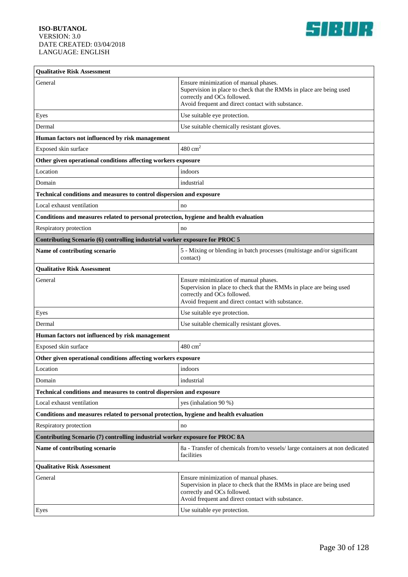

| <b>Qualitative Risk Assessment</b>                                                    |                                                                                                                                                                                                  |  |
|---------------------------------------------------------------------------------------|--------------------------------------------------------------------------------------------------------------------------------------------------------------------------------------------------|--|
| General                                                                               | Ensure minimization of manual phases.<br>Supervision in place to check that the RMMs in place are being used<br>correctly and OCs followed.<br>Avoid frequent and direct contact with substance. |  |
| Eyes                                                                                  | Use suitable eye protection.                                                                                                                                                                     |  |
| Dermal                                                                                | Use suitable chemically resistant gloves.                                                                                                                                                        |  |
| Human factors not influenced by risk management                                       |                                                                                                                                                                                                  |  |
| Exposed skin surface                                                                  | $480 \text{ cm}^2$                                                                                                                                                                               |  |
| Other given operational conditions affecting workers exposure                         |                                                                                                                                                                                                  |  |
| Location                                                                              | indoors                                                                                                                                                                                          |  |
| Domain                                                                                | industrial                                                                                                                                                                                       |  |
| Technical conditions and measures to control dispersion and exposure                  |                                                                                                                                                                                                  |  |
| Local exhaust ventilation                                                             | no                                                                                                                                                                                               |  |
| Conditions and measures related to personal protection, hygiene and health evaluation |                                                                                                                                                                                                  |  |
| Respiratory protection                                                                | no                                                                                                                                                                                               |  |
| Contributing Scenario (6) controlling industrial worker exposure for PROC 5           |                                                                                                                                                                                                  |  |
| Name of contributing scenario                                                         | 5 - Mixing or blending in batch processes (multistage and/or significant<br>contact)                                                                                                             |  |
| <b>Qualitative Risk Assessment</b>                                                    |                                                                                                                                                                                                  |  |
| General                                                                               | Ensure minimization of manual phases.<br>Supervision in place to check that the RMMs in place are being used<br>correctly and OCs followed.<br>Avoid frequent and direct contact with substance. |  |
| Eyes                                                                                  | Use suitable eye protection.                                                                                                                                                                     |  |
| Dermal                                                                                | Use suitable chemically resistant gloves.                                                                                                                                                        |  |
| Human factors not influenced by risk management                                       |                                                                                                                                                                                                  |  |
| Exposed skin surface                                                                  | $480 \text{ cm}^2$                                                                                                                                                                               |  |
| Other given operational conditions affecting workers exposure                         |                                                                                                                                                                                                  |  |
| Location                                                                              | indoors                                                                                                                                                                                          |  |
| Domain                                                                                | industrial                                                                                                                                                                                       |  |
| Technical conditions and measures to control dispersion and exposure                  |                                                                                                                                                                                                  |  |
| Local exhaust ventilation                                                             | yes (inhalation 90 %)                                                                                                                                                                            |  |
| Conditions and measures related to personal protection, hygiene and health evaluation |                                                                                                                                                                                                  |  |
| Respiratory protection                                                                | no                                                                                                                                                                                               |  |
| Contributing Scenario (7) controlling industrial worker exposure for PROC 8A          |                                                                                                                                                                                                  |  |
| Name of contributing scenario                                                         | 8a - Transfer of chemicals from/to vessels/large containers at non dedicated<br>facilities                                                                                                       |  |
| <b>Qualitative Risk Assessment</b>                                                    |                                                                                                                                                                                                  |  |
| General                                                                               | Ensure minimization of manual phases.<br>Supervision in place to check that the RMMs in place are being used<br>correctly and OCs followed.<br>Avoid frequent and direct contact with substance. |  |
| Eyes                                                                                  | Use suitable eye protection.                                                                                                                                                                     |  |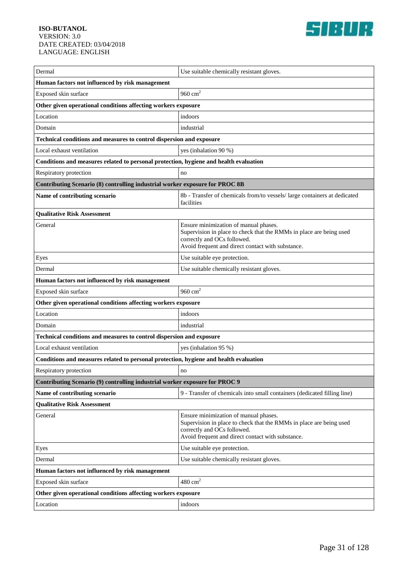

| Dermal                                                                                | Use suitable chemically resistant gloves.                                                                                                                                                        |  |
|---------------------------------------------------------------------------------------|--------------------------------------------------------------------------------------------------------------------------------------------------------------------------------------------------|--|
| Human factors not influenced by risk management                                       |                                                                                                                                                                                                  |  |
| Exposed skin surface                                                                  | 960 $cm2$                                                                                                                                                                                        |  |
| Other given operational conditions affecting workers exposure                         |                                                                                                                                                                                                  |  |
| Location                                                                              | indoors                                                                                                                                                                                          |  |
| Domain                                                                                | industrial                                                                                                                                                                                       |  |
| Technical conditions and measures to control dispersion and exposure                  |                                                                                                                                                                                                  |  |
| Local exhaust ventilation                                                             | yes (inhalation 90 %)                                                                                                                                                                            |  |
| Conditions and measures related to personal protection, hygiene and health evaluation |                                                                                                                                                                                                  |  |
| Respiratory protection                                                                | no                                                                                                                                                                                               |  |
| Contributing Scenario (8) controlling industrial worker exposure for PROC 8B          |                                                                                                                                                                                                  |  |
| Name of contributing scenario                                                         | 8b - Transfer of chemicals from/to vessels/ large containers at dedicated<br>facilities                                                                                                          |  |
| <b>Qualitative Risk Assessment</b>                                                    |                                                                                                                                                                                                  |  |
| General                                                                               | Ensure minimization of manual phases.<br>Supervision in place to check that the RMMs in place are being used<br>correctly and OCs followed.<br>Avoid frequent and direct contact with substance. |  |
| Eyes                                                                                  | Use suitable eye protection.                                                                                                                                                                     |  |
| Dermal                                                                                | Use suitable chemically resistant gloves.                                                                                                                                                        |  |
| Human factors not influenced by risk management                                       |                                                                                                                                                                                                  |  |
| Exposed skin surface                                                                  | 960 $cm2$                                                                                                                                                                                        |  |
| Other given operational conditions affecting workers exposure                         |                                                                                                                                                                                                  |  |
| Location                                                                              | indoors                                                                                                                                                                                          |  |
| Domain                                                                                | industrial                                                                                                                                                                                       |  |
| Technical conditions and measures to control dispersion and exposure                  |                                                                                                                                                                                                  |  |
| Local exhaust ventilation                                                             | yes (inhalation 95 %)                                                                                                                                                                            |  |
| Conditions and measures related to personal protection, hygiene and health evaluation |                                                                                                                                                                                                  |  |
| Respiratory protection                                                                | no                                                                                                                                                                                               |  |
| Contributing Scenario (9) controlling industrial worker exposure for PROC 9           |                                                                                                                                                                                                  |  |
| Name of contributing scenario                                                         | 9 - Transfer of chemicals into small containers (dedicated filling line)                                                                                                                         |  |
| <b>Qualitative Risk Assessment</b>                                                    |                                                                                                                                                                                                  |  |
| General                                                                               | Ensure minimization of manual phases.<br>Supervision in place to check that the RMMs in place are being used<br>correctly and OCs followed.<br>Avoid frequent and direct contact with substance. |  |
| Eyes                                                                                  | Use suitable eye protection.                                                                                                                                                                     |  |
| Dermal                                                                                | Use suitable chemically resistant gloves.                                                                                                                                                        |  |
| Human factors not influenced by risk management                                       |                                                                                                                                                                                                  |  |
| Exposed skin surface                                                                  | $480 \text{ cm}^2$                                                                                                                                                                               |  |
| Other given operational conditions affecting workers exposure                         |                                                                                                                                                                                                  |  |
| Location                                                                              | indoors                                                                                                                                                                                          |  |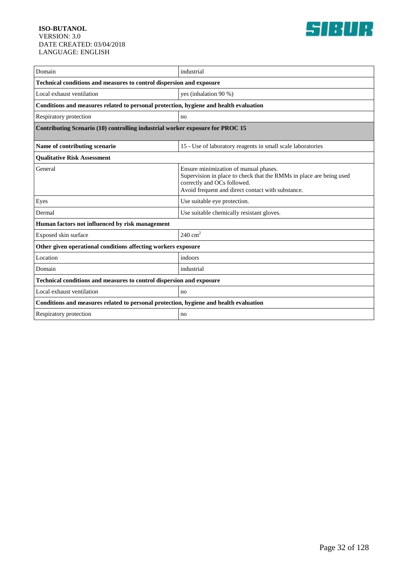

| Domain                                                                                | industrial                                                                                                                                                                                       |  |
|---------------------------------------------------------------------------------------|--------------------------------------------------------------------------------------------------------------------------------------------------------------------------------------------------|--|
| Technical conditions and measures to control dispersion and exposure                  |                                                                                                                                                                                                  |  |
| Local exhaust ventilation                                                             | yes (inhalation 90 %)                                                                                                                                                                            |  |
| Conditions and measures related to personal protection, hygiene and health evaluation |                                                                                                                                                                                                  |  |
| Respiratory protection                                                                | no                                                                                                                                                                                               |  |
| Contributing Scenario (10) controlling industrial worker exposure for PROC 15         |                                                                                                                                                                                                  |  |
| Name of contributing scenario                                                         | 15 - Use of laboratory reagents in small scale laboratories                                                                                                                                      |  |
| <b>Qualitative Risk Assessment</b>                                                    |                                                                                                                                                                                                  |  |
| General                                                                               | Ensure minimization of manual phases.<br>Supervision in place to check that the RMMs in place are being used<br>correctly and OCs followed.<br>Avoid frequent and direct contact with substance. |  |
| Eyes                                                                                  | Use suitable eye protection.                                                                                                                                                                     |  |
| Dermal                                                                                | Use suitable chemically resistant gloves.                                                                                                                                                        |  |
| Human factors not influenced by risk management                                       |                                                                                                                                                                                                  |  |
| Exposed skin surface                                                                  | $240 \text{ cm}^2$                                                                                                                                                                               |  |
| Other given operational conditions affecting workers exposure                         |                                                                                                                                                                                                  |  |
| Location                                                                              | indoors                                                                                                                                                                                          |  |
| Domain                                                                                | industrial                                                                                                                                                                                       |  |
| Technical conditions and measures to control dispersion and exposure                  |                                                                                                                                                                                                  |  |
| Local exhaust ventilation                                                             | no                                                                                                                                                                                               |  |
| Conditions and measures related to personal protection, hygiene and health evaluation |                                                                                                                                                                                                  |  |
| Respiratory protection                                                                | no                                                                                                                                                                                               |  |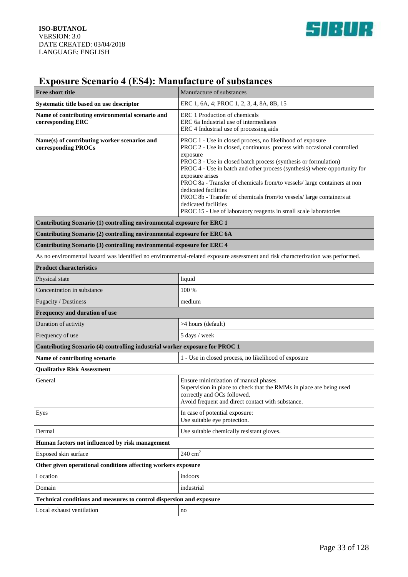

# **Exposure Scenario 4 (ES4): Manufacture of substances**

| Free short title                                                                                                                | Manufacture of substances                                                                                                                                                                                                                                                                                                                                                                                                                                                                                                                                                                 |
|---------------------------------------------------------------------------------------------------------------------------------|-------------------------------------------------------------------------------------------------------------------------------------------------------------------------------------------------------------------------------------------------------------------------------------------------------------------------------------------------------------------------------------------------------------------------------------------------------------------------------------------------------------------------------------------------------------------------------------------|
| Systematic title based on use descriptor                                                                                        | ERC 1, 6A, 4; PROC 1, 2, 3, 4, 8A, 8B, 15                                                                                                                                                                                                                                                                                                                                                                                                                                                                                                                                                 |
| Name of contributing environmental scenario and<br>corresponding ERC                                                            | ERC 1 Production of chemicals<br>ERC 6a Industrial use of intermediates<br>ERC 4 Industrial use of processing aids                                                                                                                                                                                                                                                                                                                                                                                                                                                                        |
| Name(s) of contributing worker scenarios and<br>corresponding PROCs                                                             | PROC 1 - Use in closed process, no likelihood of exposure<br>PROC 2 - Use in closed, continuous process with occasional controlled<br>exposure<br>PROC 3 - Use in closed batch process (synthesis or formulation)<br>PROC 4 - Use in batch and other process (synthesis) where opportunity for<br>exposure arises<br>PROC 8a - Transfer of chemicals from/to vessels/ large containers at non<br>dedicated facilities<br>PROC 8b - Transfer of chemicals from/to vessels/ large containers at<br>dedicated facilities<br>PROC 15 - Use of laboratory reagents in small scale laboratories |
| Contributing Scenario (1) controlling environmental exposure for ERC 1                                                          |                                                                                                                                                                                                                                                                                                                                                                                                                                                                                                                                                                                           |
| Contributing Scenario (2) controlling environmental exposure for ERC 6A                                                         |                                                                                                                                                                                                                                                                                                                                                                                                                                                                                                                                                                                           |
| Contributing Scenario (3) controlling environmental exposure for ERC 4                                                          |                                                                                                                                                                                                                                                                                                                                                                                                                                                                                                                                                                                           |
| As no environmental hazard was identified no environmental-related exposure assessment and risk characterization was performed. |                                                                                                                                                                                                                                                                                                                                                                                                                                                                                                                                                                                           |
| <b>Product characteristics</b>                                                                                                  |                                                                                                                                                                                                                                                                                                                                                                                                                                                                                                                                                                                           |
| Physical state                                                                                                                  | liquid                                                                                                                                                                                                                                                                                                                                                                                                                                                                                                                                                                                    |
| Concentration in substance                                                                                                      | 100 %                                                                                                                                                                                                                                                                                                                                                                                                                                                                                                                                                                                     |
| Fugacity / Dustiness                                                                                                            | medium                                                                                                                                                                                                                                                                                                                                                                                                                                                                                                                                                                                    |
| Frequency and duration of use                                                                                                   |                                                                                                                                                                                                                                                                                                                                                                                                                                                                                                                                                                                           |
| Duration of activity                                                                                                            | >4 hours (default)                                                                                                                                                                                                                                                                                                                                                                                                                                                                                                                                                                        |
| Frequency of use                                                                                                                | 5 days / week                                                                                                                                                                                                                                                                                                                                                                                                                                                                                                                                                                             |
| Contributing Scenario (4) controlling industrial worker exposure for PROC 1                                                     |                                                                                                                                                                                                                                                                                                                                                                                                                                                                                                                                                                                           |
| Name of contributing scenario                                                                                                   | 1 - Use in closed process, no likelihood of exposure                                                                                                                                                                                                                                                                                                                                                                                                                                                                                                                                      |
| <b>Qualitative Risk Assessment</b>                                                                                              |                                                                                                                                                                                                                                                                                                                                                                                                                                                                                                                                                                                           |
| General                                                                                                                         | Ensure minimization of manual phases.<br>Supervision in place to check that the RMMs in place are being used<br>correctly and OCs followed.<br>Avoid frequent and direct contact with substance.                                                                                                                                                                                                                                                                                                                                                                                          |
| Eyes                                                                                                                            | In case of potential exposure:<br>Use suitable eye protection.                                                                                                                                                                                                                                                                                                                                                                                                                                                                                                                            |
| Dermal                                                                                                                          | Use suitable chemically resistant gloves.                                                                                                                                                                                                                                                                                                                                                                                                                                                                                                                                                 |
| Human factors not influenced by risk management                                                                                 |                                                                                                                                                                                                                                                                                                                                                                                                                                                                                                                                                                                           |
| Exposed skin surface                                                                                                            | $240\ {\rm cm}^2$                                                                                                                                                                                                                                                                                                                                                                                                                                                                                                                                                                         |
| Other given operational conditions affecting workers exposure                                                                   |                                                                                                                                                                                                                                                                                                                                                                                                                                                                                                                                                                                           |
| Location                                                                                                                        | indoors                                                                                                                                                                                                                                                                                                                                                                                                                                                                                                                                                                                   |
| Domain                                                                                                                          | industrial                                                                                                                                                                                                                                                                                                                                                                                                                                                                                                                                                                                |
| Technical conditions and measures to control dispersion and exposure                                                            |                                                                                                                                                                                                                                                                                                                                                                                                                                                                                                                                                                                           |
| Local exhaust ventilation                                                                                                       | no                                                                                                                                                                                                                                                                                                                                                                                                                                                                                                                                                                                        |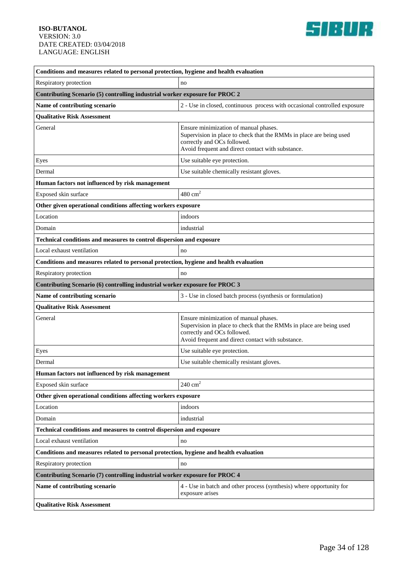

| Conditions and measures related to personal protection, hygiene and health evaluation |                                                                                                                                                                                                  |  |
|---------------------------------------------------------------------------------------|--------------------------------------------------------------------------------------------------------------------------------------------------------------------------------------------------|--|
| Respiratory protection                                                                | no                                                                                                                                                                                               |  |
| Contributing Scenario (5) controlling industrial worker exposure for PROC 2           |                                                                                                                                                                                                  |  |
| Name of contributing scenario                                                         | 2 - Use in closed, continuous process with occasional controlled exposure                                                                                                                        |  |
| <b>Qualitative Risk Assessment</b>                                                    |                                                                                                                                                                                                  |  |
| General                                                                               | Ensure minimization of manual phases.<br>Supervision in place to check that the RMMs in place are being used<br>correctly and OCs followed.<br>Avoid frequent and direct contact with substance. |  |
| Eyes                                                                                  | Use suitable eye protection.                                                                                                                                                                     |  |
| Dermal                                                                                | Use suitable chemically resistant gloves.                                                                                                                                                        |  |
| Human factors not influenced by risk management                                       |                                                                                                                                                                                                  |  |
| Exposed skin surface                                                                  | $480 \text{ cm}^2$                                                                                                                                                                               |  |
| Other given operational conditions affecting workers exposure                         |                                                                                                                                                                                                  |  |
| Location                                                                              | indoors                                                                                                                                                                                          |  |
| Domain                                                                                | industrial                                                                                                                                                                                       |  |
| Technical conditions and measures to control dispersion and exposure                  |                                                                                                                                                                                                  |  |
| Local exhaust ventilation                                                             | no                                                                                                                                                                                               |  |
| Conditions and measures related to personal protection, hygiene and health evaluation |                                                                                                                                                                                                  |  |
| Respiratory protection                                                                | no                                                                                                                                                                                               |  |
| Contributing Scenario (6) controlling industrial worker exposure for PROC 3           |                                                                                                                                                                                                  |  |
| Name of contributing scenario                                                         | 3 - Use in closed batch process (synthesis or formulation)                                                                                                                                       |  |
| <b>Qualitative Risk Assessment</b>                                                    |                                                                                                                                                                                                  |  |
| General                                                                               | Ensure minimization of manual phases.<br>Supervision in place to check that the RMMs in place are being used<br>correctly and OCs followed.<br>Avoid frequent and direct contact with substance. |  |
| Eyes                                                                                  | Use suitable eye protection.                                                                                                                                                                     |  |
| Dermal                                                                                | Use suitable chemically resistant gloves.                                                                                                                                                        |  |
| Human factors not influenced by risk management                                       |                                                                                                                                                                                                  |  |
| Exposed skin surface                                                                  | $240 \text{ cm}^2$                                                                                                                                                                               |  |
| Other given operational conditions affecting workers exposure                         |                                                                                                                                                                                                  |  |
| Location                                                                              | indoors                                                                                                                                                                                          |  |
| Domain                                                                                | industrial                                                                                                                                                                                       |  |
| Technical conditions and measures to control dispersion and exposure                  |                                                                                                                                                                                                  |  |
| Local exhaust ventilation                                                             | no                                                                                                                                                                                               |  |
| Conditions and measures related to personal protection, hygiene and health evaluation |                                                                                                                                                                                                  |  |
| Respiratory protection                                                                | no                                                                                                                                                                                               |  |
| Contributing Scenario (7) controlling industrial worker exposure for PROC 4           |                                                                                                                                                                                                  |  |
| Name of contributing scenario                                                         | 4 - Use in batch and other process (synthesis) where opportunity for<br>exposure arises                                                                                                          |  |
| <b>Qualitative Risk Assessment</b>                                                    |                                                                                                                                                                                                  |  |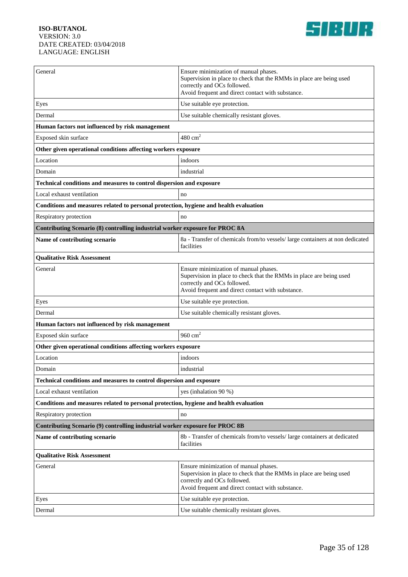

| General                                                                               | Ensure minimization of manual phases.<br>Supervision in place to check that the RMMs in place are being used<br>correctly and OCs followed.<br>Avoid frequent and direct contact with substance. |  |
|---------------------------------------------------------------------------------------|--------------------------------------------------------------------------------------------------------------------------------------------------------------------------------------------------|--|
| Eyes                                                                                  | Use suitable eye protection.                                                                                                                                                                     |  |
| Dermal                                                                                | Use suitable chemically resistant gloves.                                                                                                                                                        |  |
| Human factors not influenced by risk management                                       |                                                                                                                                                                                                  |  |
| Exposed skin surface                                                                  | $480 \text{ cm}^2$                                                                                                                                                                               |  |
| Other given operational conditions affecting workers exposure                         |                                                                                                                                                                                                  |  |
| Location                                                                              | indoors                                                                                                                                                                                          |  |
| Domain                                                                                | industrial                                                                                                                                                                                       |  |
| Technical conditions and measures to control dispersion and exposure                  |                                                                                                                                                                                                  |  |
| Local exhaust ventilation                                                             | no                                                                                                                                                                                               |  |
| Conditions and measures related to personal protection, hygiene and health evaluation |                                                                                                                                                                                                  |  |
| Respiratory protection                                                                | no                                                                                                                                                                                               |  |
| Contributing Scenario (8) controlling industrial worker exposure for PROC 8A          |                                                                                                                                                                                                  |  |
| Name of contributing scenario                                                         | 8a - Transfer of chemicals from/to vessels/large containers at non dedicated<br>facilities                                                                                                       |  |
| <b>Qualitative Risk Assessment</b>                                                    |                                                                                                                                                                                                  |  |
| General                                                                               | Ensure minimization of manual phases.<br>Supervision in place to check that the RMMs in place are being used<br>correctly and OCs followed.<br>Avoid frequent and direct contact with substance. |  |
| Eyes                                                                                  | Use suitable eye protection.                                                                                                                                                                     |  |
| Dermal                                                                                | Use suitable chemically resistant gloves.                                                                                                                                                        |  |
| Human factors not influenced by risk management                                       |                                                                                                                                                                                                  |  |
| Exposed skin surface                                                                  | 960 $cm2$                                                                                                                                                                                        |  |
| Other given operational conditions affecting workers exposure                         |                                                                                                                                                                                                  |  |
| Location                                                                              | indoors                                                                                                                                                                                          |  |
| Domain                                                                                | industrial                                                                                                                                                                                       |  |
| <b>Technical conditions and measures to control dispersion and exposure</b>           |                                                                                                                                                                                                  |  |
| Local exhaust ventilation                                                             | yes (inhalation 90 %)                                                                                                                                                                            |  |
| Conditions and measures related to personal protection, hygiene and health evaluation |                                                                                                                                                                                                  |  |
| Respiratory protection                                                                | no                                                                                                                                                                                               |  |
| Contributing Scenario (9) controlling industrial worker exposure for PROC 8B          |                                                                                                                                                                                                  |  |
| Name of contributing scenario                                                         | 8b - Transfer of chemicals from/to vessels/ large containers at dedicated<br>facilities                                                                                                          |  |
| <b>Qualitative Risk Assessment</b>                                                    |                                                                                                                                                                                                  |  |
| General                                                                               | Ensure minimization of manual phases.<br>Supervision in place to check that the RMMs in place are being used<br>correctly and OCs followed.<br>Avoid frequent and direct contact with substance. |  |
| Eyes                                                                                  | Use suitable eye protection.                                                                                                                                                                     |  |
| Dermal                                                                                | Use suitable chemically resistant gloves.                                                                                                                                                        |  |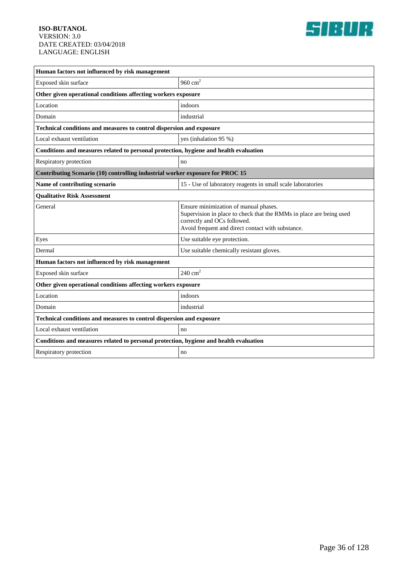

| Human factors not influenced by risk management                                       |                                                                                                                                                                                                  |  |
|---------------------------------------------------------------------------------------|--------------------------------------------------------------------------------------------------------------------------------------------------------------------------------------------------|--|
| Exposed skin surface                                                                  | 960 $cm2$                                                                                                                                                                                        |  |
| Other given operational conditions affecting workers exposure                         |                                                                                                                                                                                                  |  |
| Location                                                                              | indoors                                                                                                                                                                                          |  |
| Domain                                                                                | industrial                                                                                                                                                                                       |  |
| Technical conditions and measures to control dispersion and exposure                  |                                                                                                                                                                                                  |  |
| Local exhaust ventilation                                                             | yes (inhalation 95 %)                                                                                                                                                                            |  |
| Conditions and measures related to personal protection, hygiene and health evaluation |                                                                                                                                                                                                  |  |
| Respiratory protection                                                                | no                                                                                                                                                                                               |  |
| Contributing Scenario (10) controlling industrial worker exposure for PROC 15         |                                                                                                                                                                                                  |  |
| Name of contributing scenario                                                         | 15 - Use of laboratory reagents in small scale laboratories                                                                                                                                      |  |
| <b>Qualitative Risk Assessment</b>                                                    |                                                                                                                                                                                                  |  |
| General                                                                               | Ensure minimization of manual phases.<br>Supervision in place to check that the RMMs in place are being used<br>correctly and OCs followed.<br>Avoid frequent and direct contact with substance. |  |
| Eyes                                                                                  | Use suitable eye protection.                                                                                                                                                                     |  |
| Dermal                                                                                | Use suitable chemically resistant gloves.                                                                                                                                                        |  |
| Human factors not influenced by risk management                                       |                                                                                                                                                                                                  |  |
| Exposed skin surface                                                                  | 240 $cm2$                                                                                                                                                                                        |  |
| Other given operational conditions affecting workers exposure                         |                                                                                                                                                                                                  |  |
| Location                                                                              | indoors                                                                                                                                                                                          |  |
| Domain                                                                                | industrial                                                                                                                                                                                       |  |
| Technical conditions and measures to control dispersion and exposure                  |                                                                                                                                                                                                  |  |
| Local exhaust ventilation                                                             | no                                                                                                                                                                                               |  |
| Conditions and measures related to personal protection, hygiene and health evaluation |                                                                                                                                                                                                  |  |
| Respiratory protection                                                                | no                                                                                                                                                                                               |  |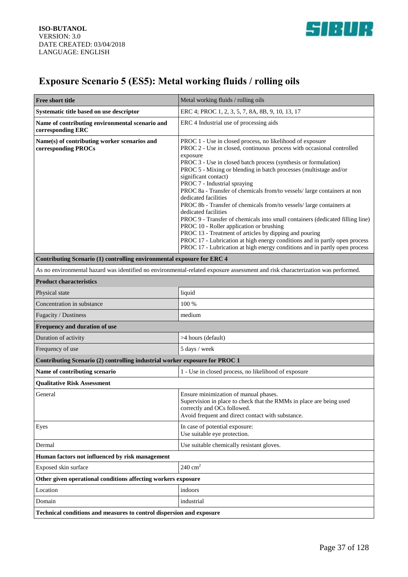

# **Exposure Scenario 5 (ES5): Metal working fluids / rolling oils**

| <b>Free short title</b>                                                     | Metal working fluids / rolling oils                                                                                                                                                                                                                                                                                                                                                                                                                                                                                                                                                                                                                                                                                                                                                                                                                                                                   |
|-----------------------------------------------------------------------------|-------------------------------------------------------------------------------------------------------------------------------------------------------------------------------------------------------------------------------------------------------------------------------------------------------------------------------------------------------------------------------------------------------------------------------------------------------------------------------------------------------------------------------------------------------------------------------------------------------------------------------------------------------------------------------------------------------------------------------------------------------------------------------------------------------------------------------------------------------------------------------------------------------|
| Systematic title based on use descriptor                                    | ERC 4; PROC 1, 2, 3, 5, 7, 8A, 8B, 9, 10, 13, 17                                                                                                                                                                                                                                                                                                                                                                                                                                                                                                                                                                                                                                                                                                                                                                                                                                                      |
| Name of contributing environmental scenario and<br>corresponding ERC        | ERC 4 Industrial use of processing aids                                                                                                                                                                                                                                                                                                                                                                                                                                                                                                                                                                                                                                                                                                                                                                                                                                                               |
| Name(s) of contributing worker scenarios and<br>corresponding PROCs         | PROC 1 - Use in closed process, no likelihood of exposure<br>PROC 2 - Use in closed, continuous process with occasional controlled<br>exposure<br>PROC 3 - Use in closed batch process (synthesis or formulation)<br>PROC 5 - Mixing or blending in batch processes (multistage and/or<br>significant contact)<br>PROC 7 - Industrial spraying<br>PROC 8a - Transfer of chemicals from/to vessels/ large containers at non<br>dedicated facilities<br>PROC 8b - Transfer of chemicals from/to vessels/ large containers at<br>dedicated facilities<br>PROC 9 - Transfer of chemicals into small containers (dedicated filling line)<br>PROC 10 - Roller application or brushing<br>PROC 13 - Treatment of articles by dipping and pouring<br>PROC 17 - Lubrication at high energy conditions and in partly open process<br>PROC 17 - Lubrication at high energy conditions and in partly open process |
| Contributing Scenario (1) controlling environmental exposure for ERC 4      |                                                                                                                                                                                                                                                                                                                                                                                                                                                                                                                                                                                                                                                                                                                                                                                                                                                                                                       |
|                                                                             | As no environmental hazard was identified no environmental-related exposure assessment and risk characterization was performed.                                                                                                                                                                                                                                                                                                                                                                                                                                                                                                                                                                                                                                                                                                                                                                       |
| <b>Product characteristics</b>                                              |                                                                                                                                                                                                                                                                                                                                                                                                                                                                                                                                                                                                                                                                                                                                                                                                                                                                                                       |
| Physical state                                                              | liquid                                                                                                                                                                                                                                                                                                                                                                                                                                                                                                                                                                                                                                                                                                                                                                                                                                                                                                |
| Concentration in substance                                                  | 100 %                                                                                                                                                                                                                                                                                                                                                                                                                                                                                                                                                                                                                                                                                                                                                                                                                                                                                                 |
| Fugacity / Dustiness                                                        | medium                                                                                                                                                                                                                                                                                                                                                                                                                                                                                                                                                                                                                                                                                                                                                                                                                                                                                                |
| Frequency and duration of use                                               |                                                                                                                                                                                                                                                                                                                                                                                                                                                                                                                                                                                                                                                                                                                                                                                                                                                                                                       |
| Duration of activity                                                        | >4 hours (default)                                                                                                                                                                                                                                                                                                                                                                                                                                                                                                                                                                                                                                                                                                                                                                                                                                                                                    |
| Frequency of use                                                            | 5 days / week                                                                                                                                                                                                                                                                                                                                                                                                                                                                                                                                                                                                                                                                                                                                                                                                                                                                                         |
| Contributing Scenario (2) controlling industrial worker exposure for PROC 1 |                                                                                                                                                                                                                                                                                                                                                                                                                                                                                                                                                                                                                                                                                                                                                                                                                                                                                                       |
| Name of contributing scenario                                               | 1 - Use in closed process, no likelihood of exposure                                                                                                                                                                                                                                                                                                                                                                                                                                                                                                                                                                                                                                                                                                                                                                                                                                                  |
| <b>Qualitative Risk Assessment</b>                                          |                                                                                                                                                                                                                                                                                                                                                                                                                                                                                                                                                                                                                                                                                                                                                                                                                                                                                                       |
| General                                                                     | Ensure minimization of manual phases.<br>Supervision in place to check that the RMMs in place are being used<br>correctly and OCs followed.<br>Avoid frequent and direct contact with substance.                                                                                                                                                                                                                                                                                                                                                                                                                                                                                                                                                                                                                                                                                                      |
| Eyes                                                                        | In case of potential exposure:<br>Use suitable eye protection.                                                                                                                                                                                                                                                                                                                                                                                                                                                                                                                                                                                                                                                                                                                                                                                                                                        |
| Dermal                                                                      | Use suitable chemically resistant gloves.                                                                                                                                                                                                                                                                                                                                                                                                                                                                                                                                                                                                                                                                                                                                                                                                                                                             |
| Human factors not influenced by risk management                             |                                                                                                                                                                                                                                                                                                                                                                                                                                                                                                                                                                                                                                                                                                                                                                                                                                                                                                       |
| Exposed skin surface                                                        | $240 \text{ cm}^2$                                                                                                                                                                                                                                                                                                                                                                                                                                                                                                                                                                                                                                                                                                                                                                                                                                                                                    |
| Other given operational conditions affecting workers exposure               |                                                                                                                                                                                                                                                                                                                                                                                                                                                                                                                                                                                                                                                                                                                                                                                                                                                                                                       |
| Location                                                                    | indoors                                                                                                                                                                                                                                                                                                                                                                                                                                                                                                                                                                                                                                                                                                                                                                                                                                                                                               |
| Domain                                                                      | industrial                                                                                                                                                                                                                                                                                                                                                                                                                                                                                                                                                                                                                                                                                                                                                                                                                                                                                            |
| Technical conditions and measures to control dispersion and exposure        |                                                                                                                                                                                                                                                                                                                                                                                                                                                                                                                                                                                                                                                                                                                                                                                                                                                                                                       |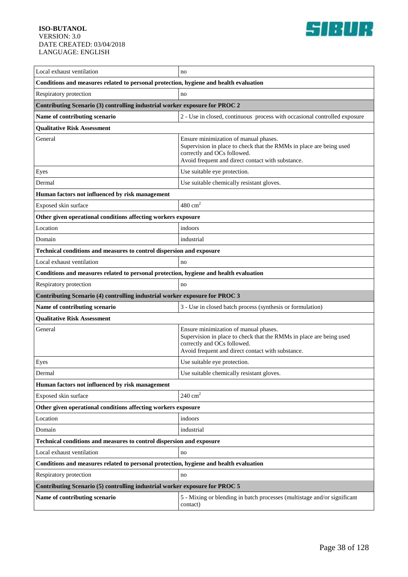

| Local exhaust ventilation                                                             | no                                                                                                                                                                                               |  |
|---------------------------------------------------------------------------------------|--------------------------------------------------------------------------------------------------------------------------------------------------------------------------------------------------|--|
| Conditions and measures related to personal protection, hygiene and health evaluation |                                                                                                                                                                                                  |  |
| Respiratory protection                                                                | no                                                                                                                                                                                               |  |
| Contributing Scenario (3) controlling industrial worker exposure for PROC 2           |                                                                                                                                                                                                  |  |
| Name of contributing scenario                                                         | 2 - Use in closed, continuous process with occasional controlled exposure                                                                                                                        |  |
| <b>Qualitative Risk Assessment</b>                                                    |                                                                                                                                                                                                  |  |
| General                                                                               | Ensure minimization of manual phases.<br>Supervision in place to check that the RMMs in place are being used<br>correctly and OCs followed.<br>Avoid frequent and direct contact with substance. |  |
| Eyes                                                                                  | Use suitable eye protection.                                                                                                                                                                     |  |
| Dermal                                                                                | Use suitable chemically resistant gloves.                                                                                                                                                        |  |
| Human factors not influenced by risk management                                       |                                                                                                                                                                                                  |  |
| Exposed skin surface                                                                  | $480 \text{ cm}^2$                                                                                                                                                                               |  |
| Other given operational conditions affecting workers exposure                         |                                                                                                                                                                                                  |  |
| Location                                                                              | indoors                                                                                                                                                                                          |  |
| Domain                                                                                | industrial                                                                                                                                                                                       |  |
| Technical conditions and measures to control dispersion and exposure                  |                                                                                                                                                                                                  |  |
| Local exhaust ventilation                                                             | no                                                                                                                                                                                               |  |
| Conditions and measures related to personal protection, hygiene and health evaluation |                                                                                                                                                                                                  |  |
| Respiratory protection                                                                | no                                                                                                                                                                                               |  |
| Contributing Scenario (4) controlling industrial worker exposure for PROC 3           |                                                                                                                                                                                                  |  |
| Name of contributing scenario                                                         | 3 - Use in closed batch process (synthesis or formulation)                                                                                                                                       |  |
| <b>Qualitative Risk Assessment</b>                                                    |                                                                                                                                                                                                  |  |
| General                                                                               | Ensure minimization of manual phases.<br>Supervision in place to check that the RMMs in place are being used                                                                                     |  |
|                                                                                       | correctly and OCs followed.<br>Avoid frequent and direct contact with substance.                                                                                                                 |  |
| Eyes                                                                                  | Use suitable eye protection.                                                                                                                                                                     |  |
| Dermal                                                                                | Use suitable chemically resistant gloves.                                                                                                                                                        |  |
| Human factors not influenced by risk management                                       |                                                                                                                                                                                                  |  |
| Exposed skin surface                                                                  | $240 \text{ cm}^2$                                                                                                                                                                               |  |
| Other given operational conditions affecting workers exposure                         |                                                                                                                                                                                                  |  |
| Location                                                                              | indoors                                                                                                                                                                                          |  |
| Domain                                                                                | industrial                                                                                                                                                                                       |  |
| Technical conditions and measures to control dispersion and exposure                  |                                                                                                                                                                                                  |  |
| Local exhaust ventilation                                                             | no                                                                                                                                                                                               |  |
| Conditions and measures related to personal protection, hygiene and health evaluation |                                                                                                                                                                                                  |  |
| Respiratory protection                                                                | no                                                                                                                                                                                               |  |
| Contributing Scenario (5) controlling industrial worker exposure for PROC 5           |                                                                                                                                                                                                  |  |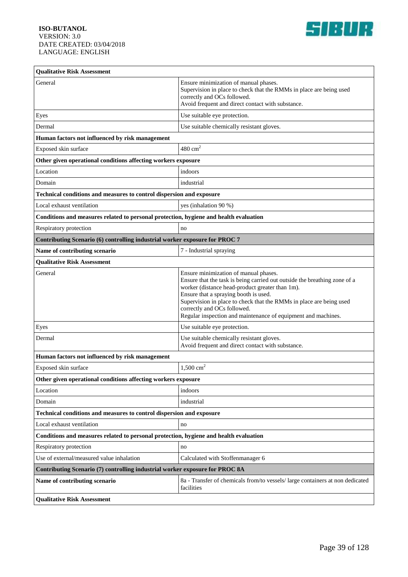

| <b>Qualitative Risk Assessment</b>                                                    |                                                                                                                                                                                                                                                                                                                                                                                       |  |
|---------------------------------------------------------------------------------------|---------------------------------------------------------------------------------------------------------------------------------------------------------------------------------------------------------------------------------------------------------------------------------------------------------------------------------------------------------------------------------------|--|
| General                                                                               | Ensure minimization of manual phases.<br>Supervision in place to check that the RMMs in place are being used<br>correctly and OCs followed.<br>Avoid frequent and direct contact with substance.                                                                                                                                                                                      |  |
| Eyes                                                                                  | Use suitable eye protection.                                                                                                                                                                                                                                                                                                                                                          |  |
| Dermal                                                                                | Use suitable chemically resistant gloves.                                                                                                                                                                                                                                                                                                                                             |  |
| Human factors not influenced by risk management                                       |                                                                                                                                                                                                                                                                                                                                                                                       |  |
| Exposed skin surface                                                                  | $480 \text{ cm}^2$                                                                                                                                                                                                                                                                                                                                                                    |  |
| Other given operational conditions affecting workers exposure                         |                                                                                                                                                                                                                                                                                                                                                                                       |  |
| Location                                                                              | indoors                                                                                                                                                                                                                                                                                                                                                                               |  |
| Domain                                                                                | industrial                                                                                                                                                                                                                                                                                                                                                                            |  |
| Technical conditions and measures to control dispersion and exposure                  |                                                                                                                                                                                                                                                                                                                                                                                       |  |
| Local exhaust ventilation                                                             | yes (inhalation 90 %)                                                                                                                                                                                                                                                                                                                                                                 |  |
| Conditions and measures related to personal protection, hygiene and health evaluation |                                                                                                                                                                                                                                                                                                                                                                                       |  |
| Respiratory protection                                                                | no                                                                                                                                                                                                                                                                                                                                                                                    |  |
| Contributing Scenario (6) controlling industrial worker exposure for PROC 7           |                                                                                                                                                                                                                                                                                                                                                                                       |  |
| Name of contributing scenario                                                         | 7 - Industrial spraying                                                                                                                                                                                                                                                                                                                                                               |  |
| <b>Qualitative Risk Assessment</b>                                                    |                                                                                                                                                                                                                                                                                                                                                                                       |  |
| General                                                                               | Ensure minimization of manual phases.<br>Ensure that the task is being carried out outside the breathing zone of a<br>worker (distance head-product greater than 1m).<br>Ensure that a spraying booth is used.<br>Supervision in place to check that the RMMs in place are being used<br>correctly and OCs followed.<br>Regular inspection and maintenance of equipment and machines. |  |
| Eyes                                                                                  | Use suitable eye protection.                                                                                                                                                                                                                                                                                                                                                          |  |
| Dermal                                                                                | Use suitable chemically resistant gloves.<br>Avoid frequent and direct contact with substance.                                                                                                                                                                                                                                                                                        |  |
| Human factors not influenced by risk management                                       |                                                                                                                                                                                                                                                                                                                                                                                       |  |
| Exposed skin surface                                                                  | 1,500 $cm2$                                                                                                                                                                                                                                                                                                                                                                           |  |
| Other given operational conditions affecting workers exposure                         |                                                                                                                                                                                                                                                                                                                                                                                       |  |
| Location                                                                              | indoors                                                                                                                                                                                                                                                                                                                                                                               |  |
| Domain                                                                                | industrial                                                                                                                                                                                                                                                                                                                                                                            |  |
| Technical conditions and measures to control dispersion and exposure                  |                                                                                                                                                                                                                                                                                                                                                                                       |  |
| Local exhaust ventilation                                                             | no                                                                                                                                                                                                                                                                                                                                                                                    |  |
| Conditions and measures related to personal protection, hygiene and health evaluation |                                                                                                                                                                                                                                                                                                                                                                                       |  |
| Respiratory protection                                                                | no                                                                                                                                                                                                                                                                                                                                                                                    |  |
| Use of external/measured value inhalation                                             | Calculated with Stoffenmanager 6                                                                                                                                                                                                                                                                                                                                                      |  |
| Contributing Scenario (7) controlling industrial worker exposure for PROC 8A          |                                                                                                                                                                                                                                                                                                                                                                                       |  |
| Name of contributing scenario                                                         | 8a - Transfer of chemicals from/to vessels/large containers at non dedicated<br>facilities                                                                                                                                                                                                                                                                                            |  |
| <b>Qualitative Risk Assessment</b>                                                    |                                                                                                                                                                                                                                                                                                                                                                                       |  |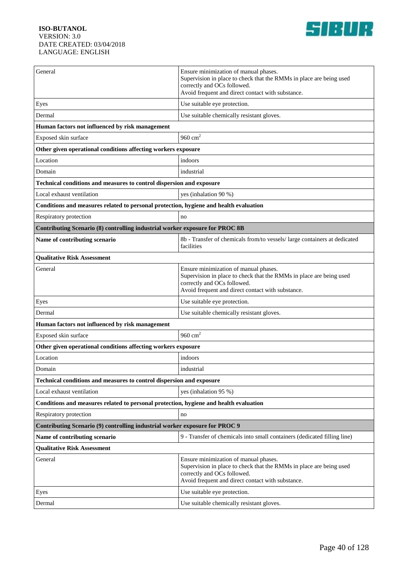

| General                                                                               | Ensure minimization of manual phases.<br>Supervision in place to check that the RMMs in place are being used<br>correctly and OCs followed.<br>Avoid frequent and direct contact with substance. |  |
|---------------------------------------------------------------------------------------|--------------------------------------------------------------------------------------------------------------------------------------------------------------------------------------------------|--|
| Eyes                                                                                  | Use suitable eye protection.                                                                                                                                                                     |  |
| Dermal                                                                                | Use suitable chemically resistant gloves.                                                                                                                                                        |  |
| Human factors not influenced by risk management                                       |                                                                                                                                                                                                  |  |
| Exposed skin surface                                                                  | 960 $cm2$                                                                                                                                                                                        |  |
| Other given operational conditions affecting workers exposure                         |                                                                                                                                                                                                  |  |
| Location                                                                              | indoors                                                                                                                                                                                          |  |
| Domain                                                                                | industrial                                                                                                                                                                                       |  |
| Technical conditions and measures to control dispersion and exposure                  |                                                                                                                                                                                                  |  |
| Local exhaust ventilation                                                             | yes (inhalation 90 %)                                                                                                                                                                            |  |
| Conditions and measures related to personal protection, hygiene and health evaluation |                                                                                                                                                                                                  |  |
| Respiratory protection                                                                | no                                                                                                                                                                                               |  |
| Contributing Scenario (8) controlling industrial worker exposure for PROC 8B          |                                                                                                                                                                                                  |  |
| Name of contributing scenario                                                         | 8b - Transfer of chemicals from/to vessels/ large containers at dedicated<br>facilities                                                                                                          |  |
| <b>Qualitative Risk Assessment</b>                                                    |                                                                                                                                                                                                  |  |
| General                                                                               | Ensure minimization of manual phases.<br>Supervision in place to check that the RMMs in place are being used<br>correctly and OCs followed.<br>Avoid frequent and direct contact with substance. |  |
| Eyes                                                                                  | Use suitable eye protection.                                                                                                                                                                     |  |
| Dermal                                                                                | Use suitable chemically resistant gloves.                                                                                                                                                        |  |
| Human factors not influenced by risk management                                       |                                                                                                                                                                                                  |  |
| Exposed skin surface                                                                  | 960 $cm2$                                                                                                                                                                                        |  |
| Other given operational conditions affecting workers exposure                         |                                                                                                                                                                                                  |  |
| Location                                                                              | indoors                                                                                                                                                                                          |  |
| Domain                                                                                | industrial                                                                                                                                                                                       |  |
| <b>Technical conditions and measures to control dispersion and exposure</b>           |                                                                                                                                                                                                  |  |
| Local exhaust ventilation                                                             | yes (inhalation 95 %)                                                                                                                                                                            |  |
| Conditions and measures related to personal protection, hygiene and health evaluation |                                                                                                                                                                                                  |  |
| Respiratory protection                                                                | no                                                                                                                                                                                               |  |
| Contributing Scenario (9) controlling industrial worker exposure for PROC 9           |                                                                                                                                                                                                  |  |
| Name of contributing scenario                                                         | 9 - Transfer of chemicals into small containers (dedicated filling line)                                                                                                                         |  |
| <b>Qualitative Risk Assessment</b>                                                    |                                                                                                                                                                                                  |  |
| General                                                                               | Ensure minimization of manual phases.<br>Supervision in place to check that the RMMs in place are being used<br>correctly and OCs followed.<br>Avoid frequent and direct contact with substance. |  |
| Eyes                                                                                  | Use suitable eye protection.                                                                                                                                                                     |  |
| Dermal                                                                                | Use suitable chemically resistant gloves.                                                                                                                                                        |  |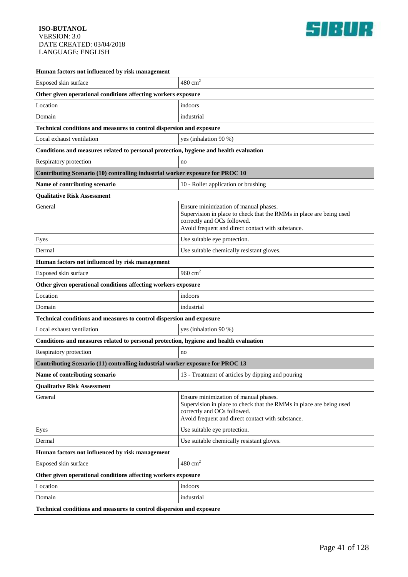

| Human factors not influenced by risk management                                       |                                                                                                                                                                                                  |  |
|---------------------------------------------------------------------------------------|--------------------------------------------------------------------------------------------------------------------------------------------------------------------------------------------------|--|
| Exposed skin surface                                                                  | $480 \text{ cm}^2$                                                                                                                                                                               |  |
| Other given operational conditions affecting workers exposure                         |                                                                                                                                                                                                  |  |
| Location                                                                              | indoors                                                                                                                                                                                          |  |
| Domain                                                                                | industrial                                                                                                                                                                                       |  |
| Technical conditions and measures to control dispersion and exposure                  |                                                                                                                                                                                                  |  |
| Local exhaust ventilation                                                             | yes (inhalation 90 %)                                                                                                                                                                            |  |
| Conditions and measures related to personal protection, hygiene and health evaluation |                                                                                                                                                                                                  |  |
| Respiratory protection                                                                | no                                                                                                                                                                                               |  |
| Contributing Scenario (10) controlling industrial worker exposure for PROC 10         |                                                                                                                                                                                                  |  |
| Name of contributing scenario                                                         | 10 - Roller application or brushing                                                                                                                                                              |  |
| <b>Qualitative Risk Assessment</b>                                                    |                                                                                                                                                                                                  |  |
| General                                                                               | Ensure minimization of manual phases.<br>Supervision in place to check that the RMMs in place are being used<br>correctly and OCs followed.<br>Avoid frequent and direct contact with substance. |  |
| Eyes                                                                                  | Use suitable eye protection.                                                                                                                                                                     |  |
| Dermal                                                                                | Use suitable chemically resistant gloves.                                                                                                                                                        |  |
| Human factors not influenced by risk management                                       |                                                                                                                                                                                                  |  |
| Exposed skin surface                                                                  | 960 $cm2$                                                                                                                                                                                        |  |
| Other given operational conditions affecting workers exposure                         |                                                                                                                                                                                                  |  |
| Location                                                                              | indoors                                                                                                                                                                                          |  |
| Domain                                                                                | industrial                                                                                                                                                                                       |  |
| Technical conditions and measures to control dispersion and exposure                  |                                                                                                                                                                                                  |  |
| Local exhaust ventilation                                                             | yes (inhalation 90 %)                                                                                                                                                                            |  |
| Conditions and measures related to personal protection, hygiene and health evaluation |                                                                                                                                                                                                  |  |
| Respiratory protection                                                                | no                                                                                                                                                                                               |  |
| Contributing Scenario (11) controlling industrial worker exposure for PROC 13         |                                                                                                                                                                                                  |  |
| Name of contributing scenario                                                         | 13 - Treatment of articles by dipping and pouring                                                                                                                                                |  |
| <b>Qualitative Risk Assessment</b>                                                    |                                                                                                                                                                                                  |  |
| General                                                                               | Ensure minimization of manual phases.<br>Supervision in place to check that the RMMs in place are being used<br>correctly and OCs followed.<br>Avoid frequent and direct contact with substance. |  |
| Eyes                                                                                  | Use suitable eye protection.                                                                                                                                                                     |  |
| Dermal                                                                                | Use suitable chemically resistant gloves.                                                                                                                                                        |  |
| Human factors not influenced by risk management                                       |                                                                                                                                                                                                  |  |
| Exposed skin surface                                                                  | $480 \text{ cm}^2$                                                                                                                                                                               |  |
| Other given operational conditions affecting workers exposure                         |                                                                                                                                                                                                  |  |
| Location                                                                              | indoors                                                                                                                                                                                          |  |
| Domain                                                                                | industrial                                                                                                                                                                                       |  |
| Technical conditions and measures to control dispersion and exposure                  |                                                                                                                                                                                                  |  |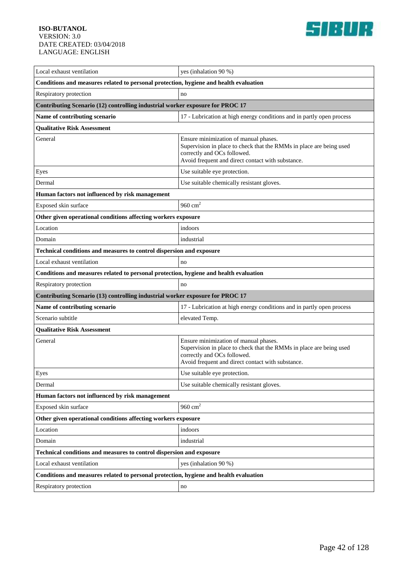

| Local exhaust ventilation                                                             | yes (inhalation 90 %)                                                                                                                                                                            |  |
|---------------------------------------------------------------------------------------|--------------------------------------------------------------------------------------------------------------------------------------------------------------------------------------------------|--|
| Conditions and measures related to personal protection, hygiene and health evaluation |                                                                                                                                                                                                  |  |
| Respiratory protection                                                                | no                                                                                                                                                                                               |  |
| Contributing Scenario (12) controlling industrial worker exposure for PROC 17         |                                                                                                                                                                                                  |  |
| Name of contributing scenario                                                         | 17 - Lubrication at high energy conditions and in partly open process                                                                                                                            |  |
| <b>Qualitative Risk Assessment</b>                                                    |                                                                                                                                                                                                  |  |
| General                                                                               | Ensure minimization of manual phases.<br>Supervision in place to check that the RMMs in place are being used<br>correctly and OCs followed.<br>Avoid frequent and direct contact with substance. |  |
| Eyes                                                                                  | Use suitable eye protection.                                                                                                                                                                     |  |
| Dermal                                                                                | Use suitable chemically resistant gloves.                                                                                                                                                        |  |
| Human factors not influenced by risk management                                       |                                                                                                                                                                                                  |  |
| Exposed skin surface                                                                  | 960 $cm2$                                                                                                                                                                                        |  |
| Other given operational conditions affecting workers exposure                         |                                                                                                                                                                                                  |  |
| Location                                                                              | indoors                                                                                                                                                                                          |  |
| Domain                                                                                | industrial                                                                                                                                                                                       |  |
| Technical conditions and measures to control dispersion and exposure                  |                                                                                                                                                                                                  |  |
| Local exhaust ventilation                                                             | no                                                                                                                                                                                               |  |
| Conditions and measures related to personal protection, hygiene and health evaluation |                                                                                                                                                                                                  |  |
| Respiratory protection                                                                | no                                                                                                                                                                                               |  |
| Contributing Scenario (13) controlling industrial worker exposure for PROC 17         |                                                                                                                                                                                                  |  |
| Name of contributing scenario                                                         | 17 - Lubrication at high energy conditions and in partly open process                                                                                                                            |  |
| Scenario subtitle                                                                     | elevated Temp.                                                                                                                                                                                   |  |
| <b>Qualitative Risk Assessment</b>                                                    |                                                                                                                                                                                                  |  |
| General                                                                               | Ensure minimization of manual phases.<br>Supervision in place to check that the RMMs in place are being used<br>correctly and OCs followed.<br>Avoid frequent and direct contact with substance. |  |
| Eyes                                                                                  | Use suitable eye protection.                                                                                                                                                                     |  |
| Dermal                                                                                | Use suitable chemically resistant gloves.                                                                                                                                                        |  |
| Human factors not influenced by risk management                                       |                                                                                                                                                                                                  |  |
| Exposed skin surface                                                                  | 960 $cm2$                                                                                                                                                                                        |  |
| Other given operational conditions affecting workers exposure                         |                                                                                                                                                                                                  |  |
| Location                                                                              | indoors                                                                                                                                                                                          |  |
| Domain                                                                                | industrial                                                                                                                                                                                       |  |
| Technical conditions and measures to control dispersion and exposure                  |                                                                                                                                                                                                  |  |
| Local exhaust ventilation                                                             | yes (inhalation 90 %)                                                                                                                                                                            |  |
| Conditions and measures related to personal protection, hygiene and health evaluation |                                                                                                                                                                                                  |  |
| Respiratory protection                                                                | $\rm no$                                                                                                                                                                                         |  |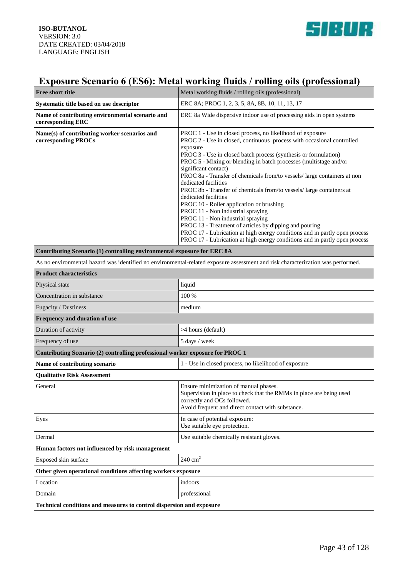

# **Exposure Scenario 6 (ES6): Metal working fluids / rolling oils (professional)**

| <b>Free short title</b>                                                                                                         | Metal working fluids / rolling oils (professional)                                                                                                                                                                                                                                                                                                                                                                                                                                                                                                                                                                                                                                                                                                                                                                                                             |
|---------------------------------------------------------------------------------------------------------------------------------|----------------------------------------------------------------------------------------------------------------------------------------------------------------------------------------------------------------------------------------------------------------------------------------------------------------------------------------------------------------------------------------------------------------------------------------------------------------------------------------------------------------------------------------------------------------------------------------------------------------------------------------------------------------------------------------------------------------------------------------------------------------------------------------------------------------------------------------------------------------|
| Systematic title based on use descriptor                                                                                        | ERC 8A; PROC 1, 2, 3, 5, 8A, 8B, 10, 11, 13, 17                                                                                                                                                                                                                                                                                                                                                                                                                                                                                                                                                                                                                                                                                                                                                                                                                |
| Name of contributing environmental scenario and<br>corresponding ERC                                                            | ERC 8a Wide dispersive indoor use of processing aids in open systems                                                                                                                                                                                                                                                                                                                                                                                                                                                                                                                                                                                                                                                                                                                                                                                           |
| Name(s) of contributing worker scenarios and<br>corresponding PROCs                                                             | PROC 1 - Use in closed process, no likelihood of exposure<br>PROC 2 - Use in closed, continuous process with occasional controlled<br>exposure<br>PROC 3 - Use in closed batch process (synthesis or formulation)<br>PROC 5 - Mixing or blending in batch processes (multistage and/or<br>significant contact)<br>PROC 8a - Transfer of chemicals from/to vessels/ large containers at non<br>dedicated facilities<br>PROC 8b - Transfer of chemicals from/to vessels/ large containers at<br>dedicated facilities<br>PROC 10 - Roller application or brushing<br>PROC 11 - Non industrial spraying<br>PROC 11 - Non industrial spraying<br>PROC 13 - Treatment of articles by dipping and pouring<br>PROC 17 - Lubrication at high energy conditions and in partly open process<br>PROC 17 - Lubrication at high energy conditions and in partly open process |
| Contributing Scenario (1) controlling environmental exposure for ERC 8A                                                         |                                                                                                                                                                                                                                                                                                                                                                                                                                                                                                                                                                                                                                                                                                                                                                                                                                                                |
| As no environmental hazard was identified no environmental-related exposure assessment and risk characterization was performed. |                                                                                                                                                                                                                                                                                                                                                                                                                                                                                                                                                                                                                                                                                                                                                                                                                                                                |
| <b>Product characteristics</b>                                                                                                  |                                                                                                                                                                                                                                                                                                                                                                                                                                                                                                                                                                                                                                                                                                                                                                                                                                                                |
| Physical state                                                                                                                  | liquid                                                                                                                                                                                                                                                                                                                                                                                                                                                                                                                                                                                                                                                                                                                                                                                                                                                         |
| Concentration in substance                                                                                                      | 100 %                                                                                                                                                                                                                                                                                                                                                                                                                                                                                                                                                                                                                                                                                                                                                                                                                                                          |
| Fugacity / Dustiness                                                                                                            | medium                                                                                                                                                                                                                                                                                                                                                                                                                                                                                                                                                                                                                                                                                                                                                                                                                                                         |
| Frequency and duration of use                                                                                                   |                                                                                                                                                                                                                                                                                                                                                                                                                                                                                                                                                                                                                                                                                                                                                                                                                                                                |
| Duration of activity                                                                                                            | >4 hours (default)                                                                                                                                                                                                                                                                                                                                                                                                                                                                                                                                                                                                                                                                                                                                                                                                                                             |
| Frequency of use                                                                                                                | 5 days / week                                                                                                                                                                                                                                                                                                                                                                                                                                                                                                                                                                                                                                                                                                                                                                                                                                                  |
| Contributing Scenario (2) controlling professional worker exposure for PROC 1                                                   |                                                                                                                                                                                                                                                                                                                                                                                                                                                                                                                                                                                                                                                                                                                                                                                                                                                                |
| Name of contributing scenario                                                                                                   | 1 - Use in closed process, no likelihood of exposure                                                                                                                                                                                                                                                                                                                                                                                                                                                                                                                                                                                                                                                                                                                                                                                                           |
| <b>Oualitative Risk Assessment</b>                                                                                              |                                                                                                                                                                                                                                                                                                                                                                                                                                                                                                                                                                                                                                                                                                                                                                                                                                                                |
| General                                                                                                                         | Ensure minimization of manual phases.<br>Supervision in place to check that the RMMs in place are being used<br>correctly and OCs followed.<br>Avoid frequent and direct contact with substance.                                                                                                                                                                                                                                                                                                                                                                                                                                                                                                                                                                                                                                                               |
| Eyes                                                                                                                            | In case of potential exposure:<br>Use suitable eye protection.                                                                                                                                                                                                                                                                                                                                                                                                                                                                                                                                                                                                                                                                                                                                                                                                 |
| Dermal                                                                                                                          | Use suitable chemically resistant gloves.                                                                                                                                                                                                                                                                                                                                                                                                                                                                                                                                                                                                                                                                                                                                                                                                                      |
| Human factors not influenced by risk management                                                                                 |                                                                                                                                                                                                                                                                                                                                                                                                                                                                                                                                                                                                                                                                                                                                                                                                                                                                |
| Exposed skin surface                                                                                                            | $240 \text{ cm}^2$                                                                                                                                                                                                                                                                                                                                                                                                                                                                                                                                                                                                                                                                                                                                                                                                                                             |
| Other given operational conditions affecting workers exposure                                                                   |                                                                                                                                                                                                                                                                                                                                                                                                                                                                                                                                                                                                                                                                                                                                                                                                                                                                |
| Location                                                                                                                        | indoors                                                                                                                                                                                                                                                                                                                                                                                                                                                                                                                                                                                                                                                                                                                                                                                                                                                        |
| Domain                                                                                                                          | professional                                                                                                                                                                                                                                                                                                                                                                                                                                                                                                                                                                                                                                                                                                                                                                                                                                                   |
| Technical conditions and measures to control dispersion and exposure                                                            |                                                                                                                                                                                                                                                                                                                                                                                                                                                                                                                                                                                                                                                                                                                                                                                                                                                                |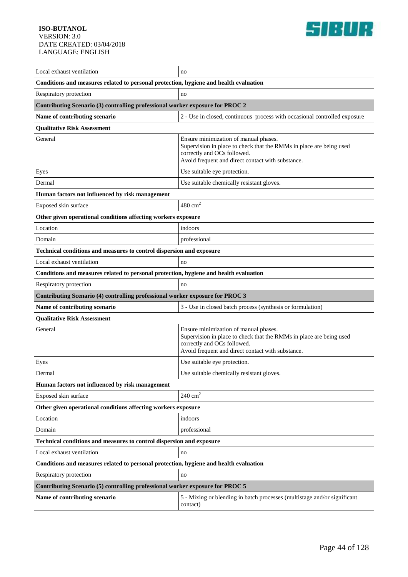

| Local exhaust ventilation                                                             | no                                                                                                                                                                                               |  |
|---------------------------------------------------------------------------------------|--------------------------------------------------------------------------------------------------------------------------------------------------------------------------------------------------|--|
| Conditions and measures related to personal protection, hygiene and health evaluation |                                                                                                                                                                                                  |  |
| Respiratory protection                                                                | no                                                                                                                                                                                               |  |
| Contributing Scenario (3) controlling professional worker exposure for PROC 2         |                                                                                                                                                                                                  |  |
| Name of contributing scenario                                                         | 2 - Use in closed, continuous process with occasional controlled exposure                                                                                                                        |  |
| <b>Qualitative Risk Assessment</b>                                                    |                                                                                                                                                                                                  |  |
| General                                                                               | Ensure minimization of manual phases.<br>Supervision in place to check that the RMMs in place are being used<br>correctly and OCs followed.<br>Avoid frequent and direct contact with substance. |  |
| Eyes                                                                                  | Use suitable eye protection.                                                                                                                                                                     |  |
| Dermal                                                                                | Use suitable chemically resistant gloves.                                                                                                                                                        |  |
| Human factors not influenced by risk management                                       |                                                                                                                                                                                                  |  |
| Exposed skin surface                                                                  | $480 \text{ cm}^2$                                                                                                                                                                               |  |
| Other given operational conditions affecting workers exposure                         |                                                                                                                                                                                                  |  |
| Location                                                                              | indoors                                                                                                                                                                                          |  |
| Domain                                                                                | professional                                                                                                                                                                                     |  |
| Technical conditions and measures to control dispersion and exposure                  |                                                                                                                                                                                                  |  |
| Local exhaust ventilation                                                             | no                                                                                                                                                                                               |  |
| Conditions and measures related to personal protection, hygiene and health evaluation |                                                                                                                                                                                                  |  |
| Respiratory protection                                                                | no                                                                                                                                                                                               |  |
| Contributing Scenario (4) controlling professional worker exposure for PROC 3         |                                                                                                                                                                                                  |  |
| Name of contributing scenario                                                         | 3 - Use in closed batch process (synthesis or formulation)                                                                                                                                       |  |
| <b>Qualitative Risk Assessment</b>                                                    |                                                                                                                                                                                                  |  |
| General                                                                               | Ensure minimization of manual phases.<br>Supervision in place to check that the RMMs in place are being used<br>correctly and OCs followed.<br>Avoid frequent and direct contact with substance. |  |
| Eyes                                                                                  | Use suitable eye protection.                                                                                                                                                                     |  |
| Dermal                                                                                | Use suitable chemically resistant gloves.                                                                                                                                                        |  |
| Human factors not influenced by risk management                                       |                                                                                                                                                                                                  |  |
| Exposed skin surface                                                                  | $240 \text{ cm}^2$                                                                                                                                                                               |  |
| Other given operational conditions affecting workers exposure                         |                                                                                                                                                                                                  |  |
| Location                                                                              | indoors                                                                                                                                                                                          |  |
| Domain                                                                                | professional                                                                                                                                                                                     |  |
| Technical conditions and measures to control dispersion and exposure                  |                                                                                                                                                                                                  |  |
| Local exhaust ventilation                                                             | no                                                                                                                                                                                               |  |
| Conditions and measures related to personal protection, hygiene and health evaluation |                                                                                                                                                                                                  |  |
| Respiratory protection                                                                | no                                                                                                                                                                                               |  |
| Contributing Scenario (5) controlling professional worker exposure for PROC 5         |                                                                                                                                                                                                  |  |
|                                                                                       |                                                                                                                                                                                                  |  |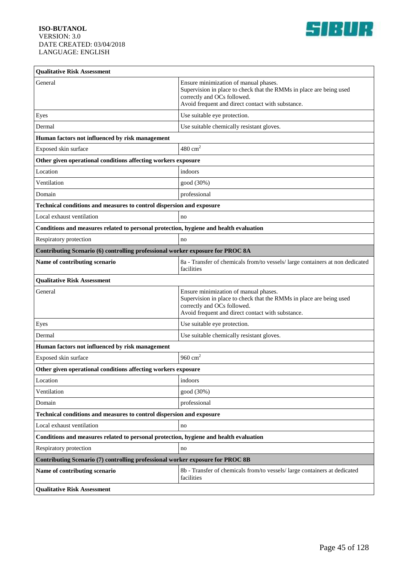

| <b>Qualitative Risk Assessment</b>                                                    |                                                                                                                                                                                                  |  |
|---------------------------------------------------------------------------------------|--------------------------------------------------------------------------------------------------------------------------------------------------------------------------------------------------|--|
| General                                                                               | Ensure minimization of manual phases.<br>Supervision in place to check that the RMMs in place are being used<br>correctly and OCs followed.<br>Avoid frequent and direct contact with substance. |  |
| Eyes                                                                                  | Use suitable eye protection.                                                                                                                                                                     |  |
| Dermal                                                                                | Use suitable chemically resistant gloves.                                                                                                                                                        |  |
| Human factors not influenced by risk management                                       |                                                                                                                                                                                                  |  |
| Exposed skin surface                                                                  | $480 \text{ cm}^2$                                                                                                                                                                               |  |
| Other given operational conditions affecting workers exposure                         |                                                                                                                                                                                                  |  |
| Location                                                                              | indoors                                                                                                                                                                                          |  |
| Ventilation                                                                           | good (30%)                                                                                                                                                                                       |  |
| Domain                                                                                | professional                                                                                                                                                                                     |  |
| Technical conditions and measures to control dispersion and exposure                  |                                                                                                                                                                                                  |  |
| Local exhaust ventilation                                                             | no                                                                                                                                                                                               |  |
| Conditions and measures related to personal protection, hygiene and health evaluation |                                                                                                                                                                                                  |  |
| Respiratory protection                                                                | no                                                                                                                                                                                               |  |
| Contributing Scenario (6) controlling professional worker exposure for PROC 8A        |                                                                                                                                                                                                  |  |
| Name of contributing scenario                                                         | 8a - Transfer of chemicals from/to vessels/large containers at non dedicated<br>facilities                                                                                                       |  |
| <b>Qualitative Risk Assessment</b>                                                    |                                                                                                                                                                                                  |  |
| General                                                                               | Ensure minimization of manual phases.<br>Supervision in place to check that the RMMs in place are being used<br>correctly and OCs followed.<br>Avoid frequent and direct contact with substance. |  |
| Eyes                                                                                  | Use suitable eye protection.                                                                                                                                                                     |  |
| Dermal                                                                                | Use suitable chemically resistant gloves.                                                                                                                                                        |  |
| Human factors not influenced by risk management                                       |                                                                                                                                                                                                  |  |
| Exposed skin surface                                                                  | 960 $cm2$                                                                                                                                                                                        |  |
| Other given operational conditions affecting workers exposure                         |                                                                                                                                                                                                  |  |
| Location                                                                              | indoors                                                                                                                                                                                          |  |
| Ventilation                                                                           | good (30%)                                                                                                                                                                                       |  |
| Domain                                                                                | professional                                                                                                                                                                                     |  |
| Technical conditions and measures to control dispersion and exposure                  |                                                                                                                                                                                                  |  |
| Local exhaust ventilation                                                             | no                                                                                                                                                                                               |  |
| Conditions and measures related to personal protection, hygiene and health evaluation |                                                                                                                                                                                                  |  |
| Respiratory protection                                                                | no                                                                                                                                                                                               |  |
| Contributing Scenario (7) controlling professional worker exposure for PROC 8B        |                                                                                                                                                                                                  |  |
| Name of contributing scenario                                                         | 8b - Transfer of chemicals from/to vessels/ large containers at dedicated<br>facilities                                                                                                          |  |
| <b>Qualitative Risk Assessment</b>                                                    |                                                                                                                                                                                                  |  |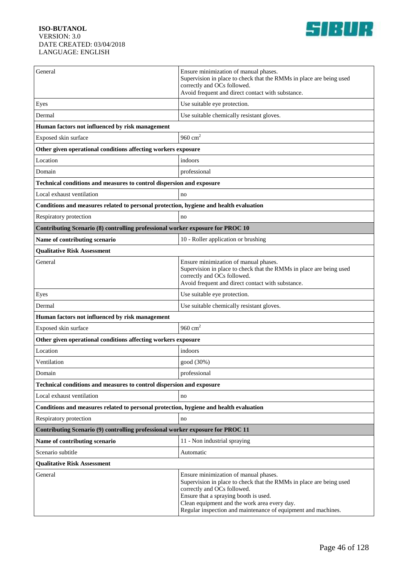

| General                                                                               | Ensure minimization of manual phases.<br>Supervision in place to check that the RMMs in place are being used<br>correctly and OCs followed.<br>Avoid frequent and direct contact with substance.                                                                                                      |  |
|---------------------------------------------------------------------------------------|-------------------------------------------------------------------------------------------------------------------------------------------------------------------------------------------------------------------------------------------------------------------------------------------------------|--|
| Eyes                                                                                  | Use suitable eye protection.                                                                                                                                                                                                                                                                          |  |
| Dermal                                                                                | Use suitable chemically resistant gloves.                                                                                                                                                                                                                                                             |  |
| Human factors not influenced by risk management                                       |                                                                                                                                                                                                                                                                                                       |  |
| Exposed skin surface                                                                  | 960 $cm2$                                                                                                                                                                                                                                                                                             |  |
| Other given operational conditions affecting workers exposure                         |                                                                                                                                                                                                                                                                                                       |  |
| Location                                                                              | indoors                                                                                                                                                                                                                                                                                               |  |
| Domain                                                                                | professional                                                                                                                                                                                                                                                                                          |  |
| Technical conditions and measures to control dispersion and exposure                  |                                                                                                                                                                                                                                                                                                       |  |
| Local exhaust ventilation                                                             | no                                                                                                                                                                                                                                                                                                    |  |
| Conditions and measures related to personal protection, hygiene and health evaluation |                                                                                                                                                                                                                                                                                                       |  |
| Respiratory protection                                                                | no                                                                                                                                                                                                                                                                                                    |  |
| Contributing Scenario (8) controlling professional worker exposure for PROC 10        |                                                                                                                                                                                                                                                                                                       |  |
| Name of contributing scenario                                                         | 10 - Roller application or brushing                                                                                                                                                                                                                                                                   |  |
| <b>Qualitative Risk Assessment</b>                                                    |                                                                                                                                                                                                                                                                                                       |  |
| General                                                                               | Ensure minimization of manual phases.<br>Supervision in place to check that the RMMs in place are being used<br>correctly and OCs followed.<br>Avoid frequent and direct contact with substance.                                                                                                      |  |
| Eyes                                                                                  | Use suitable eye protection.                                                                                                                                                                                                                                                                          |  |
| Dermal                                                                                | Use suitable chemically resistant gloves.                                                                                                                                                                                                                                                             |  |
| Human factors not influenced by risk management                                       |                                                                                                                                                                                                                                                                                                       |  |
| Exposed skin surface                                                                  | 960 $cm2$                                                                                                                                                                                                                                                                                             |  |
| Other given operational conditions affecting workers exposure                         |                                                                                                                                                                                                                                                                                                       |  |
| Location                                                                              | indoors                                                                                                                                                                                                                                                                                               |  |
| Ventilation                                                                           | good (30%)                                                                                                                                                                                                                                                                                            |  |
| Domain                                                                                | professional                                                                                                                                                                                                                                                                                          |  |
| Technical conditions and measures to control dispersion and exposure                  |                                                                                                                                                                                                                                                                                                       |  |
| Local exhaust ventilation                                                             | no                                                                                                                                                                                                                                                                                                    |  |
| Conditions and measures related to personal protection, hygiene and health evaluation |                                                                                                                                                                                                                                                                                                       |  |
| Respiratory protection                                                                | no                                                                                                                                                                                                                                                                                                    |  |
| Contributing Scenario (9) controlling professional worker exposure for PROC 11        |                                                                                                                                                                                                                                                                                                       |  |
| Name of contributing scenario                                                         | 11 - Non industrial spraying                                                                                                                                                                                                                                                                          |  |
| Scenario subtitle                                                                     | Automatic                                                                                                                                                                                                                                                                                             |  |
| <b>Qualitative Risk Assessment</b>                                                    |                                                                                                                                                                                                                                                                                                       |  |
| General                                                                               | Ensure minimization of manual phases.<br>Supervision in place to check that the RMMs in place are being used<br>correctly and OCs followed.<br>Ensure that a spraying booth is used.<br>Clean equipment and the work area every day.<br>Regular inspection and maintenance of equipment and machines. |  |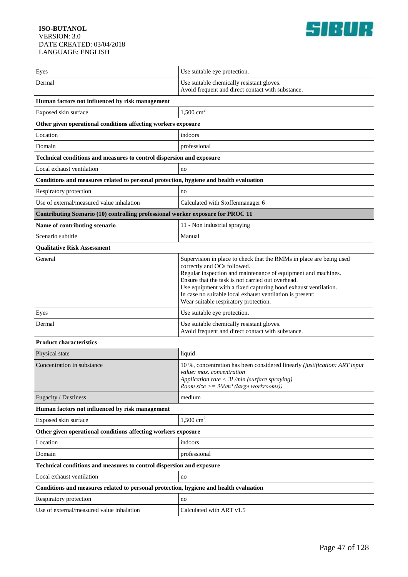

| Eyes                                                                                  | Use suitable eye protection.                                                                                                                                                                                                                                                                                                                                                                     |  |
|---------------------------------------------------------------------------------------|--------------------------------------------------------------------------------------------------------------------------------------------------------------------------------------------------------------------------------------------------------------------------------------------------------------------------------------------------------------------------------------------------|--|
| Dermal                                                                                | Use suitable chemically resistant gloves.<br>Avoid frequent and direct contact with substance.                                                                                                                                                                                                                                                                                                   |  |
| Human factors not influenced by risk management                                       |                                                                                                                                                                                                                                                                                                                                                                                                  |  |
| Exposed skin surface                                                                  | $1,500 \text{ cm}^2$                                                                                                                                                                                                                                                                                                                                                                             |  |
| Other given operational conditions affecting workers exposure                         |                                                                                                                                                                                                                                                                                                                                                                                                  |  |
| Location                                                                              | indoors                                                                                                                                                                                                                                                                                                                                                                                          |  |
| Domain                                                                                | professional                                                                                                                                                                                                                                                                                                                                                                                     |  |
| Technical conditions and measures to control dispersion and exposure                  |                                                                                                                                                                                                                                                                                                                                                                                                  |  |
| Local exhaust ventilation                                                             | no                                                                                                                                                                                                                                                                                                                                                                                               |  |
| Conditions and measures related to personal protection, hygiene and health evaluation |                                                                                                                                                                                                                                                                                                                                                                                                  |  |
| Respiratory protection                                                                | no                                                                                                                                                                                                                                                                                                                                                                                               |  |
| Use of external/measured value inhalation                                             | Calculated with Stoffenmanager 6                                                                                                                                                                                                                                                                                                                                                                 |  |
| Contributing Scenario (10) controlling professional worker exposure for PROC 11       |                                                                                                                                                                                                                                                                                                                                                                                                  |  |
| Name of contributing scenario                                                         | 11 - Non industrial spraying                                                                                                                                                                                                                                                                                                                                                                     |  |
| Scenario subtitle                                                                     | Manual                                                                                                                                                                                                                                                                                                                                                                                           |  |
| <b>Qualitative Risk Assessment</b>                                                    |                                                                                                                                                                                                                                                                                                                                                                                                  |  |
| General                                                                               | Supervision in place to check that the RMMs in place are being used<br>correctly and OCs followed.<br>Regular inspection and maintenance of equipment and machines.<br>Ensure that the task is not carried out overhead.<br>Use equipment with a fixed capturing hood exhaust ventilation.<br>In case no suitable local exhaust ventilation is present:<br>Wear suitable respiratory protection. |  |
| Eyes                                                                                  | Use suitable eye protection.                                                                                                                                                                                                                                                                                                                                                                     |  |
| Dermal                                                                                | Use suitable chemically resistant gloves.<br>Avoid frequent and direct contact with substance.                                                                                                                                                                                                                                                                                                   |  |
| <b>Product characteristics</b>                                                        |                                                                                                                                                                                                                                                                                                                                                                                                  |  |
| Physical state                                                                        | liquid                                                                                                                                                                                                                                                                                                                                                                                           |  |
| Concentration in substance                                                            | 10 %, concentration has been considered linearly (justification: ART input<br>value: max. concentration<br>Application rate $\langle 3L/m$ in (surface spraying)<br>Room size $\geq$ = 300m <sup>3</sup> (large workrooms))                                                                                                                                                                      |  |
| Fugacity / Dustiness                                                                  | medium                                                                                                                                                                                                                                                                                                                                                                                           |  |
| Human factors not influenced by risk management                                       |                                                                                                                                                                                                                                                                                                                                                                                                  |  |
| Exposed skin surface                                                                  | $1,500$ cm <sup>2</sup>                                                                                                                                                                                                                                                                                                                                                                          |  |
| Other given operational conditions affecting workers exposure                         |                                                                                                                                                                                                                                                                                                                                                                                                  |  |
| Location                                                                              | indoors                                                                                                                                                                                                                                                                                                                                                                                          |  |
| Domain                                                                                | professional                                                                                                                                                                                                                                                                                                                                                                                     |  |
| Technical conditions and measures to control dispersion and exposure                  |                                                                                                                                                                                                                                                                                                                                                                                                  |  |
| Local exhaust ventilation                                                             | no                                                                                                                                                                                                                                                                                                                                                                                               |  |
| Conditions and measures related to personal protection, hygiene and health evaluation |                                                                                                                                                                                                                                                                                                                                                                                                  |  |
| Respiratory protection                                                                | no                                                                                                                                                                                                                                                                                                                                                                                               |  |
| Use of external/measured value inhalation                                             | Calculated with ART v1.5                                                                                                                                                                                                                                                                                                                                                                         |  |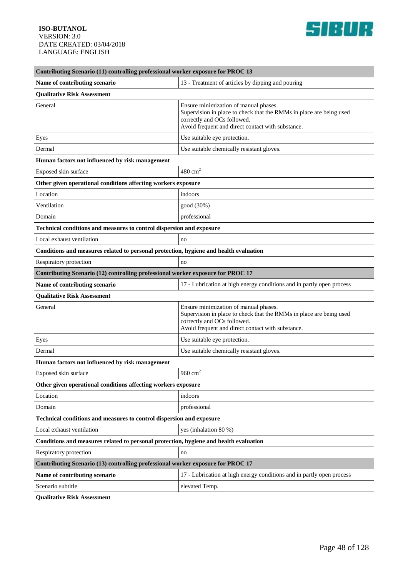

| Contributing Scenario (11) controlling professional worker exposure for PROC 13       |                                                                                                                                                                                                  |  |
|---------------------------------------------------------------------------------------|--------------------------------------------------------------------------------------------------------------------------------------------------------------------------------------------------|--|
| Name of contributing scenario                                                         | 13 - Treatment of articles by dipping and pouring                                                                                                                                                |  |
| <b>Qualitative Risk Assessment</b>                                                    |                                                                                                                                                                                                  |  |
| General                                                                               | Ensure minimization of manual phases.<br>Supervision in place to check that the RMMs in place are being used<br>correctly and OCs followed.<br>Avoid frequent and direct contact with substance. |  |
| Eyes                                                                                  | Use suitable eye protection.                                                                                                                                                                     |  |
| Dermal                                                                                | Use suitable chemically resistant gloves.                                                                                                                                                        |  |
| Human factors not influenced by risk management                                       |                                                                                                                                                                                                  |  |
| Exposed skin surface                                                                  | $480 \text{ cm}^2$                                                                                                                                                                               |  |
| Other given operational conditions affecting workers exposure                         |                                                                                                                                                                                                  |  |
| Location                                                                              | indoors                                                                                                                                                                                          |  |
| Ventilation                                                                           | good (30%)                                                                                                                                                                                       |  |
| Domain                                                                                | professional                                                                                                                                                                                     |  |
| Technical conditions and measures to control dispersion and exposure                  |                                                                                                                                                                                                  |  |
| Local exhaust ventilation                                                             | no                                                                                                                                                                                               |  |
| Conditions and measures related to personal protection, hygiene and health evaluation |                                                                                                                                                                                                  |  |
| Respiratory protection                                                                | no                                                                                                                                                                                               |  |
| Contributing Scenario (12) controlling professional worker exposure for PROC 17       |                                                                                                                                                                                                  |  |
| Name of contributing scenario                                                         | 17 - Lubrication at high energy conditions and in partly open process                                                                                                                            |  |
| <b>Qualitative Risk Assessment</b>                                                    |                                                                                                                                                                                                  |  |
| General                                                                               | Ensure minimization of manual phases.<br>Supervision in place to check that the RMMs in place are being used<br>correctly and OCs followed.<br>Avoid frequent and direct contact with substance. |  |
| Eyes                                                                                  | Use suitable eye protection.                                                                                                                                                                     |  |
| Dermal                                                                                | Use suitable chemically resistant gloves.                                                                                                                                                        |  |
| Human factors not influenced by risk management                                       |                                                                                                                                                                                                  |  |
| Exposed skin surface                                                                  | $960\ {\rm cm^2}$                                                                                                                                                                                |  |
| Other given operational conditions affecting workers exposure                         |                                                                                                                                                                                                  |  |
| Location                                                                              | indoors                                                                                                                                                                                          |  |
| Domain                                                                                | professional                                                                                                                                                                                     |  |
| Technical conditions and measures to control dispersion and exposure                  |                                                                                                                                                                                                  |  |
| Local exhaust ventilation                                                             | yes (inhalation 80 %)                                                                                                                                                                            |  |
| Conditions and measures related to personal protection, hygiene and health evaluation |                                                                                                                                                                                                  |  |
| Respiratory protection                                                                | no                                                                                                                                                                                               |  |
| Contributing Scenario (13) controlling professional worker exposure for PROC 17       |                                                                                                                                                                                                  |  |
| Name of contributing scenario                                                         | 17 - Lubrication at high energy conditions and in partly open process                                                                                                                            |  |
| Scenario subtitle                                                                     | elevated Temp.                                                                                                                                                                                   |  |
| <b>Qualitative Risk Assessment</b>                                                    |                                                                                                                                                                                                  |  |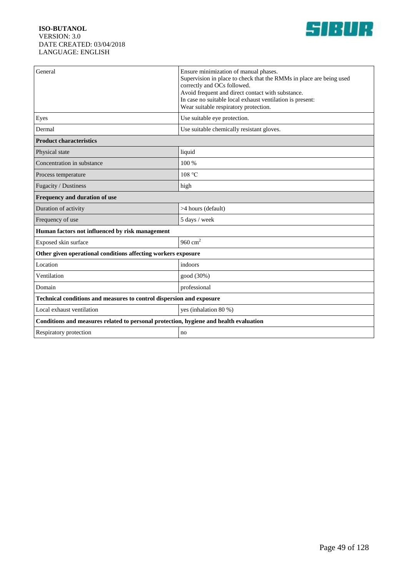

| General                                                                               | Ensure minimization of manual phases.<br>Supervision in place to check that the RMMs in place are being used<br>correctly and OCs followed.<br>Avoid frequent and direct contact with substance.<br>In case no suitable local exhaust ventilation is present:<br>Wear suitable respiratory protection. |  |
|---------------------------------------------------------------------------------------|--------------------------------------------------------------------------------------------------------------------------------------------------------------------------------------------------------------------------------------------------------------------------------------------------------|--|
| Eyes                                                                                  | Use suitable eye protection.                                                                                                                                                                                                                                                                           |  |
| Dermal                                                                                | Use suitable chemically resistant gloves.                                                                                                                                                                                                                                                              |  |
| <b>Product characteristics</b>                                                        |                                                                                                                                                                                                                                                                                                        |  |
| Physical state                                                                        | liquid                                                                                                                                                                                                                                                                                                 |  |
| Concentration in substance                                                            | 100 %                                                                                                                                                                                                                                                                                                  |  |
| Process temperature                                                                   | 108 °C                                                                                                                                                                                                                                                                                                 |  |
| Fugacity / Dustiness                                                                  | high                                                                                                                                                                                                                                                                                                   |  |
| Frequency and duration of use                                                         |                                                                                                                                                                                                                                                                                                        |  |
| Duration of activity                                                                  | >4 hours (default)                                                                                                                                                                                                                                                                                     |  |
| Frequency of use                                                                      | 5 days / week                                                                                                                                                                                                                                                                                          |  |
| Human factors not influenced by risk management                                       |                                                                                                                                                                                                                                                                                                        |  |
| Exposed skin surface                                                                  | 960 $cm2$                                                                                                                                                                                                                                                                                              |  |
| Other given operational conditions affecting workers exposure                         |                                                                                                                                                                                                                                                                                                        |  |
| Location                                                                              | indoors                                                                                                                                                                                                                                                                                                |  |
| Ventilation                                                                           | good (30%)                                                                                                                                                                                                                                                                                             |  |
| Domain                                                                                | professional                                                                                                                                                                                                                                                                                           |  |
| Technical conditions and measures to control dispersion and exposure                  |                                                                                                                                                                                                                                                                                                        |  |
| Local exhaust ventilation                                                             | yes (inhalation 80 %)                                                                                                                                                                                                                                                                                  |  |
| Conditions and measures related to personal protection, hygiene and health evaluation |                                                                                                                                                                                                                                                                                                        |  |
| Respiratory protection                                                                | no                                                                                                                                                                                                                                                                                                     |  |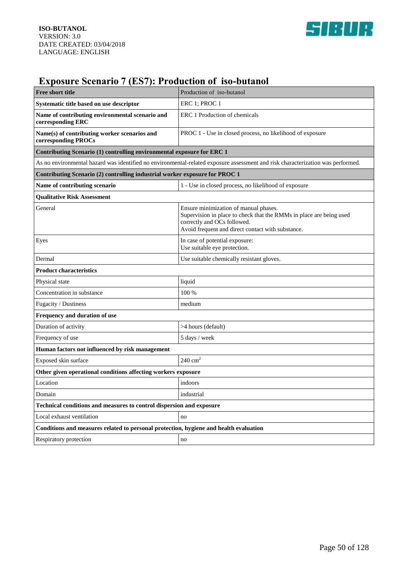

# **Exposure Scenario 7 (ES7): Production of iso-butanol**

| <b>Free short title</b>                                                                                                         | Production of iso-butanol                                                                                                                                                                        |  |
|---------------------------------------------------------------------------------------------------------------------------------|--------------------------------------------------------------------------------------------------------------------------------------------------------------------------------------------------|--|
| Systematic title based on use descriptor                                                                                        | ERC 1; PROC 1                                                                                                                                                                                    |  |
| Name of contributing environmental scenario and<br>corresponding ERC                                                            | ERC 1 Production of chemicals                                                                                                                                                                    |  |
| Name(s) of contributing worker scenarios and<br>corresponding PROCs                                                             | PROC 1 - Use in closed process, no likelihood of exposure                                                                                                                                        |  |
| Contributing Scenario (1) controlling environmental exposure for ERC 1                                                          |                                                                                                                                                                                                  |  |
| As no environmental hazard was identified no environmental-related exposure assessment and risk characterization was performed. |                                                                                                                                                                                                  |  |
| Contributing Scenario (2) controlling industrial worker exposure for PROC 1                                                     |                                                                                                                                                                                                  |  |
| Name of contributing scenario                                                                                                   | 1 - Use in closed process, no likelihood of exposure                                                                                                                                             |  |
| <b>Oualitative Risk Assessment</b>                                                                                              |                                                                                                                                                                                                  |  |
| General                                                                                                                         | Ensure minimization of manual phases.<br>Supervision in place to check that the RMMs in place are being used<br>correctly and OCs followed.<br>Avoid frequent and direct contact with substance. |  |
| Eyes                                                                                                                            | In case of potential exposure:<br>Use suitable eye protection.                                                                                                                                   |  |
| Dermal                                                                                                                          | Use suitable chemically resistant gloves.                                                                                                                                                        |  |
| <b>Product characteristics</b>                                                                                                  |                                                                                                                                                                                                  |  |
| Physical state                                                                                                                  | liquid                                                                                                                                                                                           |  |
| Concentration in substance                                                                                                      | 100 %                                                                                                                                                                                            |  |
| Fugacity / Dustiness                                                                                                            | medium                                                                                                                                                                                           |  |
| Frequency and duration of use                                                                                                   |                                                                                                                                                                                                  |  |
| Duration of activity                                                                                                            | >4 hours (default)                                                                                                                                                                               |  |
| Frequency of use                                                                                                                | 5 days / week                                                                                                                                                                                    |  |
| Human factors not influenced by risk management                                                                                 |                                                                                                                                                                                                  |  |
| Exposed skin surface                                                                                                            | $240 \text{ cm}^2$                                                                                                                                                                               |  |
| Other given operational conditions affecting workers exposure                                                                   |                                                                                                                                                                                                  |  |
| Location                                                                                                                        | indoors                                                                                                                                                                                          |  |
| Domain                                                                                                                          | industrial                                                                                                                                                                                       |  |
| Technical conditions and measures to control dispersion and exposure                                                            |                                                                                                                                                                                                  |  |
| Local exhaust ventilation                                                                                                       | no                                                                                                                                                                                               |  |
| Conditions and measures related to personal protection, hygiene and health evaluation                                           |                                                                                                                                                                                                  |  |
| Respiratory protection                                                                                                          | no                                                                                                                                                                                               |  |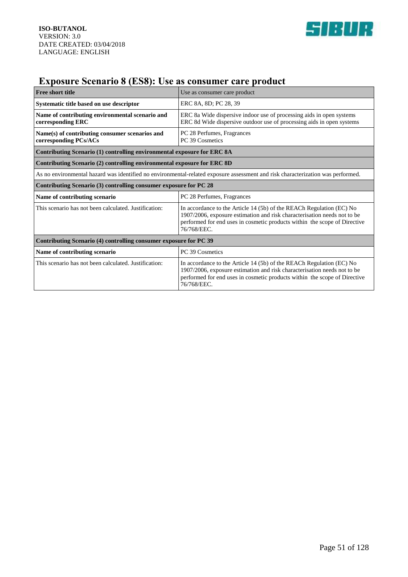

# **Exposure Scenario 8 (ES8): Use as consumer care product**

| <b>Free short title</b>                                                                                                         | Use as consumer care product                                                                                                                                                                                                                 |
|---------------------------------------------------------------------------------------------------------------------------------|----------------------------------------------------------------------------------------------------------------------------------------------------------------------------------------------------------------------------------------------|
| Systematic title based on use descriptor                                                                                        | ERC 8A, 8D; PC 28, 39                                                                                                                                                                                                                        |
| Name of contributing environmental scenario and<br>corresponding ERC                                                            | ERC 8a Wide dispersive indoor use of processing aids in open systems<br>ERC 8d Wide dispersive outdoor use of processing aids in open systems                                                                                                |
| Name(s) of contributing consumer scenarios and<br>corresponding PCs/ACs                                                         | PC 28 Perfumes, Fragrances<br>PC 39 Cosmetics                                                                                                                                                                                                |
| Contributing Scenario (1) controlling environmental exposure for ERC 8A                                                         |                                                                                                                                                                                                                                              |
| Contributing Scenario (2) controlling environmental exposure for ERC 8D                                                         |                                                                                                                                                                                                                                              |
| As no environmental hazard was identified no environmental-related exposure assessment and risk characterization was performed. |                                                                                                                                                                                                                                              |
| Contributing Scenario (3) controlling consumer exposure for PC 28                                                               |                                                                                                                                                                                                                                              |
| Name of contributing scenario                                                                                                   | PC 28 Perfumes, Fragrances                                                                                                                                                                                                                   |
| This scenario has not been calculated. Justification:                                                                           | In accordance to the Article 14 (5b) of the REACh Regulation (EC) No<br>1907/2006, exposure estimation and risk characterisation needs not to be<br>performed for end uses in cosmetic products within the scope of Directive<br>76/768/EEC. |
| Contributing Scenario (4) controlling consumer exposure for PC 39                                                               |                                                                                                                                                                                                                                              |
| Name of contributing scenario                                                                                                   | PC 39 Cosmetics                                                                                                                                                                                                                              |
| This scenario has not been calculated. Justification:                                                                           | In accordance to the Article 14 (5b) of the REACh Regulation (EC) No<br>1907/2006, exposure estimation and risk characterisation needs not to be<br>performed for end uses in cosmetic products within the scope of Directive<br>76/768/EEC. |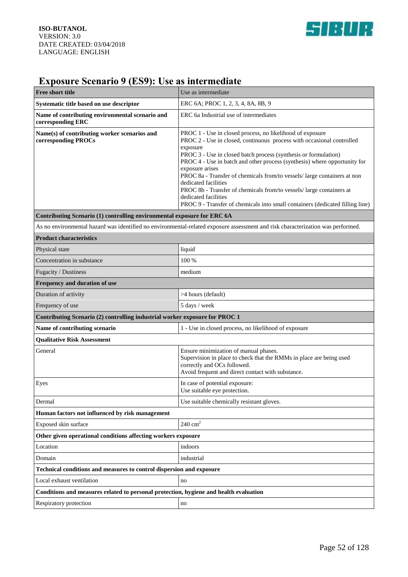

# **Exposure Scenario 9 (ES9): Use as intermediate**

| <b>Free short title</b>                                                               | Use as intermediate                                                                                                                                                                                                                                                                                                                                                                                                                                                                                                                                                                                    |
|---------------------------------------------------------------------------------------|--------------------------------------------------------------------------------------------------------------------------------------------------------------------------------------------------------------------------------------------------------------------------------------------------------------------------------------------------------------------------------------------------------------------------------------------------------------------------------------------------------------------------------------------------------------------------------------------------------|
| Systematic title based on use descriptor                                              | ERC 6A; PROC 1, 2, 3, 4, 8A, 8B, 9                                                                                                                                                                                                                                                                                                                                                                                                                                                                                                                                                                     |
| Name of contributing environmental scenario and<br>corresponding ERC                  | ERC 6a Industrial use of intermediates                                                                                                                                                                                                                                                                                                                                                                                                                                                                                                                                                                 |
| Name(s) of contributing worker scenarios and<br>corresponding PROCs                   | PROC 1 - Use in closed process, no likelihood of exposure<br>PROC 2 - Use in closed, continuous process with occasional controlled<br>exposure<br>PROC 3 - Use in closed batch process (synthesis or formulation)<br>PROC 4 - Use in batch and other process (synthesis) where opportunity for<br>exposure arises<br>PROC 8a - Transfer of chemicals from/to vessels/ large containers at non<br>dedicated facilities<br>PROC 8b - Transfer of chemicals from/to vessels/ large containers at<br>dedicated facilities<br>PROC 9 - Transfer of chemicals into small containers (dedicated filling line) |
| Contributing Scenario (1) controlling environmental exposure for ERC 6A               |                                                                                                                                                                                                                                                                                                                                                                                                                                                                                                                                                                                                        |
|                                                                                       | As no environmental hazard was identified no environmental-related exposure assessment and risk characterization was performed.                                                                                                                                                                                                                                                                                                                                                                                                                                                                        |
| <b>Product characteristics</b>                                                        |                                                                                                                                                                                                                                                                                                                                                                                                                                                                                                                                                                                                        |
| Physical state                                                                        | liquid                                                                                                                                                                                                                                                                                                                                                                                                                                                                                                                                                                                                 |
| Concentration in substance                                                            | 100 %                                                                                                                                                                                                                                                                                                                                                                                                                                                                                                                                                                                                  |
| Fugacity / Dustiness                                                                  | medium                                                                                                                                                                                                                                                                                                                                                                                                                                                                                                                                                                                                 |
| Frequency and duration of use                                                         |                                                                                                                                                                                                                                                                                                                                                                                                                                                                                                                                                                                                        |
| Duration of activity                                                                  | >4 hours (default)                                                                                                                                                                                                                                                                                                                                                                                                                                                                                                                                                                                     |
| Frequency of use                                                                      | 5 days / week                                                                                                                                                                                                                                                                                                                                                                                                                                                                                                                                                                                          |
| Contributing Scenario (2) controlling industrial worker exposure for PROC 1           |                                                                                                                                                                                                                                                                                                                                                                                                                                                                                                                                                                                                        |
| Name of contributing scenario                                                         | 1 - Use in closed process, no likelihood of exposure                                                                                                                                                                                                                                                                                                                                                                                                                                                                                                                                                   |
| <b>Qualitative Risk Assessment</b>                                                    |                                                                                                                                                                                                                                                                                                                                                                                                                                                                                                                                                                                                        |
| General                                                                               | Ensure minimization of manual phases.<br>Supervision in place to check that the RMMs in place are being used<br>correctly and OCs followed.<br>Avoid frequent and direct contact with substance.                                                                                                                                                                                                                                                                                                                                                                                                       |
| Eyes                                                                                  | In case of potential exposure:<br>Use suitable eye protection.                                                                                                                                                                                                                                                                                                                                                                                                                                                                                                                                         |
| Dermal                                                                                | Use suitable chemically resistant gloves.                                                                                                                                                                                                                                                                                                                                                                                                                                                                                                                                                              |
| Human factors not influenced by risk management                                       |                                                                                                                                                                                                                                                                                                                                                                                                                                                                                                                                                                                                        |
| Exposed skin surface                                                                  | $240 \text{ cm}^2$                                                                                                                                                                                                                                                                                                                                                                                                                                                                                                                                                                                     |
| Other given operational conditions affecting workers exposure                         |                                                                                                                                                                                                                                                                                                                                                                                                                                                                                                                                                                                                        |
| Location                                                                              | indoors                                                                                                                                                                                                                                                                                                                                                                                                                                                                                                                                                                                                |
| Domain                                                                                | industrial                                                                                                                                                                                                                                                                                                                                                                                                                                                                                                                                                                                             |
| Technical conditions and measures to control dispersion and exposure                  |                                                                                                                                                                                                                                                                                                                                                                                                                                                                                                                                                                                                        |
| Local exhaust ventilation                                                             | no                                                                                                                                                                                                                                                                                                                                                                                                                                                                                                                                                                                                     |
| Conditions and measures related to personal protection, hygiene and health evaluation |                                                                                                                                                                                                                                                                                                                                                                                                                                                                                                                                                                                                        |
| Respiratory protection                                                                | no                                                                                                                                                                                                                                                                                                                                                                                                                                                                                                                                                                                                     |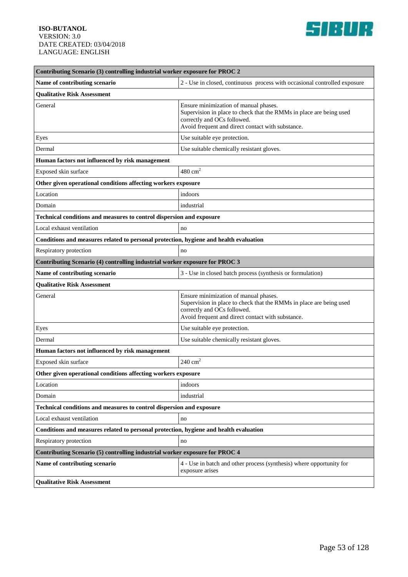

| Contributing Scenario (3) controlling industrial worker exposure for PROC 2           |                                                                                                                                                                                                  |  |
|---------------------------------------------------------------------------------------|--------------------------------------------------------------------------------------------------------------------------------------------------------------------------------------------------|--|
| Name of contributing scenario                                                         | 2 - Use in closed, continuous process with occasional controlled exposure                                                                                                                        |  |
| <b>Qualitative Risk Assessment</b>                                                    |                                                                                                                                                                                                  |  |
| General                                                                               | Ensure minimization of manual phases.<br>Supervision in place to check that the RMMs in place are being used<br>correctly and OCs followed.<br>Avoid frequent and direct contact with substance. |  |
| Eyes                                                                                  | Use suitable eye protection.                                                                                                                                                                     |  |
| Dermal                                                                                | Use suitable chemically resistant gloves.                                                                                                                                                        |  |
| Human factors not influenced by risk management                                       |                                                                                                                                                                                                  |  |
| Exposed skin surface                                                                  | $480 \text{ cm}^2$                                                                                                                                                                               |  |
| Other given operational conditions affecting workers exposure                         |                                                                                                                                                                                                  |  |
| Location                                                                              | indoors                                                                                                                                                                                          |  |
| Domain                                                                                | industrial                                                                                                                                                                                       |  |
| Technical conditions and measures to control dispersion and exposure                  |                                                                                                                                                                                                  |  |
| Local exhaust ventilation                                                             | no                                                                                                                                                                                               |  |
| Conditions and measures related to personal protection, hygiene and health evaluation |                                                                                                                                                                                                  |  |
| Respiratory protection                                                                | no                                                                                                                                                                                               |  |
| Contributing Scenario (4) controlling industrial worker exposure for PROC 3           |                                                                                                                                                                                                  |  |
| Name of contributing scenario                                                         | 3 - Use in closed batch process (synthesis or formulation)                                                                                                                                       |  |
| <b>Qualitative Risk Assessment</b>                                                    |                                                                                                                                                                                                  |  |
| General                                                                               | Ensure minimization of manual phases.<br>Supervision in place to check that the RMMs in place are being used<br>correctly and OCs followed.<br>Avoid frequent and direct contact with substance. |  |
| Eyes                                                                                  | Use suitable eye protection.                                                                                                                                                                     |  |
| Dermal                                                                                | Use suitable chemically resistant gloves.                                                                                                                                                        |  |
| Human factors not influenced by risk management                                       |                                                                                                                                                                                                  |  |
| Exposed skin surface                                                                  | $240 \text{ cm}^2$                                                                                                                                                                               |  |
| Other given operational conditions affecting workers exposure                         |                                                                                                                                                                                                  |  |
| Location                                                                              | indoors                                                                                                                                                                                          |  |
| Domain                                                                                | industrial                                                                                                                                                                                       |  |
| Technical conditions and measures to control dispersion and exposure                  |                                                                                                                                                                                                  |  |
| Local exhaust ventilation                                                             | no                                                                                                                                                                                               |  |
| Conditions and measures related to personal protection, hygiene and health evaluation |                                                                                                                                                                                                  |  |
| Respiratory protection                                                                | no                                                                                                                                                                                               |  |
| Contributing Scenario (5) controlling industrial worker exposure for PROC 4           |                                                                                                                                                                                                  |  |
| Name of contributing scenario                                                         | 4 - Use in batch and other process (synthesis) where opportunity for<br>exposure arises                                                                                                          |  |
| <b>Qualitative Risk Assessment</b>                                                    |                                                                                                                                                                                                  |  |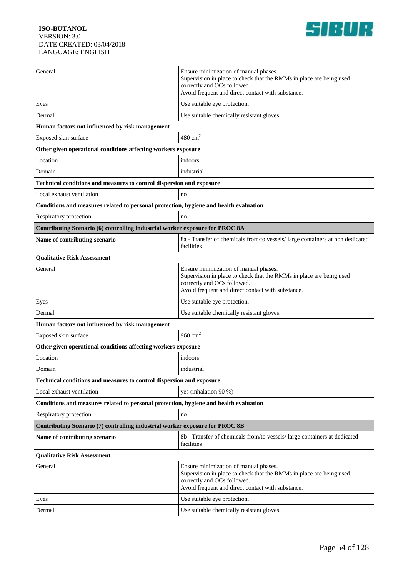

| General                                                                               | Ensure minimization of manual phases.<br>Supervision in place to check that the RMMs in place are being used<br>correctly and OCs followed.<br>Avoid frequent and direct contact with substance. |  |
|---------------------------------------------------------------------------------------|--------------------------------------------------------------------------------------------------------------------------------------------------------------------------------------------------|--|
| Eyes                                                                                  | Use suitable eye protection.                                                                                                                                                                     |  |
| Dermal                                                                                | Use suitable chemically resistant gloves.                                                                                                                                                        |  |
| Human factors not influenced by risk management                                       |                                                                                                                                                                                                  |  |
| Exposed skin surface                                                                  | $480 \text{ cm}^2$                                                                                                                                                                               |  |
| Other given operational conditions affecting workers exposure                         |                                                                                                                                                                                                  |  |
| Location                                                                              | indoors                                                                                                                                                                                          |  |
| Domain                                                                                | industrial                                                                                                                                                                                       |  |
| Technical conditions and measures to control dispersion and exposure                  |                                                                                                                                                                                                  |  |
| Local exhaust ventilation                                                             | no                                                                                                                                                                                               |  |
| Conditions and measures related to personal protection, hygiene and health evaluation |                                                                                                                                                                                                  |  |
| Respiratory protection                                                                | no                                                                                                                                                                                               |  |
| Contributing Scenario (6) controlling industrial worker exposure for PROC 8A          |                                                                                                                                                                                                  |  |
| Name of contributing scenario                                                         | 8a - Transfer of chemicals from/to vessels/large containers at non dedicated<br>facilities                                                                                                       |  |
| <b>Qualitative Risk Assessment</b>                                                    |                                                                                                                                                                                                  |  |
| General                                                                               | Ensure minimization of manual phases.<br>Supervision in place to check that the RMMs in place are being used<br>correctly and OCs followed.<br>Avoid frequent and direct contact with substance. |  |
| Eyes                                                                                  | Use suitable eye protection.                                                                                                                                                                     |  |
| Dermal                                                                                | Use suitable chemically resistant gloves.                                                                                                                                                        |  |
| Human factors not influenced by risk management                                       |                                                                                                                                                                                                  |  |
| Exposed skin surface                                                                  | 960 $cm2$                                                                                                                                                                                        |  |
| Other given operational conditions affecting workers exposure                         |                                                                                                                                                                                                  |  |
| Location                                                                              | indoors                                                                                                                                                                                          |  |
| Domain                                                                                | industrial                                                                                                                                                                                       |  |
| <b>Technical conditions and measures to control dispersion and exposure</b>           |                                                                                                                                                                                                  |  |
| Local exhaust ventilation                                                             | yes (inhalation 90 %)                                                                                                                                                                            |  |
| Conditions and measures related to personal protection, hygiene and health evaluation |                                                                                                                                                                                                  |  |
| Respiratory protection                                                                | no                                                                                                                                                                                               |  |
| Contributing Scenario (7) controlling industrial worker exposure for PROC 8B          |                                                                                                                                                                                                  |  |
| Name of contributing scenario                                                         | 8b - Transfer of chemicals from/to vessels/ large containers at dedicated<br>facilities                                                                                                          |  |
| <b>Qualitative Risk Assessment</b>                                                    |                                                                                                                                                                                                  |  |
| General                                                                               | Ensure minimization of manual phases.<br>Supervision in place to check that the RMMs in place are being used<br>correctly and OCs followed.<br>Avoid frequent and direct contact with substance. |  |
| Eyes                                                                                  | Use suitable eye protection.                                                                                                                                                                     |  |
| Dermal                                                                                | Use suitable chemically resistant gloves.                                                                                                                                                        |  |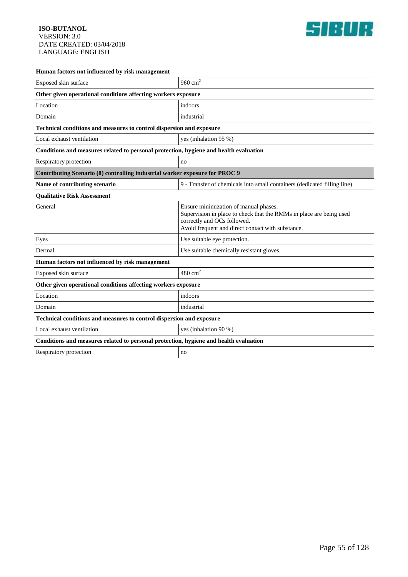

| Human factors not influenced by risk management                                       |                                                                                                                                                                                                  |  |
|---------------------------------------------------------------------------------------|--------------------------------------------------------------------------------------------------------------------------------------------------------------------------------------------------|--|
| Exposed skin surface                                                                  | 960 $cm2$                                                                                                                                                                                        |  |
| Other given operational conditions affecting workers exposure                         |                                                                                                                                                                                                  |  |
| Location                                                                              | indoors                                                                                                                                                                                          |  |
| Domain                                                                                | industrial                                                                                                                                                                                       |  |
| Technical conditions and measures to control dispersion and exposure                  |                                                                                                                                                                                                  |  |
| Local exhaust ventilation                                                             | yes (inhalation 95 %)                                                                                                                                                                            |  |
| Conditions and measures related to personal protection, hygiene and health evaluation |                                                                                                                                                                                                  |  |
| Respiratory protection                                                                | no                                                                                                                                                                                               |  |
| Contributing Scenario (8) controlling industrial worker exposure for PROC 9           |                                                                                                                                                                                                  |  |
| Name of contributing scenario                                                         | 9 - Transfer of chemicals into small containers (dedicated filling line)                                                                                                                         |  |
| <b>Qualitative Risk Assessment</b>                                                    |                                                                                                                                                                                                  |  |
| General                                                                               | Ensure minimization of manual phases.<br>Supervision in place to check that the RMMs in place are being used<br>correctly and OCs followed.<br>Avoid frequent and direct contact with substance. |  |
| Eyes                                                                                  | Use suitable eye protection.                                                                                                                                                                     |  |
| Dermal                                                                                | Use suitable chemically resistant gloves.                                                                                                                                                        |  |
| Human factors not influenced by risk management                                       |                                                                                                                                                                                                  |  |
| Exposed skin surface                                                                  | $480 \text{ cm}^2$                                                                                                                                                                               |  |
| Other given operational conditions affecting workers exposure                         |                                                                                                                                                                                                  |  |
| Location                                                                              | indoors                                                                                                                                                                                          |  |
| Domain                                                                                | industrial                                                                                                                                                                                       |  |
| Technical conditions and measures to control dispersion and exposure                  |                                                                                                                                                                                                  |  |
| Local exhaust ventilation                                                             | yes (inhalation 90 %)                                                                                                                                                                            |  |
| Conditions and measures related to personal protection, hygiene and health evaluation |                                                                                                                                                                                                  |  |
| Respiratory protection                                                                | no                                                                                                                                                                                               |  |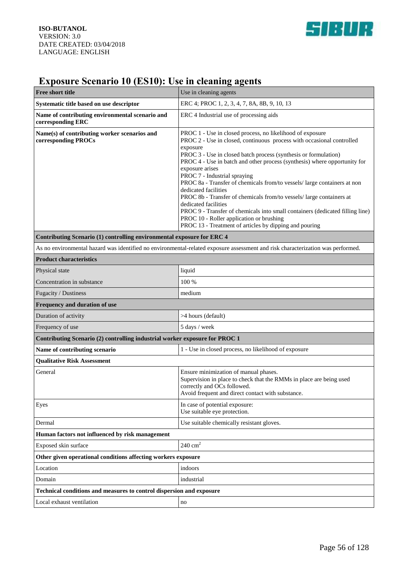

# **Exposure Scenario 10 (ES10): Use in cleaning agents**

| Free short title                                                                                                                | Use in cleaning agents                                                                                                                                                                                                                                                                                                                                                                                                                                                                                                                                                                                                                                                                                                                       |  |
|---------------------------------------------------------------------------------------------------------------------------------|----------------------------------------------------------------------------------------------------------------------------------------------------------------------------------------------------------------------------------------------------------------------------------------------------------------------------------------------------------------------------------------------------------------------------------------------------------------------------------------------------------------------------------------------------------------------------------------------------------------------------------------------------------------------------------------------------------------------------------------------|--|
| Systematic title based on use descriptor                                                                                        | ERC 4; PROC 1, 2, 3, 4, 7, 8A, 8B, 9, 10, 13                                                                                                                                                                                                                                                                                                                                                                                                                                                                                                                                                                                                                                                                                                 |  |
| Name of contributing environmental scenario and<br>corresponding ERC                                                            | ERC 4 Industrial use of processing aids                                                                                                                                                                                                                                                                                                                                                                                                                                                                                                                                                                                                                                                                                                      |  |
| Name(s) of contributing worker scenarios and<br>corresponding PROCs                                                             | PROC 1 - Use in closed process, no likelihood of exposure<br>PROC 2 - Use in closed, continuous process with occasional controlled<br>exposure<br>PROC 3 - Use in closed batch process (synthesis or formulation)<br>PROC 4 - Use in batch and other process (synthesis) where opportunity for<br>exposure arises<br>PROC 7 - Industrial spraying<br>PROC 8a - Transfer of chemicals from/to vessels/ large containers at non<br>dedicated facilities<br>PROC 8b - Transfer of chemicals from/to vessels/ large containers at<br>dedicated facilities<br>PROC 9 - Transfer of chemicals into small containers (dedicated filling line)<br>PROC 10 - Roller application or brushing<br>PROC 13 - Treatment of articles by dipping and pouring |  |
| Contributing Scenario (1) controlling environmental exposure for ERC 4                                                          |                                                                                                                                                                                                                                                                                                                                                                                                                                                                                                                                                                                                                                                                                                                                              |  |
| As no environmental hazard was identified no environmental-related exposure assessment and risk characterization was performed. |                                                                                                                                                                                                                                                                                                                                                                                                                                                                                                                                                                                                                                                                                                                                              |  |
| <b>Product characteristics</b>                                                                                                  |                                                                                                                                                                                                                                                                                                                                                                                                                                                                                                                                                                                                                                                                                                                                              |  |
| Physical state                                                                                                                  | liquid                                                                                                                                                                                                                                                                                                                                                                                                                                                                                                                                                                                                                                                                                                                                       |  |
| Concentration in substance                                                                                                      | 100 %                                                                                                                                                                                                                                                                                                                                                                                                                                                                                                                                                                                                                                                                                                                                        |  |
| Fugacity / Dustiness                                                                                                            | medium                                                                                                                                                                                                                                                                                                                                                                                                                                                                                                                                                                                                                                                                                                                                       |  |
| Frequency and duration of use                                                                                                   |                                                                                                                                                                                                                                                                                                                                                                                                                                                                                                                                                                                                                                                                                                                                              |  |
| Duration of activity                                                                                                            | >4 hours (default)                                                                                                                                                                                                                                                                                                                                                                                                                                                                                                                                                                                                                                                                                                                           |  |
| Frequency of use                                                                                                                | 5 days / week                                                                                                                                                                                                                                                                                                                                                                                                                                                                                                                                                                                                                                                                                                                                |  |
| Contributing Scenario (2) controlling industrial worker exposure for PROC 1                                                     |                                                                                                                                                                                                                                                                                                                                                                                                                                                                                                                                                                                                                                                                                                                                              |  |
| Name of contributing scenario                                                                                                   | 1 - Use in closed process, no likelihood of exposure                                                                                                                                                                                                                                                                                                                                                                                                                                                                                                                                                                                                                                                                                         |  |
| <b>Qualitative Risk Assessment</b>                                                                                              |                                                                                                                                                                                                                                                                                                                                                                                                                                                                                                                                                                                                                                                                                                                                              |  |
| General                                                                                                                         | Ensure minimization of manual phases.<br>Supervision in place to check that the RMMs in place are being used<br>correctly and OCs followed.<br>Avoid frequent and direct contact with substance.                                                                                                                                                                                                                                                                                                                                                                                                                                                                                                                                             |  |
| Eyes                                                                                                                            | In case of potential exposure:<br>Use suitable eye protection.                                                                                                                                                                                                                                                                                                                                                                                                                                                                                                                                                                                                                                                                               |  |
| Dermal                                                                                                                          | Use suitable chemically resistant gloves.                                                                                                                                                                                                                                                                                                                                                                                                                                                                                                                                                                                                                                                                                                    |  |
| Human factors not influenced by risk management                                                                                 |                                                                                                                                                                                                                                                                                                                                                                                                                                                                                                                                                                                                                                                                                                                                              |  |
| Exposed skin surface                                                                                                            | $240 \text{ cm}^2$                                                                                                                                                                                                                                                                                                                                                                                                                                                                                                                                                                                                                                                                                                                           |  |
| Other given operational conditions affecting workers exposure                                                                   |                                                                                                                                                                                                                                                                                                                                                                                                                                                                                                                                                                                                                                                                                                                                              |  |
| Location                                                                                                                        | indoors                                                                                                                                                                                                                                                                                                                                                                                                                                                                                                                                                                                                                                                                                                                                      |  |
| Domain                                                                                                                          | industrial                                                                                                                                                                                                                                                                                                                                                                                                                                                                                                                                                                                                                                                                                                                                   |  |
| Technical conditions and measures to control dispersion and exposure                                                            |                                                                                                                                                                                                                                                                                                                                                                                                                                                                                                                                                                                                                                                                                                                                              |  |
| Local exhaust ventilation                                                                                                       | no                                                                                                                                                                                                                                                                                                                                                                                                                                                                                                                                                                                                                                                                                                                                           |  |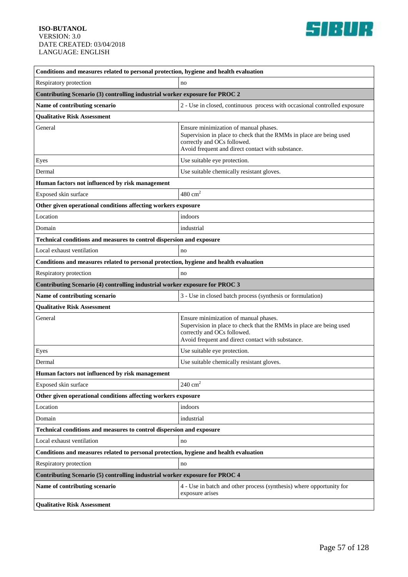

| Conditions and measures related to personal protection, hygiene and health evaluation |                                                                                                                                                                                                  |  |
|---------------------------------------------------------------------------------------|--------------------------------------------------------------------------------------------------------------------------------------------------------------------------------------------------|--|
| Respiratory protection                                                                | no                                                                                                                                                                                               |  |
| Contributing Scenario (3) controlling industrial worker exposure for PROC 2           |                                                                                                                                                                                                  |  |
| Name of contributing scenario                                                         | 2 - Use in closed, continuous process with occasional controlled exposure                                                                                                                        |  |
| <b>Qualitative Risk Assessment</b>                                                    |                                                                                                                                                                                                  |  |
| General                                                                               | Ensure minimization of manual phases.<br>Supervision in place to check that the RMMs in place are being used<br>correctly and OCs followed.<br>Avoid frequent and direct contact with substance. |  |
| Eyes                                                                                  | Use suitable eye protection.                                                                                                                                                                     |  |
| Dermal                                                                                | Use suitable chemically resistant gloves.                                                                                                                                                        |  |
| Human factors not influenced by risk management                                       |                                                                                                                                                                                                  |  |
| Exposed skin surface                                                                  | $480 \text{ cm}^2$                                                                                                                                                                               |  |
| Other given operational conditions affecting workers exposure                         |                                                                                                                                                                                                  |  |
| Location                                                                              | indoors                                                                                                                                                                                          |  |
| Domain                                                                                | industrial                                                                                                                                                                                       |  |
| Technical conditions and measures to control dispersion and exposure                  |                                                                                                                                                                                                  |  |
| Local exhaust ventilation                                                             | no                                                                                                                                                                                               |  |
| Conditions and measures related to personal protection, hygiene and health evaluation |                                                                                                                                                                                                  |  |
| Respiratory protection                                                                | no                                                                                                                                                                                               |  |
| Contributing Scenario (4) controlling industrial worker exposure for PROC 3           |                                                                                                                                                                                                  |  |
| Name of contributing scenario                                                         | 3 - Use in closed batch process (synthesis or formulation)                                                                                                                                       |  |
| <b>Qualitative Risk Assessment</b>                                                    |                                                                                                                                                                                                  |  |
| General                                                                               | Ensure minimization of manual phases.<br>Supervision in place to check that the RMMs in place are being used<br>correctly and OCs followed.<br>Avoid frequent and direct contact with substance. |  |
| Eyes                                                                                  | Use suitable eye protection.                                                                                                                                                                     |  |
| Dermal                                                                                | Use suitable chemically resistant gloves.                                                                                                                                                        |  |
| Human factors not influenced by risk management                                       |                                                                                                                                                                                                  |  |
| Exposed skin surface                                                                  | $240 \text{ cm}^2$                                                                                                                                                                               |  |
| Other given operational conditions affecting workers exposure                         |                                                                                                                                                                                                  |  |
| Location                                                                              | indoors                                                                                                                                                                                          |  |
| Domain                                                                                | industrial                                                                                                                                                                                       |  |
| Technical conditions and measures to control dispersion and exposure                  |                                                                                                                                                                                                  |  |
| Local exhaust ventilation                                                             | no                                                                                                                                                                                               |  |
| Conditions and measures related to personal protection, hygiene and health evaluation |                                                                                                                                                                                                  |  |
| Respiratory protection                                                                | no                                                                                                                                                                                               |  |
| Contributing Scenario (5) controlling industrial worker exposure for PROC 4           |                                                                                                                                                                                                  |  |
| Name of contributing scenario                                                         | 4 - Use in batch and other process (synthesis) where opportunity for<br>exposure arises                                                                                                          |  |
| <b>Qualitative Risk Assessment</b>                                                    |                                                                                                                                                                                                  |  |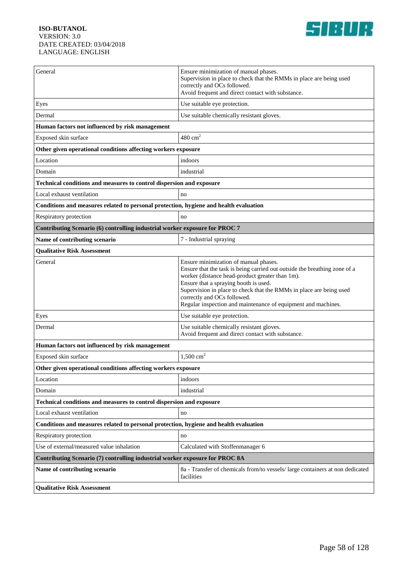

| General                                                                               | Ensure minimization of manual phases.<br>Supervision in place to check that the RMMs in place are being used<br>correctly and OCs followed.<br>Avoid frequent and direct contact with substance.                                                                                                                                                                                      |
|---------------------------------------------------------------------------------------|---------------------------------------------------------------------------------------------------------------------------------------------------------------------------------------------------------------------------------------------------------------------------------------------------------------------------------------------------------------------------------------|
| Eyes                                                                                  | Use suitable eye protection.                                                                                                                                                                                                                                                                                                                                                          |
| Dermal                                                                                | Use suitable chemically resistant gloves.                                                                                                                                                                                                                                                                                                                                             |
| Human factors not influenced by risk management                                       |                                                                                                                                                                                                                                                                                                                                                                                       |
| Exposed skin surface                                                                  | $480 \text{ cm}^2$                                                                                                                                                                                                                                                                                                                                                                    |
| Other given operational conditions affecting workers exposure                         |                                                                                                                                                                                                                                                                                                                                                                                       |
| Location                                                                              | indoors                                                                                                                                                                                                                                                                                                                                                                               |
| Domain                                                                                | industrial                                                                                                                                                                                                                                                                                                                                                                            |
| Technical conditions and measures to control dispersion and exposure                  |                                                                                                                                                                                                                                                                                                                                                                                       |
| Local exhaust ventilation                                                             | no                                                                                                                                                                                                                                                                                                                                                                                    |
| Conditions and measures related to personal protection, hygiene and health evaluation |                                                                                                                                                                                                                                                                                                                                                                                       |
| Respiratory protection                                                                | no                                                                                                                                                                                                                                                                                                                                                                                    |
| Contributing Scenario (6) controlling industrial worker exposure for PROC 7           |                                                                                                                                                                                                                                                                                                                                                                                       |
| Name of contributing scenario                                                         | 7 - Industrial spraying                                                                                                                                                                                                                                                                                                                                                               |
| <b>Qualitative Risk Assessment</b>                                                    |                                                                                                                                                                                                                                                                                                                                                                                       |
| General                                                                               | Ensure minimization of manual phases.<br>Ensure that the task is being carried out outside the breathing zone of a<br>worker (distance head-product greater than 1m).<br>Ensure that a spraying booth is used.<br>Supervision in place to check that the RMMs in place are being used<br>correctly and OCs followed.<br>Regular inspection and maintenance of equipment and machines. |
| Eyes                                                                                  | Use suitable eye protection.                                                                                                                                                                                                                                                                                                                                                          |
| Dermal                                                                                | Use suitable chemically resistant gloves.<br>Avoid frequent and direct contact with substance.                                                                                                                                                                                                                                                                                        |
| Human factors not influenced by risk management                                       |                                                                                                                                                                                                                                                                                                                                                                                       |
| Exposed skin surface                                                                  | 1,500 $\text{cm}^2$                                                                                                                                                                                                                                                                                                                                                                   |
| Other given operational conditions affecting workers exposure                         |                                                                                                                                                                                                                                                                                                                                                                                       |
| Location                                                                              | indoors                                                                                                                                                                                                                                                                                                                                                                               |
| Domain                                                                                | industrial                                                                                                                                                                                                                                                                                                                                                                            |
| Technical conditions and measures to control dispersion and exposure                  |                                                                                                                                                                                                                                                                                                                                                                                       |
| Local exhaust ventilation                                                             | no                                                                                                                                                                                                                                                                                                                                                                                    |
| Conditions and measures related to personal protection, hygiene and health evaluation |                                                                                                                                                                                                                                                                                                                                                                                       |
| Respiratory protection                                                                | no                                                                                                                                                                                                                                                                                                                                                                                    |
| Use of external/measured value inhalation                                             | Calculated with Stoffenmanager 6                                                                                                                                                                                                                                                                                                                                                      |
| Contributing Scenario (7) controlling industrial worker exposure for PROC 8A          |                                                                                                                                                                                                                                                                                                                                                                                       |
| Name of contributing scenario                                                         | 8a - Transfer of chemicals from/to vessels/ large containers at non dedicated<br>facilities                                                                                                                                                                                                                                                                                           |
| <b>Qualitative Risk Assessment</b>                                                    |                                                                                                                                                                                                                                                                                                                                                                                       |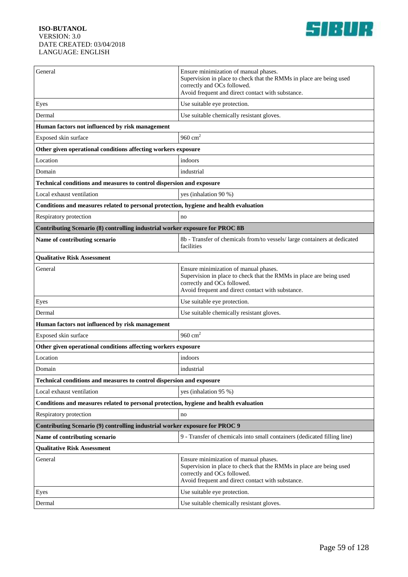

| General                                                                               | Ensure minimization of manual phases.<br>Supervision in place to check that the RMMs in place are being used<br>correctly and OCs followed.<br>Avoid frequent and direct contact with substance. |  |
|---------------------------------------------------------------------------------------|--------------------------------------------------------------------------------------------------------------------------------------------------------------------------------------------------|--|
| Eyes                                                                                  | Use suitable eye protection.                                                                                                                                                                     |  |
| Dermal                                                                                | Use suitable chemically resistant gloves.                                                                                                                                                        |  |
| Human factors not influenced by risk management                                       |                                                                                                                                                                                                  |  |
| Exposed skin surface                                                                  | 960 $cm2$                                                                                                                                                                                        |  |
| Other given operational conditions affecting workers exposure                         |                                                                                                                                                                                                  |  |
| Location                                                                              | indoors                                                                                                                                                                                          |  |
| Domain                                                                                | industrial                                                                                                                                                                                       |  |
| Technical conditions and measures to control dispersion and exposure                  |                                                                                                                                                                                                  |  |
| Local exhaust ventilation                                                             | yes (inhalation 90 %)                                                                                                                                                                            |  |
| Conditions and measures related to personal protection, hygiene and health evaluation |                                                                                                                                                                                                  |  |
| Respiratory protection                                                                | no                                                                                                                                                                                               |  |
| Contributing Scenario (8) controlling industrial worker exposure for PROC 8B          |                                                                                                                                                                                                  |  |
| Name of contributing scenario                                                         | 8b - Transfer of chemicals from/to vessels/ large containers at dedicated<br>facilities                                                                                                          |  |
| <b>Qualitative Risk Assessment</b>                                                    |                                                                                                                                                                                                  |  |
| General                                                                               | Ensure minimization of manual phases.<br>Supervision in place to check that the RMMs in place are being used<br>correctly and OCs followed.<br>Avoid frequent and direct contact with substance. |  |
| Eyes                                                                                  | Use suitable eye protection.                                                                                                                                                                     |  |
| Dermal                                                                                | Use suitable chemically resistant gloves.                                                                                                                                                        |  |
| Human factors not influenced by risk management                                       |                                                                                                                                                                                                  |  |
| Exposed skin surface                                                                  | 960 $cm2$                                                                                                                                                                                        |  |
| Other given operational conditions affecting workers exposure                         |                                                                                                                                                                                                  |  |
| Location                                                                              | indoors                                                                                                                                                                                          |  |
| Domain                                                                                | industrial                                                                                                                                                                                       |  |
| <b>Technical conditions and measures to control dispersion and exposure</b>           |                                                                                                                                                                                                  |  |
| Local exhaust ventilation                                                             | yes (inhalation 95 %)                                                                                                                                                                            |  |
| Conditions and measures related to personal protection, hygiene and health evaluation |                                                                                                                                                                                                  |  |
| Respiratory protection                                                                | no                                                                                                                                                                                               |  |
| Contributing Scenario (9) controlling industrial worker exposure for PROC 9           |                                                                                                                                                                                                  |  |
| Name of contributing scenario                                                         | 9 - Transfer of chemicals into small containers (dedicated filling line)                                                                                                                         |  |
| <b>Qualitative Risk Assessment</b>                                                    |                                                                                                                                                                                                  |  |
| General                                                                               | Ensure minimization of manual phases.<br>Supervision in place to check that the RMMs in place are being used<br>correctly and OCs followed.<br>Avoid frequent and direct contact with substance. |  |
| Eyes                                                                                  | Use suitable eye protection.                                                                                                                                                                     |  |
| Dermal                                                                                | Use suitable chemically resistant gloves.                                                                                                                                                        |  |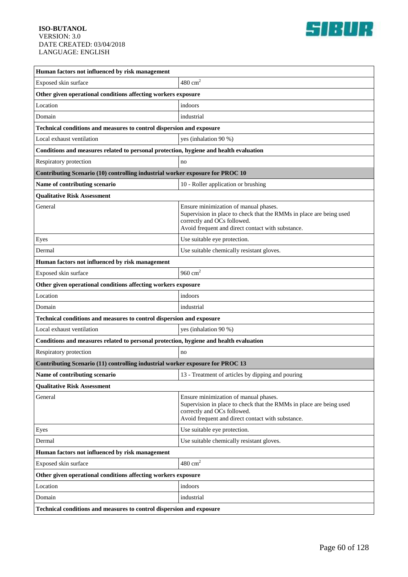

| Human factors not influenced by risk management                                       |                                                                                                                                                                                                  |  |
|---------------------------------------------------------------------------------------|--------------------------------------------------------------------------------------------------------------------------------------------------------------------------------------------------|--|
| Exposed skin surface                                                                  | $480 \text{ cm}^2$                                                                                                                                                                               |  |
| Other given operational conditions affecting workers exposure                         |                                                                                                                                                                                                  |  |
| Location                                                                              | indoors                                                                                                                                                                                          |  |
| Domain                                                                                | industrial                                                                                                                                                                                       |  |
| Technical conditions and measures to control dispersion and exposure                  |                                                                                                                                                                                                  |  |
| Local exhaust ventilation                                                             | yes (inhalation 90 %)                                                                                                                                                                            |  |
| Conditions and measures related to personal protection, hygiene and health evaluation |                                                                                                                                                                                                  |  |
| Respiratory protection                                                                | no                                                                                                                                                                                               |  |
| Contributing Scenario (10) controlling industrial worker exposure for PROC 10         |                                                                                                                                                                                                  |  |
| Name of contributing scenario                                                         | 10 - Roller application or brushing                                                                                                                                                              |  |
| <b>Qualitative Risk Assessment</b>                                                    |                                                                                                                                                                                                  |  |
| General                                                                               | Ensure minimization of manual phases.<br>Supervision in place to check that the RMMs in place are being used<br>correctly and OCs followed.<br>Avoid frequent and direct contact with substance. |  |
| Eyes                                                                                  | Use suitable eye protection.                                                                                                                                                                     |  |
| Dermal                                                                                | Use suitable chemically resistant gloves.                                                                                                                                                        |  |
| Human factors not influenced by risk management                                       |                                                                                                                                                                                                  |  |
| Exposed skin surface                                                                  | 960 $cm2$                                                                                                                                                                                        |  |
| Other given operational conditions affecting workers exposure                         |                                                                                                                                                                                                  |  |
| Location                                                                              | indoors                                                                                                                                                                                          |  |
| Domain                                                                                | industrial                                                                                                                                                                                       |  |
| Technical conditions and measures to control dispersion and exposure                  |                                                                                                                                                                                                  |  |
| Local exhaust ventilation                                                             | yes (inhalation 90 %)                                                                                                                                                                            |  |
| Conditions and measures related to personal protection, hygiene and health evaluation |                                                                                                                                                                                                  |  |
| Respiratory protection                                                                | no                                                                                                                                                                                               |  |
| Contributing Scenario (11) controlling industrial worker exposure for PROC 13         |                                                                                                                                                                                                  |  |
| Name of contributing scenario                                                         | 13 - Treatment of articles by dipping and pouring                                                                                                                                                |  |
| <b>Qualitative Risk Assessment</b>                                                    |                                                                                                                                                                                                  |  |
| General                                                                               | Ensure minimization of manual phases.<br>Supervision in place to check that the RMMs in place are being used<br>correctly and OCs followed.<br>Avoid frequent and direct contact with substance. |  |
| Eyes                                                                                  | Use suitable eye protection.                                                                                                                                                                     |  |
| Dermal                                                                                | Use suitable chemically resistant gloves.                                                                                                                                                        |  |
| Human factors not influenced by risk management                                       |                                                                                                                                                                                                  |  |
| Exposed skin surface                                                                  | $480 \text{ cm}^2$                                                                                                                                                                               |  |
| Other given operational conditions affecting workers exposure                         |                                                                                                                                                                                                  |  |
| Location                                                                              | indoors                                                                                                                                                                                          |  |
| Domain                                                                                | industrial                                                                                                                                                                                       |  |
| Technical conditions and measures to control dispersion and exposure                  |                                                                                                                                                                                                  |  |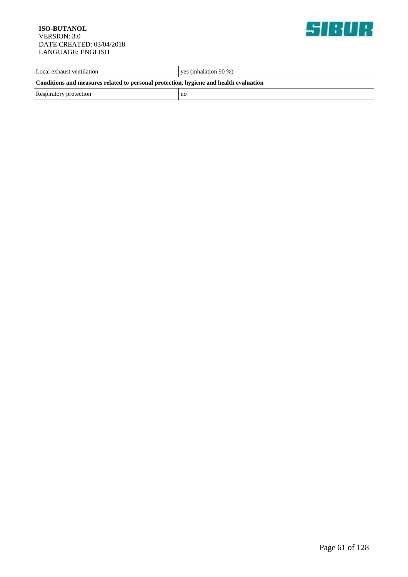

| Local exhaust ventilation                                                             | ves (inhalation $90\%$ ) |  |
|---------------------------------------------------------------------------------------|--------------------------|--|
| Conditions and measures related to personal protection, hygiene and health evaluation |                          |  |
| Respiratory protection                                                                | no                       |  |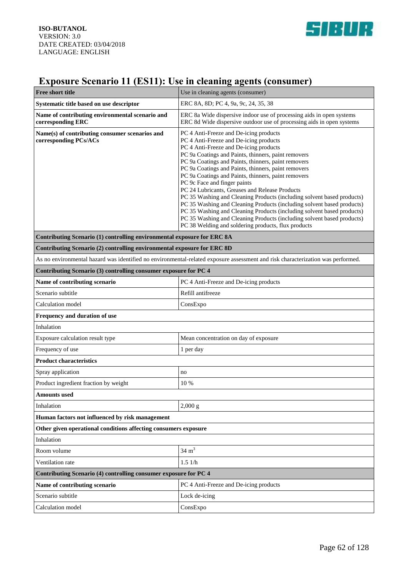

# **Exposure Scenario 11 (ES11): Use in cleaning agents (consumer)**

| <b>Free short title</b>                                                                                                         | Use in cleaning agents (consumer)                                                                                                                                                                                                                                                                                                                                                                                                                                                                                                                                                                                                                                                                                                                                                                       |
|---------------------------------------------------------------------------------------------------------------------------------|---------------------------------------------------------------------------------------------------------------------------------------------------------------------------------------------------------------------------------------------------------------------------------------------------------------------------------------------------------------------------------------------------------------------------------------------------------------------------------------------------------------------------------------------------------------------------------------------------------------------------------------------------------------------------------------------------------------------------------------------------------------------------------------------------------|
| Systematic title based on use descriptor                                                                                        | ERC 8A, 8D; PC 4, 9a, 9c, 24, 35, 38                                                                                                                                                                                                                                                                                                                                                                                                                                                                                                                                                                                                                                                                                                                                                                    |
| Name of contributing environmental scenario and<br>corresponding ERC                                                            | ERC 8a Wide dispersive indoor use of processing aids in open systems<br>ERC 8d Wide dispersive outdoor use of processing aids in open systems                                                                                                                                                                                                                                                                                                                                                                                                                                                                                                                                                                                                                                                           |
| Name(s) of contributing consumer scenarios and<br>corresponding PCs/ACs                                                         | PC 4 Anti-Freeze and De-icing products<br>PC 4 Anti-Freeze and De-icing products<br>PC 4 Anti-Freeze and De-icing products<br>PC 9a Coatings and Paints, thinners, paint removers<br>PC 9a Coatings and Paints, thinners, paint removers<br>PC 9a Coatings and Paints, thinners, paint removers<br>PC 9a Coatings and Paints, thinners, paint removers<br>PC 9c Face and finger paints<br>PC 24 Lubricants, Greases and Release Products<br>PC 35 Washing and Cleaning Products (including solvent based products)<br>PC 35 Washing and Cleaning Products (including solvent based products)<br>PC 35 Washing and Cleaning Products (including solvent based products)<br>PC 35 Washing and Cleaning Products (including solvent based products)<br>PC 38 Welding and soldering products, flux products |
| Contributing Scenario (1) controlling environmental exposure for ERC 8A                                                         |                                                                                                                                                                                                                                                                                                                                                                                                                                                                                                                                                                                                                                                                                                                                                                                                         |
| Contributing Scenario (2) controlling environmental exposure for ERC 8D                                                         |                                                                                                                                                                                                                                                                                                                                                                                                                                                                                                                                                                                                                                                                                                                                                                                                         |
| As no environmental hazard was identified no environmental-related exposure assessment and risk characterization was performed. |                                                                                                                                                                                                                                                                                                                                                                                                                                                                                                                                                                                                                                                                                                                                                                                                         |
| Contributing Scenario (3) controlling consumer exposure for PC 4                                                                |                                                                                                                                                                                                                                                                                                                                                                                                                                                                                                                                                                                                                                                                                                                                                                                                         |
| Name of contributing scenario                                                                                                   | PC 4 Anti-Freeze and De-icing products                                                                                                                                                                                                                                                                                                                                                                                                                                                                                                                                                                                                                                                                                                                                                                  |
| Scenario subtitle                                                                                                               | Refill antifreeze                                                                                                                                                                                                                                                                                                                                                                                                                                                                                                                                                                                                                                                                                                                                                                                       |
| Calculation model                                                                                                               | ConsExpo                                                                                                                                                                                                                                                                                                                                                                                                                                                                                                                                                                                                                                                                                                                                                                                                |
| Frequency and duration of use                                                                                                   |                                                                                                                                                                                                                                                                                                                                                                                                                                                                                                                                                                                                                                                                                                                                                                                                         |
| Inhalation                                                                                                                      |                                                                                                                                                                                                                                                                                                                                                                                                                                                                                                                                                                                                                                                                                                                                                                                                         |
| Exposure calculation result type                                                                                                | Mean concentration on day of exposure                                                                                                                                                                                                                                                                                                                                                                                                                                                                                                                                                                                                                                                                                                                                                                   |
| Frequency of use                                                                                                                | 1 per day                                                                                                                                                                                                                                                                                                                                                                                                                                                                                                                                                                                                                                                                                                                                                                                               |
| <b>Product characteristics</b>                                                                                                  |                                                                                                                                                                                                                                                                                                                                                                                                                                                                                                                                                                                                                                                                                                                                                                                                         |
| Spray application                                                                                                               | no                                                                                                                                                                                                                                                                                                                                                                                                                                                                                                                                                                                                                                                                                                                                                                                                      |
| Product ingredient fraction by weight                                                                                           | 10 %                                                                                                                                                                                                                                                                                                                                                                                                                                                                                                                                                                                                                                                                                                                                                                                                    |
| <b>Amounts used</b>                                                                                                             |                                                                                                                                                                                                                                                                                                                                                                                                                                                                                                                                                                                                                                                                                                                                                                                                         |
| Inhalation                                                                                                                      | $2,000 \text{ g}$                                                                                                                                                                                                                                                                                                                                                                                                                                                                                                                                                                                                                                                                                                                                                                                       |
| Human factors not influenced by risk management                                                                                 |                                                                                                                                                                                                                                                                                                                                                                                                                                                                                                                                                                                                                                                                                                                                                                                                         |
| Other given operational conditions affecting consumers exposure<br>Inhalation                                                   |                                                                                                                                                                                                                                                                                                                                                                                                                                                                                                                                                                                                                                                                                                                                                                                                         |
| Room volume                                                                                                                     | $34 \text{ m}^3$                                                                                                                                                                                                                                                                                                                                                                                                                                                                                                                                                                                                                                                                                                                                                                                        |
| Ventilation rate                                                                                                                | 1.51/h                                                                                                                                                                                                                                                                                                                                                                                                                                                                                                                                                                                                                                                                                                                                                                                                  |
| Contributing Scenario (4) controlling consumer exposure for PC 4                                                                |                                                                                                                                                                                                                                                                                                                                                                                                                                                                                                                                                                                                                                                                                                                                                                                                         |
| Name of contributing scenario                                                                                                   | PC 4 Anti-Freeze and De-icing products                                                                                                                                                                                                                                                                                                                                                                                                                                                                                                                                                                                                                                                                                                                                                                  |
| Scenario subtitle                                                                                                               | Lock de-icing                                                                                                                                                                                                                                                                                                                                                                                                                                                                                                                                                                                                                                                                                                                                                                                           |
| Calculation model                                                                                                               | ConsExpo                                                                                                                                                                                                                                                                                                                                                                                                                                                                                                                                                                                                                                                                                                                                                                                                |
|                                                                                                                                 |                                                                                                                                                                                                                                                                                                                                                                                                                                                                                                                                                                                                                                                                                                                                                                                                         |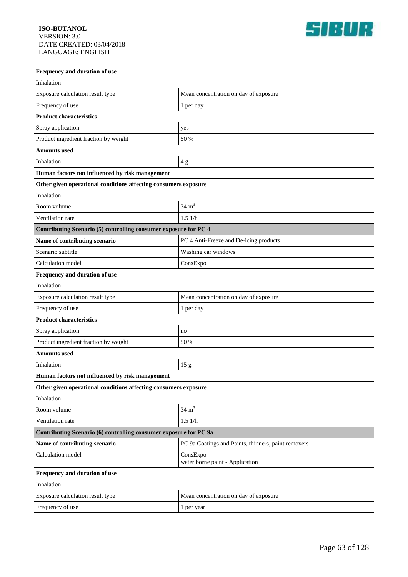

| Frequency and duration of use                                     |                                                     |  |
|-------------------------------------------------------------------|-----------------------------------------------------|--|
| Inhalation                                                        |                                                     |  |
| Exposure calculation result type                                  | Mean concentration on day of exposure               |  |
| Frequency of use                                                  | 1 per day                                           |  |
| <b>Product characteristics</b>                                    |                                                     |  |
| Spray application                                                 | yes                                                 |  |
| Product ingredient fraction by weight                             | 50 %                                                |  |
| <b>Amounts</b> used                                               |                                                     |  |
| Inhalation                                                        | 4g                                                  |  |
| Human factors not influenced by risk management                   |                                                     |  |
| Other given operational conditions affecting consumers exposure   |                                                     |  |
| Inhalation                                                        |                                                     |  |
| Room volume                                                       | $34 \text{ m}^3$                                    |  |
| Ventilation rate                                                  | 1.51/h                                              |  |
| Contributing Scenario (5) controlling consumer exposure for PC 4  |                                                     |  |
| Name of contributing scenario                                     | PC 4 Anti-Freeze and De-icing products              |  |
| Scenario subtitle                                                 | Washing car windows                                 |  |
| Calculation model                                                 | ConsExpo                                            |  |
| Frequency and duration of use                                     |                                                     |  |
| Inhalation                                                        |                                                     |  |
| Exposure calculation result type                                  | Mean concentration on day of exposure               |  |
| Frequency of use                                                  | 1 per day                                           |  |
| <b>Product characteristics</b>                                    |                                                     |  |
| Spray application                                                 | no                                                  |  |
| Product ingredient fraction by weight                             | 50 %                                                |  |
| Amounts used                                                      |                                                     |  |
| Inhalation                                                        | 15g                                                 |  |
| Human factors not influenced by risk management                   |                                                     |  |
| Other given operational conditions affecting consumers exposure   |                                                     |  |
| Inhalation                                                        |                                                     |  |
| Room volume                                                       | $34 \text{ m}^3$                                    |  |
| Ventilation rate                                                  | 1.51/h                                              |  |
| Contributing Scenario (6) controlling consumer exposure for PC 9a |                                                     |  |
| Name of contributing scenario                                     | PC 9a Coatings and Paints, thinners, paint removers |  |
| Calculation model                                                 | ConsExpo<br>water borne paint - Application         |  |
| Frequency and duration of use                                     |                                                     |  |
| Inhalation                                                        |                                                     |  |
| Exposure calculation result type                                  | Mean concentration on day of exposure               |  |
| Frequency of use                                                  | 1 per year                                          |  |
|                                                                   |                                                     |  |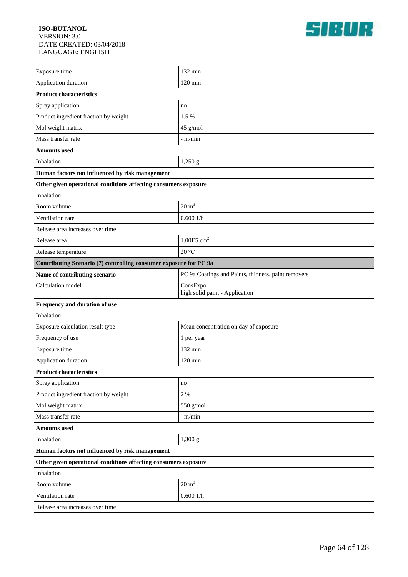

| Exposure time                                                     | 132 min                                             |  |
|-------------------------------------------------------------------|-----------------------------------------------------|--|
| Application duration                                              | $120 \text{ min}$                                   |  |
| <b>Product characteristics</b>                                    |                                                     |  |
| Spray application                                                 | no                                                  |  |
| Product ingredient fraction by weight                             | 1.5 %                                               |  |
| Mol weight matrix                                                 | 45 g/mol                                            |  |
| Mass transfer rate                                                | $-m/min$                                            |  |
| <b>Amounts used</b>                                               |                                                     |  |
| Inhalation                                                        | 1,250 g                                             |  |
| Human factors not influenced by risk management                   |                                                     |  |
| Other given operational conditions affecting consumers exposure   |                                                     |  |
| Inhalation                                                        |                                                     |  |
| Room volume                                                       | $20 \text{ m}^3$                                    |  |
| Ventilation rate                                                  | 0.6001/h                                            |  |
| Release area increases over time                                  |                                                     |  |
| Release area                                                      | 1.00E5 $cm2$                                        |  |
| Release temperature                                               | 20 °C                                               |  |
| Contributing Scenario (7) controlling consumer exposure for PC 9a |                                                     |  |
| Name of contributing scenario                                     | PC 9a Coatings and Paints, thinners, paint removers |  |
| Calculation model                                                 | ConsExpo<br>high solid paint - Application          |  |
| Frequency and duration of use                                     |                                                     |  |
| Inhalation                                                        |                                                     |  |
| Exposure calculation result type                                  | Mean concentration on day of exposure               |  |
| Frequency of use                                                  | 1 per year                                          |  |
| Exposure time                                                     | 132 min                                             |  |
| Application duration                                              | $120 \text{ min}$                                   |  |
| <b>Product characteristics</b>                                    |                                                     |  |
| Spray application                                                 | no                                                  |  |
| Product ingredient fraction by weight                             | $2 \frac{9}{6}$                                     |  |
| Mol weight matrix                                                 | 550 g/mol                                           |  |
| Mass transfer rate                                                | $-$ m/min                                           |  |
| <b>Amounts used</b>                                               |                                                     |  |
| Inhalation                                                        | 1,300 g                                             |  |
| Human factors not influenced by risk management                   |                                                     |  |
| Other given operational conditions affecting consumers exposure   |                                                     |  |
| Inhalation                                                        |                                                     |  |
| Room volume                                                       | $20 \text{ m}^3$                                    |  |
| Ventilation rate                                                  | 0.6001/h                                            |  |
| Release area increases over time                                  |                                                     |  |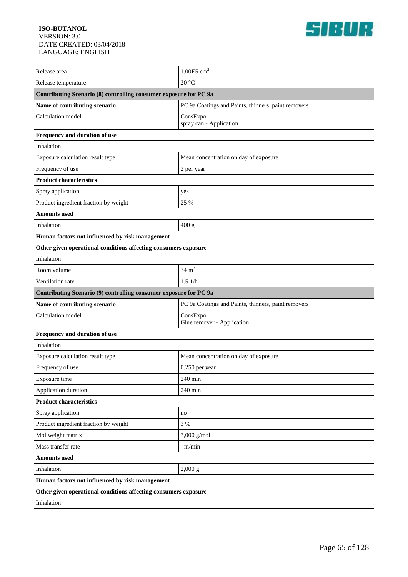

| Release area                                                      | $1.00E5$ cm <sup>2</sup>                            |  |
|-------------------------------------------------------------------|-----------------------------------------------------|--|
| Release temperature                                               | 20 °C                                               |  |
| Contributing Scenario (8) controlling consumer exposure for PC 9a |                                                     |  |
| Name of contributing scenario                                     | PC 9a Coatings and Paints, thinners, paint removers |  |
| Calculation model                                                 | ConsExpo<br>spray can - Application                 |  |
| Frequency and duration of use                                     |                                                     |  |
| Inhalation                                                        |                                                     |  |
| Exposure calculation result type                                  | Mean concentration on day of exposure               |  |
| Frequency of use                                                  | 2 per year                                          |  |
| <b>Product characteristics</b>                                    |                                                     |  |
| Spray application                                                 | yes                                                 |  |
| Product ingredient fraction by weight                             | 25 %                                                |  |
| <b>Amounts</b> used                                               |                                                     |  |
| Inhalation                                                        | 400 g                                               |  |
| Human factors not influenced by risk management                   |                                                     |  |
| Other given operational conditions affecting consumers exposure   |                                                     |  |
| Inhalation                                                        |                                                     |  |
| Room volume                                                       | $34 \text{ m}^3$                                    |  |
| Ventilation rate                                                  | 1.51/h                                              |  |
| Contributing Scenario (9) controlling consumer exposure for PC 9a |                                                     |  |
| Name of contributing scenario                                     | PC 9a Coatings and Paints, thinners, paint removers |  |
| Calculation model                                                 | ConsExpo<br>Glue remover - Application              |  |
| Frequency and duration of use                                     |                                                     |  |
| Inhalation                                                        |                                                     |  |
| Exposure calculation result type                                  | Mean concentration on day of exposure               |  |
| Frequency of use                                                  | $0.250$ per year                                    |  |
| Exposure time                                                     | $240 \text{ min}$                                   |  |
| Application duration                                              | 240 min                                             |  |
| <b>Product characteristics</b>                                    |                                                     |  |
| Spray application                                                 | no                                                  |  |
| Product ingredient fraction by weight                             |                                                     |  |
|                                                                   | 3 %                                                 |  |
| Mol weight matrix                                                 | 3,000 g/mol                                         |  |
| Mass transfer rate                                                | - m/min                                             |  |
| <b>Amounts used</b>                                               |                                                     |  |
| Inhalation                                                        | 2,000 g                                             |  |
| Human factors not influenced by risk management                   |                                                     |  |
| Other given operational conditions affecting consumers exposure   |                                                     |  |
| Inhalation                                                        |                                                     |  |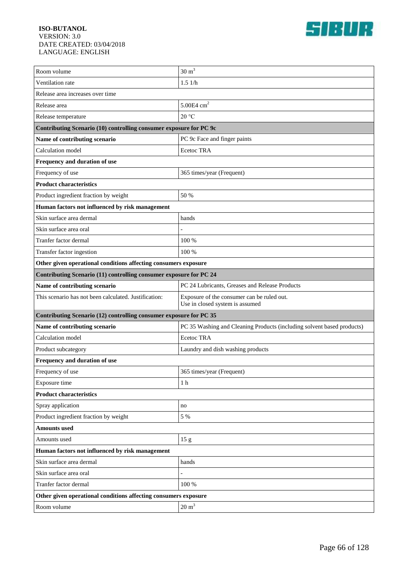

| Room volume                                                        | $30 \text{ m}^3$                                                              |  |
|--------------------------------------------------------------------|-------------------------------------------------------------------------------|--|
| Ventilation rate                                                   | 1.51/h                                                                        |  |
| Release area increases over time                                   |                                                                               |  |
| Release area                                                       | $5.00E4$ cm <sup>2</sup>                                                      |  |
| Release temperature                                                | 20 °C                                                                         |  |
| Contributing Scenario (10) controlling consumer exposure for PC 9c |                                                                               |  |
| Name of contributing scenario                                      | PC 9c Face and finger paints                                                  |  |
| Calculation model                                                  | Ecetoc TRA                                                                    |  |
| Frequency and duration of use                                      |                                                                               |  |
| Frequency of use                                                   | 365 times/year (Frequent)                                                     |  |
| <b>Product characteristics</b>                                     |                                                                               |  |
| Product ingredient fraction by weight                              | 50 %                                                                          |  |
| Human factors not influenced by risk management                    |                                                                               |  |
| Skin surface area dermal                                           | hands                                                                         |  |
| Skin surface area oral                                             |                                                                               |  |
| Tranfer factor dermal                                              | 100 %                                                                         |  |
| Transfer factor ingestion                                          | 100 %                                                                         |  |
| Other given operational conditions affecting consumers exposure    |                                                                               |  |
| Contributing Scenario (11) controlling consumer exposure for PC 24 |                                                                               |  |
| Name of contributing scenario                                      | PC 24 Lubricants, Greases and Release Products                                |  |
| This scenario has not been calculated. Justification:              | Exposure of the consumer can be ruled out.<br>Use in closed system is assumed |  |
| Contributing Scenario (12) controlling consumer exposure for PC 35 |                                                                               |  |
| Name of contributing scenario                                      | PC 35 Washing and Cleaning Products (including solvent based products)        |  |
| Calculation model                                                  | <b>Ecetoc TRA</b>                                                             |  |
| Product subcategory                                                | Laundry and dish washing products                                             |  |
| Frequency and duration of use                                      |                                                                               |  |
| Frequency of use                                                   | 365 times/year (Frequent)                                                     |  |
| Exposure time                                                      | 1 h                                                                           |  |
| <b>Product characteristics</b>                                     |                                                                               |  |
| Spray application                                                  | no                                                                            |  |
| Product ingredient fraction by weight                              | 5 %                                                                           |  |
| <b>Amounts</b> used                                                |                                                                               |  |
| Amounts used                                                       | 15g                                                                           |  |
| Human factors not influenced by risk management                    |                                                                               |  |
| Skin surface area dermal                                           | hands                                                                         |  |
| Skin surface area oral                                             |                                                                               |  |
| Tranfer factor dermal                                              | 100 %                                                                         |  |
| Other given operational conditions affecting consumers exposure    |                                                                               |  |
| Room volume                                                        | $20 \text{ m}^3$                                                              |  |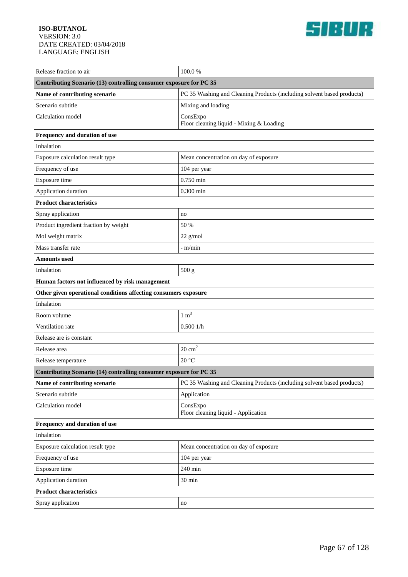

| Release fraction to air                                            | 100.0%                                                                 |  |
|--------------------------------------------------------------------|------------------------------------------------------------------------|--|
| Contributing Scenario (13) controlling consumer exposure for PC 35 |                                                                        |  |
| Name of contributing scenario                                      | PC 35 Washing and Cleaning Products (including solvent based products) |  |
| Scenario subtitle                                                  | Mixing and loading                                                     |  |
| Calculation model                                                  | ConsExpo<br>Floor cleaning liquid - Mixing & Loading                   |  |
| Frequency and duration of use                                      |                                                                        |  |
| Inhalation                                                         |                                                                        |  |
| Exposure calculation result type                                   | Mean concentration on day of exposure                                  |  |
| Frequency of use                                                   | 104 per year                                                           |  |
| Exposure time                                                      | $0.750$ min                                                            |  |
| Application duration                                               | $0.300$ min                                                            |  |
| <b>Product characteristics</b>                                     |                                                                        |  |
| Spray application                                                  | no                                                                     |  |
| Product ingredient fraction by weight                              | 50 %                                                                   |  |
| Mol weight matrix                                                  | 22 g/mol                                                               |  |
| Mass transfer rate                                                 | - m/min                                                                |  |
| Amounts used                                                       |                                                                        |  |
| Inhalation                                                         | 500 g                                                                  |  |
| Human factors not influenced by risk management                    |                                                                        |  |
| Other given operational conditions affecting consumers exposure    |                                                                        |  |
| Inhalation                                                         |                                                                        |  |
| Room volume                                                        | $1 \text{ m}^3$                                                        |  |
| Ventilation rate                                                   | 0.5001/h                                                               |  |
| Release are is constant                                            |                                                                        |  |
| Release area                                                       | $20 \text{ cm}^2$                                                      |  |
| Release temperature                                                | 20 °C                                                                  |  |
| Contributing Scenario (14) controlling consumer exposure for PC 35 |                                                                        |  |
| Name of contributing scenario                                      | PC 35 Washing and Cleaning Products (including solvent based products) |  |
| Scenario subtitle                                                  | Application                                                            |  |
| Calculation model                                                  | ConsExpo<br>Floor cleaning liquid - Application                        |  |
| Frequency and duration of use                                      |                                                                        |  |
| Inhalation                                                         |                                                                        |  |
| Exposure calculation result type                                   | Mean concentration on day of exposure                                  |  |
| Frequency of use                                                   | 104 per year                                                           |  |
| Exposure time                                                      | 240 min                                                                |  |
| Application duration                                               | 30 min                                                                 |  |
| <b>Product characteristics</b>                                     |                                                                        |  |
| Spray application                                                  | no                                                                     |  |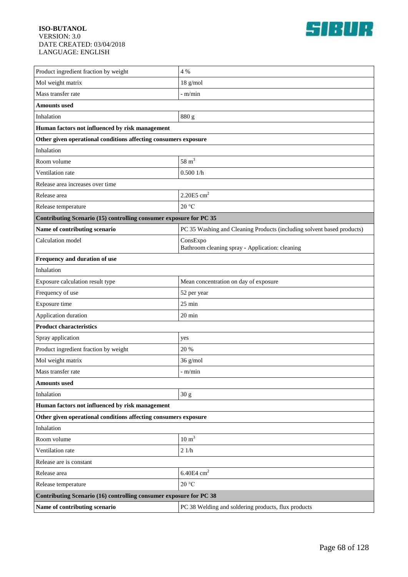

| Product ingredient fraction by weight                              | 4 %                                                                    |  |
|--------------------------------------------------------------------|------------------------------------------------------------------------|--|
| Mol weight matrix                                                  | $18$ g/mol                                                             |  |
| Mass transfer rate                                                 | - m/min                                                                |  |
| <b>Amounts used</b>                                                |                                                                        |  |
| Inhalation                                                         | 880 g                                                                  |  |
| Human factors not influenced by risk management                    |                                                                        |  |
| Other given operational conditions affecting consumers exposure    |                                                                        |  |
| Inhalation                                                         |                                                                        |  |
| Room volume                                                        | $58 \text{ m}^3$                                                       |  |
| Ventilation rate                                                   | 0.5001/h                                                               |  |
| Release area increases over time                                   |                                                                        |  |
| Release area                                                       | $2.20E5$ cm <sup>2</sup>                                               |  |
| Release temperature                                                | 20 °C                                                                  |  |
| Contributing Scenario (15) controlling consumer exposure for PC 35 |                                                                        |  |
| Name of contributing scenario                                      | PC 35 Washing and Cleaning Products (including solvent based products) |  |
| Calculation model                                                  | ConsExpo<br>Bathroom cleaning spray - Application: cleaning            |  |
| Frequency and duration of use                                      |                                                                        |  |
| Inhalation                                                         |                                                                        |  |
| Exposure calculation result type                                   | Mean concentration on day of exposure                                  |  |
| Frequency of use                                                   | 52 per year                                                            |  |
| Exposure time                                                      | $25 \text{ min}$                                                       |  |
| Application duration                                               | $20 \text{ min}$                                                       |  |
| <b>Product characteristics</b>                                     |                                                                        |  |
| Spray application                                                  | yes                                                                    |  |
| Product ingredient fraction by weight                              | 20 %                                                                   |  |
| Mol weight matrix                                                  | 36 g/mol                                                               |  |
| Mass transfer rate                                                 | - m/min                                                                |  |
| <b>Amounts used</b>                                                |                                                                        |  |
| Inhalation                                                         | 30 <sub>g</sub>                                                        |  |
| Human factors not influenced by risk management                    |                                                                        |  |
| Other given operational conditions affecting consumers exposure    |                                                                        |  |
| Inhalation                                                         |                                                                        |  |
| Room volume                                                        | $10 \text{ m}^3$                                                       |  |
| Ventilation rate                                                   | $21/h$                                                                 |  |
| Release are is constant                                            |                                                                        |  |
| Release area                                                       | $6.40E4$ ${\rm cm}^2$                                                  |  |
| Release temperature                                                | $20\,^{\circ}\mathrm{C}$                                               |  |
| Contributing Scenario (16) controlling consumer exposure for PC 38 |                                                                        |  |
| Name of contributing scenario                                      | PC 38 Welding and soldering products, flux products                    |  |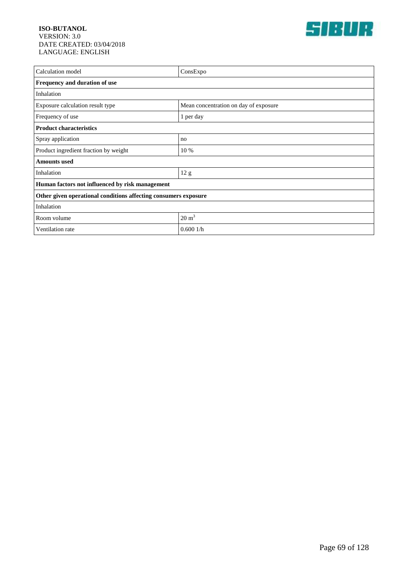

| Calculation model                                               | ConsExpo                              |  |
|-----------------------------------------------------------------|---------------------------------------|--|
| Frequency and duration of use                                   |                                       |  |
| Inhalation                                                      |                                       |  |
| Exposure calculation result type                                | Mean concentration on day of exposure |  |
| Frequency of use                                                | 1 per day                             |  |
| <b>Product characteristics</b>                                  |                                       |  |
| Spray application                                               | no                                    |  |
| Product ingredient fraction by weight                           | 10 %                                  |  |
| <b>Amounts</b> used                                             |                                       |  |
| Inhalation                                                      | 12 <sub>g</sub>                       |  |
| Human factors not influenced by risk management                 |                                       |  |
| Other given operational conditions affecting consumers exposure |                                       |  |
| Inhalation                                                      |                                       |  |
| Room volume                                                     | $20 \text{ m}^3$                      |  |
| Ventilation rate                                                | 0.6001/h                              |  |
|                                                                 |                                       |  |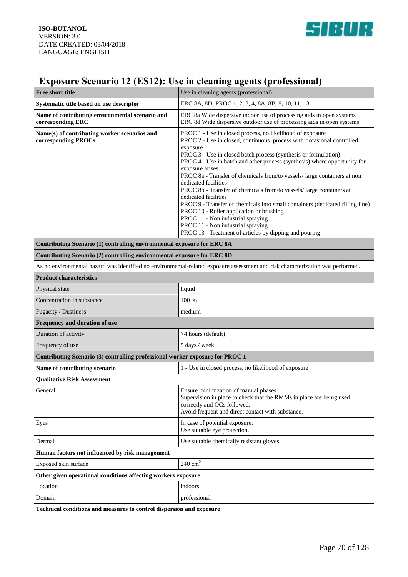

# **Exposure Scenario 12 (ES12): Use in cleaning agents (professional)**

| Free short title                                                              | Use in cleaning agents (professional)                                                                                                                                                                                                                                                                                                                                                                                                                                                                                                                                                                                                                                                                                                                                                  |  |
|-------------------------------------------------------------------------------|----------------------------------------------------------------------------------------------------------------------------------------------------------------------------------------------------------------------------------------------------------------------------------------------------------------------------------------------------------------------------------------------------------------------------------------------------------------------------------------------------------------------------------------------------------------------------------------------------------------------------------------------------------------------------------------------------------------------------------------------------------------------------------------|--|
| Systematic title based on use descriptor                                      | ERC 8A, 8D; PROC 1, 2, 3, 4, 8A, 8B, 9, 10, 11, 13                                                                                                                                                                                                                                                                                                                                                                                                                                                                                                                                                                                                                                                                                                                                     |  |
| Name of contributing environmental scenario and<br>corresponding ERC          | ERC 8a Wide dispersive indoor use of processing aids in open systems<br>ERC 8d Wide dispersive outdoor use of processing aids in open systems                                                                                                                                                                                                                                                                                                                                                                                                                                                                                                                                                                                                                                          |  |
| Name(s) of contributing worker scenarios and<br>corresponding PROCs           | PROC 1 - Use in closed process, no likelihood of exposure<br>PROC 2 - Use in closed, continuous process with occasional controlled<br>exposure<br>PROC 3 - Use in closed batch process (synthesis or formulation)<br>PROC 4 - Use in batch and other process (synthesis) where opportunity for<br>exposure arises<br>PROC 8a - Transfer of chemicals from/to vessels/ large containers at non<br>dedicated facilities<br>PROC 8b - Transfer of chemicals from/to vessels/ large containers at<br>dedicated facilities<br>PROC 9 - Transfer of chemicals into small containers (dedicated filling line)<br>PROC 10 - Roller application or brushing<br>PROC 11 - Non industrial spraying<br>PROC 11 - Non industrial spraying<br>PROC 13 - Treatment of articles by dipping and pouring |  |
| Contributing Scenario (1) controlling environmental exposure for ERC 8A       |                                                                                                                                                                                                                                                                                                                                                                                                                                                                                                                                                                                                                                                                                                                                                                                        |  |
| Contributing Scenario (2) controlling environmental exposure for ERC 8D       |                                                                                                                                                                                                                                                                                                                                                                                                                                                                                                                                                                                                                                                                                                                                                                                        |  |
|                                                                               | As no environmental hazard was identified no environmental-related exposure assessment and risk characterization was performed.                                                                                                                                                                                                                                                                                                                                                                                                                                                                                                                                                                                                                                                        |  |
| <b>Product characteristics</b>                                                |                                                                                                                                                                                                                                                                                                                                                                                                                                                                                                                                                                                                                                                                                                                                                                                        |  |
| Physical state                                                                | liquid                                                                                                                                                                                                                                                                                                                                                                                                                                                                                                                                                                                                                                                                                                                                                                                 |  |
| Concentration in substance                                                    | 100 %                                                                                                                                                                                                                                                                                                                                                                                                                                                                                                                                                                                                                                                                                                                                                                                  |  |
| Fugacity / Dustiness                                                          | medium                                                                                                                                                                                                                                                                                                                                                                                                                                                                                                                                                                                                                                                                                                                                                                                 |  |
| Frequency and duration of use                                                 |                                                                                                                                                                                                                                                                                                                                                                                                                                                                                                                                                                                                                                                                                                                                                                                        |  |
| Duration of activity                                                          | >4 hours (default)                                                                                                                                                                                                                                                                                                                                                                                                                                                                                                                                                                                                                                                                                                                                                                     |  |
| Frequency of use                                                              | 5 days / week                                                                                                                                                                                                                                                                                                                                                                                                                                                                                                                                                                                                                                                                                                                                                                          |  |
| Contributing Scenario (3) controlling professional worker exposure for PROC 1 |                                                                                                                                                                                                                                                                                                                                                                                                                                                                                                                                                                                                                                                                                                                                                                                        |  |
| Name of contributing scenario                                                 | 1 - Use in closed process, no likelihood of exposure                                                                                                                                                                                                                                                                                                                                                                                                                                                                                                                                                                                                                                                                                                                                   |  |
| <b>Qualitative Risk Assessment</b>                                            |                                                                                                                                                                                                                                                                                                                                                                                                                                                                                                                                                                                                                                                                                                                                                                                        |  |
| General                                                                       | Ensure minimization of manual phases.<br>Supervision in place to check that the RMMs in place are being used<br>correctly and OCs followed.<br>Avoid frequent and direct contact with substance.                                                                                                                                                                                                                                                                                                                                                                                                                                                                                                                                                                                       |  |
| Eyes                                                                          | In case of potential exposure:<br>Use suitable eye protection.                                                                                                                                                                                                                                                                                                                                                                                                                                                                                                                                                                                                                                                                                                                         |  |
| Dermal                                                                        | Use suitable chemically resistant gloves.                                                                                                                                                                                                                                                                                                                                                                                                                                                                                                                                                                                                                                                                                                                                              |  |
| Human factors not influenced by risk management                               |                                                                                                                                                                                                                                                                                                                                                                                                                                                                                                                                                                                                                                                                                                                                                                                        |  |
| Exposed skin surface                                                          | $240 \text{ cm}^2$                                                                                                                                                                                                                                                                                                                                                                                                                                                                                                                                                                                                                                                                                                                                                                     |  |
| Other given operational conditions affecting workers exposure                 |                                                                                                                                                                                                                                                                                                                                                                                                                                                                                                                                                                                                                                                                                                                                                                                        |  |
| Location                                                                      | indoors                                                                                                                                                                                                                                                                                                                                                                                                                                                                                                                                                                                                                                                                                                                                                                                |  |
| Domain                                                                        | professional                                                                                                                                                                                                                                                                                                                                                                                                                                                                                                                                                                                                                                                                                                                                                                           |  |
| Technical conditions and measures to control dispersion and exposure          |                                                                                                                                                                                                                                                                                                                                                                                                                                                                                                                                                                                                                                                                                                                                                                                        |  |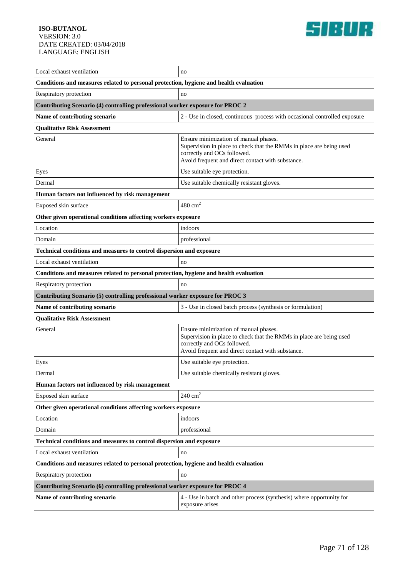

| Local exhaust ventilation                                                             | no                                                                                                                                                                                               |  |
|---------------------------------------------------------------------------------------|--------------------------------------------------------------------------------------------------------------------------------------------------------------------------------------------------|--|
| Conditions and measures related to personal protection, hygiene and health evaluation |                                                                                                                                                                                                  |  |
| Respiratory protection                                                                | no                                                                                                                                                                                               |  |
| Contributing Scenario (4) controlling professional worker exposure for PROC 2         |                                                                                                                                                                                                  |  |
| Name of contributing scenario                                                         | 2 - Use in closed, continuous process with occasional controlled exposure                                                                                                                        |  |
| <b>Qualitative Risk Assessment</b>                                                    |                                                                                                                                                                                                  |  |
| General                                                                               | Ensure minimization of manual phases.<br>Supervision in place to check that the RMMs in place are being used<br>correctly and OCs followed.<br>Avoid frequent and direct contact with substance. |  |
| Eyes                                                                                  | Use suitable eye protection.                                                                                                                                                                     |  |
| Dermal                                                                                | Use suitable chemically resistant gloves.                                                                                                                                                        |  |
| Human factors not influenced by risk management                                       |                                                                                                                                                                                                  |  |
| Exposed skin surface                                                                  | $480 \text{ cm}^2$                                                                                                                                                                               |  |
| Other given operational conditions affecting workers exposure                         |                                                                                                                                                                                                  |  |
| Location                                                                              | indoors                                                                                                                                                                                          |  |
| Domain                                                                                | professional                                                                                                                                                                                     |  |
| Technical conditions and measures to control dispersion and exposure                  |                                                                                                                                                                                                  |  |
| Local exhaust ventilation                                                             | no                                                                                                                                                                                               |  |
| Conditions and measures related to personal protection, hygiene and health evaluation |                                                                                                                                                                                                  |  |
|                                                                                       |                                                                                                                                                                                                  |  |
| Respiratory protection                                                                | no                                                                                                                                                                                               |  |
| Contributing Scenario (5) controlling professional worker exposure for PROC 3         |                                                                                                                                                                                                  |  |
| Name of contributing scenario                                                         | 3 - Use in closed batch process (synthesis or formulation)                                                                                                                                       |  |
| <b>Qualitative Risk Assessment</b>                                                    |                                                                                                                                                                                                  |  |
| General                                                                               | Ensure minimization of manual phases.<br>Supervision in place to check that the RMMs in place are being used<br>correctly and OCs followed.<br>Avoid frequent and direct contact with substance. |  |
| Eyes                                                                                  | Use suitable eye protection.                                                                                                                                                                     |  |
| Dermal                                                                                | Use suitable chemically resistant gloves.                                                                                                                                                        |  |
| Human factors not influenced by risk management                                       |                                                                                                                                                                                                  |  |
| Exposed skin surface                                                                  | $240 \text{ cm}^2$                                                                                                                                                                               |  |
| Other given operational conditions affecting workers exposure                         |                                                                                                                                                                                                  |  |
| Location                                                                              | indoors                                                                                                                                                                                          |  |
| Domain                                                                                | professional                                                                                                                                                                                     |  |
| Technical conditions and measures to control dispersion and exposure                  |                                                                                                                                                                                                  |  |
| Local exhaust ventilation                                                             | no                                                                                                                                                                                               |  |
| Conditions and measures related to personal protection, hygiene and health evaluation |                                                                                                                                                                                                  |  |
| Respiratory protection                                                                | no                                                                                                                                                                                               |  |
| Contributing Scenario (6) controlling professional worker exposure for PROC 4         |                                                                                                                                                                                                  |  |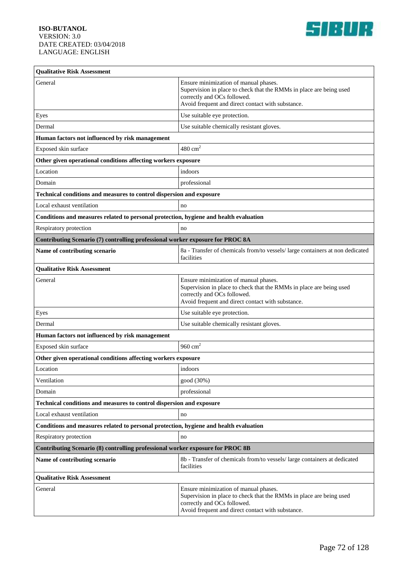

| <b>Qualitative Risk Assessment</b>                                                    |                                                                                                                                                                                                  |  |
|---------------------------------------------------------------------------------------|--------------------------------------------------------------------------------------------------------------------------------------------------------------------------------------------------|--|
| General                                                                               | Ensure minimization of manual phases.<br>Supervision in place to check that the RMMs in place are being used<br>correctly and OCs followed.<br>Avoid frequent and direct contact with substance. |  |
| Eyes                                                                                  | Use suitable eye protection.                                                                                                                                                                     |  |
| Dermal                                                                                | Use suitable chemically resistant gloves.                                                                                                                                                        |  |
| Human factors not influenced by risk management                                       |                                                                                                                                                                                                  |  |
| Exposed skin surface                                                                  | $480 \text{ cm}^2$                                                                                                                                                                               |  |
| Other given operational conditions affecting workers exposure                         |                                                                                                                                                                                                  |  |
| Location                                                                              | indoors                                                                                                                                                                                          |  |
| Domain                                                                                | professional                                                                                                                                                                                     |  |
| Technical conditions and measures to control dispersion and exposure                  |                                                                                                                                                                                                  |  |
| Local exhaust ventilation                                                             | no                                                                                                                                                                                               |  |
| Conditions and measures related to personal protection, hygiene and health evaluation |                                                                                                                                                                                                  |  |
| Respiratory protection                                                                | no                                                                                                                                                                                               |  |
| Contributing Scenario (7) controlling professional worker exposure for PROC 8A        |                                                                                                                                                                                                  |  |
| Name of contributing scenario                                                         | 8a - Transfer of chemicals from/to vessels/large containers at non dedicated<br>facilities                                                                                                       |  |
| <b>Qualitative Risk Assessment</b>                                                    |                                                                                                                                                                                                  |  |
| General                                                                               | Ensure minimization of manual phases.<br>Supervision in place to check that the RMMs in place are being used<br>correctly and OCs followed.<br>Avoid frequent and direct contact with substance. |  |
| Eyes                                                                                  | Use suitable eye protection.                                                                                                                                                                     |  |
| Dermal                                                                                | Use suitable chemically resistant gloves.                                                                                                                                                        |  |
| Human factors not influenced by risk management                                       |                                                                                                                                                                                                  |  |
| Exposed skin surface                                                                  | 960 $cm2$                                                                                                                                                                                        |  |
| Other given operational conditions affecting workers exposure                         |                                                                                                                                                                                                  |  |
| Location                                                                              | indoors                                                                                                                                                                                          |  |
| Ventilation                                                                           | good (30%)                                                                                                                                                                                       |  |
| Domain                                                                                | professional                                                                                                                                                                                     |  |
| Technical conditions and measures to control dispersion and exposure                  |                                                                                                                                                                                                  |  |
| Local exhaust ventilation                                                             | no                                                                                                                                                                                               |  |
| Conditions and measures related to personal protection, hygiene and health evaluation |                                                                                                                                                                                                  |  |
| Respiratory protection                                                                | no                                                                                                                                                                                               |  |
| Contributing Scenario (8) controlling professional worker exposure for PROC 8B        |                                                                                                                                                                                                  |  |
| Name of contributing scenario                                                         | 8b - Transfer of chemicals from/to vessels/ large containers at dedicated<br>facilities                                                                                                          |  |
| <b>Qualitative Risk Assessment</b>                                                    |                                                                                                                                                                                                  |  |
| General                                                                               | Ensure minimization of manual phases.<br>Supervision in place to check that the RMMs in place are being used<br>correctly and OCs followed.<br>Avoid frequent and direct contact with substance. |  |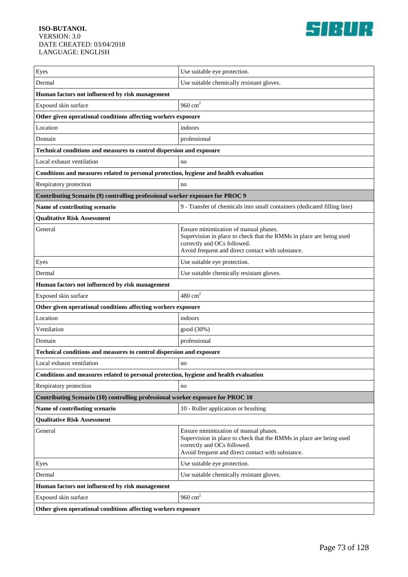

| Eyes                                                                                  | Use suitable eye protection.                                                                                                                                                                     |  |
|---------------------------------------------------------------------------------------|--------------------------------------------------------------------------------------------------------------------------------------------------------------------------------------------------|--|
| Dermal                                                                                | Use suitable chemically resistant gloves.                                                                                                                                                        |  |
| Human factors not influenced by risk management                                       |                                                                                                                                                                                                  |  |
| Exposed skin surface                                                                  | 960 $cm2$                                                                                                                                                                                        |  |
| Other given operational conditions affecting workers exposure                         |                                                                                                                                                                                                  |  |
| Location                                                                              | indoors                                                                                                                                                                                          |  |
| Domain                                                                                | professional                                                                                                                                                                                     |  |
| Technical conditions and measures to control dispersion and exposure                  |                                                                                                                                                                                                  |  |
| Local exhaust ventilation                                                             | no                                                                                                                                                                                               |  |
| Conditions and measures related to personal protection, hygiene and health evaluation |                                                                                                                                                                                                  |  |
| Respiratory protection                                                                | no                                                                                                                                                                                               |  |
| Contributing Scenario (9) controlling professional worker exposure for PROC 9         |                                                                                                                                                                                                  |  |
| Name of contributing scenario                                                         | 9 - Transfer of chemicals into small containers (dedicated filling line)                                                                                                                         |  |
| <b>Qualitative Risk Assessment</b>                                                    |                                                                                                                                                                                                  |  |
| General                                                                               | Ensure minimization of manual phases.<br>Supervision in place to check that the RMMs in place are being used<br>correctly and OCs followed.<br>Avoid frequent and direct contact with substance. |  |
| Eyes                                                                                  | Use suitable eye protection.                                                                                                                                                                     |  |
| Dermal                                                                                | Use suitable chemically resistant gloves.                                                                                                                                                        |  |
| Human factors not influenced by risk management                                       |                                                                                                                                                                                                  |  |
| Exposed skin surface                                                                  | $480 \text{ cm}^2$                                                                                                                                                                               |  |
| Other given operational conditions affecting workers exposure                         |                                                                                                                                                                                                  |  |
| Location                                                                              | indoors                                                                                                                                                                                          |  |
| Ventilation                                                                           | good (30%)                                                                                                                                                                                       |  |
| Domain                                                                                | professional                                                                                                                                                                                     |  |
| Technical conditions and measures to control dispersion and exposure                  |                                                                                                                                                                                                  |  |
| Local exhaust ventilation                                                             | no                                                                                                                                                                                               |  |
| Conditions and measures related to personal protection, hygiene and health evaluation |                                                                                                                                                                                                  |  |
| Respiratory protection                                                                | no                                                                                                                                                                                               |  |
| Contributing Scenario (10) controlling professional worker exposure for PROC 10       |                                                                                                                                                                                                  |  |
| Name of contributing scenario                                                         | 10 - Roller application or brushing                                                                                                                                                              |  |
| <b>Qualitative Risk Assessment</b>                                                    |                                                                                                                                                                                                  |  |
| General                                                                               | Ensure minimization of manual phases.<br>Supervision in place to check that the RMMs in place are being used<br>correctly and OCs followed.<br>Avoid frequent and direct contact with substance. |  |
| Eyes                                                                                  | Use suitable eye protection.                                                                                                                                                                     |  |
| Dermal                                                                                | Use suitable chemically resistant gloves.                                                                                                                                                        |  |
| Human factors not influenced by risk management                                       |                                                                                                                                                                                                  |  |
| Exposed skin surface                                                                  | 960 $cm2$                                                                                                                                                                                        |  |
| Other given operational conditions affecting workers exposure                         |                                                                                                                                                                                                  |  |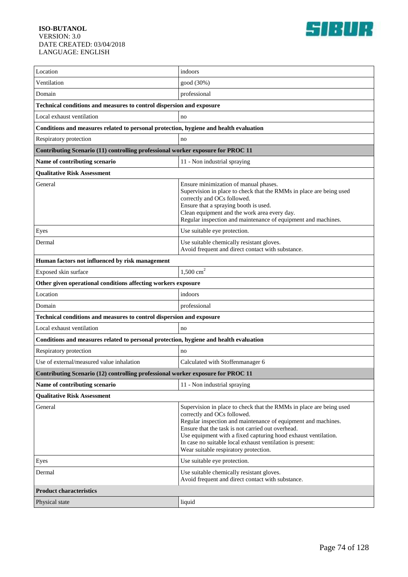

| Location                                                                              | indoors                                                                                                                                                                                                                                                                                                                                                                                          |  |
|---------------------------------------------------------------------------------------|--------------------------------------------------------------------------------------------------------------------------------------------------------------------------------------------------------------------------------------------------------------------------------------------------------------------------------------------------------------------------------------------------|--|
| Ventilation                                                                           | good (30%)                                                                                                                                                                                                                                                                                                                                                                                       |  |
| Domain                                                                                | professional                                                                                                                                                                                                                                                                                                                                                                                     |  |
| Technical conditions and measures to control dispersion and exposure                  |                                                                                                                                                                                                                                                                                                                                                                                                  |  |
| Local exhaust ventilation                                                             | no                                                                                                                                                                                                                                                                                                                                                                                               |  |
| Conditions and measures related to personal protection, hygiene and health evaluation |                                                                                                                                                                                                                                                                                                                                                                                                  |  |
| Respiratory protection                                                                | no                                                                                                                                                                                                                                                                                                                                                                                               |  |
| Contributing Scenario (11) controlling professional worker exposure for PROC 11       |                                                                                                                                                                                                                                                                                                                                                                                                  |  |
| Name of contributing scenario                                                         | 11 - Non industrial spraying                                                                                                                                                                                                                                                                                                                                                                     |  |
| <b>Qualitative Risk Assessment</b>                                                    |                                                                                                                                                                                                                                                                                                                                                                                                  |  |
| General                                                                               | Ensure minimization of manual phases.<br>Supervision in place to check that the RMMs in place are being used<br>correctly and OCs followed.<br>Ensure that a spraying booth is used.<br>Clean equipment and the work area every day.<br>Regular inspection and maintenance of equipment and machines.                                                                                            |  |
| Eyes                                                                                  | Use suitable eye protection.                                                                                                                                                                                                                                                                                                                                                                     |  |
| Dermal                                                                                | Use suitable chemically resistant gloves.<br>Avoid frequent and direct contact with substance.                                                                                                                                                                                                                                                                                                   |  |
| Human factors not influenced by risk management                                       |                                                                                                                                                                                                                                                                                                                                                                                                  |  |
| Exposed skin surface                                                                  | $1,500$ cm <sup>2</sup>                                                                                                                                                                                                                                                                                                                                                                          |  |
| Other given operational conditions affecting workers exposure                         |                                                                                                                                                                                                                                                                                                                                                                                                  |  |
| Location                                                                              | indoors                                                                                                                                                                                                                                                                                                                                                                                          |  |
| Domain                                                                                | professional                                                                                                                                                                                                                                                                                                                                                                                     |  |
| Technical conditions and measures to control dispersion and exposure                  |                                                                                                                                                                                                                                                                                                                                                                                                  |  |
| Local exhaust ventilation                                                             | no                                                                                                                                                                                                                                                                                                                                                                                               |  |
| Conditions and measures related to personal protection, hygiene and health evaluation |                                                                                                                                                                                                                                                                                                                                                                                                  |  |
| Respiratory protection                                                                | no                                                                                                                                                                                                                                                                                                                                                                                               |  |
| Use of external/measured value inhalation                                             | Calculated with Stoffenmanager 6                                                                                                                                                                                                                                                                                                                                                                 |  |
| Contributing Scenario (12) controlling professional worker exposure for PROC 11       |                                                                                                                                                                                                                                                                                                                                                                                                  |  |
| Name of contributing scenario                                                         | 11 - Non industrial spraying                                                                                                                                                                                                                                                                                                                                                                     |  |
| <b>Qualitative Risk Assessment</b>                                                    |                                                                                                                                                                                                                                                                                                                                                                                                  |  |
| General                                                                               | Supervision in place to check that the RMMs in place are being used<br>correctly and OCs followed.<br>Regular inspection and maintenance of equipment and machines.<br>Ensure that the task is not carried out overhead.<br>Use equipment with a fixed capturing hood exhaust ventilation.<br>In case no suitable local exhaust ventilation is present:<br>Wear suitable respiratory protection. |  |
| Eyes                                                                                  | Use suitable eye protection.                                                                                                                                                                                                                                                                                                                                                                     |  |
| Dermal                                                                                | Use suitable chemically resistant gloves.<br>Avoid frequent and direct contact with substance.                                                                                                                                                                                                                                                                                                   |  |
| <b>Product characteristics</b>                                                        |                                                                                                                                                                                                                                                                                                                                                                                                  |  |
| Physical state                                                                        | liquid                                                                                                                                                                                                                                                                                                                                                                                           |  |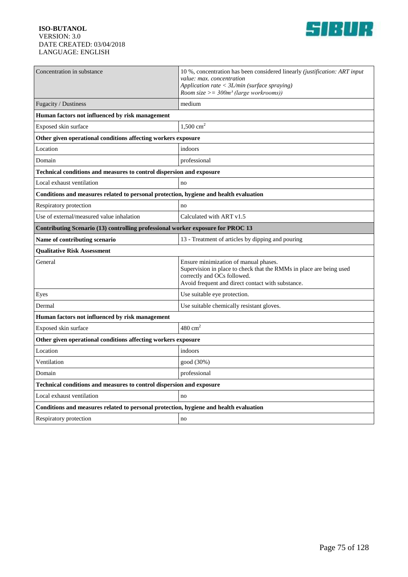

| Concentration in substance                                                            | 10 %, concentration has been considered linearly <i>(justification: ART input</i> )<br>value: max. concentration                                                                                 |  |
|---------------------------------------------------------------------------------------|--------------------------------------------------------------------------------------------------------------------------------------------------------------------------------------------------|--|
|                                                                                       | Application rate $\langle \frac{3L}{min} \rangle$ (surface spraying)<br>Room size $>=$ 300 $m^3$ (large workrooms))                                                                              |  |
| Fugacity / Dustiness                                                                  | medium                                                                                                                                                                                           |  |
| Human factors not influenced by risk management                                       |                                                                                                                                                                                                  |  |
| Exposed skin surface                                                                  | $1,500 \text{ cm}^2$                                                                                                                                                                             |  |
| Other given operational conditions affecting workers exposure                         |                                                                                                                                                                                                  |  |
| Location                                                                              | indoors                                                                                                                                                                                          |  |
| Domain                                                                                | professional                                                                                                                                                                                     |  |
| Technical conditions and measures to control dispersion and exposure                  |                                                                                                                                                                                                  |  |
| Local exhaust ventilation                                                             | no                                                                                                                                                                                               |  |
| Conditions and measures related to personal protection, hygiene and health evaluation |                                                                                                                                                                                                  |  |
| Respiratory protection                                                                | no                                                                                                                                                                                               |  |
| Use of external/measured value inhalation                                             | Calculated with ART v1.5                                                                                                                                                                         |  |
| Contributing Scenario (13) controlling professional worker exposure for PROC 13       |                                                                                                                                                                                                  |  |
| Name of contributing scenario                                                         | 13 - Treatment of articles by dipping and pouring                                                                                                                                                |  |
| <b>Qualitative Risk Assessment</b>                                                    |                                                                                                                                                                                                  |  |
| General                                                                               | Ensure minimization of manual phases.<br>Supervision in place to check that the RMMs in place are being used<br>correctly and OCs followed.<br>Avoid frequent and direct contact with substance. |  |
| Eyes                                                                                  | Use suitable eye protection.                                                                                                                                                                     |  |
| Dermal                                                                                | Use suitable chemically resistant gloves.                                                                                                                                                        |  |
| Human factors not influenced by risk management                                       |                                                                                                                                                                                                  |  |
| Exposed skin surface                                                                  | $480 \text{ cm}^2$                                                                                                                                                                               |  |
| Other given operational conditions affecting workers exposure                         |                                                                                                                                                                                                  |  |
| Location                                                                              | indoors                                                                                                                                                                                          |  |
| Ventilation                                                                           | good (30%)                                                                                                                                                                                       |  |
| Domain                                                                                | professional                                                                                                                                                                                     |  |
| Technical conditions and measures to control dispersion and exposure                  |                                                                                                                                                                                                  |  |
| Local exhaust ventilation                                                             | no                                                                                                                                                                                               |  |
| Conditions and measures related to personal protection, hygiene and health evaluation |                                                                                                                                                                                                  |  |
| Respiratory protection                                                                | no                                                                                                                                                                                               |  |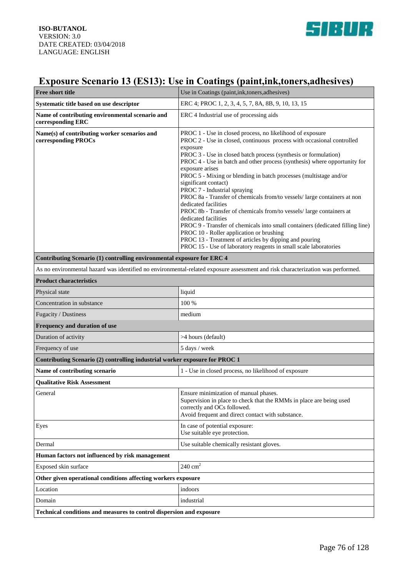

## **Exposure Scenario 13 (ES13): Use in Coatings (paint,ink,toners,adhesives)**

| <b>Free short title</b>                                                                                                         | Use in Coatings (paint, ink, toners, adhesives)                                                                                                                                                                                                                                                                                                                                                                                                                                                                                                                                                                                                                                                                                                                                                                                                                                                               |  |
|---------------------------------------------------------------------------------------------------------------------------------|---------------------------------------------------------------------------------------------------------------------------------------------------------------------------------------------------------------------------------------------------------------------------------------------------------------------------------------------------------------------------------------------------------------------------------------------------------------------------------------------------------------------------------------------------------------------------------------------------------------------------------------------------------------------------------------------------------------------------------------------------------------------------------------------------------------------------------------------------------------------------------------------------------------|--|
| Systematic title based on use descriptor                                                                                        | ERC 4; PROC 1, 2, 3, 4, 5, 7, 8A, 8B, 9, 10, 13, 15                                                                                                                                                                                                                                                                                                                                                                                                                                                                                                                                                                                                                                                                                                                                                                                                                                                           |  |
| Name of contributing environmental scenario and<br>corresponding ERC                                                            | ERC 4 Industrial use of processing aids                                                                                                                                                                                                                                                                                                                                                                                                                                                                                                                                                                                                                                                                                                                                                                                                                                                                       |  |
| Name(s) of contributing worker scenarios and<br>corresponding PROCs                                                             | PROC 1 - Use in closed process, no likelihood of exposure<br>PROC 2 - Use in closed, continuous process with occasional controlled<br>exposure<br>PROC 3 - Use in closed batch process (synthesis or formulation)<br>PROC 4 - Use in batch and other process (synthesis) where opportunity for<br>exposure arises<br>PROC 5 - Mixing or blending in batch processes (multistage and/or<br>significant contact)<br>PROC 7 - Industrial spraying<br>PROC 8a - Transfer of chemicals from/to vessels/ large containers at non<br>dedicated facilities<br>PROC 8b - Transfer of chemicals from/to vessels/ large containers at<br>dedicated facilities<br>PROC 9 - Transfer of chemicals into small containers (dedicated filling line)<br>PROC 10 - Roller application or brushing<br>PROC 13 - Treatment of articles by dipping and pouring<br>PROC 15 - Use of laboratory reagents in small scale laboratories |  |
| Contributing Scenario (1) controlling environmental exposure for ERC 4                                                          |                                                                                                                                                                                                                                                                                                                                                                                                                                                                                                                                                                                                                                                                                                                                                                                                                                                                                                               |  |
| As no environmental hazard was identified no environmental-related exposure assessment and risk characterization was performed. |                                                                                                                                                                                                                                                                                                                                                                                                                                                                                                                                                                                                                                                                                                                                                                                                                                                                                                               |  |
| <b>Product characteristics</b>                                                                                                  |                                                                                                                                                                                                                                                                                                                                                                                                                                                                                                                                                                                                                                                                                                                                                                                                                                                                                                               |  |
| Physical state                                                                                                                  | liquid                                                                                                                                                                                                                                                                                                                                                                                                                                                                                                                                                                                                                                                                                                                                                                                                                                                                                                        |  |
| Concentration in substance                                                                                                      | 100 %                                                                                                                                                                                                                                                                                                                                                                                                                                                                                                                                                                                                                                                                                                                                                                                                                                                                                                         |  |
| Fugacity / Dustiness                                                                                                            | medium                                                                                                                                                                                                                                                                                                                                                                                                                                                                                                                                                                                                                                                                                                                                                                                                                                                                                                        |  |
| Frequency and duration of use                                                                                                   |                                                                                                                                                                                                                                                                                                                                                                                                                                                                                                                                                                                                                                                                                                                                                                                                                                                                                                               |  |
| Duration of activity                                                                                                            | >4 hours (default)                                                                                                                                                                                                                                                                                                                                                                                                                                                                                                                                                                                                                                                                                                                                                                                                                                                                                            |  |
| Frequency of use                                                                                                                | 5 days / week                                                                                                                                                                                                                                                                                                                                                                                                                                                                                                                                                                                                                                                                                                                                                                                                                                                                                                 |  |
| Contributing Scenario (2) controlling industrial worker exposure for PROC 1                                                     |                                                                                                                                                                                                                                                                                                                                                                                                                                                                                                                                                                                                                                                                                                                                                                                                                                                                                                               |  |
| Name of contributing scenario                                                                                                   | 1 - Use in closed process, no likelihood of exposure                                                                                                                                                                                                                                                                                                                                                                                                                                                                                                                                                                                                                                                                                                                                                                                                                                                          |  |
| <b>Qualitative Risk Assessment</b>                                                                                              |                                                                                                                                                                                                                                                                                                                                                                                                                                                                                                                                                                                                                                                                                                                                                                                                                                                                                                               |  |
| General                                                                                                                         | Ensure minimization of manual phases.<br>Supervision in place to check that the RMMs in place are being used<br>correctly and OCs followed.<br>Avoid frequent and direct contact with substance.                                                                                                                                                                                                                                                                                                                                                                                                                                                                                                                                                                                                                                                                                                              |  |
| Eyes                                                                                                                            | In case of potential exposure:<br>Use suitable eye protection.                                                                                                                                                                                                                                                                                                                                                                                                                                                                                                                                                                                                                                                                                                                                                                                                                                                |  |
| Dermal                                                                                                                          | Use suitable chemically resistant gloves.                                                                                                                                                                                                                                                                                                                                                                                                                                                                                                                                                                                                                                                                                                                                                                                                                                                                     |  |
| Human factors not influenced by risk management                                                                                 |                                                                                                                                                                                                                                                                                                                                                                                                                                                                                                                                                                                                                                                                                                                                                                                                                                                                                                               |  |
| Exposed skin surface                                                                                                            | $240 \text{ cm}^2$                                                                                                                                                                                                                                                                                                                                                                                                                                                                                                                                                                                                                                                                                                                                                                                                                                                                                            |  |
| Other given operational conditions affecting workers exposure                                                                   |                                                                                                                                                                                                                                                                                                                                                                                                                                                                                                                                                                                                                                                                                                                                                                                                                                                                                                               |  |
| Location                                                                                                                        | indoors                                                                                                                                                                                                                                                                                                                                                                                                                                                                                                                                                                                                                                                                                                                                                                                                                                                                                                       |  |
| Domain                                                                                                                          | industrial                                                                                                                                                                                                                                                                                                                                                                                                                                                                                                                                                                                                                                                                                                                                                                                                                                                                                                    |  |
| Technical conditions and measures to control dispersion and exposure                                                            |                                                                                                                                                                                                                                                                                                                                                                                                                                                                                                                                                                                                                                                                                                                                                                                                                                                                                                               |  |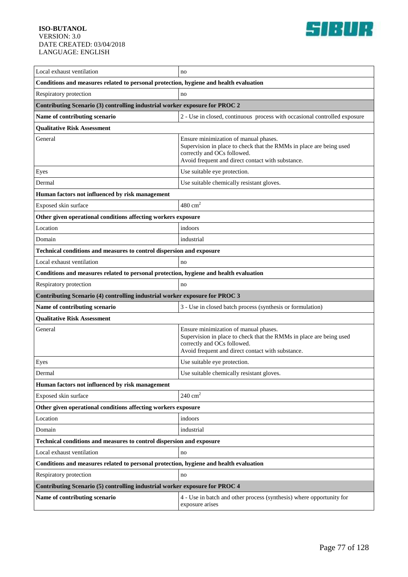

| Local exhaust ventilation                                                             | no                                                                                                                                                                                               |  |
|---------------------------------------------------------------------------------------|--------------------------------------------------------------------------------------------------------------------------------------------------------------------------------------------------|--|
| Conditions and measures related to personal protection, hygiene and health evaluation |                                                                                                                                                                                                  |  |
| Respiratory protection                                                                | no                                                                                                                                                                                               |  |
| Contributing Scenario (3) controlling industrial worker exposure for PROC 2           |                                                                                                                                                                                                  |  |
| Name of contributing scenario                                                         | 2 - Use in closed, continuous process with occasional controlled exposure                                                                                                                        |  |
| <b>Qualitative Risk Assessment</b>                                                    |                                                                                                                                                                                                  |  |
| General                                                                               | Ensure minimization of manual phases.<br>Supervision in place to check that the RMMs in place are being used<br>correctly and OCs followed.<br>Avoid frequent and direct contact with substance. |  |
| Eyes                                                                                  | Use suitable eye protection.                                                                                                                                                                     |  |
| Dermal                                                                                | Use suitable chemically resistant gloves.                                                                                                                                                        |  |
| Human factors not influenced by risk management                                       |                                                                                                                                                                                                  |  |
| Exposed skin surface                                                                  | $480 \text{ cm}^2$                                                                                                                                                                               |  |
| Other given operational conditions affecting workers exposure                         |                                                                                                                                                                                                  |  |
| Location                                                                              | indoors                                                                                                                                                                                          |  |
| Domain                                                                                | industrial                                                                                                                                                                                       |  |
| Technical conditions and measures to control dispersion and exposure                  |                                                                                                                                                                                                  |  |
| Local exhaust ventilation                                                             | no                                                                                                                                                                                               |  |
| Conditions and measures related to personal protection, hygiene and health evaluation |                                                                                                                                                                                                  |  |
| Respiratory protection                                                                | no                                                                                                                                                                                               |  |
| Contributing Scenario (4) controlling industrial worker exposure for PROC 3           |                                                                                                                                                                                                  |  |
| Name of contributing scenario                                                         | 3 - Use in closed batch process (synthesis or formulation)                                                                                                                                       |  |
| <b>Qualitative Risk Assessment</b>                                                    |                                                                                                                                                                                                  |  |
| General                                                                               | Ensure minimization of manual phases.<br>Supervision in place to check that the RMMs in place are being used<br>correctly and OCs followed.<br>Avoid frequent and direct contact with substance. |  |
| Eyes                                                                                  | Use suitable eye protection.                                                                                                                                                                     |  |
| Dermal                                                                                | Use suitable chemically resistant gloves.                                                                                                                                                        |  |
| Human factors not influenced by risk management                                       |                                                                                                                                                                                                  |  |
| Exposed skin surface                                                                  | $240 \text{ cm}^2$                                                                                                                                                                               |  |
| Other given operational conditions affecting workers exposure                         |                                                                                                                                                                                                  |  |
| Location                                                                              | indoors                                                                                                                                                                                          |  |
| Domain                                                                                | industrial                                                                                                                                                                                       |  |
| Technical conditions and measures to control dispersion and exposure                  |                                                                                                                                                                                                  |  |
| Local exhaust ventilation                                                             | no                                                                                                                                                                                               |  |
| Conditions and measures related to personal protection, hygiene and health evaluation |                                                                                                                                                                                                  |  |
| Respiratory protection<br>no                                                          |                                                                                                                                                                                                  |  |
|                                                                                       |                                                                                                                                                                                                  |  |
| Contributing Scenario (5) controlling industrial worker exposure for PROC 4           |                                                                                                                                                                                                  |  |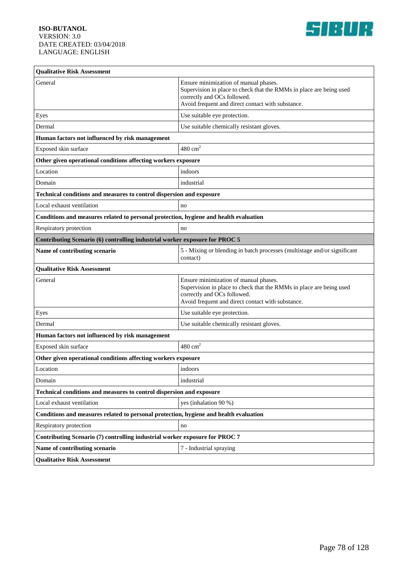

| <b>Oualitative Risk Assessment</b>                                                    |                                                                                                                                                                                                  |  |
|---------------------------------------------------------------------------------------|--------------------------------------------------------------------------------------------------------------------------------------------------------------------------------------------------|--|
| General                                                                               | Ensure minimization of manual phases.<br>Supervision in place to check that the RMMs in place are being used<br>correctly and OCs followed.<br>Avoid frequent and direct contact with substance. |  |
| Eyes                                                                                  | Use suitable eye protection.                                                                                                                                                                     |  |
| Dermal                                                                                | Use suitable chemically resistant gloves.                                                                                                                                                        |  |
| Human factors not influenced by risk management                                       |                                                                                                                                                                                                  |  |
| Exposed skin surface                                                                  | $480 \text{ cm}^2$                                                                                                                                                                               |  |
| Other given operational conditions affecting workers exposure                         |                                                                                                                                                                                                  |  |
| Location                                                                              | indoors                                                                                                                                                                                          |  |
| Domain                                                                                | industrial                                                                                                                                                                                       |  |
| Technical conditions and measures to control dispersion and exposure                  |                                                                                                                                                                                                  |  |
| Local exhaust ventilation                                                             | no                                                                                                                                                                                               |  |
| Conditions and measures related to personal protection, hygiene and health evaluation |                                                                                                                                                                                                  |  |
| Respiratory protection                                                                | no                                                                                                                                                                                               |  |
| Contributing Scenario (6) controlling industrial worker exposure for PROC 5           |                                                                                                                                                                                                  |  |
| Name of contributing scenario                                                         | 5 - Mixing or blending in batch processes (multistage and/or significant<br>contact)                                                                                                             |  |
| <b>Qualitative Risk Assessment</b>                                                    |                                                                                                                                                                                                  |  |
| General                                                                               | Ensure minimization of manual phases.<br>Supervision in place to check that the RMMs in place are being used<br>correctly and OCs followed.<br>Avoid frequent and direct contact with substance. |  |
| Eyes                                                                                  | Use suitable eye protection.                                                                                                                                                                     |  |
| Dermal                                                                                | Use suitable chemically resistant gloves.                                                                                                                                                        |  |
| Human factors not influenced by risk management                                       |                                                                                                                                                                                                  |  |
| Exposed skin surface                                                                  | $480 \text{ cm}^2$                                                                                                                                                                               |  |
| Other given operational conditions affecting workers exposure                         |                                                                                                                                                                                                  |  |
| Location                                                                              | indoors                                                                                                                                                                                          |  |
| Domain                                                                                | industrial                                                                                                                                                                                       |  |
| Technical conditions and measures to control dispersion and exposure                  |                                                                                                                                                                                                  |  |
| Local exhaust ventilation                                                             | yes (inhalation 90 %)                                                                                                                                                                            |  |
| Conditions and measures related to personal protection, hygiene and health evaluation |                                                                                                                                                                                                  |  |
| Respiratory protection                                                                | no                                                                                                                                                                                               |  |
| Contributing Scenario (7) controlling industrial worker exposure for PROC 7           |                                                                                                                                                                                                  |  |
| Name of contributing scenario                                                         | 7 - Industrial spraying                                                                                                                                                                          |  |
| <b>Qualitative Risk Assessment</b>                                                    |                                                                                                                                                                                                  |  |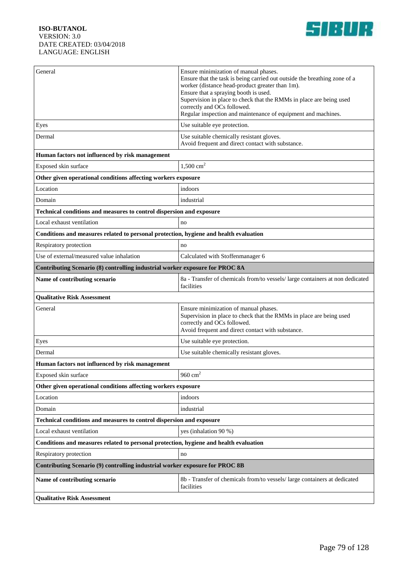

| General                                                                               | Ensure minimization of manual phases.<br>Ensure that the task is being carried out outside the breathing zone of a<br>worker (distance head-product greater than 1m).<br>Ensure that a spraying booth is used.<br>Supervision in place to check that the RMMs in place are being used<br>correctly and OCs followed.<br>Regular inspection and maintenance of equipment and machines. |  |
|---------------------------------------------------------------------------------------|---------------------------------------------------------------------------------------------------------------------------------------------------------------------------------------------------------------------------------------------------------------------------------------------------------------------------------------------------------------------------------------|--|
| Eyes                                                                                  | Use suitable eye protection.                                                                                                                                                                                                                                                                                                                                                          |  |
| Dermal                                                                                | Use suitable chemically resistant gloves.<br>Avoid frequent and direct contact with substance.                                                                                                                                                                                                                                                                                        |  |
| Human factors not influenced by risk management                                       |                                                                                                                                                                                                                                                                                                                                                                                       |  |
| Exposed skin surface                                                                  | $1,500$ cm <sup>2</sup>                                                                                                                                                                                                                                                                                                                                                               |  |
| Other given operational conditions affecting workers exposure                         |                                                                                                                                                                                                                                                                                                                                                                                       |  |
| Location                                                                              | indoors                                                                                                                                                                                                                                                                                                                                                                               |  |
| Domain                                                                                | industrial                                                                                                                                                                                                                                                                                                                                                                            |  |
| Technical conditions and measures to control dispersion and exposure                  |                                                                                                                                                                                                                                                                                                                                                                                       |  |
| Local exhaust ventilation                                                             | no                                                                                                                                                                                                                                                                                                                                                                                    |  |
| Conditions and measures related to personal protection, hygiene and health evaluation |                                                                                                                                                                                                                                                                                                                                                                                       |  |
| Respiratory protection                                                                | no                                                                                                                                                                                                                                                                                                                                                                                    |  |
| Use of external/measured value inhalation                                             | Calculated with Stoffenmanager 6                                                                                                                                                                                                                                                                                                                                                      |  |
| Contributing Scenario (8) controlling industrial worker exposure for PROC 8A          |                                                                                                                                                                                                                                                                                                                                                                                       |  |
| Name of contributing scenario                                                         | 8a - Transfer of chemicals from/to vessels/ large containers at non dedicated<br>facilities                                                                                                                                                                                                                                                                                           |  |
| <b>Qualitative Risk Assessment</b>                                                    |                                                                                                                                                                                                                                                                                                                                                                                       |  |
| General                                                                               | Ensure minimization of manual phases.<br>Supervision in place to check that the RMMs in place are being used<br>correctly and OCs followed.<br>Avoid frequent and direct contact with substance.                                                                                                                                                                                      |  |
| Eyes                                                                                  | Use suitable eye protection.                                                                                                                                                                                                                                                                                                                                                          |  |
| Dermal                                                                                | Use suitable chemically resistant gloves.                                                                                                                                                                                                                                                                                                                                             |  |
| Human factors not influenced by risk management                                       |                                                                                                                                                                                                                                                                                                                                                                                       |  |
| Exposed skin surface                                                                  | 960 $cm2$                                                                                                                                                                                                                                                                                                                                                                             |  |
| Other given operational conditions affecting workers exposure                         |                                                                                                                                                                                                                                                                                                                                                                                       |  |
| Location                                                                              | indoors                                                                                                                                                                                                                                                                                                                                                                               |  |
| Domain                                                                                | industrial                                                                                                                                                                                                                                                                                                                                                                            |  |
| Technical conditions and measures to control dispersion and exposure                  |                                                                                                                                                                                                                                                                                                                                                                                       |  |
| Local exhaust ventilation                                                             | yes (inhalation 90 %)                                                                                                                                                                                                                                                                                                                                                                 |  |
| Conditions and measures related to personal protection, hygiene and health evaluation |                                                                                                                                                                                                                                                                                                                                                                                       |  |
| Respiratory protection                                                                | no                                                                                                                                                                                                                                                                                                                                                                                    |  |
| Contributing Scenario (9) controlling industrial worker exposure for PROC 8B          |                                                                                                                                                                                                                                                                                                                                                                                       |  |
| Name of contributing scenario                                                         | 8b - Transfer of chemicals from/to vessels/ large containers at dedicated<br>facilities                                                                                                                                                                                                                                                                                               |  |
| <b>Qualitative Risk Assessment</b>                                                    |                                                                                                                                                                                                                                                                                                                                                                                       |  |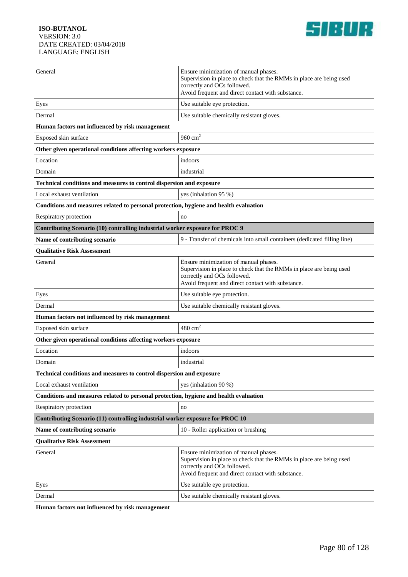

| General                                                                               | Ensure minimization of manual phases.<br>Supervision in place to check that the RMMs in place are being used<br>correctly and OCs followed.<br>Avoid frequent and direct contact with substance. |  |
|---------------------------------------------------------------------------------------|--------------------------------------------------------------------------------------------------------------------------------------------------------------------------------------------------|--|
| Eyes                                                                                  | Use suitable eye protection.                                                                                                                                                                     |  |
| Dermal                                                                                | Use suitable chemically resistant gloves.                                                                                                                                                        |  |
| Human factors not influenced by risk management                                       |                                                                                                                                                                                                  |  |
| Exposed skin surface                                                                  | 960 $cm2$                                                                                                                                                                                        |  |
| Other given operational conditions affecting workers exposure                         |                                                                                                                                                                                                  |  |
| Location                                                                              | indoors                                                                                                                                                                                          |  |
| Domain                                                                                | industrial                                                                                                                                                                                       |  |
| Technical conditions and measures to control dispersion and exposure                  |                                                                                                                                                                                                  |  |
| Local exhaust ventilation                                                             | yes (inhalation 95 %)                                                                                                                                                                            |  |
| Conditions and measures related to personal protection, hygiene and health evaluation |                                                                                                                                                                                                  |  |
| Respiratory protection                                                                | no                                                                                                                                                                                               |  |
| Contributing Scenario (10) controlling industrial worker exposure for PROC 9          |                                                                                                                                                                                                  |  |
| Name of contributing scenario                                                         | 9 - Transfer of chemicals into small containers (dedicated filling line)                                                                                                                         |  |
| <b>Qualitative Risk Assessment</b>                                                    |                                                                                                                                                                                                  |  |
| General                                                                               | Ensure minimization of manual phases.<br>Supervision in place to check that the RMMs in place are being used<br>correctly and OCs followed.<br>Avoid frequent and direct contact with substance. |  |
| Eyes                                                                                  | Use suitable eye protection.                                                                                                                                                                     |  |
| Dermal                                                                                | Use suitable chemically resistant gloves.                                                                                                                                                        |  |
| Human factors not influenced by risk management                                       |                                                                                                                                                                                                  |  |
| Exposed skin surface                                                                  | $480 \text{ cm}^2$                                                                                                                                                                               |  |
| Other given operational conditions affecting workers exposure                         |                                                                                                                                                                                                  |  |
| Location                                                                              | indoors                                                                                                                                                                                          |  |
| Domain                                                                                | industrial                                                                                                                                                                                       |  |
| Technical conditions and measures to control dispersion and exposure                  |                                                                                                                                                                                                  |  |
| Local exhaust ventilation                                                             | yes (inhalation 90 %)                                                                                                                                                                            |  |
| Conditions and measures related to personal protection, hygiene and health evaluation |                                                                                                                                                                                                  |  |
| Respiratory protection                                                                | no                                                                                                                                                                                               |  |
| Contributing Scenario (11) controlling industrial worker exposure for PROC 10         |                                                                                                                                                                                                  |  |
| Name of contributing scenario                                                         | 10 - Roller application or brushing                                                                                                                                                              |  |
| <b>Qualitative Risk Assessment</b>                                                    |                                                                                                                                                                                                  |  |
| General                                                                               | Ensure minimization of manual phases.<br>Supervision in place to check that the RMMs in place are being used<br>correctly and OCs followed.<br>Avoid frequent and direct contact with substance. |  |
| Eyes                                                                                  | Use suitable eye protection.                                                                                                                                                                     |  |
| Dermal                                                                                | Use suitable chemically resistant gloves.                                                                                                                                                        |  |
| Human factors not influenced by risk management                                       |                                                                                                                                                                                                  |  |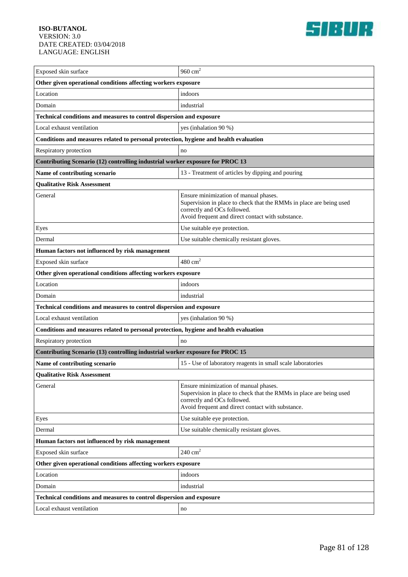

| Exposed skin surface                                                                  | 960 $cm2$                                                                                                                                                                                        |  |
|---------------------------------------------------------------------------------------|--------------------------------------------------------------------------------------------------------------------------------------------------------------------------------------------------|--|
| Other given operational conditions affecting workers exposure                         |                                                                                                                                                                                                  |  |
| Location                                                                              | indoors                                                                                                                                                                                          |  |
| Domain                                                                                | industrial                                                                                                                                                                                       |  |
| Technical conditions and measures to control dispersion and exposure                  |                                                                                                                                                                                                  |  |
| Local exhaust ventilation                                                             | yes (inhalation 90 %)                                                                                                                                                                            |  |
| Conditions and measures related to personal protection, hygiene and health evaluation |                                                                                                                                                                                                  |  |
| Respiratory protection                                                                | no                                                                                                                                                                                               |  |
| Contributing Scenario (12) controlling industrial worker exposure for PROC 13         |                                                                                                                                                                                                  |  |
| Name of contributing scenario                                                         | 13 - Treatment of articles by dipping and pouring                                                                                                                                                |  |
| <b>Qualitative Risk Assessment</b>                                                    |                                                                                                                                                                                                  |  |
| General                                                                               | Ensure minimization of manual phases.<br>Supervision in place to check that the RMMs in place are being used<br>correctly and OCs followed.<br>Avoid frequent and direct contact with substance. |  |
| Eyes                                                                                  | Use suitable eye protection.                                                                                                                                                                     |  |
| Dermal                                                                                | Use suitable chemically resistant gloves.                                                                                                                                                        |  |
| Human factors not influenced by risk management                                       |                                                                                                                                                                                                  |  |
| Exposed skin surface                                                                  | $480 \text{ cm}^2$                                                                                                                                                                               |  |
| Other given operational conditions affecting workers exposure                         |                                                                                                                                                                                                  |  |
| Location                                                                              | indoors                                                                                                                                                                                          |  |
| Domain                                                                                | industrial                                                                                                                                                                                       |  |
| Technical conditions and measures to control dispersion and exposure                  |                                                                                                                                                                                                  |  |
| Local exhaust ventilation                                                             | yes (inhalation 90 %)                                                                                                                                                                            |  |
| Conditions and measures related to personal protection, hygiene and health evaluation |                                                                                                                                                                                                  |  |
| Respiratory protection                                                                | no                                                                                                                                                                                               |  |
| Contributing Scenario (13) controlling industrial worker exposure for PROC 15         |                                                                                                                                                                                                  |  |
| Name of contributing scenario                                                         | 15 - Use of laboratory reagents in small scale laboratories                                                                                                                                      |  |
| <b>Qualitative Risk Assessment</b>                                                    |                                                                                                                                                                                                  |  |
| General                                                                               | Ensure minimization of manual phases.<br>Supervision in place to check that the RMMs in place are being used<br>correctly and OCs followed.<br>Avoid frequent and direct contact with substance. |  |
| Eyes                                                                                  | Use suitable eye protection.                                                                                                                                                                     |  |
| Dermal                                                                                | Use suitable chemically resistant gloves.                                                                                                                                                        |  |
| Human factors not influenced by risk management                                       |                                                                                                                                                                                                  |  |
| Exposed skin surface                                                                  | $240 \text{ cm}^2$                                                                                                                                                                               |  |
| Other given operational conditions affecting workers exposure                         |                                                                                                                                                                                                  |  |
| Location                                                                              | indoors                                                                                                                                                                                          |  |
| Domain                                                                                | industrial                                                                                                                                                                                       |  |
| Technical conditions and measures to control dispersion and exposure                  |                                                                                                                                                                                                  |  |
| Local exhaust ventilation                                                             | no                                                                                                                                                                                               |  |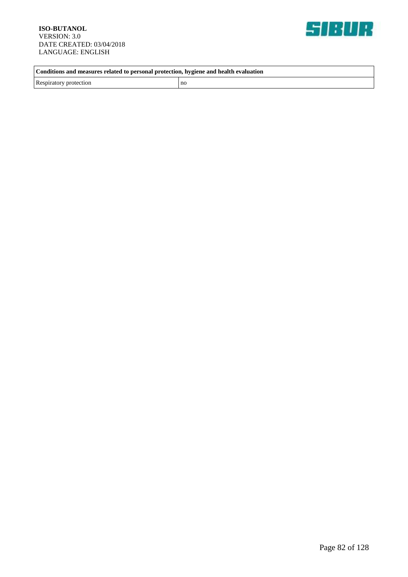

**Conditions and measures related to personal protection, hygiene and health evaluation**

Respiratory protection no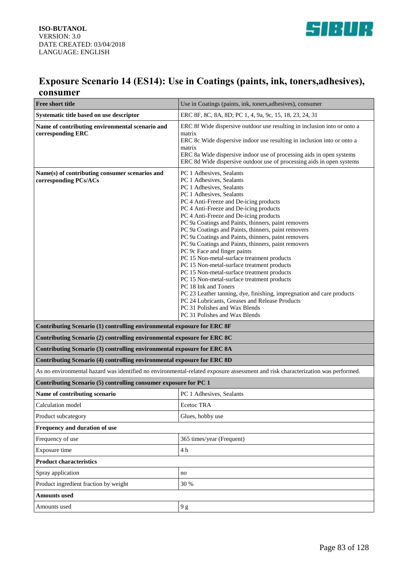

### **Exposure Scenario 14 (ES14): Use in Coatings (paints, ink, toners,adhesives), consumer**

| <b>Free short title</b>                                                                                                         | Use in Coatings (paints, ink, toners, adhesives), consumer                                                                                                                                                                                                                                                                                                                                                                                                                                                                                                                                                                                                                                                                                                                                                                                                                                                          |
|---------------------------------------------------------------------------------------------------------------------------------|---------------------------------------------------------------------------------------------------------------------------------------------------------------------------------------------------------------------------------------------------------------------------------------------------------------------------------------------------------------------------------------------------------------------------------------------------------------------------------------------------------------------------------------------------------------------------------------------------------------------------------------------------------------------------------------------------------------------------------------------------------------------------------------------------------------------------------------------------------------------------------------------------------------------|
| Systematic title based on use descriptor                                                                                        | ERC 8F, 8C, 8A, 8D; PC 1, 4, 9a, 9c, 15, 18, 23, 24, 31                                                                                                                                                                                                                                                                                                                                                                                                                                                                                                                                                                                                                                                                                                                                                                                                                                                             |
| Name of contributing environmental scenario and<br>corresponding ERC                                                            | ERC 8f Wide dispersive outdoor use resulting in inclusion into or onto a<br>matrix<br>ERC 8c Wide dispersive indoor use resulting in inclusion into or onto a<br>matrix<br>ERC 8a Wide dispersive indoor use of processing aids in open systems<br>ERC 8d Wide dispersive outdoor use of processing aids in open systems                                                                                                                                                                                                                                                                                                                                                                                                                                                                                                                                                                                            |
| Name(s) of contributing consumer scenarios and<br>corresponding PCs/ACs                                                         | PC 1 Adhesives, Sealants<br>PC 1 Adhesives, Sealants<br>PC 1 Adhesives, Sealants<br>PC 1 Adhesives, Sealants<br>PC 4 Anti-Freeze and De-icing products<br>PC 4 Anti-Freeze and De-icing products<br>PC 4 Anti-Freeze and De-icing products<br>PC 9a Coatings and Paints, thinners, paint removers<br>PC 9a Coatings and Paints, thinners, paint removers<br>PC 9a Coatings and Paints, thinners, paint removers<br>PC 9a Coatings and Paints, thinners, paint removers<br>PC 9c Face and finger paints<br>PC 15 Non-metal-surface treatment products<br>PC 15 Non-metal-surface treatment products<br>PC 15 Non-metal-surface treatment products<br>PC 15 Non-metal-surface treatment products<br>PC 18 Ink and Toners<br>PC 23 Leather tanning, dye, finishing, impregnation and care products<br>PC 24 Lubricants, Greases and Release Products<br>PC 31 Polishes and Wax Blends<br>PC 31 Polishes and Wax Blends |
| Contributing Scenario (1) controlling environmental exposure for ERC 8F                                                         |                                                                                                                                                                                                                                                                                                                                                                                                                                                                                                                                                                                                                                                                                                                                                                                                                                                                                                                     |
| Contributing Scenario (2) controlling environmental exposure for ERC 8C                                                         |                                                                                                                                                                                                                                                                                                                                                                                                                                                                                                                                                                                                                                                                                                                                                                                                                                                                                                                     |
| Contributing Scenario (3) controlling environmental exposure for ERC 8A                                                         |                                                                                                                                                                                                                                                                                                                                                                                                                                                                                                                                                                                                                                                                                                                                                                                                                                                                                                                     |
| Contributing Scenario (4) controlling environmental exposure for ERC 8D                                                         |                                                                                                                                                                                                                                                                                                                                                                                                                                                                                                                                                                                                                                                                                                                                                                                                                                                                                                                     |
| As no environmental hazard was identified no environmental-related exposure assessment and risk characterization was performed. |                                                                                                                                                                                                                                                                                                                                                                                                                                                                                                                                                                                                                                                                                                                                                                                                                                                                                                                     |
| Contributing Scenario (5) controlling consumer exposure for PC 1                                                                |                                                                                                                                                                                                                                                                                                                                                                                                                                                                                                                                                                                                                                                                                                                                                                                                                                                                                                                     |
| Name of contributing scenario                                                                                                   | PC 1 Adhesives, Sealants                                                                                                                                                                                                                                                                                                                                                                                                                                                                                                                                                                                                                                                                                                                                                                                                                                                                                            |
| Calculation model                                                                                                               | Ecetoc TRA                                                                                                                                                                                                                                                                                                                                                                                                                                                                                                                                                                                                                                                                                                                                                                                                                                                                                                          |
| Product subcategory                                                                                                             | Glues, hobby use                                                                                                                                                                                                                                                                                                                                                                                                                                                                                                                                                                                                                                                                                                                                                                                                                                                                                                    |
| Frequency and duration of use                                                                                                   |                                                                                                                                                                                                                                                                                                                                                                                                                                                                                                                                                                                                                                                                                                                                                                                                                                                                                                                     |
| Frequency of use                                                                                                                | 365 times/year (Frequent)                                                                                                                                                                                                                                                                                                                                                                                                                                                                                                                                                                                                                                                                                                                                                                                                                                                                                           |
| Exposure time                                                                                                                   | 4 h                                                                                                                                                                                                                                                                                                                                                                                                                                                                                                                                                                                                                                                                                                                                                                                                                                                                                                                 |
| <b>Product characteristics</b>                                                                                                  |                                                                                                                                                                                                                                                                                                                                                                                                                                                                                                                                                                                                                                                                                                                                                                                                                                                                                                                     |
| Spray application                                                                                                               | no                                                                                                                                                                                                                                                                                                                                                                                                                                                                                                                                                                                                                                                                                                                                                                                                                                                                                                                  |
| Product ingredient fraction by weight                                                                                           | 30 %                                                                                                                                                                                                                                                                                                                                                                                                                                                                                                                                                                                                                                                                                                                                                                                                                                                                                                                |
| <b>Amounts used</b>                                                                                                             |                                                                                                                                                                                                                                                                                                                                                                                                                                                                                                                                                                                                                                                                                                                                                                                                                                                                                                                     |
| Amounts used                                                                                                                    | $9\ \mathrm g$                                                                                                                                                                                                                                                                                                                                                                                                                                                                                                                                                                                                                                                                                                                                                                                                                                                                                                      |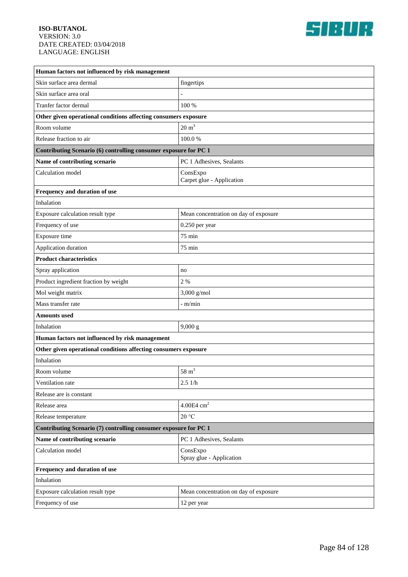

| Human factors not influenced by risk management                  |                                       |  |
|------------------------------------------------------------------|---------------------------------------|--|
| Skin surface area dermal                                         | fingertips                            |  |
| Skin surface area oral                                           |                                       |  |
| Tranfer factor dermal                                            | 100 %                                 |  |
| Other given operational conditions affecting consumers exposure  |                                       |  |
| Room volume                                                      | $20 \text{ m}^3$                      |  |
| Release fraction to air                                          | 100.0%                                |  |
| Contributing Scenario (6) controlling consumer exposure for PC 1 |                                       |  |
| Name of contributing scenario                                    | PC 1 Adhesives, Sealants              |  |
| Calculation model                                                | ConsExpo<br>Carpet glue - Application |  |
| Frequency and duration of use                                    |                                       |  |
| Inhalation                                                       |                                       |  |
| Exposure calculation result type                                 | Mean concentration on day of exposure |  |
| Frequency of use                                                 | 0.250 per year                        |  |
| Exposure time                                                    | 75 min                                |  |
| Application duration                                             | 75 min                                |  |
| <b>Product characteristics</b>                                   |                                       |  |
| Spray application                                                | no                                    |  |
| Product ingredient fraction by weight                            | 2 %                                   |  |
| Mol weight matrix                                                | 3,000 g/mol                           |  |
| Mass transfer rate                                               | - m/min                               |  |
| Amounts used                                                     |                                       |  |
| Inhalation                                                       | 9,000 g                               |  |
| Human factors not influenced by risk management                  |                                       |  |
| Other given operational conditions affecting consumers exposure  |                                       |  |
| Inhalation                                                       |                                       |  |
| Room volume                                                      | $58~{\rm m}^3$                        |  |
| Ventilation rate                                                 | 2.51/h                                |  |
| Release are is constant                                          |                                       |  |
| Release area                                                     | $4.00E4$ cm <sup>2</sup>              |  |
| Release temperature                                              | 20 °C                                 |  |
| Contributing Scenario (7) controlling consumer exposure for PC 1 |                                       |  |
| Name of contributing scenario                                    | PC 1 Adhesives, Sealants              |  |
| Calculation model                                                | ConsExpo<br>Spray glue - Application  |  |
| Frequency and duration of use                                    |                                       |  |
| Inhalation                                                       |                                       |  |
| Exposure calculation result type                                 | Mean concentration on day of exposure |  |
| Frequency of use                                                 | 12 per year                           |  |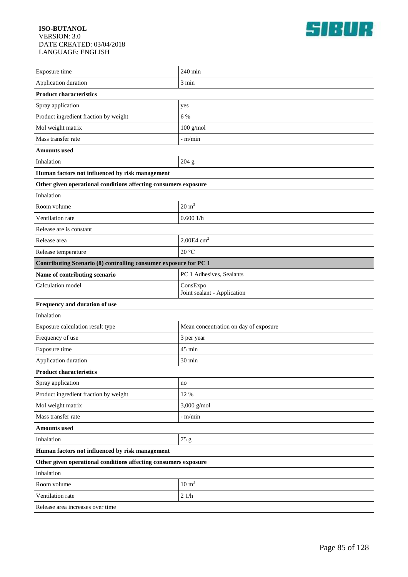

| Exposure time                                                    | 240 min                                 |  |
|------------------------------------------------------------------|-----------------------------------------|--|
| Application duration                                             | 3 min                                   |  |
| <b>Product characteristics</b>                                   |                                         |  |
| Spray application                                                | yes                                     |  |
| Product ingredient fraction by weight                            | 6 %                                     |  |
| Mol weight matrix                                                | $100$ g/mol                             |  |
| Mass transfer rate                                               | $-m/min$                                |  |
| <b>Amounts used</b>                                              |                                         |  |
| Inhalation                                                       | 204 g                                   |  |
| Human factors not influenced by risk management                  |                                         |  |
| Other given operational conditions affecting consumers exposure  |                                         |  |
| Inhalation                                                       |                                         |  |
| Room volume                                                      | $20 \text{ m}^3$                        |  |
| Ventilation rate                                                 | 0.6001/h                                |  |
| Release are is constant                                          |                                         |  |
| Release area                                                     | $2.00E4$ cm <sup>2</sup>                |  |
| Release temperature                                              | 20 °C                                   |  |
| Contributing Scenario (8) controlling consumer exposure for PC 1 |                                         |  |
| Name of contributing scenario                                    | PC 1 Adhesives, Sealants                |  |
| Calculation model                                                | ConsExpo<br>Joint sealant - Application |  |
| Frequency and duration of use                                    |                                         |  |
| Inhalation                                                       |                                         |  |
| Exposure calculation result type                                 | Mean concentration on day of exposure   |  |
| Frequency of use                                                 | 3 per year                              |  |
| Exposure time                                                    | 45 min                                  |  |
| Application duration                                             | 30 min                                  |  |
| <b>Product characteristics</b>                                   |                                         |  |
| Spray application                                                | no                                      |  |
| Product ingredient fraction by weight                            | 12 %                                    |  |
| Mol weight matrix                                                | $3,000$ g/mol                           |  |
| Mass transfer rate                                               | $-$ m/min                               |  |
| <b>Amounts used</b>                                              |                                         |  |
| Inhalation                                                       | 75 g                                    |  |
| Human factors not influenced by risk management                  |                                         |  |
| Other given operational conditions affecting consumers exposure  |                                         |  |
| Inhalation                                                       |                                         |  |
| Room volume                                                      | $10 \text{ m}^3$                        |  |
| Ventilation rate                                                 | $21/h$                                  |  |
| Release area increases over time                                 |                                         |  |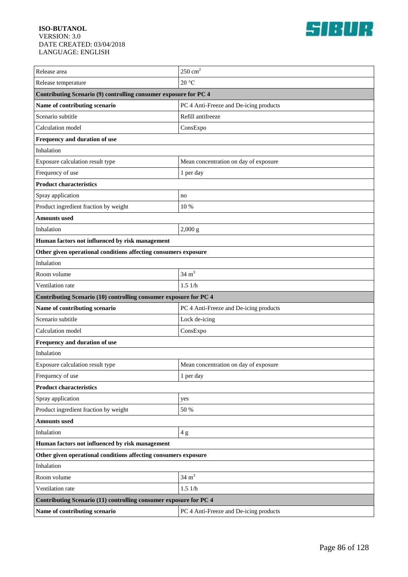

| Release area                                                      | $250 \text{ cm}^2$                     |  |
|-------------------------------------------------------------------|----------------------------------------|--|
| Release temperature                                               | 20 °C                                  |  |
| Contributing Scenario (9) controlling consumer exposure for PC 4  |                                        |  |
| Name of contributing scenario                                     | PC 4 Anti-Freeze and De-icing products |  |
| Scenario subtitle                                                 | Refill antifreeze                      |  |
| Calculation model                                                 | ConsExpo                               |  |
| Frequency and duration of use                                     |                                        |  |
| Inhalation                                                        |                                        |  |
| Exposure calculation result type                                  | Mean concentration on day of exposure  |  |
| Frequency of use                                                  | 1 per day                              |  |
| <b>Product characteristics</b>                                    |                                        |  |
| Spray application                                                 | no                                     |  |
| Product ingredient fraction by weight                             | 10 %                                   |  |
| <b>Amounts used</b>                                               |                                        |  |
| Inhalation                                                        | 2,000 g                                |  |
| Human factors not influenced by risk management                   |                                        |  |
| Other given operational conditions affecting consumers exposure   |                                        |  |
| Inhalation                                                        |                                        |  |
| Room volume                                                       | $34 \text{ m}^3$                       |  |
| Ventilation rate                                                  | 1.51/h                                 |  |
| Contributing Scenario (10) controlling consumer exposure for PC 4 |                                        |  |
| Name of contributing scenario                                     | PC 4 Anti-Freeze and De-icing products |  |
| Scenario subtitle                                                 | Lock de-icing                          |  |
| Calculation model                                                 | ConsExpo                               |  |
| Frequency and duration of use                                     |                                        |  |
| Inhalation                                                        |                                        |  |
| Exposure calculation result type                                  | Mean concentration on day of exposure  |  |
| Frequency of use                                                  | 1 per day                              |  |
| <b>Product characteristics</b>                                    |                                        |  |
| Spray application                                                 | yes                                    |  |
| Product ingredient fraction by weight                             | 50 %                                   |  |
| <b>Amounts used</b>                                               |                                        |  |
| Inhalation                                                        | $4\ {\rm g}$                           |  |
| Human factors not influenced by risk management                   |                                        |  |
| Other given operational conditions affecting consumers exposure   |                                        |  |
| Inhalation                                                        |                                        |  |
| Room volume                                                       | $34 \text{ m}^3$                       |  |
| Ventilation rate                                                  | 1.51/h                                 |  |
| Contributing Scenario (11) controlling consumer exposure for PC 4 |                                        |  |
| Name of contributing scenario                                     | PC 4 Anti-Freeze and De-icing products |  |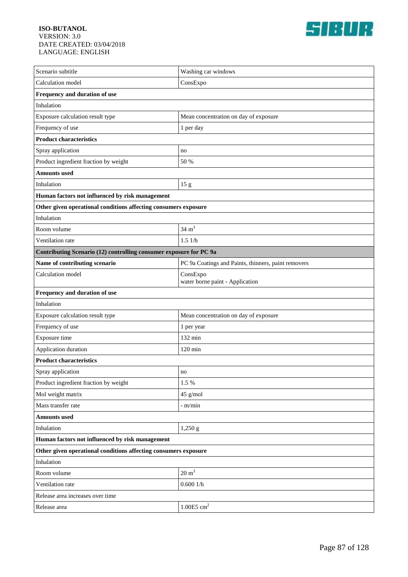

| Scenario subtitle                                                  | Washing car windows                                 |  |
|--------------------------------------------------------------------|-----------------------------------------------------|--|
| Calculation model                                                  | ConsExpo                                            |  |
| Frequency and duration of use                                      |                                                     |  |
| Inhalation                                                         |                                                     |  |
| Exposure calculation result type                                   | Mean concentration on day of exposure               |  |
| Frequency of use                                                   | 1 per day                                           |  |
| <b>Product characteristics</b>                                     |                                                     |  |
| Spray application                                                  | no                                                  |  |
| Product ingredient fraction by weight                              | 50 %                                                |  |
| <b>Amounts</b> used                                                |                                                     |  |
| Inhalation                                                         | 15 g                                                |  |
| Human factors not influenced by risk management                    |                                                     |  |
| Other given operational conditions affecting consumers exposure    |                                                     |  |
| Inhalation                                                         |                                                     |  |
| Room volume                                                        | $34 \text{ m}^3$                                    |  |
| Ventilation rate                                                   | 1.51/h                                              |  |
| Contributing Scenario (12) controlling consumer exposure for PC 9a |                                                     |  |
| Name of contributing scenario                                      | PC 9a Coatings and Paints, thinners, paint removers |  |
| Calculation model                                                  | ConsExpo<br>water borne paint - Application         |  |
| Frequency and duration of use                                      |                                                     |  |
| Inhalation                                                         |                                                     |  |
| Exposure calculation result type                                   | Mean concentration on day of exposure               |  |
| Frequency of use                                                   | 1 per year                                          |  |
| Exposure time                                                      | 132 min                                             |  |
| Application duration                                               | $120 \text{ min}$                                   |  |
| <b>Product characteristics</b>                                     |                                                     |  |
| Spray application                                                  | no                                                  |  |
| Product ingredient fraction by weight                              | 1.5 %                                               |  |
| Mol weight matrix                                                  | 45 g/mol                                            |  |
| Mass transfer rate                                                 | - m/min                                             |  |
| <b>Amounts used</b>                                                |                                                     |  |
| Inhalation                                                         | 1,250 g                                             |  |
| Human factors not influenced by risk management                    |                                                     |  |
| Other given operational conditions affecting consumers exposure    |                                                     |  |
| Inhalation                                                         |                                                     |  |
| Room volume                                                        | $20 \text{ m}^3$                                    |  |
| Ventilation rate                                                   | 0.6001/h                                            |  |
| Release area increases over time                                   |                                                     |  |
| Release area                                                       | $1.00E5$ cm <sup>2</sup>                            |  |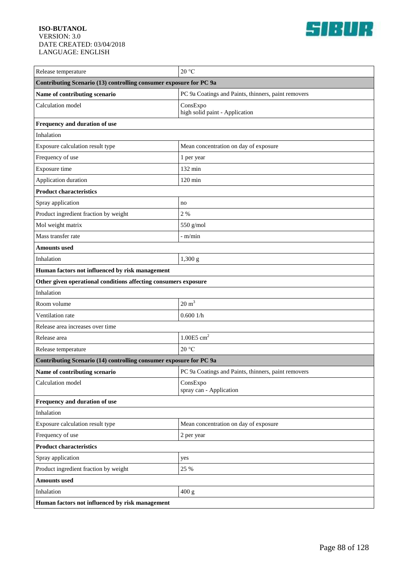

| Release temperature                                                | 20 °C                                               |  |
|--------------------------------------------------------------------|-----------------------------------------------------|--|
| Contributing Scenario (13) controlling consumer exposure for PC 9a |                                                     |  |
| Name of contributing scenario                                      | PC 9a Coatings and Paints, thinners, paint removers |  |
| Calculation model                                                  | ConsExpo<br>high solid paint - Application          |  |
| Frequency and duration of use                                      |                                                     |  |
| Inhalation                                                         |                                                     |  |
| Exposure calculation result type                                   | Mean concentration on day of exposure               |  |
| Frequency of use                                                   | 1 per year                                          |  |
| Exposure time                                                      | 132 min                                             |  |
| Application duration                                               | $120 \text{ min}$                                   |  |
| <b>Product characteristics</b>                                     |                                                     |  |
| Spray application                                                  | no                                                  |  |
| Product ingredient fraction by weight                              | 2 %                                                 |  |
| Mol weight matrix                                                  | 550 g/mol                                           |  |
| Mass transfer rate                                                 | - m/min                                             |  |
| Amounts used                                                       |                                                     |  |
| Inhalation                                                         | 1,300 g                                             |  |
| Human factors not influenced by risk management                    |                                                     |  |
| Other given operational conditions affecting consumers exposure    |                                                     |  |
| Inhalation                                                         |                                                     |  |
| Room volume                                                        | $20 \text{ m}^3$                                    |  |
| Ventilation rate                                                   | 0.6001/h                                            |  |
| Release area increases over time                                   |                                                     |  |
| Release area                                                       | $1.00E5$ cm <sup>2</sup>                            |  |
| Release temperature                                                | 20 °C                                               |  |
| Contributing Scenario (14) controlling consumer exposure for PC 9a |                                                     |  |
| Name of contributing scenario                                      | PC 9a Coatings and Paints, thinners, paint removers |  |
| Calculation model                                                  | ConsExpo<br>spray can - Application                 |  |
| Frequency and duration of use                                      |                                                     |  |
| Inhalation                                                         |                                                     |  |
| Exposure calculation result type                                   | Mean concentration on day of exposure               |  |
| Frequency of use                                                   | 2 per year                                          |  |
| <b>Product characteristics</b>                                     |                                                     |  |
| Spray application                                                  | yes                                                 |  |
| Product ingredient fraction by weight                              | 25 %                                                |  |
| <b>Amounts</b> used                                                |                                                     |  |
| Inhalation                                                         | 400 g                                               |  |
| Human factors not influenced by risk management                    |                                                     |  |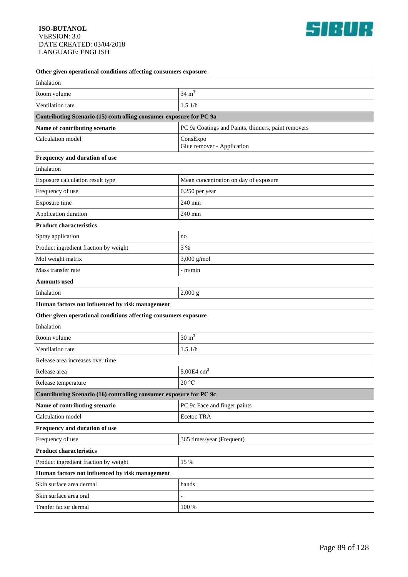

| Other given operational conditions affecting consumers exposure    |                                                     |  |
|--------------------------------------------------------------------|-----------------------------------------------------|--|
| Inhalation                                                         |                                                     |  |
| Room volume                                                        | $34 \text{ m}^3$                                    |  |
| Ventilation rate                                                   | 1.51/h                                              |  |
| Contributing Scenario (15) controlling consumer exposure for PC 9a |                                                     |  |
| Name of contributing scenario                                      | PC 9a Coatings and Paints, thinners, paint removers |  |
| Calculation model                                                  | ConsExpo<br>Glue remover - Application              |  |
| Frequency and duration of use                                      |                                                     |  |
| Inhalation                                                         |                                                     |  |
| Exposure calculation result type                                   | Mean concentration on day of exposure               |  |
| Frequency of use                                                   | 0.250 per year                                      |  |
| Exposure time                                                      | 240 min                                             |  |
| Application duration                                               | 240 min                                             |  |
| <b>Product characteristics</b>                                     |                                                     |  |
| Spray application                                                  | no                                                  |  |
| Product ingredient fraction by weight                              | 3 %                                                 |  |
| Mol weight matrix                                                  | 3,000 g/mol                                         |  |
| Mass transfer rate                                                 | - m/min                                             |  |
| <b>Amounts used</b>                                                |                                                     |  |
| Inhalation                                                         | 2,000 g                                             |  |
| Human factors not influenced by risk management                    |                                                     |  |
| Other given operational conditions affecting consumers exposure    |                                                     |  |
| Inhalation                                                         |                                                     |  |
| Room volume                                                        | $30 \text{ m}^3$                                    |  |
| Ventilation rate                                                   | 1.51/h                                              |  |
| Release area increases over time                                   |                                                     |  |
| Release area                                                       | $\overline{c}$<br>5.00E4 cm                         |  |
| Release temperature                                                | 20 °C                                               |  |
| Contributing Scenario (16) controlling consumer exposure for PC 9c |                                                     |  |
| Name of contributing scenario                                      | PC 9c Face and finger paints                        |  |
| Calculation model                                                  | Ecetoc TRA                                          |  |
| Frequency and duration of use                                      |                                                     |  |
| Frequency of use                                                   | 365 times/year (Frequent)                           |  |
| <b>Product characteristics</b>                                     |                                                     |  |
| Product ingredient fraction by weight                              | 15 %                                                |  |
| Human factors not influenced by risk management                    |                                                     |  |
| Skin surface area dermal                                           | hands                                               |  |
| Skin surface area oral                                             |                                                     |  |
| Tranfer factor dermal                                              | $100\:\%$                                           |  |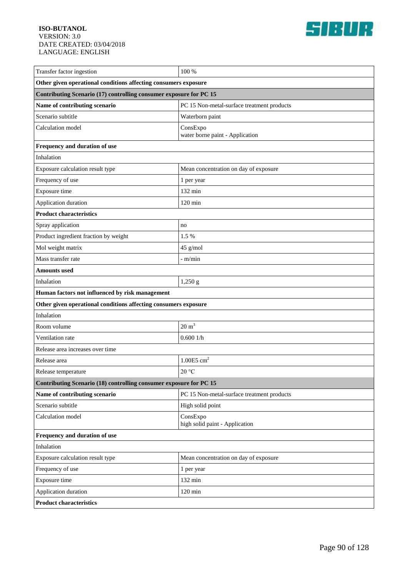

| Transfer factor ingestion                                          | 100 %                                       |  |
|--------------------------------------------------------------------|---------------------------------------------|--|
| Other given operational conditions affecting consumers exposure    |                                             |  |
| Contributing Scenario (17) controlling consumer exposure for PC 15 |                                             |  |
| Name of contributing scenario                                      | PC 15 Non-metal-surface treatment products  |  |
| Scenario subtitle                                                  | Waterborn paint                             |  |
| Calculation model                                                  | ConsExpo<br>water borne paint - Application |  |
| Frequency and duration of use                                      |                                             |  |
| Inhalation                                                         |                                             |  |
| Exposure calculation result type                                   | Mean concentration on day of exposure       |  |
| Frequency of use                                                   | 1 per year                                  |  |
| Exposure time                                                      | $132 \text{ min}$                           |  |
| Application duration                                               | $120$ min                                   |  |
| <b>Product characteristics</b>                                     |                                             |  |
| Spray application                                                  | no                                          |  |
| Product ingredient fraction by weight                              | 1.5 %                                       |  |
| Mol weight matrix                                                  | 45 g/mol                                    |  |
| Mass transfer rate                                                 | $-$ m/min                                   |  |
| <b>Amounts used</b>                                                |                                             |  |
| Inhalation                                                         | 1,250 g                                     |  |
| Human factors not influenced by risk management                    |                                             |  |
| Other given operational conditions affecting consumers exposure    |                                             |  |
| Inhalation                                                         |                                             |  |
| Room volume                                                        | $20 \text{ m}^3$                            |  |
| Ventilation rate                                                   | 0.6001/h                                    |  |
| Release area increases over time                                   |                                             |  |
| Release area                                                       | $1.00E5$ cm <sup>2</sup>                    |  |
| Release temperature                                                | $20\,^{\circ}\mathrm{C}$                    |  |
| Contributing Scenario (18) controlling consumer exposure for PC 15 |                                             |  |
| Name of contributing scenario                                      | PC 15 Non-metal-surface treatment products  |  |
| Scenario subtitle                                                  | High solid point                            |  |
| Calculation model                                                  | ConsExpo<br>high solid paint - Application  |  |
| Frequency and duration of use                                      |                                             |  |
| Inhalation                                                         |                                             |  |
| Exposure calculation result type                                   | Mean concentration on day of exposure       |  |
| Frequency of use                                                   | 1 per year                                  |  |
| Exposure time                                                      | 132 min                                     |  |
| Application duration                                               | $120 \text{ min}$                           |  |
| <b>Product characteristics</b>                                     |                                             |  |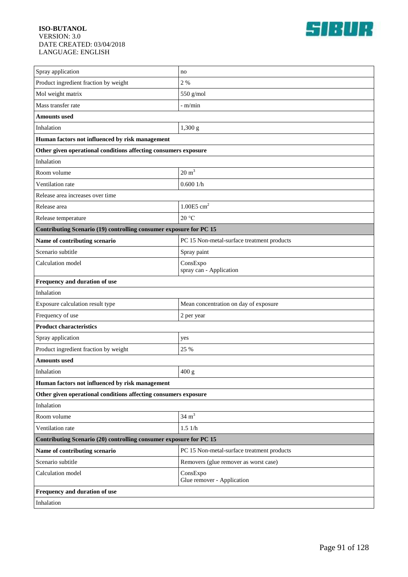

| Spray application                                                  | no                                         |  |
|--------------------------------------------------------------------|--------------------------------------------|--|
| Product ingredient fraction by weight                              | 2 %                                        |  |
| Mol weight matrix                                                  | 550 g/mol                                  |  |
| Mass transfer rate                                                 | - m/min                                    |  |
| Amounts used                                                       |                                            |  |
| Inhalation                                                         | 1,300 g                                    |  |
| Human factors not influenced by risk management                    |                                            |  |
| Other given operational conditions affecting consumers exposure    |                                            |  |
| Inhalation                                                         |                                            |  |
| Room volume                                                        | $20 \text{ m}^3$                           |  |
| Ventilation rate                                                   | 0.6001/h                                   |  |
| Release area increases over time                                   |                                            |  |
| Release area                                                       | $1.00E5$ cm <sup>2</sup>                   |  |
| Release temperature                                                | 20 °C                                      |  |
| Contributing Scenario (19) controlling consumer exposure for PC 15 |                                            |  |
| Name of contributing scenario                                      | PC 15 Non-metal-surface treatment products |  |
| Scenario subtitle                                                  | Spray paint                                |  |
| Calculation model                                                  | ConsExpo<br>spray can - Application        |  |
| Frequency and duration of use                                      |                                            |  |
| Inhalation                                                         |                                            |  |
| Exposure calculation result type                                   | Mean concentration on day of exposure      |  |
| Frequency of use                                                   | 2 per year                                 |  |
| <b>Product characteristics</b>                                     |                                            |  |
| Spray application                                                  | yes                                        |  |
| Product ingredient fraction by weight                              | 25 %                                       |  |
| Amounts used                                                       |                                            |  |
| Inhalation                                                         | 400 g                                      |  |
| Human factors not influenced by risk management                    |                                            |  |
| Other given operational conditions affecting consumers exposure    |                                            |  |
| Inhalation                                                         |                                            |  |
| Room volume                                                        | $34 \text{ m}^3$                           |  |
| Ventilation rate                                                   | 1.51/h                                     |  |
| Contributing Scenario (20) controlling consumer exposure for PC 15 |                                            |  |
| Name of contributing scenario                                      | PC 15 Non-metal-surface treatment products |  |
| Scenario subtitle                                                  | Removers (glue remover as worst case)      |  |
| Calculation model                                                  | ConsExpo<br>Glue remover - Application     |  |
| Frequency and duration of use                                      |                                            |  |
| Inhalation                                                         |                                            |  |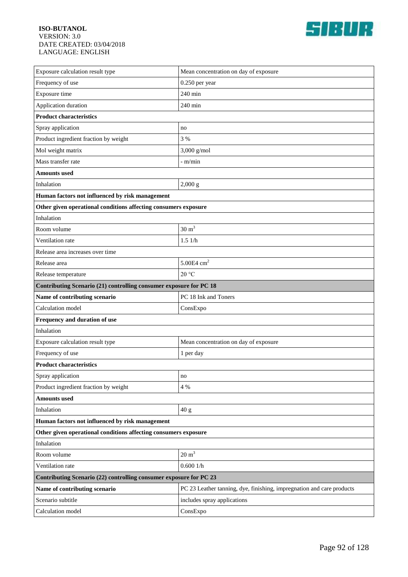

| Exposure calculation result type                                   | Mean concentration on day of exposure                                 |  |
|--------------------------------------------------------------------|-----------------------------------------------------------------------|--|
| Frequency of use                                                   | $0.250$ per year                                                      |  |
| Exposure time                                                      | 240 min                                                               |  |
| Application duration                                               | 240 min                                                               |  |
| <b>Product characteristics</b>                                     |                                                                       |  |
| Spray application                                                  | no                                                                    |  |
| Product ingredient fraction by weight                              | 3 %                                                                   |  |
| Mol weight matrix                                                  | $3,000$ g/mol                                                         |  |
| Mass transfer rate                                                 | - m/min                                                               |  |
| Amounts used                                                       |                                                                       |  |
| Inhalation                                                         | 2,000 g                                                               |  |
| Human factors not influenced by risk management                    |                                                                       |  |
| Other given operational conditions affecting consumers exposure    |                                                                       |  |
| Inhalation                                                         |                                                                       |  |
| Room volume                                                        | $30 \text{ m}^3$                                                      |  |
| Ventilation rate                                                   | 1.51/h                                                                |  |
| Release area increases over time                                   |                                                                       |  |
| Release area                                                       | 5.00E4 $cm2$                                                          |  |
| Release temperature                                                | 20 °C                                                                 |  |
| Contributing Scenario (21) controlling consumer exposure for PC 18 |                                                                       |  |
| Name of contributing scenario                                      | PC 18 Ink and Toners                                                  |  |
| Calculation model                                                  | ConsExpo                                                              |  |
| Frequency and duration of use                                      |                                                                       |  |
| Inhalation                                                         |                                                                       |  |
| Exposure calculation result type                                   | Mean concentration on day of exposure                                 |  |
| Frequency of use                                                   | 1 per day                                                             |  |
| <b>Product characteristics</b>                                     |                                                                       |  |
| Spray application                                                  | no                                                                    |  |
| Product ingredient fraction by weight                              | 4 %                                                                   |  |
| <b>Amounts</b> used                                                |                                                                       |  |
| Inhalation                                                         | 40 g                                                                  |  |
| Human factors not influenced by risk management                    |                                                                       |  |
| Other given operational conditions affecting consumers exposure    |                                                                       |  |
| Inhalation                                                         |                                                                       |  |
| Room volume                                                        | $20 \text{ m}^3$                                                      |  |
| Ventilation rate                                                   | 0.6001/h                                                              |  |
| Contributing Scenario (22) controlling consumer exposure for PC 23 |                                                                       |  |
| Name of contributing scenario                                      | PC 23 Leather tanning, dye, finishing, impregnation and care products |  |
| Scenario subtitle                                                  | includes spray applications                                           |  |
| Calculation model                                                  | ConsExpo                                                              |  |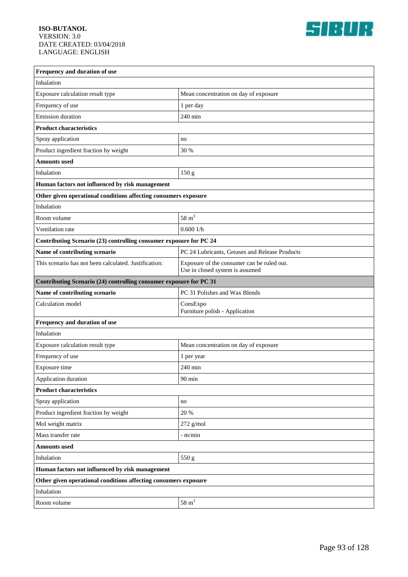

| Frequency and duration of use                                      |                                                                               |  |
|--------------------------------------------------------------------|-------------------------------------------------------------------------------|--|
| Inhalation                                                         |                                                                               |  |
| Exposure calculation result type                                   | Mean concentration on day of exposure                                         |  |
| Frequency of use                                                   | 1 per day                                                                     |  |
| <b>Emission</b> duration                                           | 240 min                                                                       |  |
| <b>Product characteristics</b>                                     |                                                                               |  |
| Spray application                                                  | no                                                                            |  |
| Product ingredient fraction by weight                              | 30 %                                                                          |  |
| <b>Amounts</b> used                                                |                                                                               |  |
| Inhalation                                                         | 150 g                                                                         |  |
| Human factors not influenced by risk management                    |                                                                               |  |
| Other given operational conditions affecting consumers exposure    |                                                                               |  |
| Inhalation                                                         |                                                                               |  |
| Room volume                                                        | $58 \text{ m}^3$                                                              |  |
| Ventilation rate                                                   | 0.6001/h                                                                      |  |
| Contributing Scenario (23) controlling consumer exposure for PC 24 |                                                                               |  |
| Name of contributing scenario                                      | PC 24 Lubricants, Greases and Release Products                                |  |
| This scenario has not been calculated. Justification:              | Exposure of the consumer can be ruled out.<br>Use in closed system is assumed |  |
| Contributing Scenario (24) controlling consumer exposure for PC 31 |                                                                               |  |
| Name of contributing scenario                                      | PC 31 Polishes and Wax Blends                                                 |  |
| Calculation model                                                  | ConsExpo<br>Furniture polish - Application                                    |  |
| Frequency and duration of use                                      |                                                                               |  |
| Inhalation                                                         |                                                                               |  |
| Exposure calculation result type                                   | Mean concentration on day of exposure                                         |  |
| Frequency of use                                                   | 1 per year                                                                    |  |
| Exposure time                                                      | $240$ min                                                                     |  |
| Application duration                                               | $90\;\mathrm{min}$                                                            |  |
| <b>Product characteristics</b>                                     |                                                                               |  |
| Spray application                                                  | no                                                                            |  |
| Product ingredient fraction by weight                              | 20 %                                                                          |  |
| Mol weight matrix                                                  | $272$ g/mol                                                                   |  |
| Mass transfer rate                                                 | - m/min                                                                       |  |
| <b>Amounts</b> used                                                |                                                                               |  |
| Inhalation                                                         | 550 g                                                                         |  |
| Human factors not influenced by risk management                    |                                                                               |  |
| Other given operational conditions affecting consumers exposure    |                                                                               |  |
| Inhalation                                                         |                                                                               |  |
| Room volume                                                        | $58 \text{ m}^3$                                                              |  |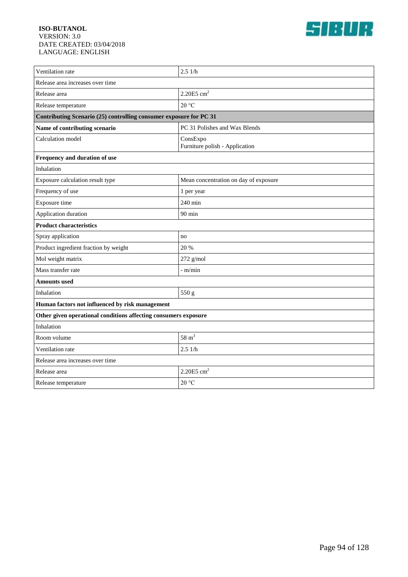

| Ventilation rate                                                   | 2.51/h                                     |  |
|--------------------------------------------------------------------|--------------------------------------------|--|
| Release area increases over time                                   |                                            |  |
| Release area                                                       | 2.20E5 cm <sup>2</sup>                     |  |
| Release temperature                                                | 20 °C                                      |  |
| Contributing Scenario (25) controlling consumer exposure for PC 31 |                                            |  |
| Name of contributing scenario                                      | PC 31 Polishes and Wax Blends              |  |
| Calculation model                                                  | ConsExpo<br>Furniture polish - Application |  |
| Frequency and duration of use                                      |                                            |  |
| Inhalation                                                         |                                            |  |
| Exposure calculation result type                                   | Mean concentration on day of exposure      |  |
| Frequency of use                                                   | 1 per year                                 |  |
| Exposure time                                                      | 240 min                                    |  |
| Application duration                                               | $90 \text{ min}$                           |  |
| <b>Product characteristics</b>                                     |                                            |  |
| Spray application                                                  | no                                         |  |
| Product ingredient fraction by weight                              | 20 %                                       |  |
| Mol weight matrix                                                  | $272$ g/mol                                |  |
| Mass transfer rate                                                 | - m/min                                    |  |
| Amounts used                                                       |                                            |  |
| Inhalation                                                         | 550 g                                      |  |
| Human factors not influenced by risk management                    |                                            |  |
| Other given operational conditions affecting consumers exposure    |                                            |  |
| Inhalation                                                         |                                            |  |
| Room volume                                                        | $58 \text{ m}^3$                           |  |
| Ventilation rate                                                   | 2.51/h                                     |  |
| Release area increases over time                                   |                                            |  |
| Release area                                                       | 2.20E5 cm <sup>2</sup>                     |  |
| Release temperature                                                | 20 °C                                      |  |
|                                                                    |                                            |  |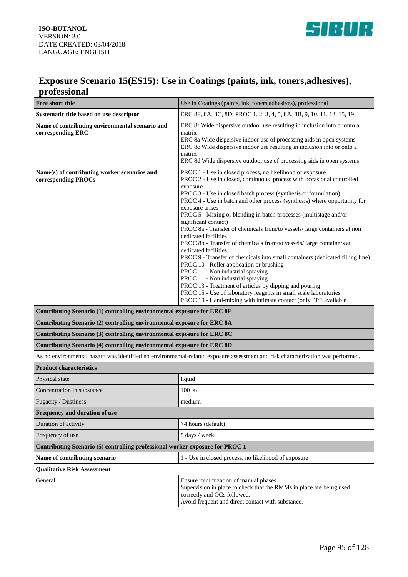

### **Exposure Scenario 15(ES15): Use in Coatings (paints, ink, toners,adhesives), professional**

| <b>Free short title</b>                                                                                                         | Use in Coatings (paints, ink, toners, adhesives), professional                                                                                                                                                                                                                                                                                                                                                                                                                                                                                                                                                                                                                                                                                                                                                                                                                                                                                                                                                             |
|---------------------------------------------------------------------------------------------------------------------------------|----------------------------------------------------------------------------------------------------------------------------------------------------------------------------------------------------------------------------------------------------------------------------------------------------------------------------------------------------------------------------------------------------------------------------------------------------------------------------------------------------------------------------------------------------------------------------------------------------------------------------------------------------------------------------------------------------------------------------------------------------------------------------------------------------------------------------------------------------------------------------------------------------------------------------------------------------------------------------------------------------------------------------|
| Systematic title based on use descriptor                                                                                        | ERC 8F, 8A, 8C, 8D; PROC 1, 2, 3, 4, 5, 8A, 8B, 9, 10, 11, 13, 15, 19                                                                                                                                                                                                                                                                                                                                                                                                                                                                                                                                                                                                                                                                                                                                                                                                                                                                                                                                                      |
| Name of contributing environmental scenario and<br>corresponding ERC                                                            | ERC 8f Wide dispersive outdoor use resulting in inclusion into or onto a<br>matrix<br>ERC 8a Wide dispersive indoor use of processing aids in open systems<br>ERC 8c Wide dispersive indoor use resulting in inclusion into or onto a<br>matrix<br>ERC 8d Wide dispersive outdoor use of processing aids in open systems                                                                                                                                                                                                                                                                                                                                                                                                                                                                                                                                                                                                                                                                                                   |
| Name(s) of contributing worker scenarios and<br>corresponding PROCs                                                             | PROC 1 - Use in closed process, no likelihood of exposure<br>PROC 2 - Use in closed, continuous process with occasional controlled<br>exposure<br>PROC 3 - Use in closed batch process (synthesis or formulation)<br>PROC 4 - Use in batch and other process (synthesis) where opportunity for<br>exposure arises<br>PROC 5 - Mixing or blending in batch processes (multistage and/or<br>significant contact)<br>PROC 8a - Transfer of chemicals from/to vessels/ large containers at non<br>dedicated facilities<br>PROC 8b - Transfer of chemicals from/to vessels/ large containers at<br>dedicated facilities<br>PROC 9 - Transfer of chemicals into small containers (dedicated filling line)<br>PROC 10 - Roller application or brushing<br>PROC 11 - Non industrial spraying<br>PROC 11 - Non industrial spraying<br>PROC 13 - Treatment of articles by dipping and pouring<br>PROC 15 - Use of laboratory reagents in small scale laboratories<br>PROC 19 - Hand-mixing with intimate contact (only PPE available |
| Contributing Scenario (1) controlling environmental exposure for ERC 8F                                                         |                                                                                                                                                                                                                                                                                                                                                                                                                                                                                                                                                                                                                                                                                                                                                                                                                                                                                                                                                                                                                            |
| Contributing Scenario (2) controlling environmental exposure for ERC 8A                                                         |                                                                                                                                                                                                                                                                                                                                                                                                                                                                                                                                                                                                                                                                                                                                                                                                                                                                                                                                                                                                                            |
| Contributing Scenario (3) controlling environmental exposure for ERC 8C                                                         |                                                                                                                                                                                                                                                                                                                                                                                                                                                                                                                                                                                                                                                                                                                                                                                                                                                                                                                                                                                                                            |
| Contributing Scenario (4) controlling environmental exposure for ERC 8D                                                         |                                                                                                                                                                                                                                                                                                                                                                                                                                                                                                                                                                                                                                                                                                                                                                                                                                                                                                                                                                                                                            |
| As no environmental hazard was identified no environmental-related exposure assessment and risk characterization was performed. |                                                                                                                                                                                                                                                                                                                                                                                                                                                                                                                                                                                                                                                                                                                                                                                                                                                                                                                                                                                                                            |
| <b>Product characteristics</b>                                                                                                  |                                                                                                                                                                                                                                                                                                                                                                                                                                                                                                                                                                                                                                                                                                                                                                                                                                                                                                                                                                                                                            |
| Physical state                                                                                                                  | liquid                                                                                                                                                                                                                                                                                                                                                                                                                                                                                                                                                                                                                                                                                                                                                                                                                                                                                                                                                                                                                     |
| Concentration in substance                                                                                                      | 100 %                                                                                                                                                                                                                                                                                                                                                                                                                                                                                                                                                                                                                                                                                                                                                                                                                                                                                                                                                                                                                      |
| Fugacity / Dustiness                                                                                                            | medium                                                                                                                                                                                                                                                                                                                                                                                                                                                                                                                                                                                                                                                                                                                                                                                                                                                                                                                                                                                                                     |
| Frequency and duration of use                                                                                                   |                                                                                                                                                                                                                                                                                                                                                                                                                                                                                                                                                                                                                                                                                                                                                                                                                                                                                                                                                                                                                            |
| Duration of activity                                                                                                            | >4 hours (default)                                                                                                                                                                                                                                                                                                                                                                                                                                                                                                                                                                                                                                                                                                                                                                                                                                                                                                                                                                                                         |
| Frequency of use                                                                                                                | 5 days / week                                                                                                                                                                                                                                                                                                                                                                                                                                                                                                                                                                                                                                                                                                                                                                                                                                                                                                                                                                                                              |
| Contributing Scenario (5) controlling professional worker exposure for PROC 1                                                   |                                                                                                                                                                                                                                                                                                                                                                                                                                                                                                                                                                                                                                                                                                                                                                                                                                                                                                                                                                                                                            |
| Name of contributing scenario                                                                                                   | 1 - Use in closed process, no likelihood of exposure                                                                                                                                                                                                                                                                                                                                                                                                                                                                                                                                                                                                                                                                                                                                                                                                                                                                                                                                                                       |
| <b>Qualitative Risk Assessment</b>                                                                                              |                                                                                                                                                                                                                                                                                                                                                                                                                                                                                                                                                                                                                                                                                                                                                                                                                                                                                                                                                                                                                            |
| General                                                                                                                         | Ensure minimization of manual phases.<br>Supervision in place to check that the RMMs in place are being used<br>correctly and OCs followed.<br>Avoid frequent and direct contact with substance.                                                                                                                                                                                                                                                                                                                                                                                                                                                                                                                                                                                                                                                                                                                                                                                                                           |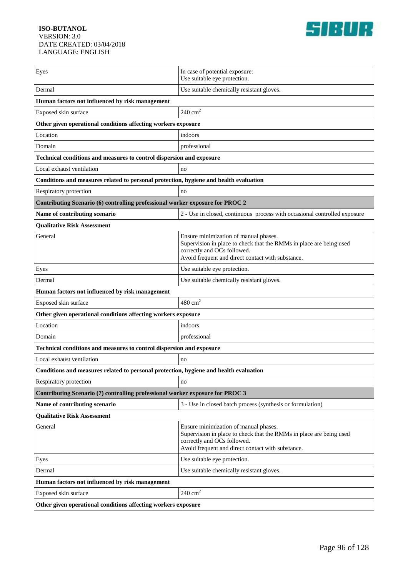

| Eyes                                                                                  | In case of potential exposure:<br>Use suitable eye protection.                                                                                                                                   |  |
|---------------------------------------------------------------------------------------|--------------------------------------------------------------------------------------------------------------------------------------------------------------------------------------------------|--|
| Dermal                                                                                | Use suitable chemically resistant gloves.                                                                                                                                                        |  |
| Human factors not influenced by risk management                                       |                                                                                                                                                                                                  |  |
| Exposed skin surface                                                                  | $240 \text{ cm}^2$                                                                                                                                                                               |  |
| Other given operational conditions affecting workers exposure                         |                                                                                                                                                                                                  |  |
| Location                                                                              | indoors                                                                                                                                                                                          |  |
| Domain                                                                                | professional                                                                                                                                                                                     |  |
| Technical conditions and measures to control dispersion and exposure                  |                                                                                                                                                                                                  |  |
| Local exhaust ventilation                                                             | no                                                                                                                                                                                               |  |
| Conditions and measures related to personal protection, hygiene and health evaluation |                                                                                                                                                                                                  |  |
| Respiratory protection                                                                | no                                                                                                                                                                                               |  |
| Contributing Scenario (6) controlling professional worker exposure for PROC 2         |                                                                                                                                                                                                  |  |
| Name of contributing scenario                                                         | 2 - Use in closed, continuous process with occasional controlled exposure                                                                                                                        |  |
| <b>Qualitative Risk Assessment</b>                                                    |                                                                                                                                                                                                  |  |
| General                                                                               | Ensure minimization of manual phases.<br>Supervision in place to check that the RMMs in place are being used<br>correctly and OCs followed.<br>Avoid frequent and direct contact with substance. |  |
| Eyes                                                                                  | Use suitable eye protection.                                                                                                                                                                     |  |
| Dermal                                                                                | Use suitable chemically resistant gloves.                                                                                                                                                        |  |
| Human factors not influenced by risk management                                       |                                                                                                                                                                                                  |  |
| Exposed skin surface                                                                  | $480 \text{ cm}^2$                                                                                                                                                                               |  |
| Other given operational conditions affecting workers exposure                         |                                                                                                                                                                                                  |  |
| Location                                                                              | indoors                                                                                                                                                                                          |  |
| Domain                                                                                | professional                                                                                                                                                                                     |  |
| Technical conditions and measures to control dispersion and exposure                  |                                                                                                                                                                                                  |  |
| Local exhaust ventilation                                                             | no                                                                                                                                                                                               |  |
| Conditions and measures related to personal protection, hygiene and health evaluation |                                                                                                                                                                                                  |  |
| Respiratory protection                                                                | no                                                                                                                                                                                               |  |
| Contributing Scenario (7) controlling professional worker exposure for PROC 3         |                                                                                                                                                                                                  |  |
| Name of contributing scenario                                                         | 3 - Use in closed batch process (synthesis or formulation)                                                                                                                                       |  |
| <b>Qualitative Risk Assessment</b>                                                    |                                                                                                                                                                                                  |  |
| General                                                                               | Ensure minimization of manual phases.<br>Supervision in place to check that the RMMs in place are being used<br>correctly and OCs followed.<br>Avoid frequent and direct contact with substance. |  |
| Eyes                                                                                  | Use suitable eye protection.                                                                                                                                                                     |  |
| Dermal                                                                                | Use suitable chemically resistant gloves.                                                                                                                                                        |  |
| Human factors not influenced by risk management                                       |                                                                                                                                                                                                  |  |
| Exposed skin surface                                                                  | $240\ {\rm cm}^2$                                                                                                                                                                                |  |
| Other given operational conditions affecting workers exposure                         |                                                                                                                                                                                                  |  |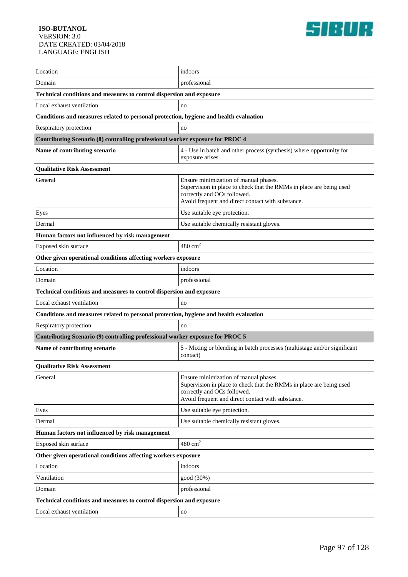

| Location                                                                              | indoors                                                                                                                                                                                          |  |
|---------------------------------------------------------------------------------------|--------------------------------------------------------------------------------------------------------------------------------------------------------------------------------------------------|--|
| Domain                                                                                | professional                                                                                                                                                                                     |  |
| Technical conditions and measures to control dispersion and exposure                  |                                                                                                                                                                                                  |  |
| Local exhaust ventilation                                                             | no                                                                                                                                                                                               |  |
| Conditions and measures related to personal protection, hygiene and health evaluation |                                                                                                                                                                                                  |  |
| Respiratory protection                                                                | no                                                                                                                                                                                               |  |
| Contributing Scenario (8) controlling professional worker exposure for PROC 4         |                                                                                                                                                                                                  |  |
| Name of contributing scenario                                                         | 4 - Use in batch and other process (synthesis) where opportunity for<br>exposure arises                                                                                                          |  |
| <b>Qualitative Risk Assessment</b>                                                    |                                                                                                                                                                                                  |  |
| General                                                                               | Ensure minimization of manual phases.<br>Supervision in place to check that the RMMs in place are being used<br>correctly and OCs followed.<br>Avoid frequent and direct contact with substance. |  |
| Eyes                                                                                  | Use suitable eye protection.                                                                                                                                                                     |  |
| Dermal                                                                                | Use suitable chemically resistant gloves.                                                                                                                                                        |  |
| Human factors not influenced by risk management                                       |                                                                                                                                                                                                  |  |
| Exposed skin surface                                                                  | $480 \text{ cm}^2$                                                                                                                                                                               |  |
| Other given operational conditions affecting workers exposure                         |                                                                                                                                                                                                  |  |
| Location                                                                              | indoors                                                                                                                                                                                          |  |
| Domain                                                                                | professional                                                                                                                                                                                     |  |
| Technical conditions and measures to control dispersion and exposure                  |                                                                                                                                                                                                  |  |
| Local exhaust ventilation                                                             | no                                                                                                                                                                                               |  |
| Conditions and measures related to personal protection, hygiene and health evaluation |                                                                                                                                                                                                  |  |
| Respiratory protection                                                                | no                                                                                                                                                                                               |  |
| Contributing Scenario (9) controlling professional worker exposure for PROC 5         |                                                                                                                                                                                                  |  |
| Name of contributing scenario                                                         | 5 - Mixing or blending in batch processes (multistage and/or significant<br>contact)                                                                                                             |  |
| <b>Qualitative Risk Assessment</b>                                                    |                                                                                                                                                                                                  |  |
| General                                                                               | Ensure minimization of manual phases.<br>Supervision in place to check that the RMMs in place are being used<br>correctly and OCs followed.<br>Avoid frequent and direct contact with substance. |  |
| Eyes                                                                                  | Use suitable eye protection.                                                                                                                                                                     |  |
| Dermal                                                                                | Use suitable chemically resistant gloves.                                                                                                                                                        |  |
| Human factors not influenced by risk management                                       |                                                                                                                                                                                                  |  |
| Exposed skin surface                                                                  | $480 \text{ cm}^2$                                                                                                                                                                               |  |
| Other given operational conditions affecting workers exposure                         |                                                                                                                                                                                                  |  |
| Location                                                                              | indoors                                                                                                                                                                                          |  |
| Ventilation                                                                           | good (30%)                                                                                                                                                                                       |  |
| Domain                                                                                | professional                                                                                                                                                                                     |  |
| Technical conditions and measures to control dispersion and exposure                  |                                                                                                                                                                                                  |  |
| Local exhaust ventilation                                                             | no                                                                                                                                                                                               |  |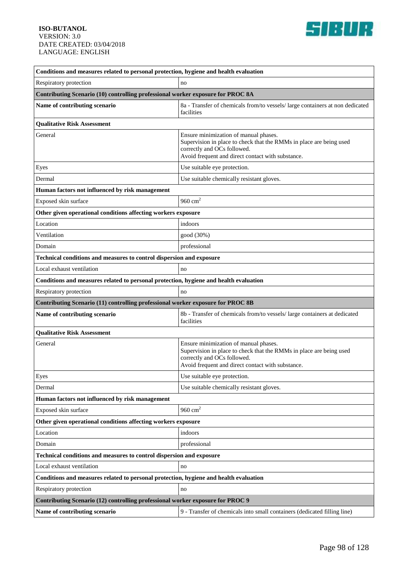

| Conditions and measures related to personal protection, hygiene and health evaluation |                                                                                                                                                                                                  |  |
|---------------------------------------------------------------------------------------|--------------------------------------------------------------------------------------------------------------------------------------------------------------------------------------------------|--|
| Respiratory protection                                                                | no                                                                                                                                                                                               |  |
| Contributing Scenario (10) controlling professional worker exposure for PROC 8A       |                                                                                                                                                                                                  |  |
| Name of contributing scenario                                                         | 8a - Transfer of chemicals from/to vessels/ large containers at non dedicated<br>facilities                                                                                                      |  |
| <b>Qualitative Risk Assessment</b>                                                    |                                                                                                                                                                                                  |  |
| General                                                                               | Ensure minimization of manual phases.<br>Supervision in place to check that the RMMs in place are being used<br>correctly and OCs followed.<br>Avoid frequent and direct contact with substance. |  |
| Eyes                                                                                  | Use suitable eye protection.                                                                                                                                                                     |  |
| Dermal                                                                                | Use suitable chemically resistant gloves.                                                                                                                                                        |  |
| Human factors not influenced by risk management                                       |                                                                                                                                                                                                  |  |
| Exposed skin surface                                                                  | 960 $cm2$                                                                                                                                                                                        |  |
| Other given operational conditions affecting workers exposure                         |                                                                                                                                                                                                  |  |
| Location                                                                              | indoors                                                                                                                                                                                          |  |
| Ventilation                                                                           | good (30%)                                                                                                                                                                                       |  |
| Domain                                                                                | professional                                                                                                                                                                                     |  |
| Technical conditions and measures to control dispersion and exposure                  |                                                                                                                                                                                                  |  |
| Local exhaust ventilation                                                             | no                                                                                                                                                                                               |  |
| Conditions and measures related to personal protection, hygiene and health evaluation |                                                                                                                                                                                                  |  |
| Respiratory protection                                                                | no                                                                                                                                                                                               |  |
| Contributing Scenario (11) controlling professional worker exposure for PROC 8B       |                                                                                                                                                                                                  |  |
| Name of contributing scenario                                                         | 8b - Transfer of chemicals from/to vessels/ large containers at dedicated<br>facilities                                                                                                          |  |
| <b>Qualitative Risk Assessment</b>                                                    |                                                                                                                                                                                                  |  |
| General                                                                               | Ensure minimization of manual phases.<br>Supervision in place to check that the RMMs in place are being used<br>correctly and OCs followed.<br>Avoid frequent and direct contact with substance. |  |
| Eyes                                                                                  | Use suitable eye protection.                                                                                                                                                                     |  |
| Dermal                                                                                | Use suitable chemically resistant gloves.                                                                                                                                                        |  |
| Human factors not influenced by risk management                                       |                                                                                                                                                                                                  |  |
| Exposed skin surface                                                                  | 960 $cm2$                                                                                                                                                                                        |  |
| Other given operational conditions affecting workers exposure                         |                                                                                                                                                                                                  |  |
| Location                                                                              | indoors                                                                                                                                                                                          |  |
| Domain                                                                                | professional                                                                                                                                                                                     |  |
| Technical conditions and measures to control dispersion and exposure                  |                                                                                                                                                                                                  |  |
| Local exhaust ventilation                                                             | no                                                                                                                                                                                               |  |
| Conditions and measures related to personal protection, hygiene and health evaluation |                                                                                                                                                                                                  |  |
| Respiratory protection                                                                | no                                                                                                                                                                                               |  |
| Contributing Scenario (12) controlling professional worker exposure for PROC 9        |                                                                                                                                                                                                  |  |
| Name of contributing scenario                                                         | 9 - Transfer of chemicals into small containers (dedicated filling line)                                                                                                                         |  |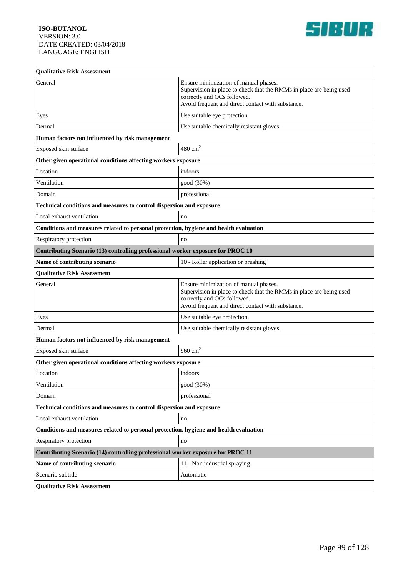

| <b>Qualitative Risk Assessment</b>                                                    |                                                                                                                                                                                                  |  |
|---------------------------------------------------------------------------------------|--------------------------------------------------------------------------------------------------------------------------------------------------------------------------------------------------|--|
| General                                                                               | Ensure minimization of manual phases.<br>Supervision in place to check that the RMMs in place are being used<br>correctly and OCs followed.<br>Avoid frequent and direct contact with substance. |  |
| Eyes                                                                                  | Use suitable eye protection.                                                                                                                                                                     |  |
| Dermal                                                                                | Use suitable chemically resistant gloves.                                                                                                                                                        |  |
| Human factors not influenced by risk management                                       |                                                                                                                                                                                                  |  |
| Exposed skin surface                                                                  | $480 \text{ cm}^2$                                                                                                                                                                               |  |
| Other given operational conditions affecting workers exposure                         |                                                                                                                                                                                                  |  |
| Location                                                                              | indoors                                                                                                                                                                                          |  |
| Ventilation                                                                           | good (30%)                                                                                                                                                                                       |  |
| Domain                                                                                | professional                                                                                                                                                                                     |  |
| Technical conditions and measures to control dispersion and exposure                  |                                                                                                                                                                                                  |  |
| Local exhaust ventilation                                                             | no                                                                                                                                                                                               |  |
| Conditions and measures related to personal protection, hygiene and health evaluation |                                                                                                                                                                                                  |  |
| Respiratory protection                                                                | no                                                                                                                                                                                               |  |
| Contributing Scenario (13) controlling professional worker exposure for PROC 10       |                                                                                                                                                                                                  |  |
| Name of contributing scenario                                                         | 10 - Roller application or brushing                                                                                                                                                              |  |
| <b>Qualitative Risk Assessment</b>                                                    |                                                                                                                                                                                                  |  |
| General                                                                               | Ensure minimization of manual phases.<br>Supervision in place to check that the RMMs in place are being used<br>correctly and OCs followed.<br>Avoid frequent and direct contact with substance. |  |
| Eyes                                                                                  | Use suitable eye protection.                                                                                                                                                                     |  |
| Dermal                                                                                | Use suitable chemically resistant gloves.                                                                                                                                                        |  |
| Human factors not influenced by risk management                                       |                                                                                                                                                                                                  |  |
| Exposed skin surface                                                                  | 960 $cm2$                                                                                                                                                                                        |  |
| Other given operational conditions affecting workers exposure                         |                                                                                                                                                                                                  |  |
| Location                                                                              | indoors                                                                                                                                                                                          |  |
| Ventilation                                                                           | good (30%)                                                                                                                                                                                       |  |
| Domain                                                                                | professional                                                                                                                                                                                     |  |
| Technical conditions and measures to control dispersion and exposure                  |                                                                                                                                                                                                  |  |
| Local exhaust ventilation                                                             | no                                                                                                                                                                                               |  |
| Conditions and measures related to personal protection, hygiene and health evaluation |                                                                                                                                                                                                  |  |
| Respiratory protection                                                                | no                                                                                                                                                                                               |  |
| Contributing Scenario (14) controlling professional worker exposure for PROC 11       |                                                                                                                                                                                                  |  |
| Name of contributing scenario                                                         | 11 - Non industrial spraying                                                                                                                                                                     |  |
| Scenario subtitle                                                                     | Automatic                                                                                                                                                                                        |  |
| <b>Qualitative Risk Assessment</b>                                                    |                                                                                                                                                                                                  |  |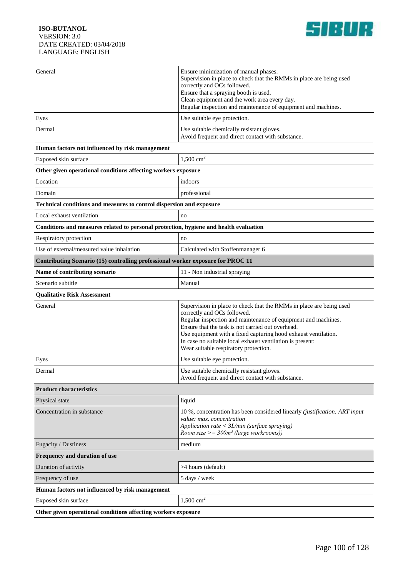

| General                                                                               | Ensure minimization of manual phases.<br>Supervision in place to check that the RMMs in place are being used<br>correctly and OCs followed.<br>Ensure that a spraying booth is used.<br>Clean equipment and the work area every day.<br>Regular inspection and maintenance of equipment and machines.                                                                                            |  |
|---------------------------------------------------------------------------------------|--------------------------------------------------------------------------------------------------------------------------------------------------------------------------------------------------------------------------------------------------------------------------------------------------------------------------------------------------------------------------------------------------|--|
| Eyes                                                                                  | Use suitable eye protection.                                                                                                                                                                                                                                                                                                                                                                     |  |
| Dermal                                                                                | Use suitable chemically resistant gloves.<br>Avoid frequent and direct contact with substance.                                                                                                                                                                                                                                                                                                   |  |
| Human factors not influenced by risk management                                       |                                                                                                                                                                                                                                                                                                                                                                                                  |  |
| Exposed skin surface                                                                  | 1,500 $cm2$                                                                                                                                                                                                                                                                                                                                                                                      |  |
| Other given operational conditions affecting workers exposure                         |                                                                                                                                                                                                                                                                                                                                                                                                  |  |
| Location                                                                              | indoors                                                                                                                                                                                                                                                                                                                                                                                          |  |
| Domain                                                                                | professional                                                                                                                                                                                                                                                                                                                                                                                     |  |
| Technical conditions and measures to control dispersion and exposure                  |                                                                                                                                                                                                                                                                                                                                                                                                  |  |
| Local exhaust ventilation                                                             | no                                                                                                                                                                                                                                                                                                                                                                                               |  |
| Conditions and measures related to personal protection, hygiene and health evaluation |                                                                                                                                                                                                                                                                                                                                                                                                  |  |
| Respiratory protection                                                                | no                                                                                                                                                                                                                                                                                                                                                                                               |  |
| Use of external/measured value inhalation                                             | Calculated with Stoffenmanager 6                                                                                                                                                                                                                                                                                                                                                                 |  |
| Contributing Scenario (15) controlling professional worker exposure for PROC 11       |                                                                                                                                                                                                                                                                                                                                                                                                  |  |
| Name of contributing scenario                                                         | 11 - Non industrial spraying                                                                                                                                                                                                                                                                                                                                                                     |  |
| Scenario subtitle                                                                     | Manual                                                                                                                                                                                                                                                                                                                                                                                           |  |
| <b>Qualitative Risk Assessment</b>                                                    |                                                                                                                                                                                                                                                                                                                                                                                                  |  |
| General                                                                               | Supervision in place to check that the RMMs in place are being used<br>correctly and OCs followed.<br>Regular inspection and maintenance of equipment and machines.<br>Ensure that the task is not carried out overhead.<br>Use equipment with a fixed capturing hood exhaust ventilation.<br>In case no suitable local exhaust ventilation is present:<br>Wear suitable respiratory protection. |  |
| Eyes                                                                                  | Use suitable eye protection.                                                                                                                                                                                                                                                                                                                                                                     |  |
| Dermal                                                                                | Use suitable chemically resistant gloves.<br>Avoid frequent and direct contact with substance.                                                                                                                                                                                                                                                                                                   |  |
| <b>Product characteristics</b>                                                        |                                                                                                                                                                                                                                                                                                                                                                                                  |  |
| Physical state                                                                        | liquid                                                                                                                                                                                                                                                                                                                                                                                           |  |
| Concentration in substance                                                            | 10 %, concentration has been considered linearly (justification: ART input<br>value: max. concentration<br>Application rate < 3L/min (surface spraying)<br>Room size $>=$ 300m <sup>3</sup> (large workrooms))                                                                                                                                                                                   |  |
| Fugacity / Dustiness                                                                  | medium                                                                                                                                                                                                                                                                                                                                                                                           |  |
| Frequency and duration of use                                                         |                                                                                                                                                                                                                                                                                                                                                                                                  |  |
| Duration of activity                                                                  | >4 hours (default)                                                                                                                                                                                                                                                                                                                                                                               |  |
| Frequency of use                                                                      | 5 days / week                                                                                                                                                                                                                                                                                                                                                                                    |  |
| Human factors not influenced by risk management                                       |                                                                                                                                                                                                                                                                                                                                                                                                  |  |
| Exposed skin surface                                                                  | $1,500$ cm <sup>2</sup>                                                                                                                                                                                                                                                                                                                                                                          |  |
| Other given operational conditions affecting workers exposure                         |                                                                                                                                                                                                                                                                                                                                                                                                  |  |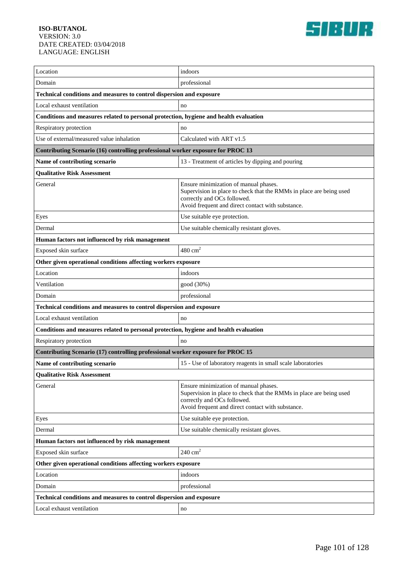

| Location                                                                              | indoors                                                                                                                                                                                          |  |
|---------------------------------------------------------------------------------------|--------------------------------------------------------------------------------------------------------------------------------------------------------------------------------------------------|--|
| Domain                                                                                | professional                                                                                                                                                                                     |  |
| Technical conditions and measures to control dispersion and exposure                  |                                                                                                                                                                                                  |  |
| Local exhaust ventilation                                                             | no                                                                                                                                                                                               |  |
| Conditions and measures related to personal protection, hygiene and health evaluation |                                                                                                                                                                                                  |  |
| Respiratory protection                                                                | no                                                                                                                                                                                               |  |
| Use of external/measured value inhalation                                             | Calculated with ART v1.5                                                                                                                                                                         |  |
| Contributing Scenario (16) controlling professional worker exposure for PROC 13       |                                                                                                                                                                                                  |  |
| Name of contributing scenario                                                         | 13 - Treatment of articles by dipping and pouring                                                                                                                                                |  |
| <b>Qualitative Risk Assessment</b>                                                    |                                                                                                                                                                                                  |  |
| General                                                                               | Ensure minimization of manual phases.<br>Supervision in place to check that the RMMs in place are being used<br>correctly and OCs followed.<br>Avoid frequent and direct contact with substance. |  |
| Eyes                                                                                  | Use suitable eye protection.                                                                                                                                                                     |  |
| Dermal                                                                                | Use suitable chemically resistant gloves.                                                                                                                                                        |  |
| Human factors not influenced by risk management                                       |                                                                                                                                                                                                  |  |
| Exposed skin surface                                                                  | $480 \text{ cm}^2$                                                                                                                                                                               |  |
| Other given operational conditions affecting workers exposure                         |                                                                                                                                                                                                  |  |
| Location                                                                              | indoors                                                                                                                                                                                          |  |
| Ventilation                                                                           | good (30%)                                                                                                                                                                                       |  |
| Domain                                                                                | professional                                                                                                                                                                                     |  |
| Technical conditions and measures to control dispersion and exposure                  |                                                                                                                                                                                                  |  |
| Local exhaust ventilation                                                             | no                                                                                                                                                                                               |  |
| Conditions and measures related to personal protection, hygiene and health evaluation |                                                                                                                                                                                                  |  |
| Respiratory protection                                                                | no                                                                                                                                                                                               |  |
| Contributing Scenario (17) controlling professional worker exposure for PROC 15       |                                                                                                                                                                                                  |  |
| Name of contributing scenario                                                         | 15 - Use of laboratory reagents in small scale laboratories                                                                                                                                      |  |
| <b>Qualitative Risk Assessment</b>                                                    |                                                                                                                                                                                                  |  |
| General                                                                               | Ensure minimization of manual phases.<br>Supervision in place to check that the RMMs in place are being used<br>correctly and OCs followed.<br>Avoid frequent and direct contact with substance. |  |
| Eyes                                                                                  | Use suitable eye protection.                                                                                                                                                                     |  |
| Dermal                                                                                | Use suitable chemically resistant gloves.                                                                                                                                                        |  |
| Human factors not influenced by risk management                                       |                                                                                                                                                                                                  |  |
| Exposed skin surface                                                                  | $240 \text{ cm}^2$                                                                                                                                                                               |  |
| Other given operational conditions affecting workers exposure                         |                                                                                                                                                                                                  |  |
| Location                                                                              | indoors                                                                                                                                                                                          |  |
| Domain                                                                                | professional                                                                                                                                                                                     |  |
| Technical conditions and measures to control dispersion and exposure                  |                                                                                                                                                                                                  |  |
| Local exhaust ventilation                                                             | $\rm no$                                                                                                                                                                                         |  |
|                                                                                       |                                                                                                                                                                                                  |  |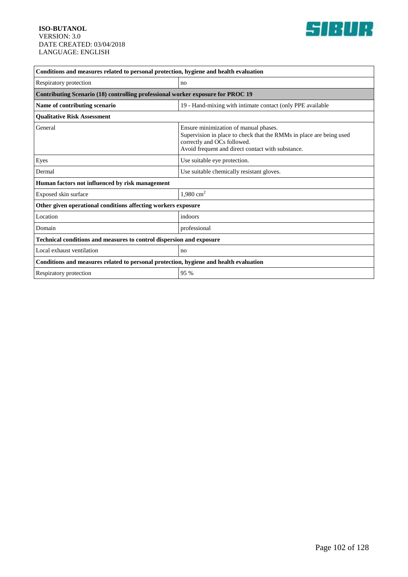

| Conditions and measures related to personal protection, hygiene and health evaluation |                                                                                                                                                                                                  |
|---------------------------------------------------------------------------------------|--------------------------------------------------------------------------------------------------------------------------------------------------------------------------------------------------|
| Respiratory protection                                                                | no                                                                                                                                                                                               |
| Contributing Scenario (18) controlling professional worker exposure for PROC 19       |                                                                                                                                                                                                  |
| Name of contributing scenario                                                         | 19 - Hand-mixing with intimate contact (only PPE available                                                                                                                                       |
| <b>Qualitative Risk Assessment</b>                                                    |                                                                                                                                                                                                  |
| General                                                                               | Ensure minimization of manual phases.<br>Supervision in place to check that the RMMs in place are being used<br>correctly and OCs followed.<br>Avoid frequent and direct contact with substance. |
| Eyes                                                                                  | Use suitable eye protection.                                                                                                                                                                     |
| Dermal                                                                                | Use suitable chemically resistant gloves.                                                                                                                                                        |
| Human factors not influenced by risk management                                       |                                                                                                                                                                                                  |
| Exposed skin surface                                                                  | 1,980 $cm2$                                                                                                                                                                                      |
| Other given operational conditions affecting workers exposure                         |                                                                                                                                                                                                  |
| Location                                                                              | indoors                                                                                                                                                                                          |
| Domain                                                                                | professional                                                                                                                                                                                     |
| <b>Technical conditions and measures to control dispersion and exposure</b>           |                                                                                                                                                                                                  |
| Local exhaust ventilation                                                             | no                                                                                                                                                                                               |
| Conditions and measures related to personal protection, hygiene and health evaluation |                                                                                                                                                                                                  |
| Respiratory protection                                                                | 95 %                                                                                                                                                                                             |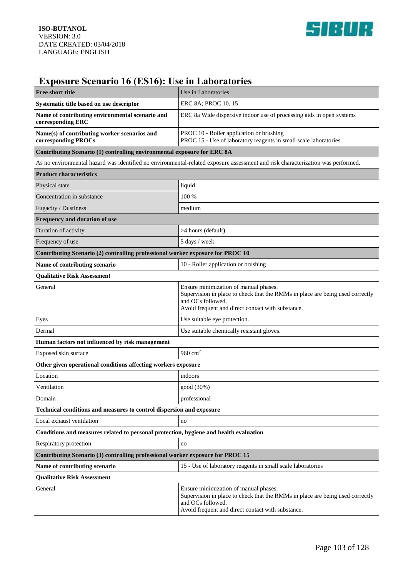

## **Exposure Scenario 16 (ES16): Use in Laboratories**

| <b>Free short title</b>                                                               | Use in Laboratories                                                                                                                                                                              |
|---------------------------------------------------------------------------------------|--------------------------------------------------------------------------------------------------------------------------------------------------------------------------------------------------|
| Systematic title based on use descriptor                                              | ERC 8A; PROC 10, 15                                                                                                                                                                              |
| Name of contributing environmental scenario and<br>corresponding ERC                  | ERC 8a Wide dispersive indoor use of processing aids in open systems                                                                                                                             |
| Name(s) of contributing worker scenarios and<br>corresponding PROCs                   | PROC 10 - Roller application or brushing<br>PROC 15 - Use of laboratory reagents in small scale laboratories                                                                                     |
| Contributing Scenario (1) controlling environmental exposure for ERC 8A               |                                                                                                                                                                                                  |
|                                                                                       | As no environmental hazard was identified no environmental-related exposure assessment and risk characterization was performed.                                                                  |
| <b>Product characteristics</b>                                                        |                                                                                                                                                                                                  |
| Physical state                                                                        | liquid                                                                                                                                                                                           |
| Concentration in substance                                                            | 100 %                                                                                                                                                                                            |
| Fugacity / Dustiness                                                                  | medium                                                                                                                                                                                           |
| Frequency and duration of use                                                         |                                                                                                                                                                                                  |
| Duration of activity                                                                  | >4 hours (default)                                                                                                                                                                               |
| Frequency of use                                                                      | 5 days / week                                                                                                                                                                                    |
| Contributing Scenario (2) controlling professional worker exposure for PROC 10        |                                                                                                                                                                                                  |
| Name of contributing scenario                                                         | 10 - Roller application or brushing                                                                                                                                                              |
| <b>Qualitative Risk Assessment</b>                                                    |                                                                                                                                                                                                  |
| General                                                                               | Ensure minimization of manual phases.<br>Supervision in place to check that the RMMs in place are being used correctly<br>and OCs followed.<br>Avoid frequent and direct contact with substance. |
| Eyes                                                                                  | Use suitable eye protection.                                                                                                                                                                     |
| Dermal                                                                                | Use suitable chemically resistant gloves.                                                                                                                                                        |
| Human factors not influenced by risk management                                       |                                                                                                                                                                                                  |
| Exposed skin surface                                                                  | 960 $cm2$                                                                                                                                                                                        |
| Other given operational conditions affecting workers exposure                         |                                                                                                                                                                                                  |
| Location                                                                              | indoors                                                                                                                                                                                          |
| Ventilation                                                                           | good (30%)                                                                                                                                                                                       |
| Domain                                                                                | professional                                                                                                                                                                                     |
| Technical conditions and measures to control dispersion and exposure                  |                                                                                                                                                                                                  |
| Local exhaust ventilation                                                             | no                                                                                                                                                                                               |
| Conditions and measures related to personal protection, hygiene and health evaluation |                                                                                                                                                                                                  |
| Respiratory protection                                                                | no                                                                                                                                                                                               |
| Contributing Scenario (3) controlling professional worker exposure for PROC 15        |                                                                                                                                                                                                  |
| Name of contributing scenario                                                         | 15 - Use of laboratory reagents in small scale laboratories                                                                                                                                      |
| <b>Qualitative Risk Assessment</b>                                                    |                                                                                                                                                                                                  |
| General                                                                               | Ensure minimization of manual phases.<br>Supervision in place to check that the RMMs in place are being used correctly<br>and OCs followed.<br>Avoid frequent and direct contact with substance. |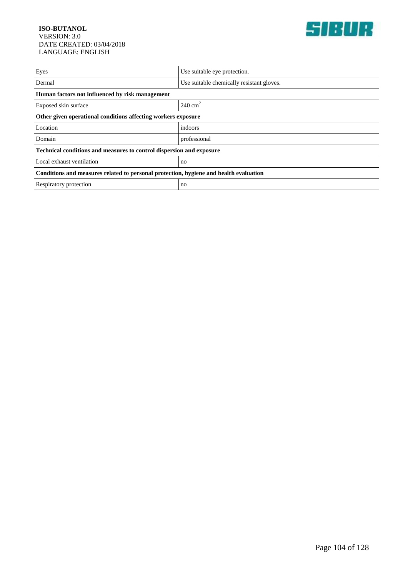

| Eyes                                                                                  | Use suitable eye protection.              |
|---------------------------------------------------------------------------------------|-------------------------------------------|
| Dermal                                                                                | Use suitable chemically resistant gloves. |
| Human factors not influenced by risk management                                       |                                           |
| Exposed skin surface                                                                  | $240 \text{ cm}^2$                        |
| Other given operational conditions affecting workers exposure                         |                                           |
| Location                                                                              | indoors                                   |
| Domain                                                                                | professional                              |
| Technical conditions and measures to control dispersion and exposure                  |                                           |
| Local exhaust ventilation                                                             | no                                        |
| Conditions and measures related to personal protection, hygiene and health evaluation |                                           |
| Respiratory protection                                                                | no                                        |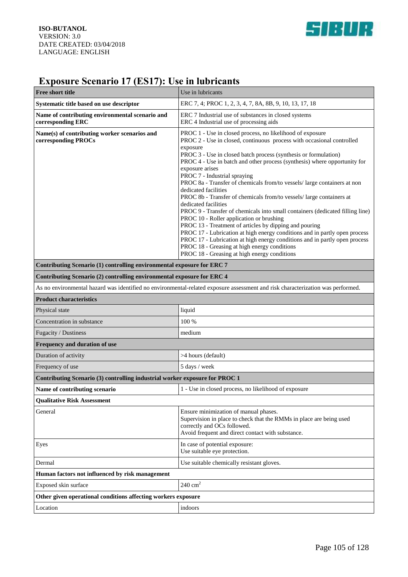

# **Exposure Scenario 17 (ES17): Use in lubricants**

| <b>Free short title</b>                                                                                                         | Use in lubricants                                                                                                                                                                                                                                                                                                                                                                                                                                                                                                                                                                                                                                                                                                                                                                                                                                                                                                                                                                                        |
|---------------------------------------------------------------------------------------------------------------------------------|----------------------------------------------------------------------------------------------------------------------------------------------------------------------------------------------------------------------------------------------------------------------------------------------------------------------------------------------------------------------------------------------------------------------------------------------------------------------------------------------------------------------------------------------------------------------------------------------------------------------------------------------------------------------------------------------------------------------------------------------------------------------------------------------------------------------------------------------------------------------------------------------------------------------------------------------------------------------------------------------------------|
| Systematic title based on use descriptor                                                                                        | ERC 7, 4; PROC 1, 2, 3, 4, 7, 8A, 8B, 9, 10, 13, 17, 18                                                                                                                                                                                                                                                                                                                                                                                                                                                                                                                                                                                                                                                                                                                                                                                                                                                                                                                                                  |
| Name of contributing environmental scenario and<br>corresponding ERC                                                            | ERC 7 Industrial use of substances in closed systems<br>ERC 4 Industrial use of processing aids                                                                                                                                                                                                                                                                                                                                                                                                                                                                                                                                                                                                                                                                                                                                                                                                                                                                                                          |
| Name(s) of contributing worker scenarios and<br>corresponding PROCs                                                             | PROC 1 - Use in closed process, no likelihood of exposure<br>PROC 2 - Use in closed, continuous process with occasional controlled<br>exposure<br>PROC 3 - Use in closed batch process (synthesis or formulation)<br>PROC 4 - Use in batch and other process (synthesis) where opportunity for<br>exposure arises<br>PROC 7 - Industrial spraying<br>PROC 8a - Transfer of chemicals from/to vessels/ large containers at non<br>dedicated facilities<br>PROC 8b - Transfer of chemicals from/to vessels/ large containers at<br>dedicated facilities<br>PROC 9 - Transfer of chemicals into small containers (dedicated filling line)<br>PROC 10 - Roller application or brushing<br>PROC 13 - Treatment of articles by dipping and pouring<br>PROC 17 - Lubrication at high energy conditions and in partly open process<br>PROC 17 - Lubrication at high energy conditions and in partly open process<br>PROC 18 - Greasing at high energy conditions<br>PROC 18 - Greasing at high energy conditions |
| Contributing Scenario (1) controlling environmental exposure for ERC 7                                                          |                                                                                                                                                                                                                                                                                                                                                                                                                                                                                                                                                                                                                                                                                                                                                                                                                                                                                                                                                                                                          |
| Contributing Scenario (2) controlling environmental exposure for ERC 4                                                          |                                                                                                                                                                                                                                                                                                                                                                                                                                                                                                                                                                                                                                                                                                                                                                                                                                                                                                                                                                                                          |
| As no environmental hazard was identified no environmental-related exposure assessment and risk characterization was performed. |                                                                                                                                                                                                                                                                                                                                                                                                                                                                                                                                                                                                                                                                                                                                                                                                                                                                                                                                                                                                          |
| <b>Product characteristics</b>                                                                                                  |                                                                                                                                                                                                                                                                                                                                                                                                                                                                                                                                                                                                                                                                                                                                                                                                                                                                                                                                                                                                          |
| Physical state                                                                                                                  | liquid                                                                                                                                                                                                                                                                                                                                                                                                                                                                                                                                                                                                                                                                                                                                                                                                                                                                                                                                                                                                   |
| Concentration in substance                                                                                                      | 100 %                                                                                                                                                                                                                                                                                                                                                                                                                                                                                                                                                                                                                                                                                                                                                                                                                                                                                                                                                                                                    |
| Fugacity / Dustiness                                                                                                            | medium                                                                                                                                                                                                                                                                                                                                                                                                                                                                                                                                                                                                                                                                                                                                                                                                                                                                                                                                                                                                   |
| Frequency and duration of use                                                                                                   |                                                                                                                                                                                                                                                                                                                                                                                                                                                                                                                                                                                                                                                                                                                                                                                                                                                                                                                                                                                                          |
| Duration of activity                                                                                                            | >4 hours (default)                                                                                                                                                                                                                                                                                                                                                                                                                                                                                                                                                                                                                                                                                                                                                                                                                                                                                                                                                                                       |
| Frequency of use                                                                                                                | 5 days / week                                                                                                                                                                                                                                                                                                                                                                                                                                                                                                                                                                                                                                                                                                                                                                                                                                                                                                                                                                                            |
| Contributing Scenario (3) controlling industrial worker exposure for PROC 1                                                     |                                                                                                                                                                                                                                                                                                                                                                                                                                                                                                                                                                                                                                                                                                                                                                                                                                                                                                                                                                                                          |
| Name of contributing scenario                                                                                                   | 1 - Use in closed process, no likelihood of exposure                                                                                                                                                                                                                                                                                                                                                                                                                                                                                                                                                                                                                                                                                                                                                                                                                                                                                                                                                     |
| <b>Qualitative Risk Assessment</b>                                                                                              |                                                                                                                                                                                                                                                                                                                                                                                                                                                                                                                                                                                                                                                                                                                                                                                                                                                                                                                                                                                                          |
| General                                                                                                                         | Ensure minimization of manual phases.<br>Supervision in place to check that the RMMs in place are being used<br>correctly and OCs followed.<br>Avoid frequent and direct contact with substance.                                                                                                                                                                                                                                                                                                                                                                                                                                                                                                                                                                                                                                                                                                                                                                                                         |
| Eyes                                                                                                                            | In case of potential exposure:<br>Use suitable eye protection.                                                                                                                                                                                                                                                                                                                                                                                                                                                                                                                                                                                                                                                                                                                                                                                                                                                                                                                                           |
| Dermal                                                                                                                          | Use suitable chemically resistant gloves.                                                                                                                                                                                                                                                                                                                                                                                                                                                                                                                                                                                                                                                                                                                                                                                                                                                                                                                                                                |
| Human factors not influenced by risk management                                                                                 |                                                                                                                                                                                                                                                                                                                                                                                                                                                                                                                                                                                                                                                                                                                                                                                                                                                                                                                                                                                                          |
| Exposed skin surface                                                                                                            | $240 \text{ cm}^2$                                                                                                                                                                                                                                                                                                                                                                                                                                                                                                                                                                                                                                                                                                                                                                                                                                                                                                                                                                                       |
| Other given operational conditions affecting workers exposure                                                                   |                                                                                                                                                                                                                                                                                                                                                                                                                                                                                                                                                                                                                                                                                                                                                                                                                                                                                                                                                                                                          |
| Location                                                                                                                        | indoors                                                                                                                                                                                                                                                                                                                                                                                                                                                                                                                                                                                                                                                                                                                                                                                                                                                                                                                                                                                                  |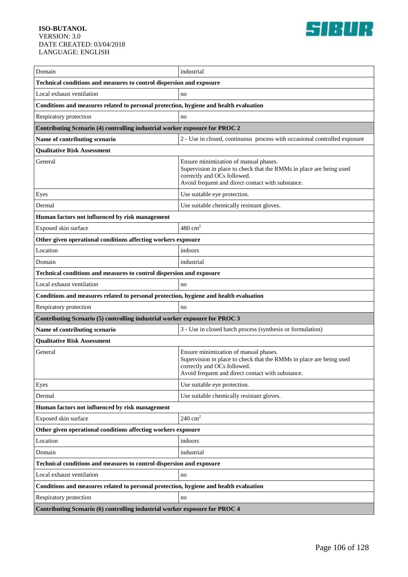

| Domain                                                                                | industrial                                                                                                                                                                                       |
|---------------------------------------------------------------------------------------|--------------------------------------------------------------------------------------------------------------------------------------------------------------------------------------------------|
| Technical conditions and measures to control dispersion and exposure                  |                                                                                                                                                                                                  |
| Local exhaust ventilation                                                             | no                                                                                                                                                                                               |
| Conditions and measures related to personal protection, hygiene and health evaluation |                                                                                                                                                                                                  |
| Respiratory protection                                                                | no                                                                                                                                                                                               |
| Contributing Scenario (4) controlling industrial worker exposure for PROC 2           |                                                                                                                                                                                                  |
| Name of contributing scenario                                                         | 2 - Use in closed, continuous process with occasional controlled exposure                                                                                                                        |
| <b>Qualitative Risk Assessment</b>                                                    |                                                                                                                                                                                                  |
| General                                                                               | Ensure minimization of manual phases.<br>Supervision in place to check that the RMMs in place are being used<br>correctly and OCs followed.<br>Avoid frequent and direct contact with substance. |
| Eyes                                                                                  | Use suitable eye protection.                                                                                                                                                                     |
| Dermal                                                                                | Use suitable chemically resistant gloves.                                                                                                                                                        |
| Human factors not influenced by risk management                                       |                                                                                                                                                                                                  |
| Exposed skin surface                                                                  | $480 \text{ cm}^2$                                                                                                                                                                               |
| Other given operational conditions affecting workers exposure                         |                                                                                                                                                                                                  |
| Location                                                                              | indoors                                                                                                                                                                                          |
| Domain                                                                                | industrial                                                                                                                                                                                       |
| Technical conditions and measures to control dispersion and exposure                  |                                                                                                                                                                                                  |
| Local exhaust ventilation                                                             | no                                                                                                                                                                                               |
| Conditions and measures related to personal protection, hygiene and health evaluation |                                                                                                                                                                                                  |
| Respiratory protection                                                                | no                                                                                                                                                                                               |
| Contributing Scenario (5) controlling industrial worker exposure for PROC 3           |                                                                                                                                                                                                  |
| Name of contributing scenario                                                         | 3 - Use in closed batch process (synthesis or formulation)                                                                                                                                       |
| <b>Qualitative Risk Assessment</b>                                                    |                                                                                                                                                                                                  |
| General                                                                               | Ensure minimization of manual phases.<br>Supervision in place to check that the RMMs in place are being used<br>correctly and OCs followed.<br>Avoid frequent and direct contact with substance. |
| Eyes                                                                                  | Use suitable eye protection.                                                                                                                                                                     |
| Dermal                                                                                | Use suitable chemically resistant gloves.                                                                                                                                                        |
| Human factors not influenced by risk management                                       |                                                                                                                                                                                                  |
| Exposed skin surface                                                                  | $240 \text{ cm}^2$                                                                                                                                                                               |
| Other given operational conditions affecting workers exposure                         |                                                                                                                                                                                                  |
| Location                                                                              | indoors                                                                                                                                                                                          |
| Domain                                                                                | industrial                                                                                                                                                                                       |
| Technical conditions and measures to control dispersion and exposure                  |                                                                                                                                                                                                  |
| Local exhaust ventilation                                                             | no                                                                                                                                                                                               |
| Conditions and measures related to personal protection, hygiene and health evaluation |                                                                                                                                                                                                  |
| Respiratory protection                                                                | no                                                                                                                                                                                               |
|                                                                                       |                                                                                                                                                                                                  |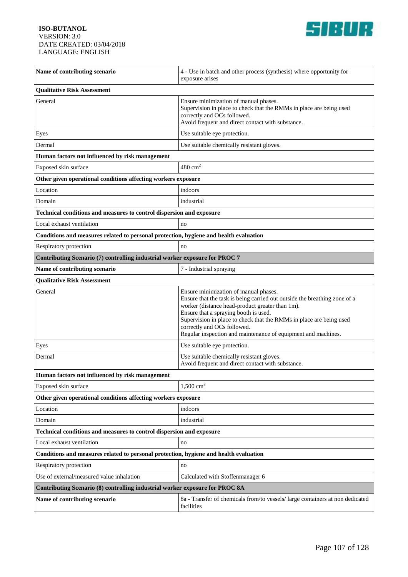

| Name of contributing scenario                                                         | 4 - Use in batch and other process (synthesis) where opportunity for<br>exposure arises                                                                                                                                                                                                                                                                                               |  |
|---------------------------------------------------------------------------------------|---------------------------------------------------------------------------------------------------------------------------------------------------------------------------------------------------------------------------------------------------------------------------------------------------------------------------------------------------------------------------------------|--|
| <b>Qualitative Risk Assessment</b>                                                    |                                                                                                                                                                                                                                                                                                                                                                                       |  |
| General                                                                               | Ensure minimization of manual phases.<br>Supervision in place to check that the RMMs in place are being used<br>correctly and OCs followed.<br>Avoid frequent and direct contact with substance.                                                                                                                                                                                      |  |
| Eyes                                                                                  | Use suitable eye protection.                                                                                                                                                                                                                                                                                                                                                          |  |
| Dermal                                                                                | Use suitable chemically resistant gloves.                                                                                                                                                                                                                                                                                                                                             |  |
| Human factors not influenced by risk management                                       |                                                                                                                                                                                                                                                                                                                                                                                       |  |
| Exposed skin surface                                                                  | $480 \text{ cm}^2$                                                                                                                                                                                                                                                                                                                                                                    |  |
| Other given operational conditions affecting workers exposure                         |                                                                                                                                                                                                                                                                                                                                                                                       |  |
| Location                                                                              | indoors                                                                                                                                                                                                                                                                                                                                                                               |  |
| Domain                                                                                | industrial                                                                                                                                                                                                                                                                                                                                                                            |  |
| Technical conditions and measures to control dispersion and exposure                  |                                                                                                                                                                                                                                                                                                                                                                                       |  |
| Local exhaust ventilation                                                             | no                                                                                                                                                                                                                                                                                                                                                                                    |  |
| Conditions and measures related to personal protection, hygiene and health evaluation |                                                                                                                                                                                                                                                                                                                                                                                       |  |
| Respiratory protection                                                                | no                                                                                                                                                                                                                                                                                                                                                                                    |  |
| Contributing Scenario (7) controlling industrial worker exposure for PROC 7           |                                                                                                                                                                                                                                                                                                                                                                                       |  |
| Name of contributing scenario                                                         | 7 - Industrial spraying                                                                                                                                                                                                                                                                                                                                                               |  |
| <b>Qualitative Risk Assessment</b>                                                    |                                                                                                                                                                                                                                                                                                                                                                                       |  |
| General                                                                               | Ensure minimization of manual phases.<br>Ensure that the task is being carried out outside the breathing zone of a<br>worker (distance head-product greater than 1m).<br>Ensure that a spraying booth is used.<br>Supervision in place to check that the RMMs in place are being used<br>correctly and OCs followed.<br>Regular inspection and maintenance of equipment and machines. |  |
| Eyes                                                                                  | Use suitable eye protection.                                                                                                                                                                                                                                                                                                                                                          |  |
| Dermal                                                                                | Use suitable chemically resistant gloves.<br>Avoid frequent and direct contact with substance.                                                                                                                                                                                                                                                                                        |  |
| Human factors not influenced by risk management                                       |                                                                                                                                                                                                                                                                                                                                                                                       |  |
| Exposed skin surface                                                                  | $1,500 \text{ cm}^2$                                                                                                                                                                                                                                                                                                                                                                  |  |
| Other given operational conditions affecting workers exposure                         |                                                                                                                                                                                                                                                                                                                                                                                       |  |
| Location                                                                              | indoors                                                                                                                                                                                                                                                                                                                                                                               |  |
| Domain                                                                                | industrial                                                                                                                                                                                                                                                                                                                                                                            |  |
| Technical conditions and measures to control dispersion and exposure                  |                                                                                                                                                                                                                                                                                                                                                                                       |  |
| Local exhaust ventilation                                                             | no                                                                                                                                                                                                                                                                                                                                                                                    |  |
| Conditions and measures related to personal protection, hygiene and health evaluation |                                                                                                                                                                                                                                                                                                                                                                                       |  |
| Respiratory protection                                                                | no                                                                                                                                                                                                                                                                                                                                                                                    |  |
| Use of external/measured value inhalation                                             | Calculated with Stoffenmanager 6                                                                                                                                                                                                                                                                                                                                                      |  |
| Contributing Scenario (8) controlling industrial worker exposure for PROC 8A          |                                                                                                                                                                                                                                                                                                                                                                                       |  |
| Name of contributing scenario                                                         | 8a - Transfer of chemicals from/to vessels/ large containers at non dedicated<br>facilities                                                                                                                                                                                                                                                                                           |  |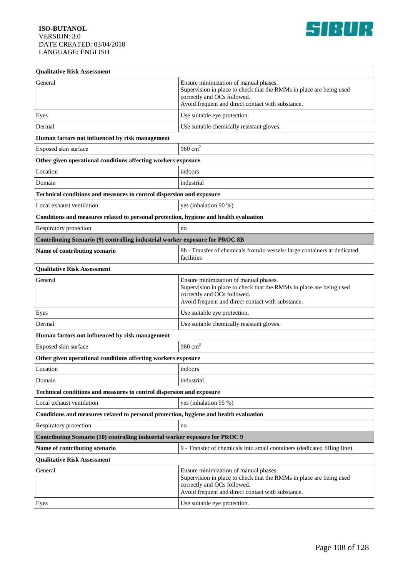

| <b>Qualitative Risk Assessment</b>                                                    |                                                                                                                                                                                                  |  |
|---------------------------------------------------------------------------------------|--------------------------------------------------------------------------------------------------------------------------------------------------------------------------------------------------|--|
| General                                                                               | Ensure minimization of manual phases.<br>Supervision in place to check that the RMMs in place are being used<br>correctly and OCs followed.<br>Avoid frequent and direct contact with substance. |  |
| Eyes                                                                                  | Use suitable eye protection.                                                                                                                                                                     |  |
| Dermal                                                                                | Use suitable chemically resistant gloves.                                                                                                                                                        |  |
| Human factors not influenced by risk management                                       |                                                                                                                                                                                                  |  |
| Exposed skin surface                                                                  | 960 $cm2$                                                                                                                                                                                        |  |
| Other given operational conditions affecting workers exposure                         |                                                                                                                                                                                                  |  |
| Location                                                                              | indoors                                                                                                                                                                                          |  |
| Domain                                                                                | industrial                                                                                                                                                                                       |  |
| Technical conditions and measures to control dispersion and exposure                  |                                                                                                                                                                                                  |  |
| Local exhaust ventilation                                                             | yes (inhalation 90 %)                                                                                                                                                                            |  |
| Conditions and measures related to personal protection, hygiene and health evaluation |                                                                                                                                                                                                  |  |
| Respiratory protection                                                                | no                                                                                                                                                                                               |  |
| Contributing Scenario (9) controlling industrial worker exposure for PROC 8B          |                                                                                                                                                                                                  |  |
| Name of contributing scenario                                                         | 8b - Transfer of chemicals from/to vessels/ large containers at dedicated<br>facilities                                                                                                          |  |
| <b>Qualitative Risk Assessment</b>                                                    |                                                                                                                                                                                                  |  |
| General                                                                               | Ensure minimization of manual phases.<br>Supervision in place to check that the RMMs in place are being used<br>correctly and OCs followed.<br>Avoid frequent and direct contact with substance. |  |
| Eyes                                                                                  | Use suitable eye protection.                                                                                                                                                                     |  |
| Dermal                                                                                | Use suitable chemically resistant gloves.                                                                                                                                                        |  |
| Human factors not influenced by risk management                                       |                                                                                                                                                                                                  |  |
| Exposed skin surface                                                                  | 960 $cm2$                                                                                                                                                                                        |  |
| Other given operational conditions affecting workers exposure                         |                                                                                                                                                                                                  |  |
| Location                                                                              | indoors                                                                                                                                                                                          |  |
| Domain                                                                                | industrial                                                                                                                                                                                       |  |
| Technical conditions and measures to control dispersion and exposure                  |                                                                                                                                                                                                  |  |
| Local exhaust ventilation                                                             | yes (inhalation 95 %)                                                                                                                                                                            |  |
| Conditions and measures related to personal protection, hygiene and health evaluation |                                                                                                                                                                                                  |  |
| Respiratory protection                                                                | no                                                                                                                                                                                               |  |
| Contributing Scenario (10) controlling industrial worker exposure for PROC 9          |                                                                                                                                                                                                  |  |
| Name of contributing scenario                                                         | 9 - Transfer of chemicals into small containers (dedicated filling line)                                                                                                                         |  |
| <b>Qualitative Risk Assessment</b>                                                    |                                                                                                                                                                                                  |  |
| General                                                                               | Ensure minimization of manual phases.<br>Supervision in place to check that the RMMs in place are being used<br>correctly and OCs followed.<br>Avoid frequent and direct contact with substance. |  |
| Eyes                                                                                  | Use suitable eye protection.                                                                                                                                                                     |  |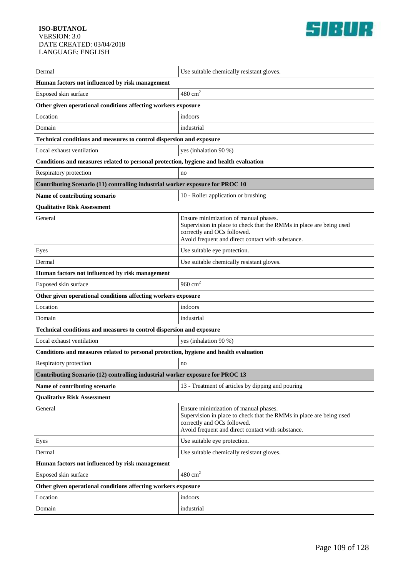

| Dermal                                                                                | Use suitable chemically resistant gloves.                                                                                                                                                        |  |
|---------------------------------------------------------------------------------------|--------------------------------------------------------------------------------------------------------------------------------------------------------------------------------------------------|--|
| Human factors not influenced by risk management                                       |                                                                                                                                                                                                  |  |
| Exposed skin surface                                                                  | $480 \text{ cm}^2$                                                                                                                                                                               |  |
| Other given operational conditions affecting workers exposure                         |                                                                                                                                                                                                  |  |
| Location                                                                              | indoors                                                                                                                                                                                          |  |
| Domain                                                                                | industrial                                                                                                                                                                                       |  |
| Technical conditions and measures to control dispersion and exposure                  |                                                                                                                                                                                                  |  |
| Local exhaust ventilation                                                             | yes (inhalation 90 %)                                                                                                                                                                            |  |
| Conditions and measures related to personal protection, hygiene and health evaluation |                                                                                                                                                                                                  |  |
| Respiratory protection                                                                | no                                                                                                                                                                                               |  |
| Contributing Scenario (11) controlling industrial worker exposure for PROC 10         |                                                                                                                                                                                                  |  |
| Name of contributing scenario                                                         | 10 - Roller application or brushing                                                                                                                                                              |  |
| <b>Qualitative Risk Assessment</b>                                                    |                                                                                                                                                                                                  |  |
| General                                                                               | Ensure minimization of manual phases.<br>Supervision in place to check that the RMMs in place are being used<br>correctly and OCs followed.<br>Avoid frequent and direct contact with substance. |  |
| Eyes                                                                                  | Use suitable eye protection.                                                                                                                                                                     |  |
| Dermal                                                                                | Use suitable chemically resistant gloves.                                                                                                                                                        |  |
| Human factors not influenced by risk management                                       |                                                                                                                                                                                                  |  |
| Exposed skin surface                                                                  | 960 $cm2$                                                                                                                                                                                        |  |
| Other given operational conditions affecting workers exposure                         |                                                                                                                                                                                                  |  |
| Location                                                                              | indoors                                                                                                                                                                                          |  |
| Domain                                                                                | industrial                                                                                                                                                                                       |  |
| Technical conditions and measures to control dispersion and exposure                  |                                                                                                                                                                                                  |  |
| Local exhaust ventilation                                                             | yes (inhalation 90 %)                                                                                                                                                                            |  |
| Conditions and measures related to personal protection, hygiene and health evaluation |                                                                                                                                                                                                  |  |
| Respiratory protection                                                                | no                                                                                                                                                                                               |  |
| Contributing Scenario (12) controlling industrial worker exposure for PROC 13         |                                                                                                                                                                                                  |  |
| Name of contributing scenario                                                         | 13 - Treatment of articles by dipping and pouring                                                                                                                                                |  |
| <b>Qualitative Risk Assessment</b>                                                    |                                                                                                                                                                                                  |  |
| General                                                                               | Ensure minimization of manual phases.<br>Supervision in place to check that the RMMs in place are being used<br>correctly and OCs followed.<br>Avoid frequent and direct contact with substance. |  |
| Eyes                                                                                  | Use suitable eye protection.                                                                                                                                                                     |  |
| Dermal                                                                                | Use suitable chemically resistant gloves.                                                                                                                                                        |  |
| Human factors not influenced by risk management                                       |                                                                                                                                                                                                  |  |
| Exposed skin surface                                                                  | $480 \text{ cm}^2$                                                                                                                                                                               |  |
| Other given operational conditions affecting workers exposure                         |                                                                                                                                                                                                  |  |
| Location                                                                              | indoors                                                                                                                                                                                          |  |
| Domain                                                                                | industrial                                                                                                                                                                                       |  |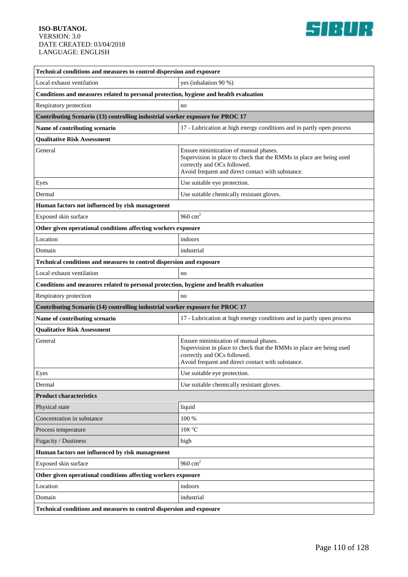

| Technical conditions and measures to control dispersion and exposure                  |                                                                                                                                                                                                  |  |
|---------------------------------------------------------------------------------------|--------------------------------------------------------------------------------------------------------------------------------------------------------------------------------------------------|--|
| Local exhaust ventilation                                                             | yes (inhalation 90 %)                                                                                                                                                                            |  |
| Conditions and measures related to personal protection, hygiene and health evaluation |                                                                                                                                                                                                  |  |
| Respiratory protection                                                                | no                                                                                                                                                                                               |  |
| Contributing Scenario (13) controlling industrial worker exposure for PROC 17         |                                                                                                                                                                                                  |  |
| Name of contributing scenario                                                         | 17 - Lubrication at high energy conditions and in partly open process                                                                                                                            |  |
| <b>Qualitative Risk Assessment</b>                                                    |                                                                                                                                                                                                  |  |
| General                                                                               | Ensure minimization of manual phases.<br>Supervision in place to check that the RMMs in place are being used<br>correctly and OCs followed.<br>Avoid frequent and direct contact with substance. |  |
| Eyes                                                                                  | Use suitable eye protection.                                                                                                                                                                     |  |
| Dermal                                                                                | Use suitable chemically resistant gloves.                                                                                                                                                        |  |
| Human factors not influenced by risk management                                       |                                                                                                                                                                                                  |  |
| Exposed skin surface                                                                  | 960 $cm2$                                                                                                                                                                                        |  |
| Other given operational conditions affecting workers exposure                         |                                                                                                                                                                                                  |  |
| Location                                                                              | indoors                                                                                                                                                                                          |  |
| Domain                                                                                | industrial                                                                                                                                                                                       |  |
| Technical conditions and measures to control dispersion and exposure                  |                                                                                                                                                                                                  |  |
| Local exhaust ventilation                                                             | no                                                                                                                                                                                               |  |
| Conditions and measures related to personal protection, hygiene and health evaluation |                                                                                                                                                                                                  |  |
| Respiratory protection                                                                | no                                                                                                                                                                                               |  |
| Contributing Scenario (14) controlling industrial worker exposure for PROC 17         |                                                                                                                                                                                                  |  |
| Name of contributing scenario                                                         | 17 - Lubrication at high energy conditions and in partly open process                                                                                                                            |  |
| <b>Qualitative Risk Assessment</b>                                                    |                                                                                                                                                                                                  |  |
| General                                                                               | Ensure minimization of manual phases.<br>Supervision in place to check that the RMMs in place are being used<br>correctly and OCs followed.<br>Avoid frequent and direct contact with substance. |  |
| Eyes                                                                                  | Use suitable eye protection.                                                                                                                                                                     |  |
| Dermal                                                                                | Use suitable chemically resistant gloves.                                                                                                                                                        |  |
| <b>Product characteristics</b>                                                        |                                                                                                                                                                                                  |  |
| Physical state                                                                        | liquid                                                                                                                                                                                           |  |
| Concentration in substance                                                            | 100 %                                                                                                                                                                                            |  |
| Process temperature                                                                   | 108 °C                                                                                                                                                                                           |  |
| Fugacity / Dustiness                                                                  | high                                                                                                                                                                                             |  |
| Human factors not influenced by risk management                                       |                                                                                                                                                                                                  |  |
| Exposed skin surface                                                                  | $960 \text{ cm}^2$                                                                                                                                                                               |  |
| Other given operational conditions affecting workers exposure                         |                                                                                                                                                                                                  |  |
| Location                                                                              | indoors                                                                                                                                                                                          |  |
| Domain                                                                                | industrial                                                                                                                                                                                       |  |
| Technical conditions and measures to control dispersion and exposure                  |                                                                                                                                                                                                  |  |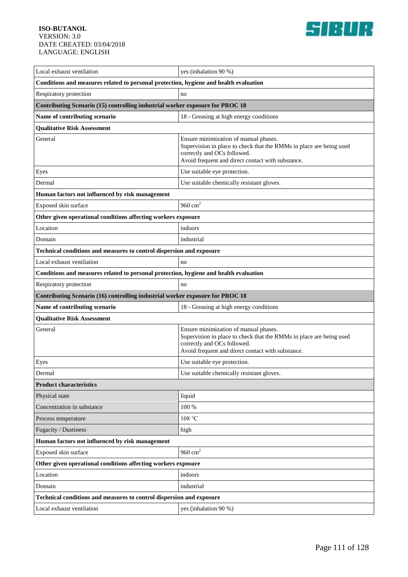

| Local exhaust ventilation                                                             | yes (inhalation 90 %)                                                                                                                                                                            |
|---------------------------------------------------------------------------------------|--------------------------------------------------------------------------------------------------------------------------------------------------------------------------------------------------|
| Conditions and measures related to personal protection, hygiene and health evaluation |                                                                                                                                                                                                  |
| Respiratory protection                                                                | no                                                                                                                                                                                               |
| Contributing Scenario (15) controlling industrial worker exposure for PROC 18         |                                                                                                                                                                                                  |
| Name of contributing scenario                                                         | 18 - Greasing at high energy conditions                                                                                                                                                          |
| <b>Qualitative Risk Assessment</b>                                                    |                                                                                                                                                                                                  |
| General                                                                               | Ensure minimization of manual phases.<br>Supervision in place to check that the RMMs in place are being used<br>correctly and OCs followed.<br>Avoid frequent and direct contact with substance. |
| Eyes                                                                                  | Use suitable eye protection.                                                                                                                                                                     |
| Dermal                                                                                | Use suitable chemically resistant gloves.                                                                                                                                                        |
| Human factors not influenced by risk management                                       |                                                                                                                                                                                                  |
| Exposed skin surface                                                                  | 960 $cm2$                                                                                                                                                                                        |
| Other given operational conditions affecting workers exposure                         |                                                                                                                                                                                                  |
| Location                                                                              | indoors                                                                                                                                                                                          |
| Domain                                                                                | industrial                                                                                                                                                                                       |
| Technical conditions and measures to control dispersion and exposure                  |                                                                                                                                                                                                  |
| Local exhaust ventilation                                                             | no                                                                                                                                                                                               |
| Conditions and measures related to personal protection, hygiene and health evaluation |                                                                                                                                                                                                  |
| Respiratory protection                                                                | no                                                                                                                                                                                               |
|                                                                                       |                                                                                                                                                                                                  |
| Contributing Scenario (16) controlling industrial worker exposure for PROC 18         |                                                                                                                                                                                                  |
| Name of contributing scenario                                                         | 18 - Greasing at high energy conditions                                                                                                                                                          |
| <b>Qualitative Risk Assessment</b>                                                    |                                                                                                                                                                                                  |
| General                                                                               | Ensure minimization of manual phases.<br>Supervision in place to check that the RMMs in place are being used<br>correctly and OCs followed.<br>Avoid frequent and direct contact with substance. |
| Eyes                                                                                  | Use suitable eye protection.                                                                                                                                                                     |
| Dermal                                                                                | Use suitable chemically resistant gloves.                                                                                                                                                        |
| <b>Product characteristics</b>                                                        |                                                                                                                                                                                                  |
| Physical state                                                                        | liquid                                                                                                                                                                                           |
| Concentration in substance                                                            | 100 %                                                                                                                                                                                            |
| Process temperature                                                                   | 108 °C                                                                                                                                                                                           |
| Fugacity / Dustiness                                                                  | high                                                                                                                                                                                             |
| Human factors not influenced by risk management                                       |                                                                                                                                                                                                  |
| Exposed skin surface                                                                  | 960 $cm2$                                                                                                                                                                                        |
| Other given operational conditions affecting workers exposure                         |                                                                                                                                                                                                  |
| Location                                                                              | indoors                                                                                                                                                                                          |
| Domain                                                                                | industrial                                                                                                                                                                                       |
| Technical conditions and measures to control dispersion and exposure                  |                                                                                                                                                                                                  |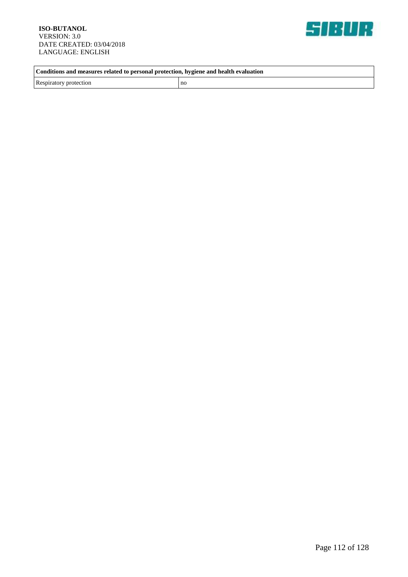

**Conditions and measures related to personal protection, hygiene and health evaluation**

Respiratory protection no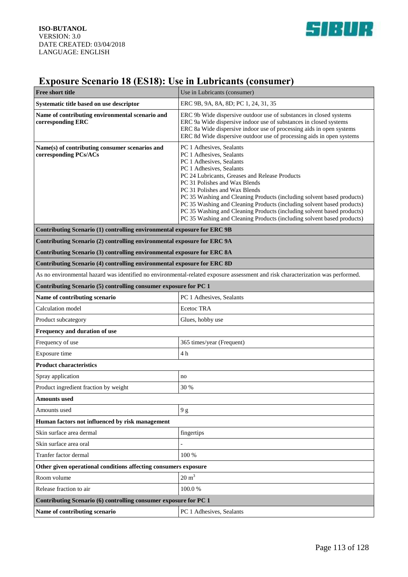

# **Exposure Scenario 18 (ES18): Use in Lubricants (consumer)**

| Free short title                                                                                                                | Use in Lubricants (consumer)                                                                                                                                                                                                                                                                                                                                                                                                                                                                                                             |  |
|---------------------------------------------------------------------------------------------------------------------------------|------------------------------------------------------------------------------------------------------------------------------------------------------------------------------------------------------------------------------------------------------------------------------------------------------------------------------------------------------------------------------------------------------------------------------------------------------------------------------------------------------------------------------------------|--|
| Systematic title based on use descriptor                                                                                        | ERC 9B, 9A, 8A, 8D; PC 1, 24, 31, 35                                                                                                                                                                                                                                                                                                                                                                                                                                                                                                     |  |
| Name of contributing environmental scenario and<br>corresponding ERC                                                            | ERC 9b Wide dispersive outdoor use of substances in closed systems<br>ERC 9a Wide dispersive indoor use of substances in closed systems<br>ERC 8a Wide dispersive indoor use of processing aids in open systems<br>ERC 8d Wide dispersive outdoor use of processing aids in open systems                                                                                                                                                                                                                                                 |  |
| Name(s) of contributing consumer scenarios and<br>corresponding PCs/ACs                                                         | PC 1 Adhesives, Sealants<br>PC 1 Adhesives, Sealants<br>PC 1 Adhesives, Sealants<br>PC 1 Adhesives, Sealants<br>PC 24 Lubricants, Greases and Release Products<br>PC 31 Polishes and Wax Blends<br>PC 31 Polishes and Wax Blends<br>PC 35 Washing and Cleaning Products (including solvent based products)<br>PC 35 Washing and Cleaning Products (including solvent based products)<br>PC 35 Washing and Cleaning Products (including solvent based products)<br>PC 35 Washing and Cleaning Products (including solvent based products) |  |
| Contributing Scenario (1) controlling environmental exposure for ERC 9B                                                         |                                                                                                                                                                                                                                                                                                                                                                                                                                                                                                                                          |  |
| Contributing Scenario (2) controlling environmental exposure for ERC 9A                                                         |                                                                                                                                                                                                                                                                                                                                                                                                                                                                                                                                          |  |
| Contributing Scenario (3) controlling environmental exposure for ERC 8A                                                         |                                                                                                                                                                                                                                                                                                                                                                                                                                                                                                                                          |  |
| Contributing Scenario (4) controlling environmental exposure for ERC 8D                                                         |                                                                                                                                                                                                                                                                                                                                                                                                                                                                                                                                          |  |
| As no environmental hazard was identified no environmental-related exposure assessment and risk characterization was performed. |                                                                                                                                                                                                                                                                                                                                                                                                                                                                                                                                          |  |
| Contributing Scenario (5) controlling consumer exposure for PC 1                                                                |                                                                                                                                                                                                                                                                                                                                                                                                                                                                                                                                          |  |
| Name of contributing scenario                                                                                                   | PC 1 Adhesives, Sealants                                                                                                                                                                                                                                                                                                                                                                                                                                                                                                                 |  |
| Calculation model                                                                                                               | <b>Ecetoc TRA</b>                                                                                                                                                                                                                                                                                                                                                                                                                                                                                                                        |  |
| Product subcategory                                                                                                             | Glues, hobby use                                                                                                                                                                                                                                                                                                                                                                                                                                                                                                                         |  |
| Frequency and duration of use                                                                                                   |                                                                                                                                                                                                                                                                                                                                                                                                                                                                                                                                          |  |
| Frequency of use                                                                                                                | 365 times/year (Frequent)                                                                                                                                                                                                                                                                                                                                                                                                                                                                                                                |  |
| Exposure time                                                                                                                   | 4 <sub>h</sub>                                                                                                                                                                                                                                                                                                                                                                                                                                                                                                                           |  |
| <b>Product characteristics</b>                                                                                                  |                                                                                                                                                                                                                                                                                                                                                                                                                                                                                                                                          |  |
| Spray application                                                                                                               | no                                                                                                                                                                                                                                                                                                                                                                                                                                                                                                                                       |  |
| Product ingredient fraction by weight                                                                                           | 30 %                                                                                                                                                                                                                                                                                                                                                                                                                                                                                                                                     |  |
| <b>Amounts</b> used                                                                                                             |                                                                                                                                                                                                                                                                                                                                                                                                                                                                                                                                          |  |
| Amounts used                                                                                                                    | 9g                                                                                                                                                                                                                                                                                                                                                                                                                                                                                                                                       |  |
| Human factors not influenced by risk management                                                                                 |                                                                                                                                                                                                                                                                                                                                                                                                                                                                                                                                          |  |
| Skin surface area dermal                                                                                                        | fingertips                                                                                                                                                                                                                                                                                                                                                                                                                                                                                                                               |  |
| Skin surface area oral                                                                                                          |                                                                                                                                                                                                                                                                                                                                                                                                                                                                                                                                          |  |
| Tranfer factor dermal                                                                                                           | 100 %                                                                                                                                                                                                                                                                                                                                                                                                                                                                                                                                    |  |
| Other given operational conditions affecting consumers exposure                                                                 |                                                                                                                                                                                                                                                                                                                                                                                                                                                                                                                                          |  |
| Room volume                                                                                                                     | $20 \text{ m}^3$                                                                                                                                                                                                                                                                                                                                                                                                                                                                                                                         |  |
| Release fraction to air                                                                                                         | 100.0%                                                                                                                                                                                                                                                                                                                                                                                                                                                                                                                                   |  |
| Contributing Scenario (6) controlling consumer exposure for PC 1                                                                |                                                                                                                                                                                                                                                                                                                                                                                                                                                                                                                                          |  |
| Name of contributing scenario                                                                                                   | PC 1 Adhesives, Sealants                                                                                                                                                                                                                                                                                                                                                                                                                                                                                                                 |  |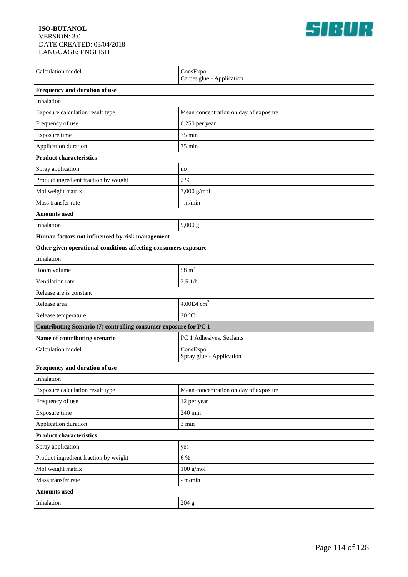

| Calculation model                                                | ConsExpo<br>Carpet glue - Application |  |
|------------------------------------------------------------------|---------------------------------------|--|
| Frequency and duration of use                                    |                                       |  |
| Inhalation                                                       |                                       |  |
| Exposure calculation result type                                 | Mean concentration on day of exposure |  |
| Frequency of use                                                 | 0.250 per year                        |  |
| Exposure time                                                    | 75 min                                |  |
| Application duration                                             | 75 min                                |  |
| <b>Product characteristics</b>                                   |                                       |  |
| Spray application                                                | no                                    |  |
| Product ingredient fraction by weight                            | 2 %                                   |  |
| Mol weight matrix                                                | $3,000$ g/mol                         |  |
| Mass transfer rate                                               | $-$ m/min                             |  |
| <b>Amounts used</b>                                              |                                       |  |
| Inhalation                                                       | 9,000 g                               |  |
| Human factors not influenced by risk management                  |                                       |  |
| Other given operational conditions affecting consumers exposure  |                                       |  |
| Inhalation                                                       |                                       |  |
| Room volume                                                      | 58 $m3$                               |  |
| Ventilation rate                                                 | 2.51/h                                |  |
| Release are is constant                                          |                                       |  |
| Release area                                                     | 4.00E4 $cm2$                          |  |
| Release temperature                                              | 20 °C                                 |  |
| Contributing Scenario (7) controlling consumer exposure for PC 1 |                                       |  |
| Name of contributing scenario                                    | PC 1 Adhesives, Sealants              |  |
| Calculation model                                                | ConsExpo<br>Spray glue - Application  |  |
| Frequency and duration of use                                    |                                       |  |
| Inhalation                                                       |                                       |  |
| Exposure calculation result type                                 | Mean concentration on day of exposure |  |
| Frequency of use                                                 | 12 per year                           |  |
| Exposure time                                                    | 240 min                               |  |
| Application duration                                             | 3 min                                 |  |
| <b>Product characteristics</b>                                   |                                       |  |
| Spray application                                                | yes                                   |  |
| Product ingredient fraction by weight                            | 6 %                                   |  |
| Mol weight matrix                                                | $100$ g/mol                           |  |
| Mass transfer rate                                               | - m/min                               |  |
| <b>Amounts used</b>                                              |                                       |  |
| Inhalation                                                       | 204 g                                 |  |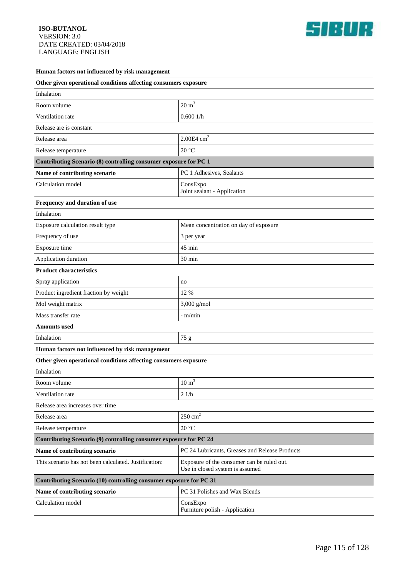

| Human factors not influenced by risk management                    |                                                                               |  |
|--------------------------------------------------------------------|-------------------------------------------------------------------------------|--|
| Other given operational conditions affecting consumers exposure    |                                                                               |  |
| Inhalation                                                         |                                                                               |  |
| Room volume                                                        | $20 \text{ m}^3$                                                              |  |
| Ventilation rate                                                   | 0.6001/h                                                                      |  |
| Release are is constant                                            |                                                                               |  |
| Release area                                                       | $2.00E4$ cm <sup>2</sup>                                                      |  |
| Release temperature                                                | 20 °C                                                                         |  |
| Contributing Scenario (8) controlling consumer exposure for PC 1   |                                                                               |  |
| Name of contributing scenario                                      | PC 1 Adhesives, Sealants                                                      |  |
| Calculation model                                                  | ConsExpo<br>Joint sealant - Application                                       |  |
| Frequency and duration of use                                      |                                                                               |  |
| Inhalation                                                         |                                                                               |  |
| Exposure calculation result type                                   | Mean concentration on day of exposure                                         |  |
| Frequency of use                                                   | 3 per year                                                                    |  |
| Exposure time                                                      | $45 \text{ min}$                                                              |  |
| Application duration                                               | 30 min                                                                        |  |
| <b>Product characteristics</b>                                     |                                                                               |  |
| Spray application                                                  | no                                                                            |  |
| Product ingredient fraction by weight                              | 12 %                                                                          |  |
| Mol weight matrix                                                  | 3,000 g/mol                                                                   |  |
| Mass transfer rate                                                 | $-m/min$                                                                      |  |
| Amounts used                                                       |                                                                               |  |
| Inhalation                                                         | 75 g                                                                          |  |
| Human factors not influenced by risk management                    |                                                                               |  |
| Other given operational conditions affecting consumers exposure    |                                                                               |  |
| Inhalation                                                         |                                                                               |  |
| Room volume                                                        | $10 \text{ m}^3$                                                              |  |
| Ventilation rate                                                   | 21/h                                                                          |  |
| Release area increases over time                                   |                                                                               |  |
| Release area                                                       | $250 \text{ cm}^2$                                                            |  |
| Release temperature                                                | $20\,^{\circ}\mathrm{C}$                                                      |  |
| Contributing Scenario (9) controlling consumer exposure for PC 24  |                                                                               |  |
| Name of contributing scenario                                      | PC 24 Lubricants, Greases and Release Products                                |  |
| This scenario has not been calculated. Justification:              | Exposure of the consumer can be ruled out.<br>Use in closed system is assumed |  |
| Contributing Scenario (10) controlling consumer exposure for PC 31 |                                                                               |  |
| Name of contributing scenario                                      | PC 31 Polishes and Wax Blends                                                 |  |
| Calculation model                                                  | ConsExpo<br>Furniture polish - Application                                    |  |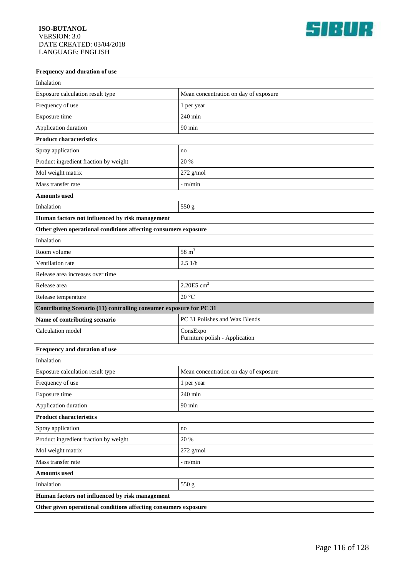

| Frequency and duration of use                                      |                                            |  |
|--------------------------------------------------------------------|--------------------------------------------|--|
| Inhalation                                                         |                                            |  |
| Exposure calculation result type                                   | Mean concentration on day of exposure      |  |
| Frequency of use                                                   | 1 per year                                 |  |
| Exposure time                                                      | 240 min                                    |  |
| Application duration                                               | 90 min                                     |  |
| <b>Product characteristics</b>                                     |                                            |  |
| Spray application                                                  | no                                         |  |
| Product ingredient fraction by weight                              | 20 %                                       |  |
| Mol weight matrix                                                  | $272$ g/mol                                |  |
| Mass transfer rate                                                 | - m/min                                    |  |
| <b>Amounts used</b>                                                |                                            |  |
| Inhalation                                                         | 550 g                                      |  |
| Human factors not influenced by risk management                    |                                            |  |
| Other given operational conditions affecting consumers exposure    |                                            |  |
| Inhalation                                                         |                                            |  |
| Room volume                                                        | $58 \text{ m}^3$                           |  |
| Ventilation rate                                                   | 2.51/h                                     |  |
| Release area increases over time                                   |                                            |  |
| Release area                                                       | $2.20E5$ cm <sup>2</sup>                   |  |
| Release temperature                                                | 20 °C                                      |  |
| Contributing Scenario (11) controlling consumer exposure for PC 31 |                                            |  |
| Name of contributing scenario                                      | PC 31 Polishes and Wax Blends              |  |
| Calculation model                                                  | ConsExpo<br>Furniture polish - Application |  |
| Frequency and duration of use                                      |                                            |  |
| Inhalation                                                         |                                            |  |
| Exposure calculation result type                                   | Mean concentration on day of exposure      |  |
| Frequency of use                                                   | 1 per year                                 |  |
| Exposure time                                                      | 240 min                                    |  |
| Application duration                                               | 90 min                                     |  |
| <b>Product characteristics</b>                                     |                                            |  |
| Spray application                                                  | no                                         |  |
| Product ingredient fraction by weight                              | 20 %                                       |  |
| Mol weight matrix                                                  | $272$ g/mol                                |  |
| Mass transfer rate                                                 | - m/min                                    |  |
| <b>Amounts used</b>                                                |                                            |  |
| Inhalation                                                         | 550 g                                      |  |
| Human factors not influenced by risk management                    |                                            |  |
| Other given operational conditions affecting consumers exposure    |                                            |  |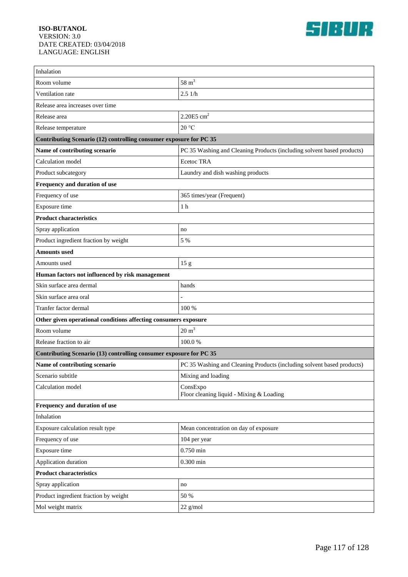

| Inhalation                                                         |                                                                        |  |
|--------------------------------------------------------------------|------------------------------------------------------------------------|--|
| Room volume                                                        | $58 \text{ m}^3$                                                       |  |
| Ventilation rate                                                   | 2.51/h                                                                 |  |
| Release area increases over time                                   |                                                                        |  |
| Release area                                                       | $2.20E5$ cm <sup>2</sup>                                               |  |
| Release temperature                                                | 20 °C                                                                  |  |
| Contributing Scenario (12) controlling consumer exposure for PC 35 |                                                                        |  |
| Name of contributing scenario                                      | PC 35 Washing and Cleaning Products (including solvent based products) |  |
| Calculation model                                                  | <b>Ecetoc TRA</b>                                                      |  |
| Product subcategory                                                | Laundry and dish washing products                                      |  |
| Frequency and duration of use                                      |                                                                        |  |
| Frequency of use                                                   | 365 times/year (Frequent)                                              |  |
| Exposure time                                                      | 1 <sub>h</sub>                                                         |  |
| <b>Product characteristics</b>                                     |                                                                        |  |
| Spray application                                                  | no                                                                     |  |
| Product ingredient fraction by weight                              | 5 %                                                                    |  |
| <b>Amounts used</b>                                                |                                                                        |  |
| Amounts used                                                       | 15 <sub>g</sub>                                                        |  |
| Human factors not influenced by risk management                    |                                                                        |  |
| Skin surface area dermal                                           | hands                                                                  |  |
| Skin surface area oral                                             |                                                                        |  |
| Tranfer factor dermal                                              | 100 %                                                                  |  |
| Other given operational conditions affecting consumers exposure    |                                                                        |  |
| Room volume                                                        | $20 \text{ m}^3$                                                       |  |
| Release fraction to air                                            | 100.0%                                                                 |  |
| Contributing Scenario (13) controlling consumer exposure for PC 35 |                                                                        |  |
| Name of contributing scenario                                      | PC 35 Washing and Cleaning Products (including solvent based products) |  |
| Scenario subtitle                                                  | Mixing and loading                                                     |  |
| Calculation model                                                  | ConsExpo<br>Floor cleaning liquid - Mixing & Loading                   |  |
| Frequency and duration of use                                      |                                                                        |  |
| Inhalation                                                         |                                                                        |  |
| Exposure calculation result type                                   | Mean concentration on day of exposure                                  |  |
| Frequency of use                                                   | 104 per year                                                           |  |
| Exposure time                                                      | $0.750$ min                                                            |  |
| Application duration                                               | $0.300$ min                                                            |  |
| <b>Product characteristics</b>                                     |                                                                        |  |
| Spray application                                                  | no                                                                     |  |
| Product ingredient fraction by weight                              | 50 %                                                                   |  |
| Mol weight matrix                                                  | $22$ g/mol                                                             |  |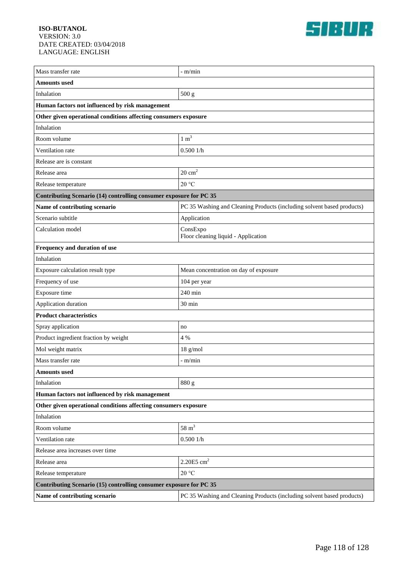

| Mass transfer rate                                                 | - m/min                                                                |  |
|--------------------------------------------------------------------|------------------------------------------------------------------------|--|
| <b>Amounts used</b>                                                |                                                                        |  |
| Inhalation                                                         | 500 g                                                                  |  |
| Human factors not influenced by risk management                    |                                                                        |  |
| Other given operational conditions affecting consumers exposure    |                                                                        |  |
| Inhalation                                                         |                                                                        |  |
| Room volume                                                        | $1 \text{ m}^3$                                                        |  |
| Ventilation rate                                                   | 0.5001/h                                                               |  |
| Release are is constant                                            |                                                                        |  |
| Release area                                                       | $20 \text{ cm}^2$                                                      |  |
| Release temperature                                                | 20 °C                                                                  |  |
| Contributing Scenario (14) controlling consumer exposure for PC 35 |                                                                        |  |
| Name of contributing scenario                                      | PC 35 Washing and Cleaning Products (including solvent based products) |  |
| Scenario subtitle                                                  | Application                                                            |  |
| Calculation model                                                  | ConsExpo<br>Floor cleaning liquid - Application                        |  |
| Frequency and duration of use                                      |                                                                        |  |
| Inhalation                                                         |                                                                        |  |
| Exposure calculation result type                                   | Mean concentration on day of exposure                                  |  |
| Frequency of use                                                   | 104 per year                                                           |  |
| Exposure time                                                      | 240 min                                                                |  |
| Application duration                                               | $30 \text{ min}$                                                       |  |
| <b>Product characteristics</b>                                     |                                                                        |  |
| Spray application                                                  | no                                                                     |  |
| Product ingredient fraction by weight                              | 4 %                                                                    |  |
| Mol weight matrix                                                  | $18$ g/mol                                                             |  |
| Mass transfer rate                                                 | - m/min                                                                |  |
| <b>Amounts used</b>                                                |                                                                        |  |
| Inhalation                                                         | 880 g                                                                  |  |
| Human factors not influenced by risk management                    |                                                                        |  |
| Other given operational conditions affecting consumers exposure    |                                                                        |  |
| Inhalation                                                         |                                                                        |  |
| Room volume                                                        | $58 \text{ m}^3$                                                       |  |
| Ventilation rate                                                   | 0.5001/h                                                               |  |
| Release area increases over time                                   |                                                                        |  |
| $2.20E5$ cm <sup>2</sup><br>Release area                           |                                                                        |  |
| Release temperature                                                | 20 °C                                                                  |  |
| Contributing Scenario (15) controlling consumer exposure for PC 35 |                                                                        |  |
| Name of contributing scenario                                      | PC 35 Washing and Cleaning Products (including solvent based products) |  |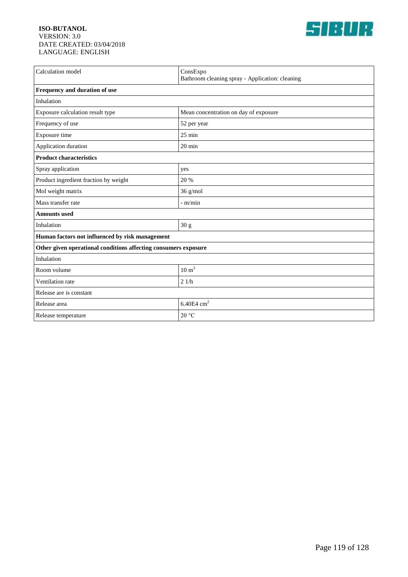

| Calculation model                                               | ConsExpo                                        |  |
|-----------------------------------------------------------------|-------------------------------------------------|--|
|                                                                 | Bathroom cleaning spray - Application: cleaning |  |
| Frequency and duration of use                                   |                                                 |  |
| Inhalation                                                      |                                                 |  |
| Exposure calculation result type                                | Mean concentration on day of exposure           |  |
| Frequency of use                                                | 52 per year                                     |  |
| Exposure time                                                   | $25 \text{ min}$                                |  |
| Application duration                                            | $20 \text{ min}$                                |  |
| <b>Product characteristics</b>                                  |                                                 |  |
| Spray application                                               | yes                                             |  |
| Product ingredient fraction by weight                           | 20 %                                            |  |
| Mol weight matrix                                               | $36$ g/mol                                      |  |
| Mass transfer rate                                              | $-m/min$                                        |  |
| <b>Amounts</b> used                                             |                                                 |  |
| Inhalation                                                      | $30\ \mathrm{g}$                                |  |
| Human factors not influenced by risk management                 |                                                 |  |
| Other given operational conditions affecting consumers exposure |                                                 |  |
| Inhalation                                                      |                                                 |  |
| Room volume                                                     | $10 \text{ m}^3$                                |  |
| Ventilation rate                                                | 21/h                                            |  |
| Release are is constant                                         |                                                 |  |
| Release area                                                    | 6.40E4 $cm2$                                    |  |
| Release temperature                                             | 20 °C                                           |  |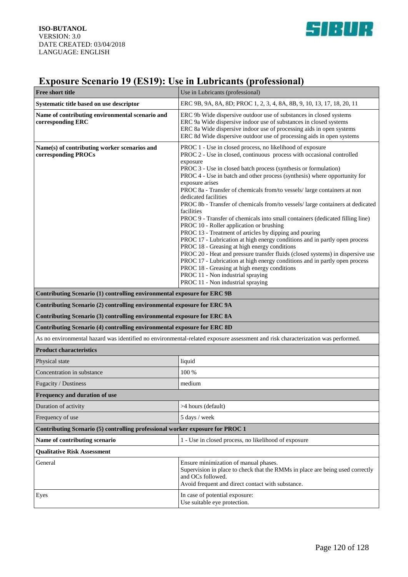

# **Exposure Scenario 19 (ES19): Use in Lubricants (professional)**

| Free short title                                                                                                                | Use in Lubricants (professional)                                                                                                                                                                                                                                                                                                                                                                                                                                                                                                                                                                                                                                                                                                                                                                                                                                                                                                                                                                                                                                                                                                     |
|---------------------------------------------------------------------------------------------------------------------------------|--------------------------------------------------------------------------------------------------------------------------------------------------------------------------------------------------------------------------------------------------------------------------------------------------------------------------------------------------------------------------------------------------------------------------------------------------------------------------------------------------------------------------------------------------------------------------------------------------------------------------------------------------------------------------------------------------------------------------------------------------------------------------------------------------------------------------------------------------------------------------------------------------------------------------------------------------------------------------------------------------------------------------------------------------------------------------------------------------------------------------------------|
| Systematic title based on use descriptor                                                                                        | ERC 9B, 9A, 8A, 8D; PROC 1, 2, 3, 4, 8A, 8B, 9, 10, 13, 17, 18, 20, 11                                                                                                                                                                                                                                                                                                                                                                                                                                                                                                                                                                                                                                                                                                                                                                                                                                                                                                                                                                                                                                                               |
| Name of contributing environmental scenario and<br>corresponding ERC                                                            | ERC 9b Wide dispersive outdoor use of substances in closed systems<br>ERC 9a Wide dispersive indoor use of substances in closed systems<br>ERC 8a Wide dispersive indoor use of processing aids in open systems<br>ERC 8d Wide dispersive outdoor use of processing aids in open systems                                                                                                                                                                                                                                                                                                                                                                                                                                                                                                                                                                                                                                                                                                                                                                                                                                             |
| Name(s) of contributing worker scenarios and<br>corresponding PROCs                                                             | PROC 1 - Use in closed process, no likelihood of exposure<br>PROC 2 - Use in closed, continuous process with occasional controlled<br>exposure<br>PROC 3 - Use in closed batch process (synthesis or formulation)<br>PROC 4 - Use in batch and other process (synthesis) where opportunity for<br>exposure arises<br>PROC 8a - Transfer of chemicals from/to vessels/ large containers at non<br>dedicated facilities<br>PROC 8b - Transfer of chemicals from/to vessels/ large containers at dedicated<br>facilities<br>PROC 9 - Transfer of chemicals into small containers (dedicated filling line)<br>PROC 10 - Roller application or brushing<br>PROC 13 - Treatment of articles by dipping and pouring<br>PROC 17 - Lubrication at high energy conditions and in partly open process<br>PROC 18 - Greasing at high energy conditions<br>PROC 20 - Heat and pressure transfer fluids (closed systems) in dispersive use<br>PROC 17 - Lubrication at high energy conditions and in partly open process<br>PROC 18 - Greasing at high energy conditions<br>PROC 11 - Non industrial spraying<br>PROC 11 - Non industrial spraying |
| Contributing Scenario (1) controlling environmental exposure for ERC 9B                                                         |                                                                                                                                                                                                                                                                                                                                                                                                                                                                                                                                                                                                                                                                                                                                                                                                                                                                                                                                                                                                                                                                                                                                      |
| Contributing Scenario (2) controlling environmental exposure for ERC 9A                                                         |                                                                                                                                                                                                                                                                                                                                                                                                                                                                                                                                                                                                                                                                                                                                                                                                                                                                                                                                                                                                                                                                                                                                      |
| Contributing Scenario (3) controlling environmental exposure for ERC 8A                                                         |                                                                                                                                                                                                                                                                                                                                                                                                                                                                                                                                                                                                                                                                                                                                                                                                                                                                                                                                                                                                                                                                                                                                      |
| Contributing Scenario (4) controlling environmental exposure for ERC 8D                                                         |                                                                                                                                                                                                                                                                                                                                                                                                                                                                                                                                                                                                                                                                                                                                                                                                                                                                                                                                                                                                                                                                                                                                      |
| As no environmental hazard was identified no environmental-related exposure assessment and risk characterization was performed. |                                                                                                                                                                                                                                                                                                                                                                                                                                                                                                                                                                                                                                                                                                                                                                                                                                                                                                                                                                                                                                                                                                                                      |
| <b>Product characteristics</b>                                                                                                  |                                                                                                                                                                                                                                                                                                                                                                                                                                                                                                                                                                                                                                                                                                                                                                                                                                                                                                                                                                                                                                                                                                                                      |
| Physical state                                                                                                                  | liquid                                                                                                                                                                                                                                                                                                                                                                                                                                                                                                                                                                                                                                                                                                                                                                                                                                                                                                                                                                                                                                                                                                                               |
| Concentration in substance                                                                                                      | 100 %                                                                                                                                                                                                                                                                                                                                                                                                                                                                                                                                                                                                                                                                                                                                                                                                                                                                                                                                                                                                                                                                                                                                |
| Fugacity / Dustiness                                                                                                            | medium                                                                                                                                                                                                                                                                                                                                                                                                                                                                                                                                                                                                                                                                                                                                                                                                                                                                                                                                                                                                                                                                                                                               |
| Frequency and duration of use                                                                                                   |                                                                                                                                                                                                                                                                                                                                                                                                                                                                                                                                                                                                                                                                                                                                                                                                                                                                                                                                                                                                                                                                                                                                      |
| Duration of activity                                                                                                            | >4 hours (default)                                                                                                                                                                                                                                                                                                                                                                                                                                                                                                                                                                                                                                                                                                                                                                                                                                                                                                                                                                                                                                                                                                                   |
| Frequency of use                                                                                                                | 5 days / week                                                                                                                                                                                                                                                                                                                                                                                                                                                                                                                                                                                                                                                                                                                                                                                                                                                                                                                                                                                                                                                                                                                        |
| Contributing Scenario (5) controlling professional worker exposure for PROC 1                                                   |                                                                                                                                                                                                                                                                                                                                                                                                                                                                                                                                                                                                                                                                                                                                                                                                                                                                                                                                                                                                                                                                                                                                      |
| Name of contributing scenario                                                                                                   | 1 - Use in closed process, no likelihood of exposure                                                                                                                                                                                                                                                                                                                                                                                                                                                                                                                                                                                                                                                                                                                                                                                                                                                                                                                                                                                                                                                                                 |
| <b>Qualitative Risk Assessment</b>                                                                                              |                                                                                                                                                                                                                                                                                                                                                                                                                                                                                                                                                                                                                                                                                                                                                                                                                                                                                                                                                                                                                                                                                                                                      |
|                                                                                                                                 |                                                                                                                                                                                                                                                                                                                                                                                                                                                                                                                                                                                                                                                                                                                                                                                                                                                                                                                                                                                                                                                                                                                                      |
| General                                                                                                                         | Ensure minimization of manual phases.<br>Supervision in place to check that the RMMs in place are being used correctly<br>and OCs followed.<br>Avoid frequent and direct contact with substance.                                                                                                                                                                                                                                                                                                                                                                                                                                                                                                                                                                                                                                                                                                                                                                                                                                                                                                                                     |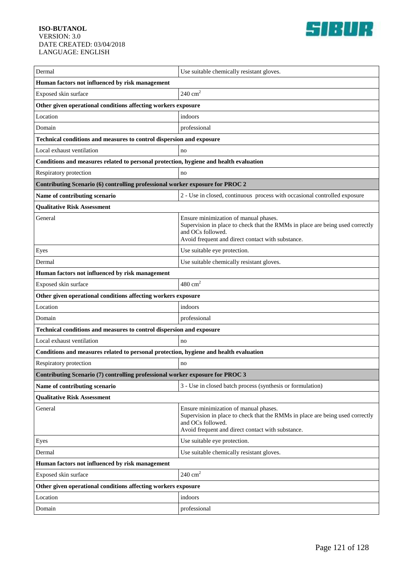

| Dermal                                                                                | Use suitable chemically resistant gloves.                                                                                                                                                        |  |
|---------------------------------------------------------------------------------------|--------------------------------------------------------------------------------------------------------------------------------------------------------------------------------------------------|--|
| Human factors not influenced by risk management                                       |                                                                                                                                                                                                  |  |
| Exposed skin surface                                                                  | $240 \text{ cm}^2$                                                                                                                                                                               |  |
| Other given operational conditions affecting workers exposure                         |                                                                                                                                                                                                  |  |
| Location                                                                              | indoors                                                                                                                                                                                          |  |
| Domain                                                                                | professional                                                                                                                                                                                     |  |
| Technical conditions and measures to control dispersion and exposure                  |                                                                                                                                                                                                  |  |
| Local exhaust ventilation                                                             | no                                                                                                                                                                                               |  |
| Conditions and measures related to personal protection, hygiene and health evaluation |                                                                                                                                                                                                  |  |
| Respiratory protection                                                                | no                                                                                                                                                                                               |  |
| Contributing Scenario (6) controlling professional worker exposure for PROC 2         |                                                                                                                                                                                                  |  |
| Name of contributing scenario                                                         | 2 - Use in closed, continuous process with occasional controlled exposure                                                                                                                        |  |
| <b>Qualitative Risk Assessment</b>                                                    |                                                                                                                                                                                                  |  |
| General                                                                               | Ensure minimization of manual phases.<br>Supervision in place to check that the RMMs in place are being used correctly<br>and OCs followed.<br>Avoid frequent and direct contact with substance. |  |
| Eyes                                                                                  | Use suitable eye protection.                                                                                                                                                                     |  |
| Dermal                                                                                | Use suitable chemically resistant gloves.                                                                                                                                                        |  |
| Human factors not influenced by risk management                                       |                                                                                                                                                                                                  |  |
| Exposed skin surface                                                                  | $480 \text{ cm}^2$                                                                                                                                                                               |  |
| Other given operational conditions affecting workers exposure                         |                                                                                                                                                                                                  |  |
| Location                                                                              | indoors                                                                                                                                                                                          |  |
| Domain                                                                                | professional                                                                                                                                                                                     |  |
| Technical conditions and measures to control dispersion and exposure                  |                                                                                                                                                                                                  |  |
| Local exhaust ventilation                                                             | no                                                                                                                                                                                               |  |
| Conditions and measures related to personal protection, hygiene and health evaluation |                                                                                                                                                                                                  |  |
| Respiratory protection                                                                | no                                                                                                                                                                                               |  |
| Contributing Scenario (7) controlling professional worker exposure for PROC 3         |                                                                                                                                                                                                  |  |
| Name of contributing scenario                                                         | 3 - Use in closed batch process (synthesis or formulation)                                                                                                                                       |  |
| <b>Qualitative Risk Assessment</b>                                                    |                                                                                                                                                                                                  |  |
| General                                                                               | Ensure minimization of manual phases.<br>Supervision in place to check that the RMMs in place are being used correctly<br>and OCs followed.<br>Avoid frequent and direct contact with substance. |  |
| Eyes                                                                                  | Use suitable eye protection.                                                                                                                                                                     |  |
| Dermal                                                                                | Use suitable chemically resistant gloves.                                                                                                                                                        |  |
| Human factors not influenced by risk management                                       |                                                                                                                                                                                                  |  |
| Exposed skin surface                                                                  | $240 \text{ cm}^2$                                                                                                                                                                               |  |
| Other given operational conditions affecting workers exposure                         |                                                                                                                                                                                                  |  |
| Location                                                                              | indoors                                                                                                                                                                                          |  |
| Domain                                                                                | professional                                                                                                                                                                                     |  |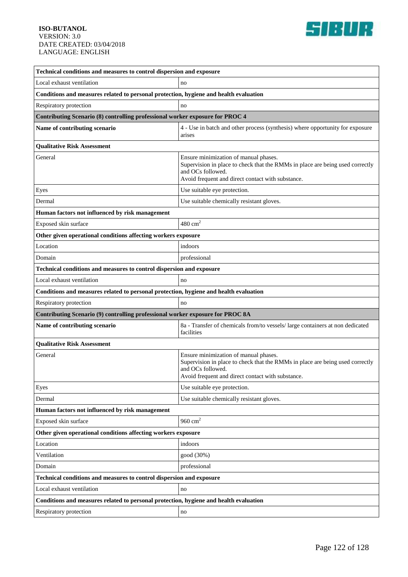

| Technical conditions and measures to control dispersion and exposure                  |                                                                                                                                                                                                  |
|---------------------------------------------------------------------------------------|--------------------------------------------------------------------------------------------------------------------------------------------------------------------------------------------------|
| Local exhaust ventilation                                                             | no                                                                                                                                                                                               |
| Conditions and measures related to personal protection, hygiene and health evaluation |                                                                                                                                                                                                  |
| Respiratory protection                                                                | no                                                                                                                                                                                               |
| Contributing Scenario (8) controlling professional worker exposure for PROC 4         |                                                                                                                                                                                                  |
| Name of contributing scenario                                                         | 4 - Use in batch and other process (synthesis) where opportunity for exposure<br>arises                                                                                                          |
| <b>Qualitative Risk Assessment</b>                                                    |                                                                                                                                                                                                  |
| General                                                                               | Ensure minimization of manual phases.<br>Supervision in place to check that the RMMs in place are being used correctly<br>and OCs followed.<br>Avoid frequent and direct contact with substance. |
| Eyes                                                                                  | Use suitable eye protection.                                                                                                                                                                     |
| Dermal                                                                                | Use suitable chemically resistant gloves.                                                                                                                                                        |
| Human factors not influenced by risk management                                       |                                                                                                                                                                                                  |
| Exposed skin surface                                                                  | $480 \text{ cm}^2$                                                                                                                                                                               |
| Other given operational conditions affecting workers exposure                         |                                                                                                                                                                                                  |
| Location                                                                              | indoors                                                                                                                                                                                          |
| Domain                                                                                | professional                                                                                                                                                                                     |
| Technical conditions and measures to control dispersion and exposure                  |                                                                                                                                                                                                  |
| Local exhaust ventilation                                                             | no                                                                                                                                                                                               |
| Conditions and measures related to personal protection, hygiene and health evaluation |                                                                                                                                                                                                  |
| Respiratory protection                                                                | no                                                                                                                                                                                               |
| Contributing Scenario (9) controlling professional worker exposure for PROC 8A        |                                                                                                                                                                                                  |
| Name of contributing scenario                                                         | 8a - Transfer of chemicals from/to vessels/large containers at non dedicated<br>facilities                                                                                                       |
| <b>Qualitative Risk Assessment</b>                                                    |                                                                                                                                                                                                  |
| General                                                                               | Ensure minimization of manual phases.<br>Supervision in place to check that the RMMs in place are being used correctly<br>and OCs followed.<br>Avoid frequent and direct contact with substance. |
| Eyes                                                                                  | Use suitable eye protection.                                                                                                                                                                     |
| Dermal                                                                                | Use suitable chemically resistant gloves.                                                                                                                                                        |
| Human factors not influenced by risk management                                       |                                                                                                                                                                                                  |
| Exposed skin surface                                                                  | $960 \text{ cm}^2$                                                                                                                                                                               |
| Other given operational conditions affecting workers exposure                         |                                                                                                                                                                                                  |
| Location                                                                              | indoors                                                                                                                                                                                          |
| Ventilation                                                                           | good (30%)                                                                                                                                                                                       |
| Domain                                                                                | professional                                                                                                                                                                                     |
| Technical conditions and measures to control dispersion and exposure                  |                                                                                                                                                                                                  |
| Local exhaust ventilation                                                             | no                                                                                                                                                                                               |
| Conditions and measures related to personal protection, hygiene and health evaluation |                                                                                                                                                                                                  |
| Respiratory protection                                                                | no                                                                                                                                                                                               |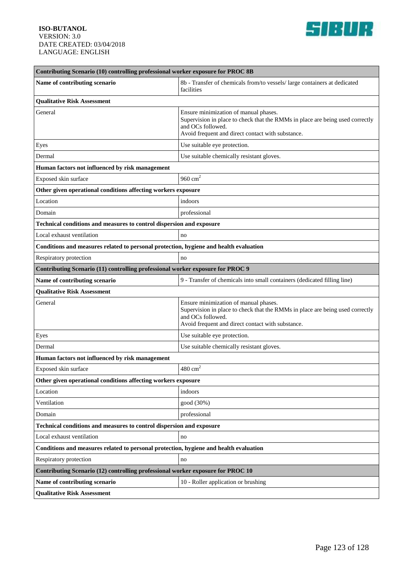

| Contributing Scenario (10) controlling professional worker exposure for PROC 8B       |                                                                                                                                                                                                  |  |
|---------------------------------------------------------------------------------------|--------------------------------------------------------------------------------------------------------------------------------------------------------------------------------------------------|--|
| Name of contributing scenario                                                         | 8b - Transfer of chemicals from/to vessels/ large containers at dedicated<br>facilities                                                                                                          |  |
| <b>Qualitative Risk Assessment</b>                                                    |                                                                                                                                                                                                  |  |
| General                                                                               | Ensure minimization of manual phases.<br>Supervision in place to check that the RMMs in place are being used correctly<br>and OCs followed.<br>Avoid frequent and direct contact with substance. |  |
| Eyes                                                                                  | Use suitable eye protection.                                                                                                                                                                     |  |
| Dermal                                                                                | Use suitable chemically resistant gloves.                                                                                                                                                        |  |
| Human factors not influenced by risk management                                       |                                                                                                                                                                                                  |  |
| Exposed skin surface                                                                  | 960 $cm2$                                                                                                                                                                                        |  |
| Other given operational conditions affecting workers exposure                         |                                                                                                                                                                                                  |  |
| Location                                                                              | indoors                                                                                                                                                                                          |  |
| Domain                                                                                | professional                                                                                                                                                                                     |  |
| Technical conditions and measures to control dispersion and exposure                  |                                                                                                                                                                                                  |  |
| Local exhaust ventilation                                                             | no                                                                                                                                                                                               |  |
| Conditions and measures related to personal protection, hygiene and health evaluation |                                                                                                                                                                                                  |  |
| Respiratory protection                                                                | no                                                                                                                                                                                               |  |
| Contributing Scenario (11) controlling professional worker exposure for PROC 9        |                                                                                                                                                                                                  |  |
| Name of contributing scenario                                                         | 9 - Transfer of chemicals into small containers (dedicated filling line)                                                                                                                         |  |
| <b>Qualitative Risk Assessment</b>                                                    |                                                                                                                                                                                                  |  |
| General                                                                               | Ensure minimization of manual phases.<br>Supervision in place to check that the RMMs in place are being used correctly<br>and OCs followed.<br>Avoid frequent and direct contact with substance. |  |
| Eyes                                                                                  | Use suitable eye protection.                                                                                                                                                                     |  |
| Dermal                                                                                | Use suitable chemically resistant gloves.                                                                                                                                                        |  |
| Human factors not influenced by risk management                                       |                                                                                                                                                                                                  |  |
| Exposed skin surface                                                                  | $480\ {\rm cm}^2$                                                                                                                                                                                |  |
| Other given operational conditions affecting workers exposure                         |                                                                                                                                                                                                  |  |
| Location                                                                              | indoors                                                                                                                                                                                          |  |
| Ventilation                                                                           | good (30%)                                                                                                                                                                                       |  |
| Domain                                                                                | professional                                                                                                                                                                                     |  |
| Technical conditions and measures to control dispersion and exposure                  |                                                                                                                                                                                                  |  |
| Local exhaust ventilation                                                             | no                                                                                                                                                                                               |  |
| Conditions and measures related to personal protection, hygiene and health evaluation |                                                                                                                                                                                                  |  |
| Respiratory protection                                                                | no                                                                                                                                                                                               |  |
| Contributing Scenario (12) controlling professional worker exposure for PROC 10       |                                                                                                                                                                                                  |  |
| Name of contributing scenario                                                         | 10 - Roller application or brushing                                                                                                                                                              |  |
| <b>Qualitative Risk Assessment</b>                                                    |                                                                                                                                                                                                  |  |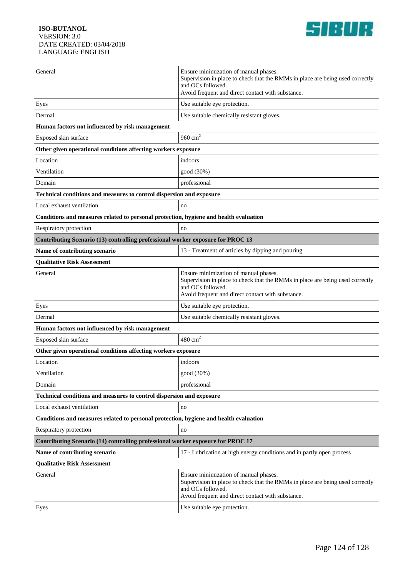

| General                                                                               | Ensure minimization of manual phases.<br>Supervision in place to check that the RMMs in place are being used correctly<br>and OCs followed.<br>Avoid frequent and direct contact with substance. |  |
|---------------------------------------------------------------------------------------|--------------------------------------------------------------------------------------------------------------------------------------------------------------------------------------------------|--|
| Eyes                                                                                  | Use suitable eye protection.                                                                                                                                                                     |  |
| Dermal                                                                                | Use suitable chemically resistant gloves.                                                                                                                                                        |  |
| Human factors not influenced by risk management                                       |                                                                                                                                                                                                  |  |
| Exposed skin surface                                                                  | 960 $cm2$                                                                                                                                                                                        |  |
| Other given operational conditions affecting workers exposure                         |                                                                                                                                                                                                  |  |
| Location                                                                              | indoors                                                                                                                                                                                          |  |
| Ventilation                                                                           | good (30%)                                                                                                                                                                                       |  |
| Domain                                                                                | professional                                                                                                                                                                                     |  |
| Technical conditions and measures to control dispersion and exposure                  |                                                                                                                                                                                                  |  |
| Local exhaust ventilation                                                             | no                                                                                                                                                                                               |  |
| Conditions and measures related to personal protection, hygiene and health evaluation |                                                                                                                                                                                                  |  |
| Respiratory protection                                                                | no                                                                                                                                                                                               |  |
| Contributing Scenario (13) controlling professional worker exposure for PROC 13       |                                                                                                                                                                                                  |  |
| Name of contributing scenario                                                         | 13 - Treatment of articles by dipping and pouring                                                                                                                                                |  |
| <b>Qualitative Risk Assessment</b>                                                    |                                                                                                                                                                                                  |  |
| General                                                                               | Ensure minimization of manual phases.<br>Supervision in place to check that the RMMs in place are being used correctly<br>and OCs followed.<br>Avoid frequent and direct contact with substance. |  |
| Eyes                                                                                  | Use suitable eye protection.                                                                                                                                                                     |  |
| Dermal                                                                                | Use suitable chemically resistant gloves.                                                                                                                                                        |  |
| Human factors not influenced by risk management                                       |                                                                                                                                                                                                  |  |
| Exposed skin surface                                                                  | $480 \text{ cm}^2$                                                                                                                                                                               |  |
| Other given operational conditions affecting workers exposure                         |                                                                                                                                                                                                  |  |
| Location                                                                              | indoors                                                                                                                                                                                          |  |
| Ventilation                                                                           | good (30%)                                                                                                                                                                                       |  |
| Domain                                                                                | professional                                                                                                                                                                                     |  |
| Technical conditions and measures to control dispersion and exposure                  |                                                                                                                                                                                                  |  |
| Local exhaust ventilation                                                             | no                                                                                                                                                                                               |  |
| Conditions and measures related to personal protection, hygiene and health evaluation |                                                                                                                                                                                                  |  |
| Respiratory protection                                                                | no                                                                                                                                                                                               |  |
| Contributing Scenario (14) controlling professional worker exposure for PROC 17       |                                                                                                                                                                                                  |  |
| Name of contributing scenario                                                         | 17 - Lubrication at high energy conditions and in partly open process                                                                                                                            |  |
| <b>Qualitative Risk Assessment</b>                                                    |                                                                                                                                                                                                  |  |
| General                                                                               | Ensure minimization of manual phases.<br>Supervision in place to check that the RMMs in place are being used correctly<br>and OCs followed.<br>Avoid frequent and direct contact with substance. |  |
| Eyes                                                                                  | Use suitable eye protection.                                                                                                                                                                     |  |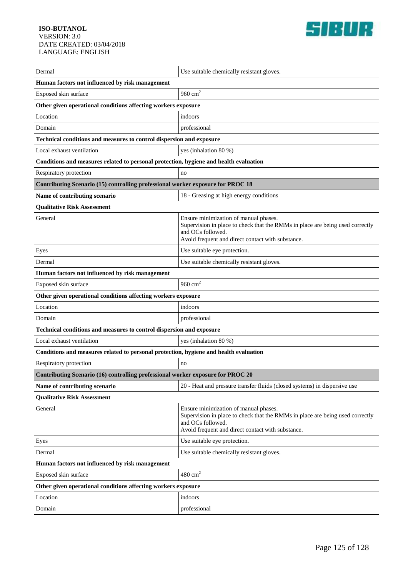

| Dermal                                                                                | Use suitable chemically resistant gloves.                                                                                                                                                        |
|---------------------------------------------------------------------------------------|--------------------------------------------------------------------------------------------------------------------------------------------------------------------------------------------------|
| Human factors not influenced by risk management                                       |                                                                                                                                                                                                  |
| Exposed skin surface                                                                  | $960 \mathrm{~cm}^2$                                                                                                                                                                             |
| Other given operational conditions affecting workers exposure                         |                                                                                                                                                                                                  |
| Location                                                                              | indoors                                                                                                                                                                                          |
| Domain                                                                                | professional                                                                                                                                                                                     |
| Technical conditions and measures to control dispersion and exposure                  |                                                                                                                                                                                                  |
| Local exhaust ventilation                                                             | yes (inhalation 80 %)                                                                                                                                                                            |
| Conditions and measures related to personal protection, hygiene and health evaluation |                                                                                                                                                                                                  |
| Respiratory protection                                                                | no                                                                                                                                                                                               |
| Contributing Scenario (15) controlling professional worker exposure for PROC 18       |                                                                                                                                                                                                  |
| Name of contributing scenario                                                         | 18 - Greasing at high energy conditions                                                                                                                                                          |
| <b>Qualitative Risk Assessment</b>                                                    |                                                                                                                                                                                                  |
| General                                                                               | Ensure minimization of manual phases.<br>Supervision in place to check that the RMMs in place are being used correctly<br>and OCs followed.<br>Avoid frequent and direct contact with substance. |
| Eyes                                                                                  | Use suitable eye protection.                                                                                                                                                                     |
| Dermal                                                                                | Use suitable chemically resistant gloves.                                                                                                                                                        |
| Human factors not influenced by risk management                                       |                                                                                                                                                                                                  |
| Exposed skin surface                                                                  | 960 $cm2$                                                                                                                                                                                        |
| Other given operational conditions affecting workers exposure                         |                                                                                                                                                                                                  |
| Location                                                                              | indoors                                                                                                                                                                                          |
| Domain                                                                                | professional                                                                                                                                                                                     |
| Technical conditions and measures to control dispersion and exposure                  |                                                                                                                                                                                                  |
| Local exhaust ventilation                                                             | yes (inhalation 80 %)                                                                                                                                                                            |
| Conditions and measures related to personal protection, hygiene and health evaluation |                                                                                                                                                                                                  |
| Respiratory protection                                                                | no                                                                                                                                                                                               |
| Contributing Scenario (16) controlling professional worker exposure for PROC 20       |                                                                                                                                                                                                  |
| Name of contributing scenario                                                         | 20 - Heat and pressure transfer fluids (closed systems) in dispersive use                                                                                                                        |
| <b>Qualitative Risk Assessment</b>                                                    |                                                                                                                                                                                                  |
| General                                                                               | Ensure minimization of manual phases.<br>Supervision in place to check that the RMMs in place are being used correctly<br>and OCs followed.<br>Avoid frequent and direct contact with substance. |
| Eyes                                                                                  | Use suitable eye protection.                                                                                                                                                                     |
| Dermal                                                                                | Use suitable chemically resistant gloves.                                                                                                                                                        |
| Human factors not influenced by risk management                                       |                                                                                                                                                                                                  |
| Exposed skin surface                                                                  | $480 \text{ cm}^2$                                                                                                                                                                               |
| Other given operational conditions affecting workers exposure                         |                                                                                                                                                                                                  |
| Location                                                                              | indoors                                                                                                                                                                                          |
| Domain                                                                                | professional                                                                                                                                                                                     |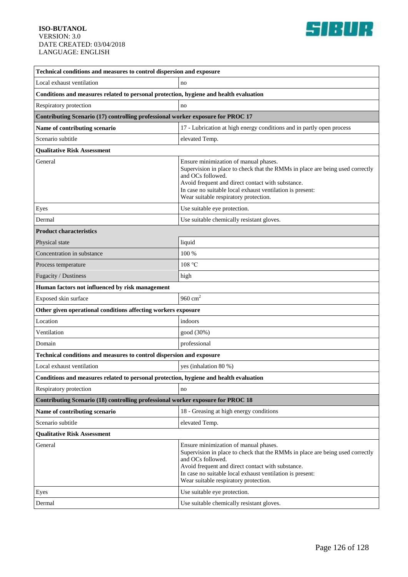

| Technical conditions and measures to control dispersion and exposure                  |                                                                                                                                                                                                                                                                                                        |  |
|---------------------------------------------------------------------------------------|--------------------------------------------------------------------------------------------------------------------------------------------------------------------------------------------------------------------------------------------------------------------------------------------------------|--|
| Local exhaust ventilation                                                             | no                                                                                                                                                                                                                                                                                                     |  |
| Conditions and measures related to personal protection, hygiene and health evaluation |                                                                                                                                                                                                                                                                                                        |  |
| Respiratory protection                                                                | no                                                                                                                                                                                                                                                                                                     |  |
| Contributing Scenario (17) controlling professional worker exposure for PROC 17       |                                                                                                                                                                                                                                                                                                        |  |
| Name of contributing scenario                                                         | 17 - Lubrication at high energy conditions and in partly open process                                                                                                                                                                                                                                  |  |
| Scenario subtitle                                                                     | elevated Temp.                                                                                                                                                                                                                                                                                         |  |
| <b>Oualitative Risk Assessment</b>                                                    |                                                                                                                                                                                                                                                                                                        |  |
| General                                                                               | Ensure minimization of manual phases.<br>Supervision in place to check that the RMMs in place are being used correctly<br>and OCs followed.<br>Avoid frequent and direct contact with substance.<br>In case no suitable local exhaust ventilation is present:<br>Wear suitable respiratory protection. |  |
| Eyes                                                                                  | Use suitable eye protection.                                                                                                                                                                                                                                                                           |  |
| Dermal                                                                                | Use suitable chemically resistant gloves.                                                                                                                                                                                                                                                              |  |
| <b>Product characteristics</b>                                                        |                                                                                                                                                                                                                                                                                                        |  |
| Physical state                                                                        | liquid                                                                                                                                                                                                                                                                                                 |  |
| Concentration in substance                                                            | 100 %                                                                                                                                                                                                                                                                                                  |  |
| Process temperature                                                                   | 108 °C                                                                                                                                                                                                                                                                                                 |  |
| Fugacity / Dustiness                                                                  | high                                                                                                                                                                                                                                                                                                   |  |
| Human factors not influenced by risk management                                       |                                                                                                                                                                                                                                                                                                        |  |
| Exposed skin surface                                                                  | 960 $cm2$                                                                                                                                                                                                                                                                                              |  |
| Other given operational conditions affecting workers exposure                         |                                                                                                                                                                                                                                                                                                        |  |
| Location                                                                              | indoors                                                                                                                                                                                                                                                                                                |  |
| Ventilation                                                                           | good (30%)                                                                                                                                                                                                                                                                                             |  |
| Domain                                                                                | professional                                                                                                                                                                                                                                                                                           |  |
| Technical conditions and measures to control dispersion and exposure                  |                                                                                                                                                                                                                                                                                                        |  |
| Local exhaust ventilation                                                             | yes (inhalation 80 %)                                                                                                                                                                                                                                                                                  |  |
| Conditions and measures related to personal protection, hygiene and health evaluation |                                                                                                                                                                                                                                                                                                        |  |
| Respiratory protection                                                                | no                                                                                                                                                                                                                                                                                                     |  |
| Contributing Scenario (18) controlling professional worker exposure for PROC 18       |                                                                                                                                                                                                                                                                                                        |  |
| Name of contributing scenario                                                         | 18 - Greasing at high energy conditions                                                                                                                                                                                                                                                                |  |
| Scenario subtitle                                                                     | elevated Temp.                                                                                                                                                                                                                                                                                         |  |
| <b>Oualitative Risk Assessment</b>                                                    |                                                                                                                                                                                                                                                                                                        |  |
| General                                                                               | Ensure minimization of manual phases.<br>Supervision in place to check that the RMMs in place are being used correctly<br>and OCs followed.<br>Avoid frequent and direct contact with substance.<br>In case no suitable local exhaust ventilation is present:<br>Wear suitable respiratory protection. |  |
| Eyes                                                                                  | Use suitable eye protection.                                                                                                                                                                                                                                                                           |  |
| Dermal                                                                                | Use suitable chemically resistant gloves.                                                                                                                                                                                                                                                              |  |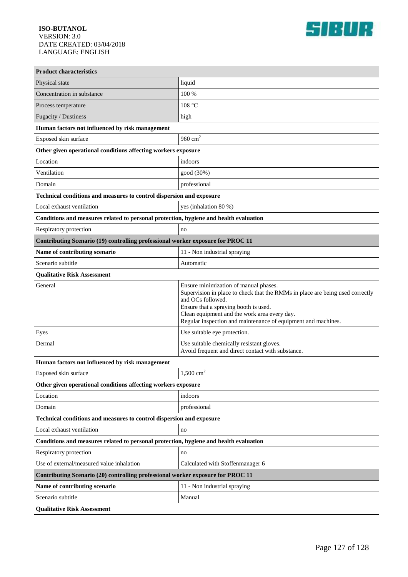

| <b>Product characteristics</b>                                                        |                                                                                                                                                                                                                                                                                                       |  |
|---------------------------------------------------------------------------------------|-------------------------------------------------------------------------------------------------------------------------------------------------------------------------------------------------------------------------------------------------------------------------------------------------------|--|
| Physical state                                                                        | liquid                                                                                                                                                                                                                                                                                                |  |
| Concentration in substance                                                            | 100 %                                                                                                                                                                                                                                                                                                 |  |
| Process temperature                                                                   | 108 °C                                                                                                                                                                                                                                                                                                |  |
| Fugacity / Dustiness                                                                  | high                                                                                                                                                                                                                                                                                                  |  |
| Human factors not influenced by risk management                                       |                                                                                                                                                                                                                                                                                                       |  |
| Exposed skin surface                                                                  | 960 $cm2$                                                                                                                                                                                                                                                                                             |  |
| Other given operational conditions affecting workers exposure                         |                                                                                                                                                                                                                                                                                                       |  |
| Location                                                                              | indoors                                                                                                                                                                                                                                                                                               |  |
| Ventilation                                                                           | good (30%)                                                                                                                                                                                                                                                                                            |  |
| Domain                                                                                | professional                                                                                                                                                                                                                                                                                          |  |
| Technical conditions and measures to control dispersion and exposure                  |                                                                                                                                                                                                                                                                                                       |  |
| Local exhaust ventilation                                                             | yes (inhalation 80 %)                                                                                                                                                                                                                                                                                 |  |
| Conditions and measures related to personal protection, hygiene and health evaluation |                                                                                                                                                                                                                                                                                                       |  |
| Respiratory protection                                                                | no                                                                                                                                                                                                                                                                                                    |  |
| Contributing Scenario (19) controlling professional worker exposure for PROC 11       |                                                                                                                                                                                                                                                                                                       |  |
| Name of contributing scenario                                                         | 11 - Non industrial spraying                                                                                                                                                                                                                                                                          |  |
| Scenario subtitle                                                                     | Automatic                                                                                                                                                                                                                                                                                             |  |
| <b>Qualitative Risk Assessment</b>                                                    |                                                                                                                                                                                                                                                                                                       |  |
| General                                                                               | Ensure minimization of manual phases.<br>Supervision in place to check that the RMMs in place are being used correctly<br>and OCs followed.<br>Ensure that a spraying booth is used.<br>Clean equipment and the work area every day.<br>Regular inspection and maintenance of equipment and machines. |  |
| Eyes                                                                                  | Use suitable eye protection.                                                                                                                                                                                                                                                                          |  |
| Dermal                                                                                | Use suitable chemically resistant gloves.<br>Avoid frequent and direct contact with substance.                                                                                                                                                                                                        |  |
| Human factors not influenced by risk management                                       |                                                                                                                                                                                                                                                                                                       |  |
| Exposed skin surface                                                                  | $1,500 \text{ cm}^2$                                                                                                                                                                                                                                                                                  |  |
| Other given operational conditions affecting workers exposure                         |                                                                                                                                                                                                                                                                                                       |  |
| Location                                                                              | indoors                                                                                                                                                                                                                                                                                               |  |
| Domain                                                                                | professional                                                                                                                                                                                                                                                                                          |  |
| Technical conditions and measures to control dispersion and exposure                  |                                                                                                                                                                                                                                                                                                       |  |
| Local exhaust ventilation                                                             | no                                                                                                                                                                                                                                                                                                    |  |
| Conditions and measures related to personal protection, hygiene and health evaluation |                                                                                                                                                                                                                                                                                                       |  |
| Respiratory protection                                                                | no                                                                                                                                                                                                                                                                                                    |  |
| Use of external/measured value inhalation                                             | Calculated with Stoffenmanager 6                                                                                                                                                                                                                                                                      |  |
| Contributing Scenario (20) controlling professional worker exposure for PROC 11       |                                                                                                                                                                                                                                                                                                       |  |
| Name of contributing scenario                                                         | 11 - Non industrial spraying                                                                                                                                                                                                                                                                          |  |
| Scenario subtitle                                                                     | Manual                                                                                                                                                                                                                                                                                                |  |
| <b>Qualitative Risk Assessment</b>                                                    |                                                                                                                                                                                                                                                                                                       |  |